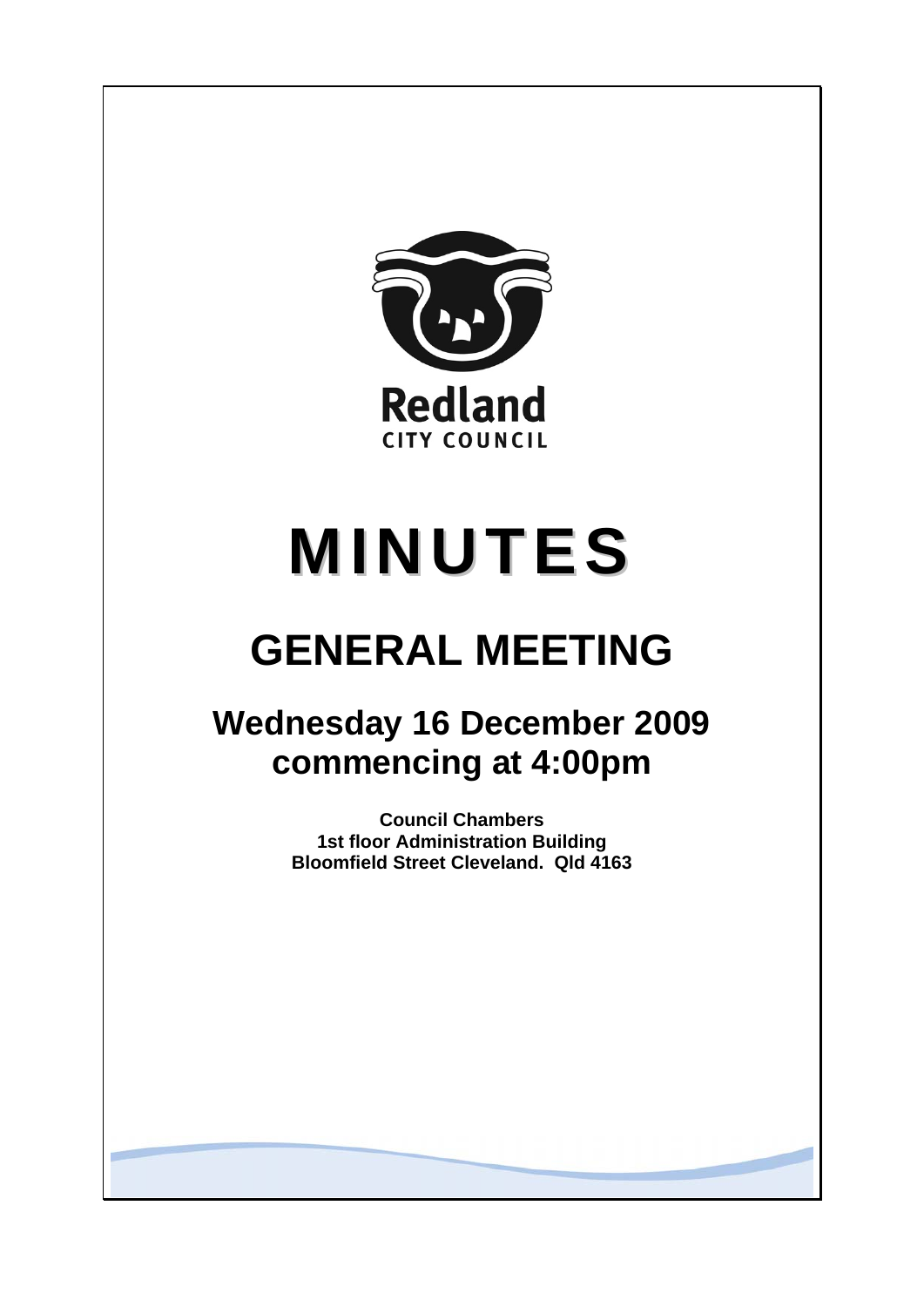

# **MINUTES**

# **GENERAL MEETING**

## **Wednesday 16 December 2009 commencing at 4:00pm**

**Council Chambers 1st floor Administration Building Bloomfield Street Cleveland. Qld 4163**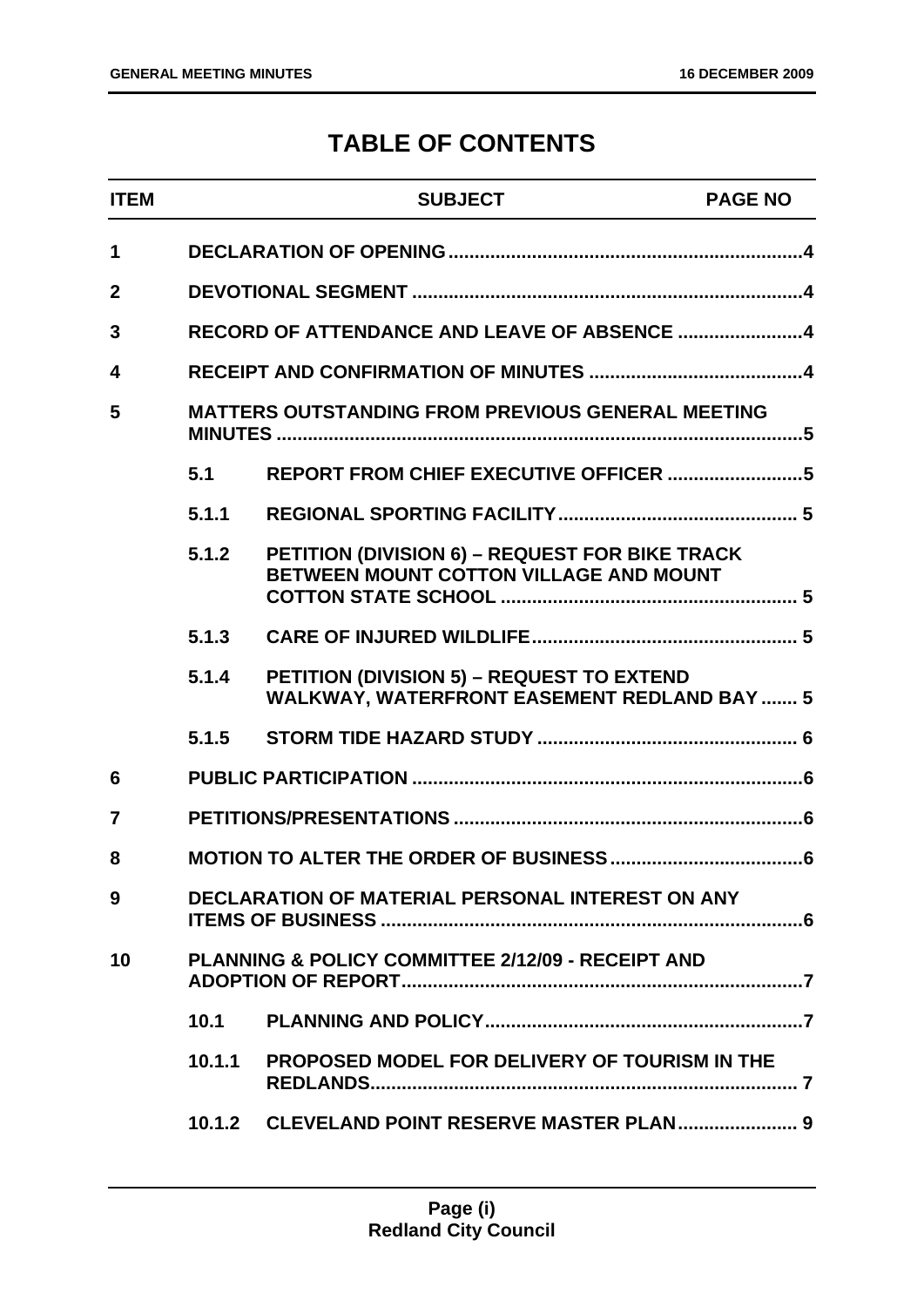### **TABLE OF CONTENTS**

| <b>ITEM</b>    |                                                              | <b>SUBJECT</b>                                                                                         | <b>PAGE NO</b> |
|----------------|--------------------------------------------------------------|--------------------------------------------------------------------------------------------------------|----------------|
| 1              |                                                              |                                                                                                        |                |
| $\mathbf 2$    |                                                              |                                                                                                        |                |
| 3              |                                                              |                                                                                                        |                |
| 4              |                                                              |                                                                                                        |                |
| 5              |                                                              | <b>MATTERS OUTSTANDING FROM PREVIOUS GENERAL MEETING</b>                                               |                |
|                | 5.1                                                          |                                                                                                        |                |
|                | 5.1.1                                                        |                                                                                                        |                |
|                | 5.1.2                                                        | <b>PETITION (DIVISION 6) - REQUEST FOR BIKE TRACK</b><br>BETWEEN MOUNT COTTON VILLAGE AND MOUNT        |                |
|                | 5.1.3                                                        |                                                                                                        |                |
|                | 5.1.4                                                        | <b>PETITION (DIVISION 5) - REQUEST TO EXTEND</b><br><b>WALKWAY, WATERFRONT EASEMENT REDLAND BAY  5</b> |                |
|                | 5.1.5                                                        |                                                                                                        |                |
| 6              |                                                              |                                                                                                        |                |
| $\overline{7}$ |                                                              |                                                                                                        |                |
| 8              |                                                              |                                                                                                        |                |
| 9              | <b>DECLARATION OF MATERIAL PERSONAL INTEREST ON ANY</b>      |                                                                                                        |                |
| 10             | <b>PLANNING &amp; POLICY COMMITTEE 2/12/09 - RECEIPT AND</b> |                                                                                                        |                |
|                | 10.1                                                         |                                                                                                        |                |
|                | 10.1.1                                                       | <b>PROPOSED MODEL FOR DELIVERY OF TOURISM IN THE</b>                                                   |                |
|                |                                                              |                                                                                                        |                |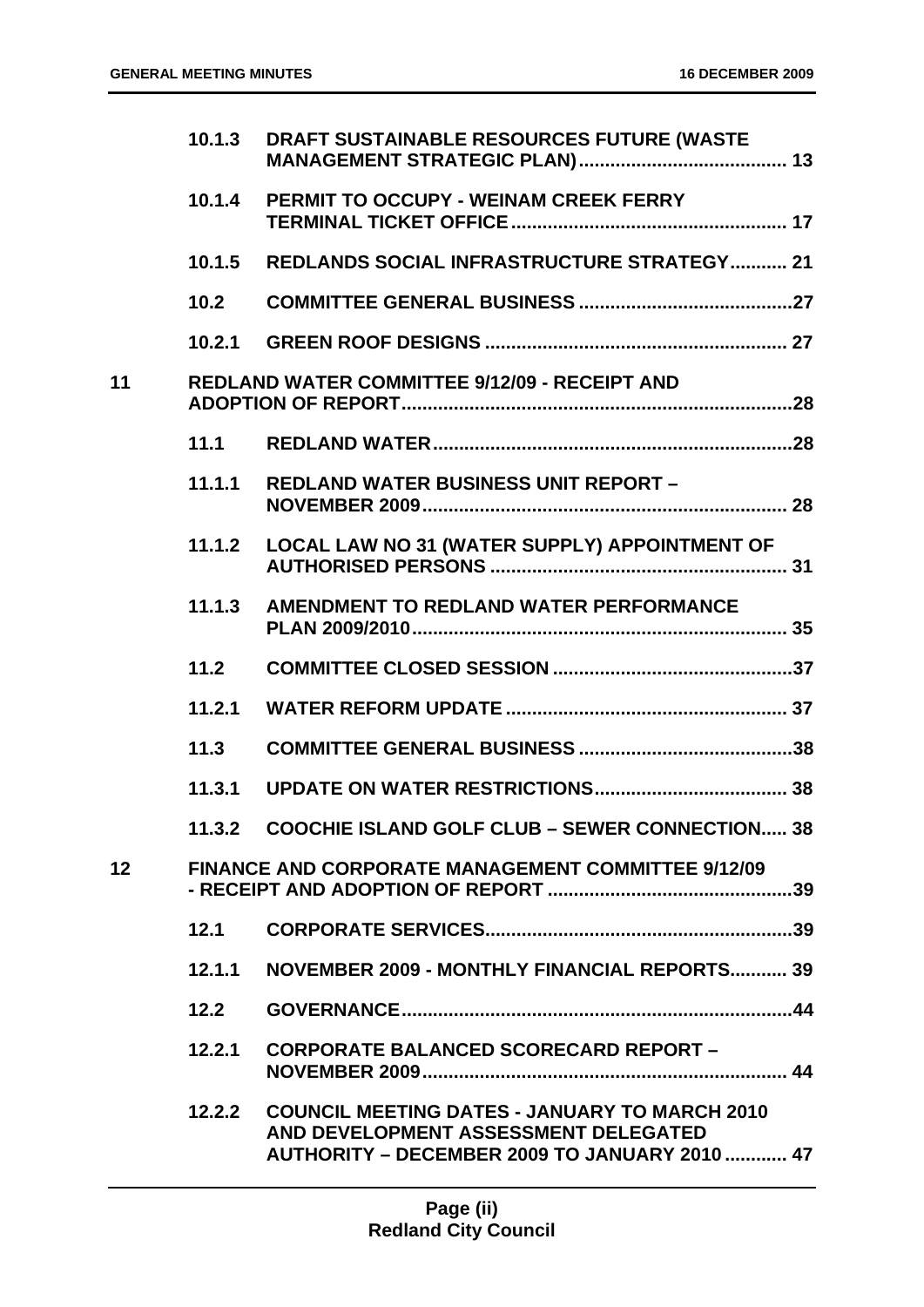|                 | 10.1.3 | DRAFT SUSTAINABLE RESOURCES FUTURE (WASTE                                                                                                            |
|-----------------|--------|------------------------------------------------------------------------------------------------------------------------------------------------------|
|                 | 10.1.4 | PERMIT TO OCCUPY - WEINAM CREEK FERRY                                                                                                                |
|                 | 10.1.5 | REDLANDS SOCIAL INFRASTRUCTURE STRATEGY 21                                                                                                           |
|                 | 10.2   |                                                                                                                                                      |
|                 | 10.2.1 |                                                                                                                                                      |
| 11              |        | <b>REDLAND WATER COMMITTEE 9/12/09 - RECEIPT AND</b>                                                                                                 |
|                 | 11.1   |                                                                                                                                                      |
|                 | 11.1.1 | <b>REDLAND WATER BUSINESS UNIT REPORT -</b>                                                                                                          |
|                 | 11.1.2 | LOCAL LAW NO 31 (WATER SUPPLY) APPOINTMENT OF                                                                                                        |
|                 | 11.1.3 | AMENDMENT TO REDLAND WATER PERFORMANCE                                                                                                               |
|                 | 11.2   |                                                                                                                                                      |
|                 | 11.2.1 |                                                                                                                                                      |
|                 | 11.3   |                                                                                                                                                      |
|                 | 11.3.1 |                                                                                                                                                      |
|                 |        | 11.3.2 COOCHIE ISLAND GOLF CLUB - SEWER CONNECTION 38                                                                                                |
| 12 <sub>2</sub> |        | <b>FINANCE AND CORPORATE MANAGEMENT COMMITTEE 9/12/09</b>                                                                                            |
|                 | 12.1   |                                                                                                                                                      |
|                 | 12.1.1 | NOVEMBER 2009 - MONTHLY FINANCIAL REPORTS 39                                                                                                         |
|                 | 12.2   |                                                                                                                                                      |
|                 | 12.2.1 | <b>CORPORATE BALANCED SCORECARD REPORT -</b>                                                                                                         |
|                 |        | 12.2.2 COUNCIL MEETING DATES - JANUARY TO MARCH 2010<br>AND DEVELOPMENT ASSESSMENT DELEGATED<br><b>AUTHORITY – DECEMBER 2009 TO JANUARY 2010  47</b> |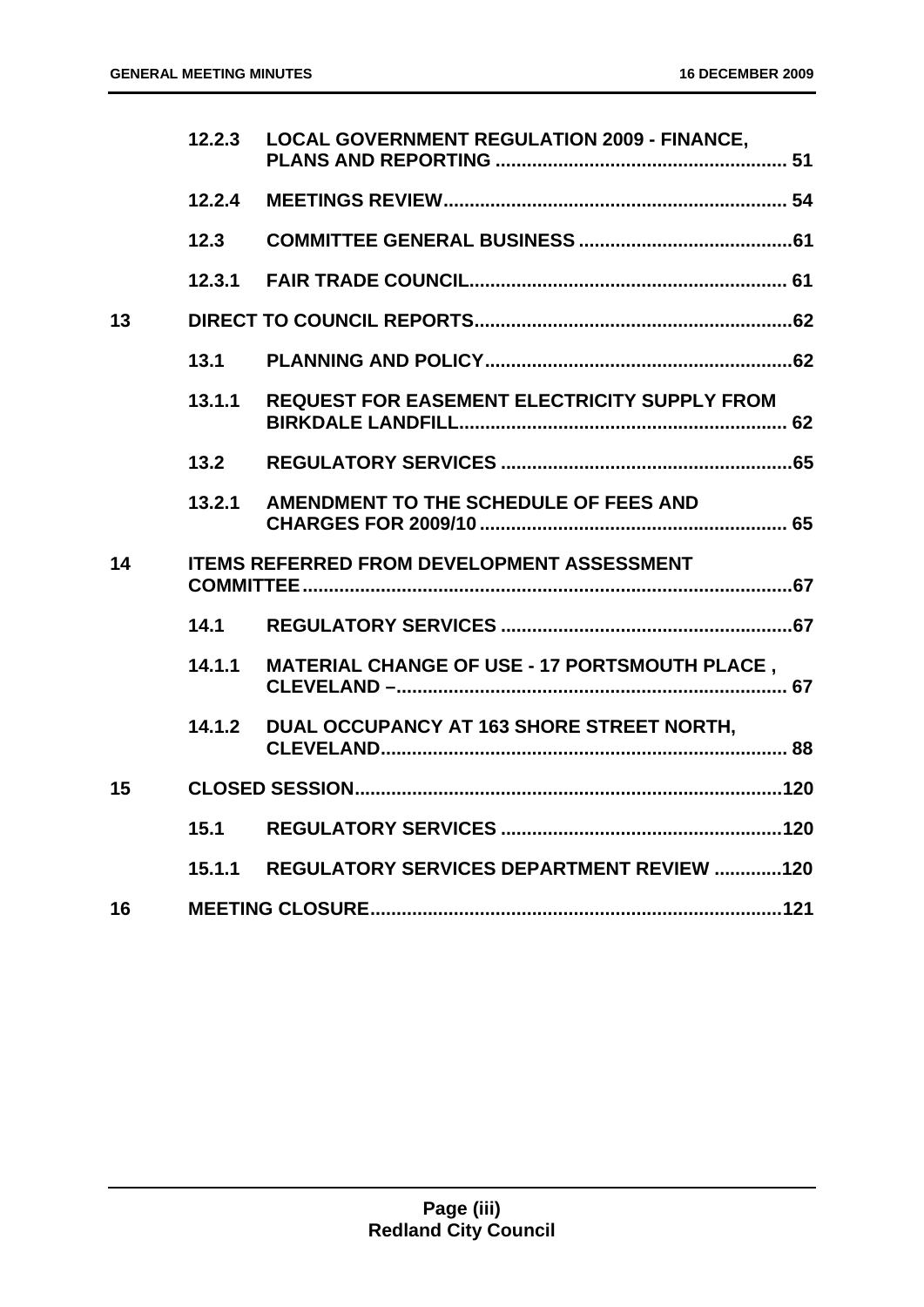|    | 12.2.3 | <b>LOCAL GOVERNMENT REGULATION 2009 - FINANCE,</b>   |  |
|----|--------|------------------------------------------------------|--|
|    | 12.2.4 |                                                      |  |
|    | 12.3   |                                                      |  |
|    | 12.3.1 |                                                      |  |
| 13 |        |                                                      |  |
|    | 13.1   |                                                      |  |
|    | 13.1.1 | <b>REQUEST FOR EASEMENT ELECTRICITY SUPPLY FROM</b>  |  |
|    | $13.2$ |                                                      |  |
|    | 13.2.1 | AMENDMENT TO THE SCHEDULE OF FEES AND                |  |
| 14 |        | <b>ITEMS REFERRED FROM DEVELOPMENT ASSESSMENT</b>    |  |
|    | 14.1   |                                                      |  |
|    | 14.1.1 | <b>MATERIAL CHANGE OF USE - 17 PORTSMOUTH PLACE.</b> |  |
|    | 14.1,2 | DUAL OCCUPANCY AT 163 SHORE STREET NORTH,            |  |
| 15 |        |                                                      |  |
|    | 15.1   |                                                      |  |
|    | 15.1.1 | <b>REGULATORY SERVICES DEPARTMENT REVIEW 120</b>     |  |
| 16 |        |                                                      |  |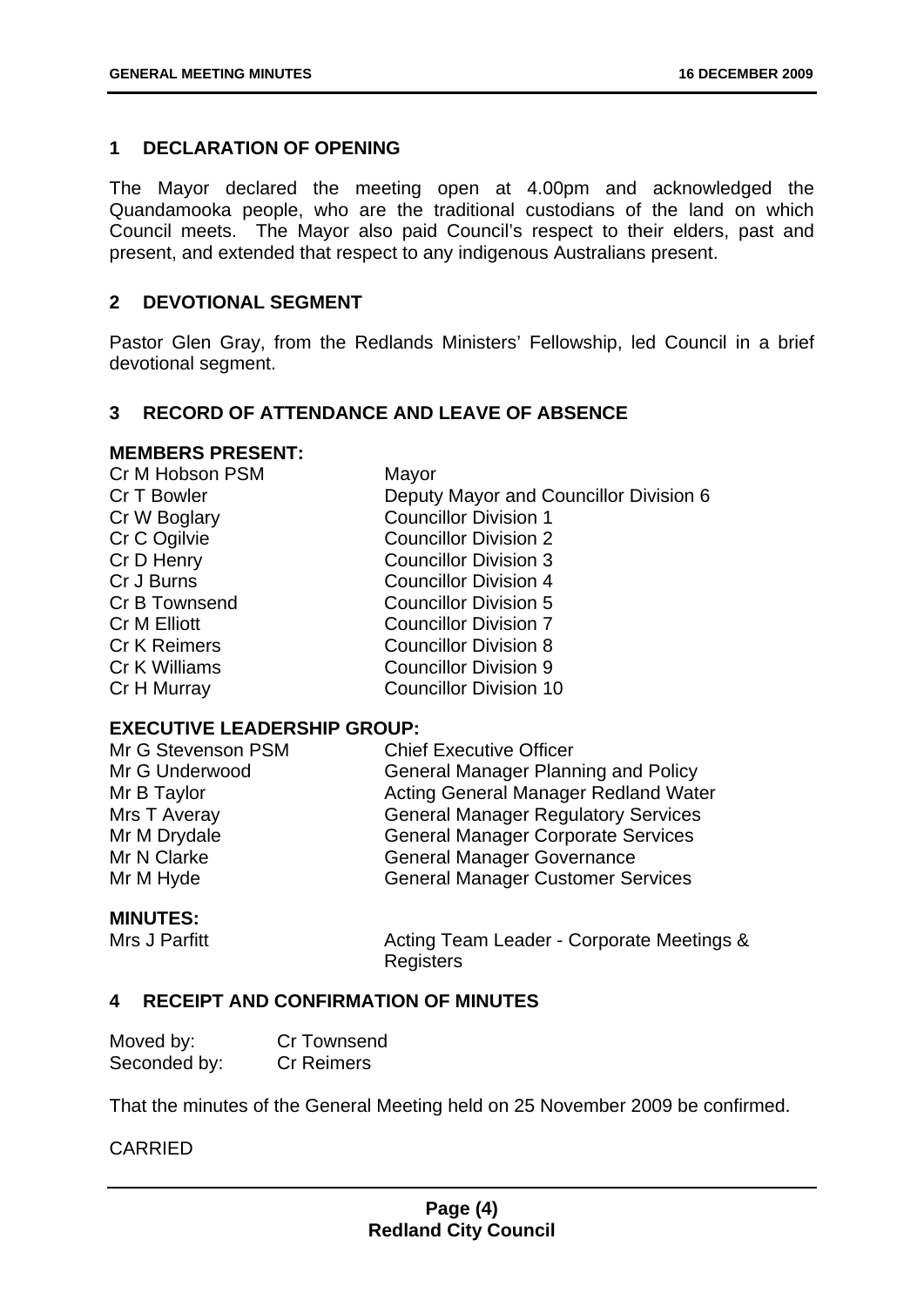#### <span id="page-4-0"></span>**1 DECLARATION OF OPENING**

The Mayor declared the meeting open at 4.00pm and acknowledged the Quandamooka people, who are the traditional custodians of the land on which Council meets. The Mayor also paid Council's respect to their elders, past and present, and extended that respect to any indigenous Australians present.

#### <span id="page-4-1"></span>**2 DEVOTIONAL SEGMENT**

Pastor Glen Gray, from the Redlands Ministers' Fellowship, led Council in a brief devotional segment.

#### <span id="page-4-2"></span>**3 RECORD OF ATTENDANCE AND LEAVE OF ABSENCE**

#### **MEMBERS PRESENT:**

| Cr M Hobson PSM     | Mayor                                  |
|---------------------|----------------------------------------|
| Cr T Bowler         | Deputy Mayor and Councillor Division 6 |
| Cr W Boglary        | <b>Councillor Division 1</b>           |
| Cr C Ogilvie        | <b>Councillor Division 2</b>           |
| Cr D Henry          | <b>Councillor Division 3</b>           |
| Cr J Burns          | <b>Councillor Division 4</b>           |
| Cr B Townsend       | <b>Councillor Division 5</b>           |
| <b>Cr M Elliott</b> | <b>Councillor Division 7</b>           |
| <b>Cr K Reimers</b> | <b>Councillor Division 8</b>           |
| Cr K Williams       | <b>Councillor Division 9</b>           |
| Cr H Murray         | <b>Councillor Division 10</b>          |
|                     |                                        |

#### **EXECUTIVE LEADERSHIP GROUP:**

| <b>Chief Executive Officer</b>              |
|---------------------------------------------|
| <b>General Manager Planning and Policy</b>  |
| <b>Acting General Manager Redland Water</b> |
| <b>General Manager Regulatory Services</b>  |
| <b>General Manager Corporate Services</b>   |
| <b>General Manager Governance</b>           |
| <b>General Manager Customer Services</b>    |
|                                             |

#### **MINUTES:**

Mrs J Parfitt **Acting Team Leader - Corporate Meetings & Registers** 

#### <span id="page-4-3"></span>**4 RECEIPT AND CONFIRMATION OF MINUTES**

| Moved by:    | <b>Cr Townsend</b> |
|--------------|--------------------|
| Seconded by: | <b>Cr Reimers</b>  |

That the minutes of the General Meeting held on 25 November 2009 be confirmed.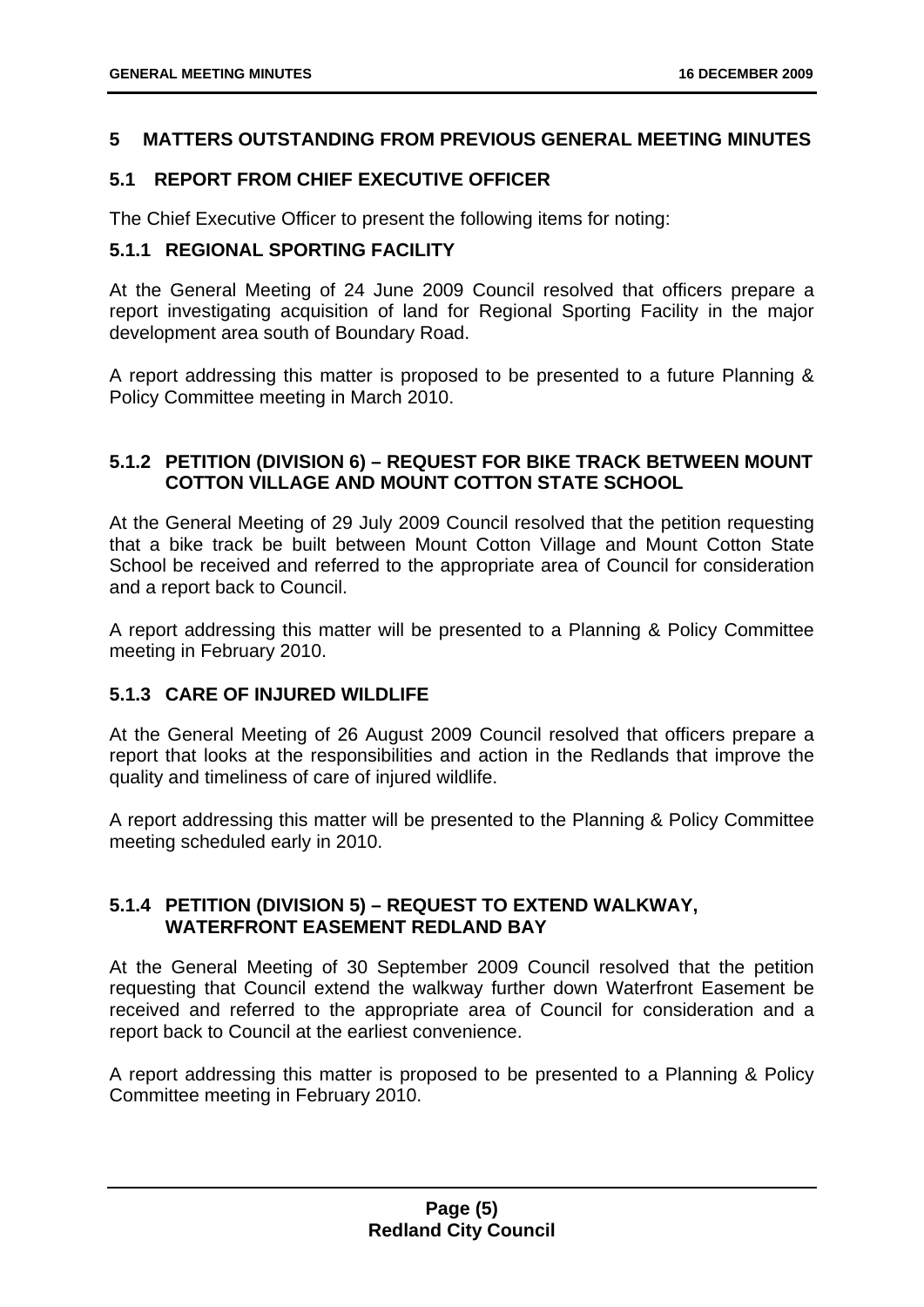#### <span id="page-5-0"></span>**5 MATTERS OUTSTANDING FROM PREVIOUS GENERAL MEETING MINUTES**

#### <span id="page-5-1"></span>**5.1 REPORT FROM CHIEF EXECUTIVE OFFICER**

The Chief Executive Officer to present the following items for noting:

#### <span id="page-5-2"></span>**5.1.1 REGIONAL SPORTING FACILITY**

At the General Meeting of 24 June 2009 Council resolved that officers prepare a report investigating acquisition of land for Regional Sporting Facility in the major development area south of Boundary Road.

A report addressing this matter is proposed to be presented to a future Planning & Policy Committee meeting in March 2010.

#### <span id="page-5-3"></span>**5.1.2 PETITION (DIVISION 6) – REQUEST FOR BIKE TRACK BETWEEN MOUNT COTTON VILLAGE AND MOUNT COTTON STATE SCHOOL**

At the General Meeting of 29 July 2009 Council resolved that the petition requesting that a bike track be built between Mount Cotton Village and Mount Cotton State School be received and referred to the appropriate area of Council for consideration and a report back to Council.

A report addressing this matter will be presented to a Planning & Policy Committee meeting in February 2010.

#### <span id="page-5-4"></span>**5.1.3 CARE OF INJURED WILDLIFE**

At the General Meeting of 26 August 2009 Council resolved that officers prepare a report that looks at the responsibilities and action in the Redlands that improve the quality and timeliness of care of injured wildlife.

A report addressing this matter will be presented to the Planning & Policy Committee meeting scheduled early in 2010.

#### <span id="page-5-5"></span>**5.1.4 PETITION (DIVISION 5) – REQUEST TO EXTEND WALKWAY, WATERFRONT EASEMENT REDLAND BAY**

At the General Meeting of 30 September 2009 Council resolved that the petition requesting that Council extend the walkway further down Waterfront Easement be received and referred to the appropriate area of Council for consideration and a report back to Council at the earliest convenience.

A report addressing this matter is proposed to be presented to a Planning & Policy Committee meeting in February 2010.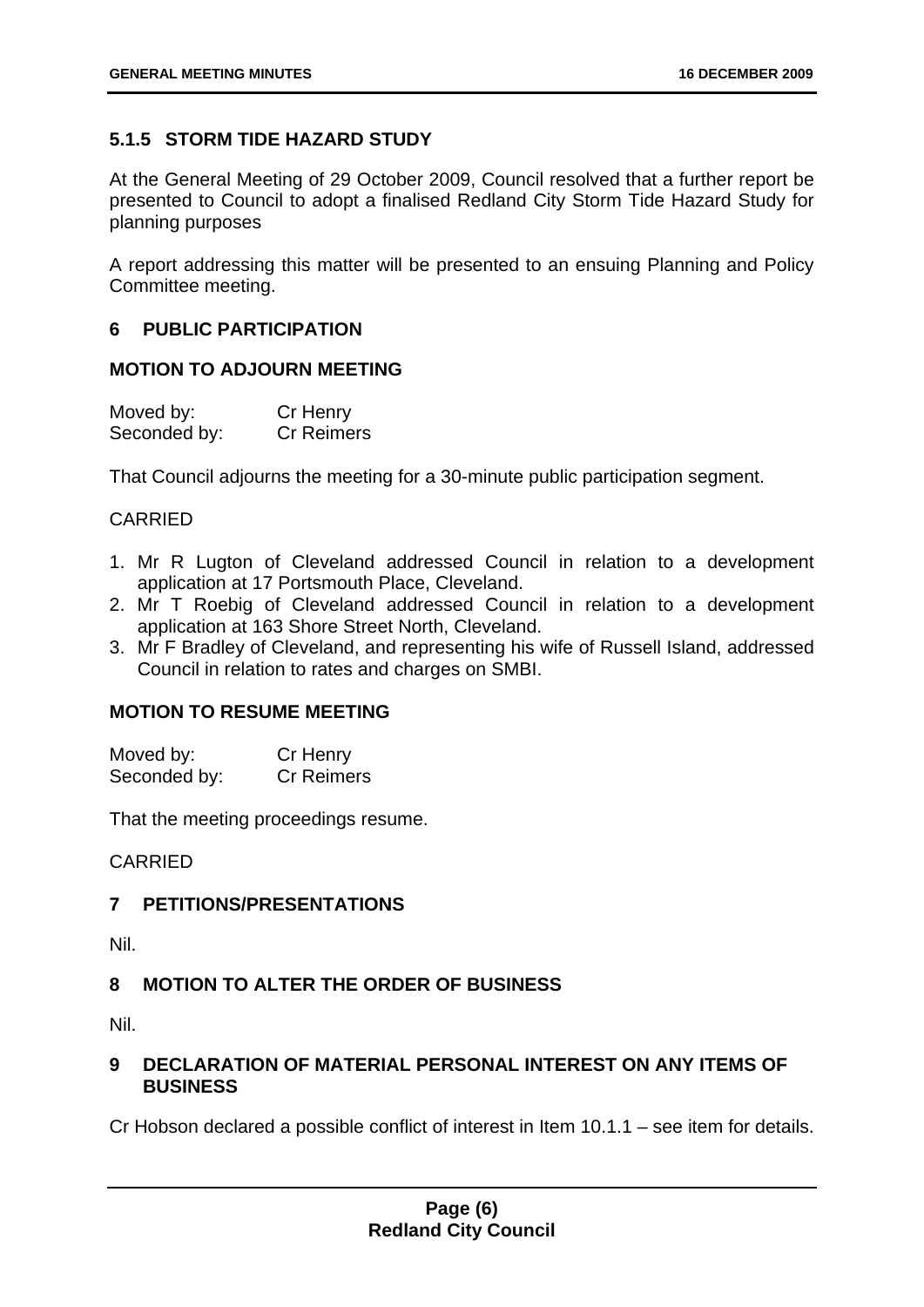#### <span id="page-6-0"></span>**5.1.5 STORM TIDE HAZARD STUDY**

At the General Meeting of 29 October 2009, Council resolved that a further report be presented to Council to adopt a finalised Redland City Storm Tide Hazard Study for planning purposes

A report addressing this matter will be presented to an ensuing Planning and Policy Committee meeting.

#### <span id="page-6-1"></span>**6 PUBLIC PARTICIPATION**

#### **MOTION TO ADJOURN MEETING**

| Moved by:    | Cr Henry          |
|--------------|-------------------|
| Seconded by: | <b>Cr Reimers</b> |

That Council adjourns the meeting for a 30-minute public participation segment.

#### CARRIED

- 1. Mr R Lugton of Cleveland addressed Council in relation to a development application at 17 Portsmouth Place, Cleveland.
- 2. Mr T Roebig of Cleveland addressed Council in relation to a development application at 163 Shore Street North, Cleveland.
- 3. Mr F Bradley of Cleveland, and representing his wife of Russell Island, addressed Council in relation to rates and charges on SMBI.

#### **MOTION TO RESUME MEETING**

| Moved by:    | Cr Henry          |
|--------------|-------------------|
| Seconded by: | <b>Cr Reimers</b> |

That the meeting proceedings resume.

#### CARRIED

#### <span id="page-6-2"></span>**7 PETITIONS/PRESENTATIONS**

Nil.

#### <span id="page-6-3"></span>**8 MOTION TO ALTER THE ORDER OF BUSINESS**

Nil.

#### <span id="page-6-4"></span>**9 DECLARATION OF MATERIAL PERSONAL INTEREST ON ANY ITEMS OF BUSINESS**

Cr Hobson declared a possible conflict of interest in Item 10.1.1 – see item for details.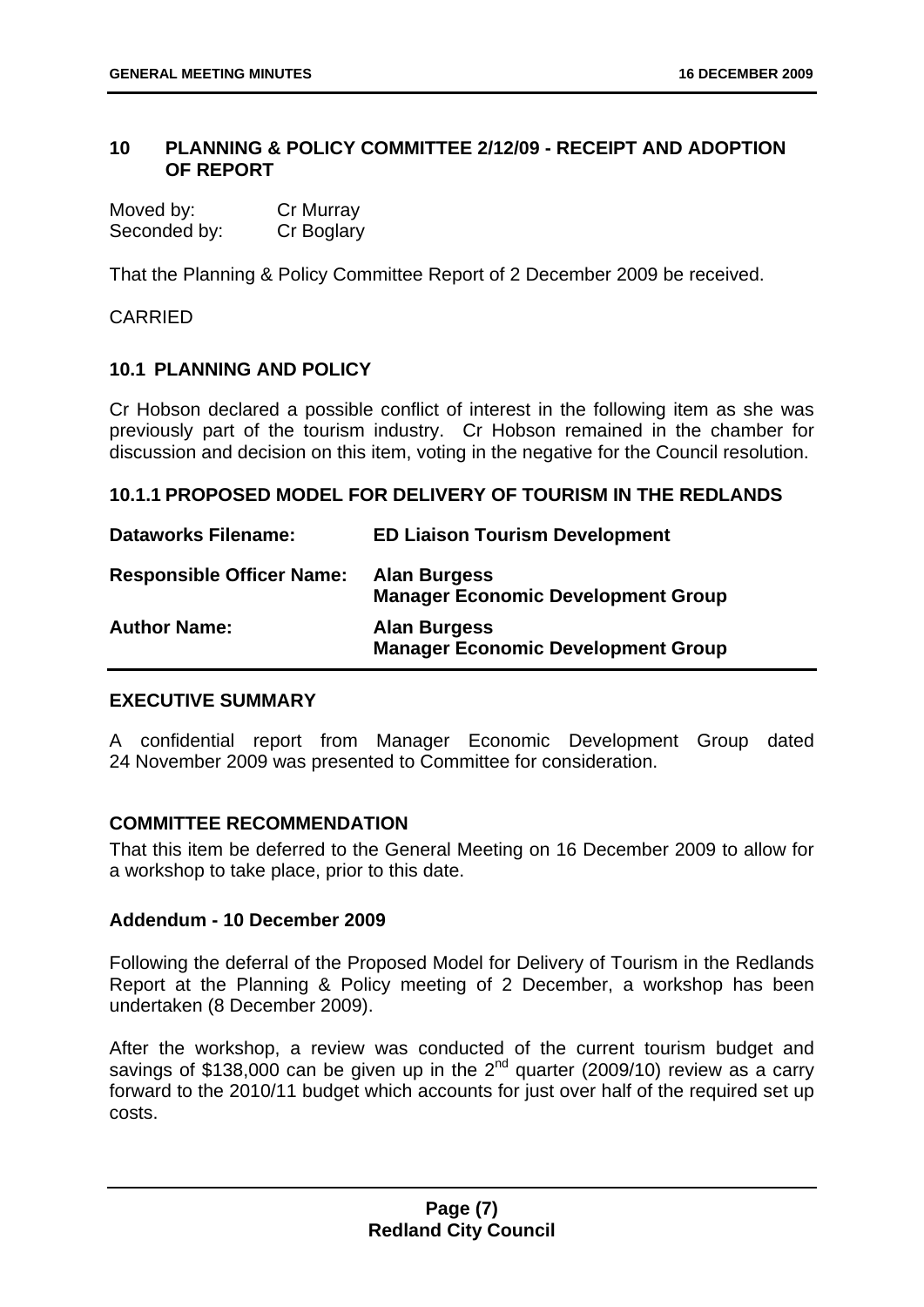#### <span id="page-7-0"></span>**10 PLANNING & POLICY COMMITTEE 2/12/09 - RECEIPT AND ADOPTION OF REPORT**

| Moved by:    | Cr Murray  |
|--------------|------------|
| Seconded by: | Cr Boglary |

That the Planning & Policy Committee Report of 2 December 2009 be received.

CARRIED

#### <span id="page-7-1"></span>**10.1 PLANNING AND POLICY**

Cr Hobson declared a possible conflict of interest in the following item as she was previously part of the tourism industry. Cr Hobson remained in the chamber for discussion and decision on this item, voting in the negative for the Council resolution.

#### <span id="page-7-2"></span>**10.1.1 PROPOSED MODEL FOR DELIVERY OF TOURISM IN THE REDLANDS**

| <b>Dataworks Filename:</b>       | <b>ED Liaison Tourism Development</b>                            |
|----------------------------------|------------------------------------------------------------------|
| <b>Responsible Officer Name:</b> | <b>Alan Burgess</b><br><b>Manager Economic Development Group</b> |
| <b>Author Name:</b>              | <b>Alan Burgess</b><br><b>Manager Economic Development Group</b> |

#### **EXECUTIVE SUMMARY**

A confidential report from Manager Economic Development Group dated 24 November 2009 was presented to Committee for consideration.

#### **COMMITTEE RECOMMENDATION**

That this item be deferred to the General Meeting on 16 December 2009 to allow for a workshop to take place, prior to this date.

#### **Addendum - 10 December 2009**

Following the deferral of the Proposed Model for Delivery of Tourism in the Redlands Report at the Planning & Policy meeting of 2 December, a workshop has been undertaken (8 December 2009).

After the workshop, a review was conducted of the current tourism budget and savings of \$138,000 can be given up in the  $2^{nd}$  quarter (2009/10) review as a carry forward to the 2010/11 budget which accounts for just over half of the required set up costs.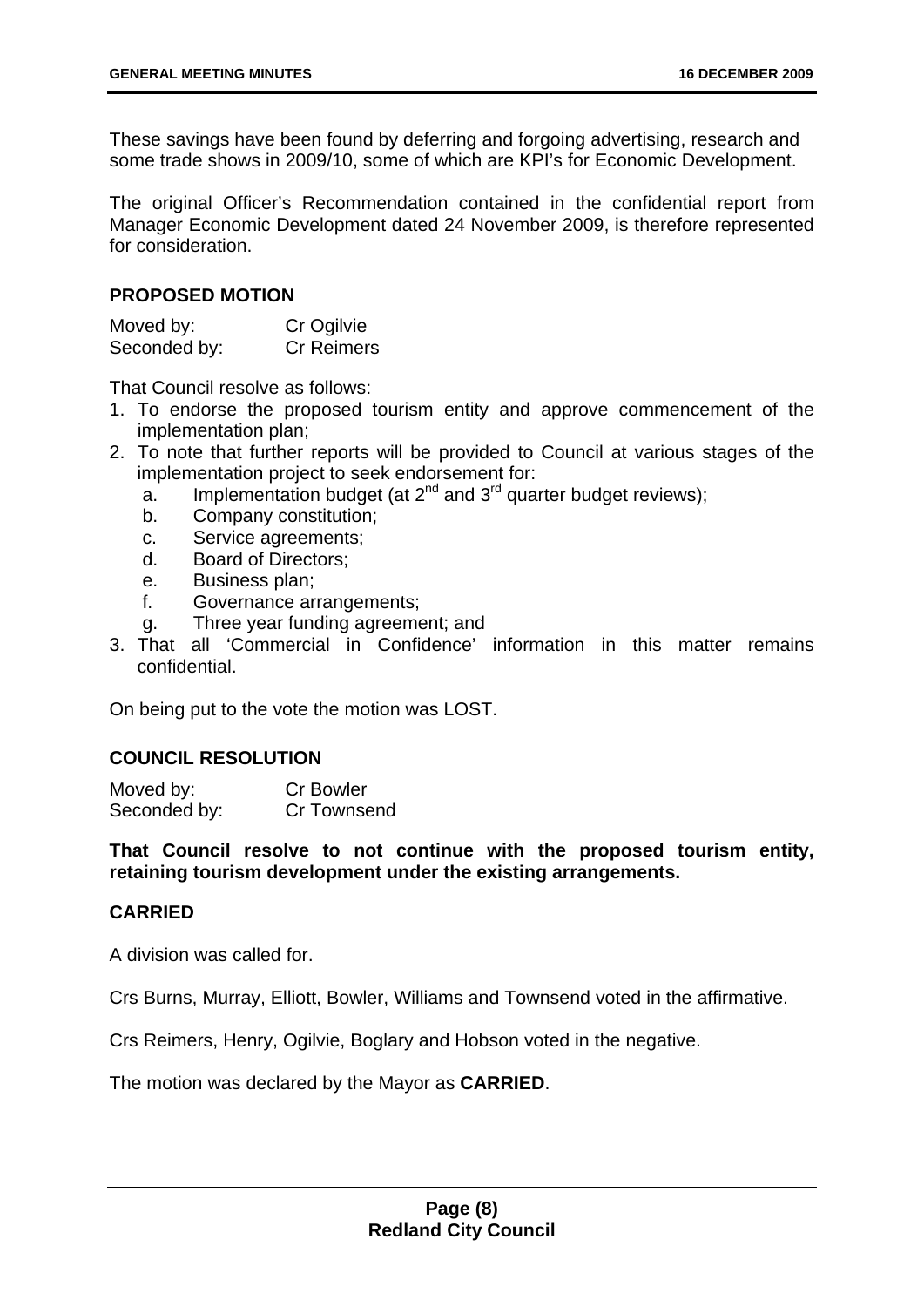These savings have been found by deferring and forgoing advertising, research and some trade shows in 2009/10, some of which are KPI's for Economic Development.

The original Officer's Recommendation contained in the confidential report from Manager Economic Development dated 24 November 2009, is therefore represented for consideration.

#### **PROPOSED MOTION**

| Moved by:    | Cr Ogilvie        |
|--------------|-------------------|
| Seconded by: | <b>Cr Reimers</b> |

That Council resolve as follows:

- 1. To endorse the proposed tourism entity and approve commencement of the implementation plan;
- 2. To note that further reports will be provided to Council at various stages of the implementation project to seek endorsement for:
	- $a.$  Implementation budget (at  $2^{nd}$  and  $3^{rd}$  quarter budget reviews);
	- b. Company constitution;
	- c. Service agreements;
	- d. Board of Directors;
	- e. Business plan;
	- f. Governance arrangements;
	- g. Three year funding agreement; and
- 3. That all 'Commercial in Confidence' information in this matter remains confidential.

On being put to the vote the motion was LOST.

#### **COUNCIL RESOLUTION**

Moved by: Cr Bowler Seconded by: Cr Townsend

**That Council resolve to not continue with the proposed tourism entity, retaining tourism development under the existing arrangements.** 

#### **CARRIED**

A division was called for.

Crs Burns, Murray, Elliott, Bowler, Williams and Townsend voted in the affirmative.

Crs Reimers, Henry, Ogilvie, Boglary and Hobson voted in the negative.

The motion was declared by the Mayor as **CARRIED**.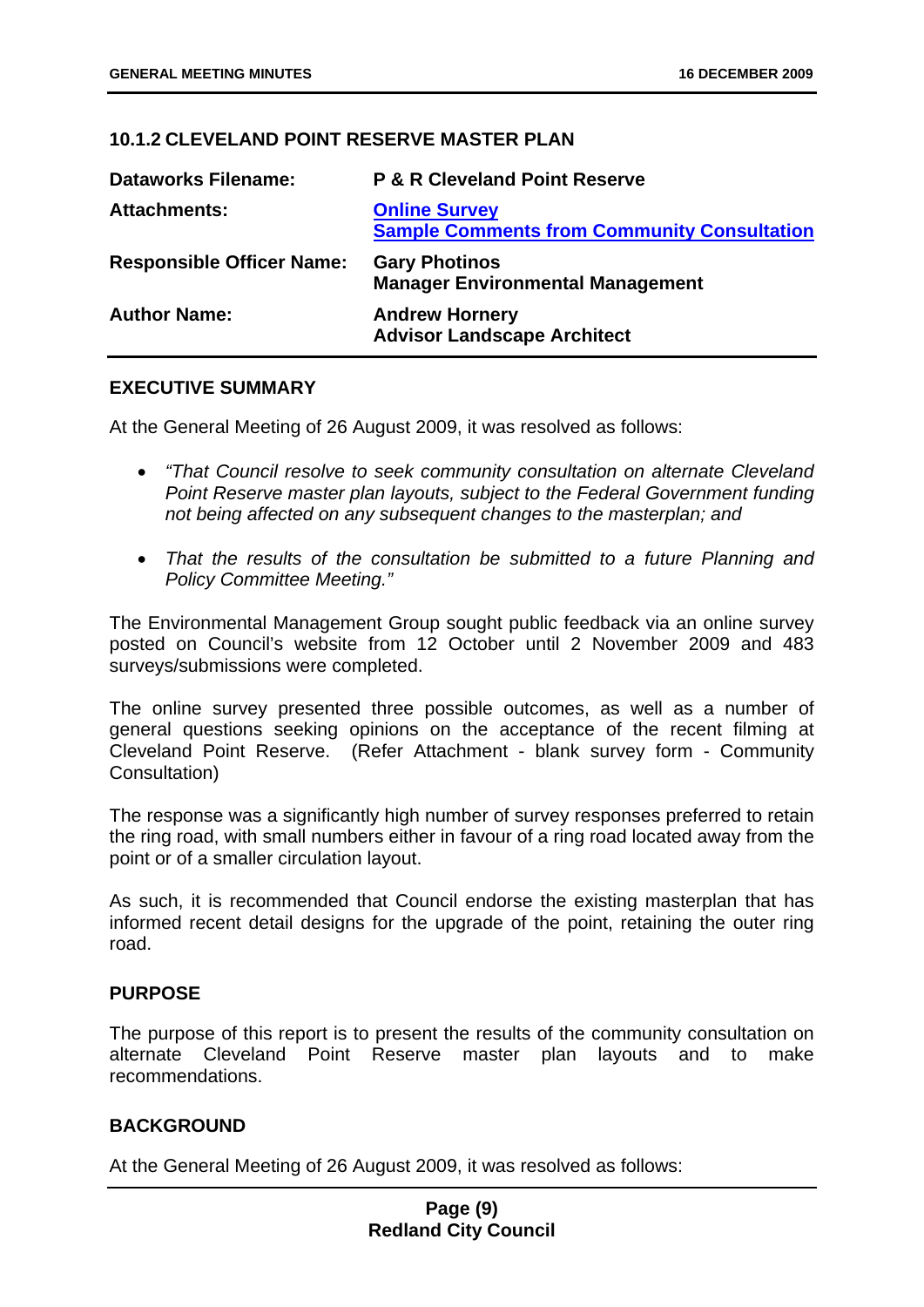#### <span id="page-9-0"></span>**10.1.2 CLEVELAND POINT RESERVE MASTER PLAN**

| <b>Dataworks Filename:</b>       | <b>P &amp; R Cleveland Point Reserve</b>                                   |
|----------------------------------|----------------------------------------------------------------------------|
| <b>Attachments:</b>              | <b>Online Survey</b><br><b>Sample Comments from Community Consultation</b> |
| <b>Responsible Officer Name:</b> | <b>Gary Photinos</b><br><b>Manager Environmental Management</b>            |
| <b>Author Name:</b>              | <b>Andrew Hornery</b><br><b>Advisor Landscape Architect</b>                |

#### **EXECUTIVE SUMMARY**

At the General Meeting of 26 August 2009, it was resolved as follows:

- *"That Council resolve to seek community consultation on alternate Cleveland Point Reserve master plan layouts, subject to the Federal Government funding not being affected on any subsequent changes to the masterplan; and*
- *That the results of the consultation be submitted to a future Planning and Policy Committee Meeting."*

The Environmental Management Group sought public feedback via an online survey posted on Council's website from 12 October until 2 November 2009 and 483 surveys/submissions were completed.

The online survey presented three possible outcomes, as well as a number of general questions seeking opinions on the acceptance of the recent filming at Cleveland Point Reserve. (Refer Attachment - blank survey form - Community Consultation)

The response was a significantly high number of survey responses preferred to retain the ring road, with small numbers either in favour of a ring road located away from the point or of a smaller circulation layout.

As such, it is recommended that Council endorse the existing masterplan that has informed recent detail designs for the upgrade of the point, retaining the outer ring road.

#### **PURPOSE**

The purpose of this report is to present the results of the community consultation on alternate Cleveland Point Reserve master plan layouts and to make recommendations.

#### **BACKGROUND**

At the General Meeting of 26 August 2009, it was resolved as follows: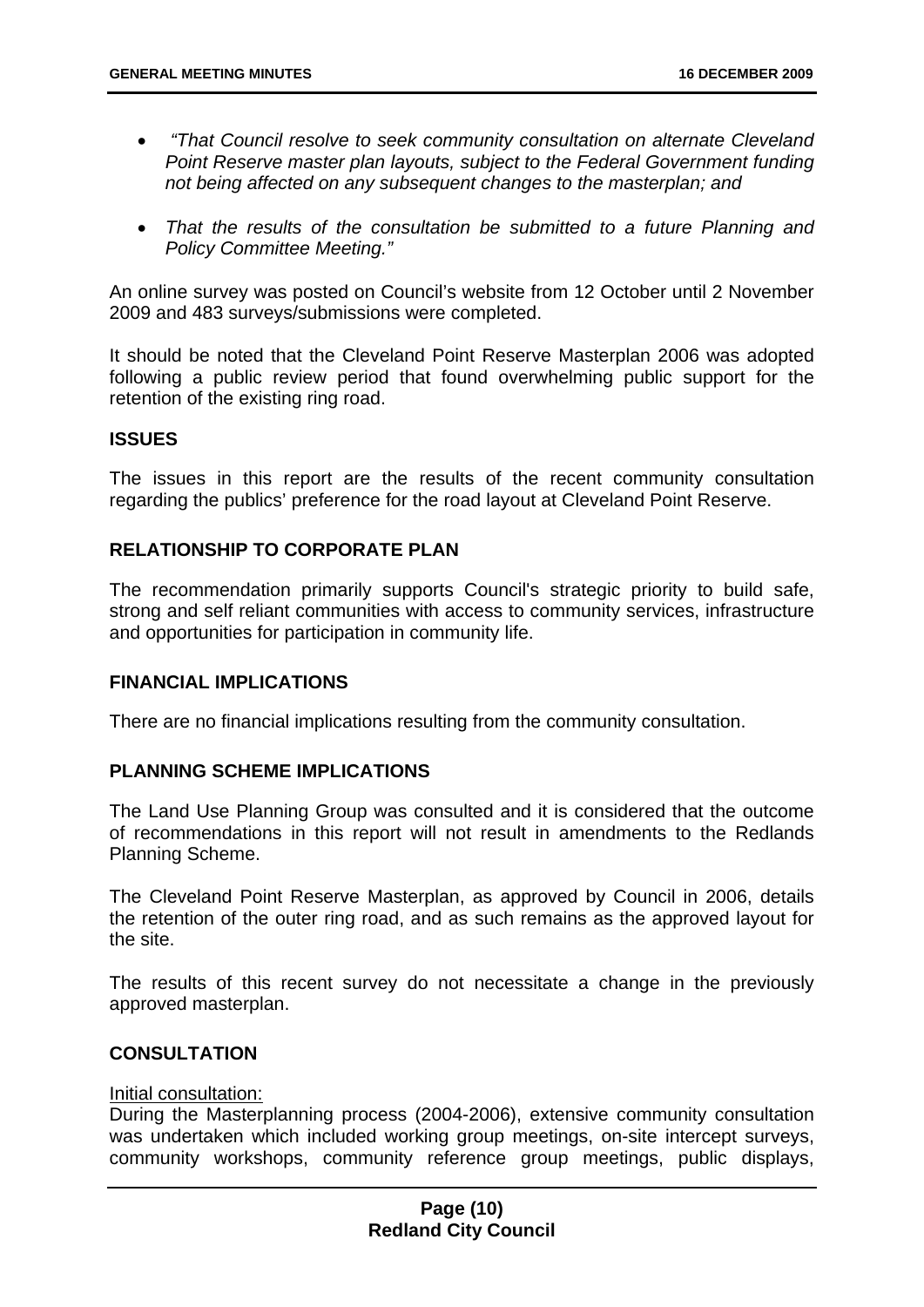- • *"That Council resolve to seek community consultation on alternate Cleveland Point Reserve master plan layouts, subject to the Federal Government funding not being affected on any subsequent changes to the masterplan; and*
- *That the results of the consultation be submitted to a future Planning and Policy Committee Meeting."*

An online survey was posted on Council's website from 12 October until 2 November 2009 and 483 surveys/submissions were completed.

It should be noted that the Cleveland Point Reserve Masterplan 2006 was adopted following a public review period that found overwhelming public support for the retention of the existing ring road.

#### **ISSUES**

The issues in this report are the results of the recent community consultation regarding the publics' preference for the road layout at Cleveland Point Reserve.

#### **RELATIONSHIP TO CORPORATE PLAN**

The recommendation primarily supports Council's strategic priority to build safe, strong and self reliant communities with access to community services, infrastructure and opportunities for participation in community life.

#### **FINANCIAL IMPLICATIONS**

There are no financial implications resulting from the community consultation.

#### **PLANNING SCHEME IMPLICATIONS**

The Land Use Planning Group was consulted and it is considered that the outcome of recommendations in this report will not result in amendments to the Redlands Planning Scheme.

The Cleveland Point Reserve Masterplan, as approved by Council in 2006, details the retention of the outer ring road, and as such remains as the approved layout for the site.

The results of this recent survey do not necessitate a change in the previously approved masterplan.

#### **CONSULTATION**

#### Initial consultation:

During the Masterplanning process (2004-2006), extensive community consultation was undertaken which included working group meetings, on-site intercept surveys, community workshops, community reference group meetings, public displays,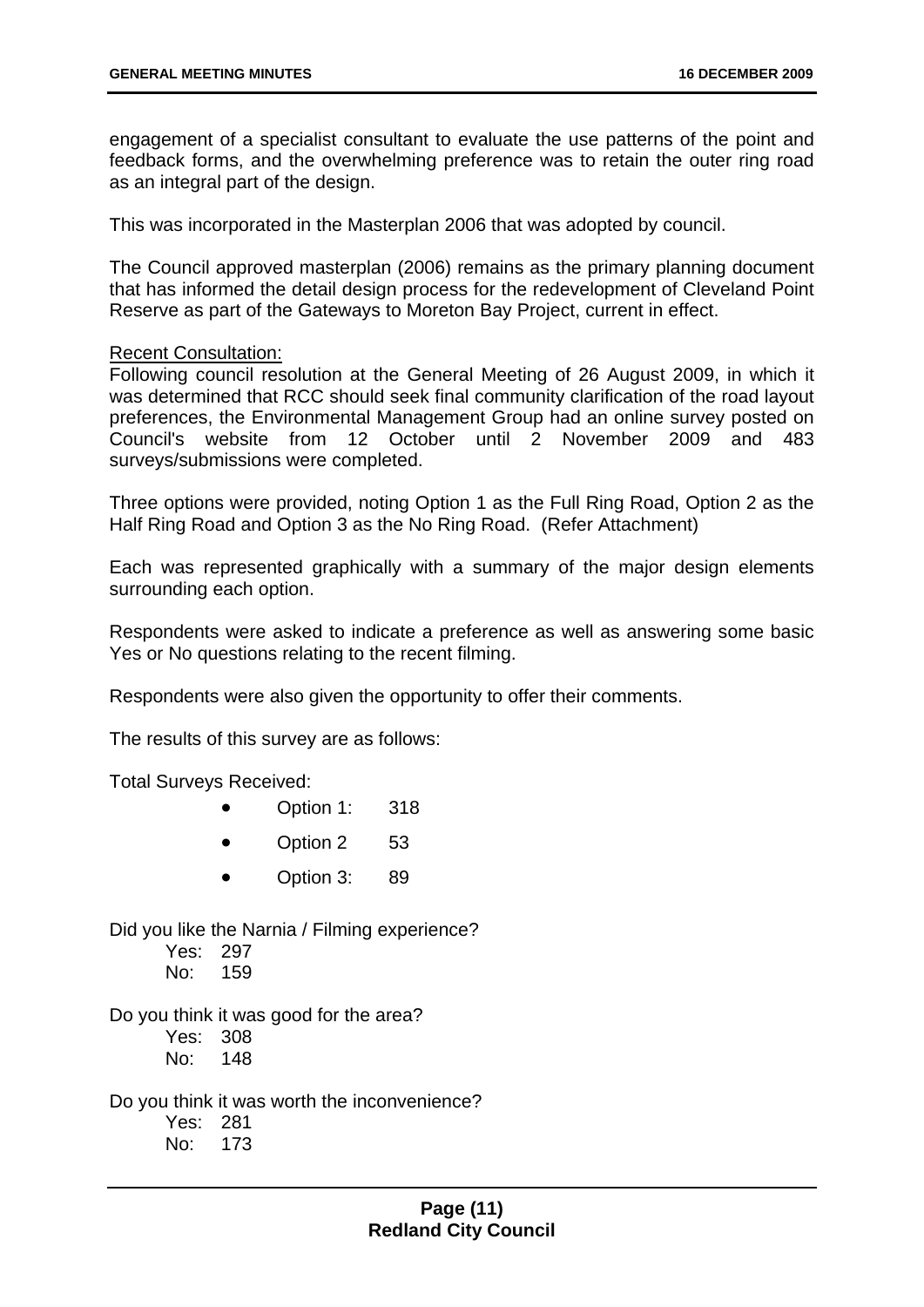engagement of a specialist consultant to evaluate the use patterns of the point and feedback forms, and the overwhelming preference was to retain the outer ring road as an integral part of the design.

This was incorporated in the Masterplan 2006 that was adopted by council.

The Council approved masterplan (2006) remains as the primary planning document that has informed the detail design process for the redevelopment of Cleveland Point Reserve as part of the Gateways to Moreton Bay Project, current in effect.

#### Recent Consultation:

Following council resolution at the General Meeting of 26 August 2009, in which it was determined that RCC should seek final community clarification of the road layout preferences, the Environmental Management Group had an online survey posted on Council's website from 12 October until 2 November 2009 and 483 surveys/submissions were completed.

Three options were provided, noting Option 1 as the Full Ring Road, Option 2 as the Half Ring Road and Option 3 as the No Ring Road. (Refer Attachment)

Each was represented graphically with a summary of the major design elements surrounding each option.

Respondents were asked to indicate a preference as well as answering some basic Yes or No questions relating to the recent filming.

Respondents were also given the opportunity to offer their comments.

The results of this survey are as follows:

Total Surveys Received:

- Option 1: 318
- Option 2 53
- Option 3: 89

Did you like the Narnia / Filming experience?

- Yes: 297
- No: 159

Do you think it was good for the area?

- Yes: 308
- No: 148

Do you think it was worth the inconvenience?

Yes: 281

No: 173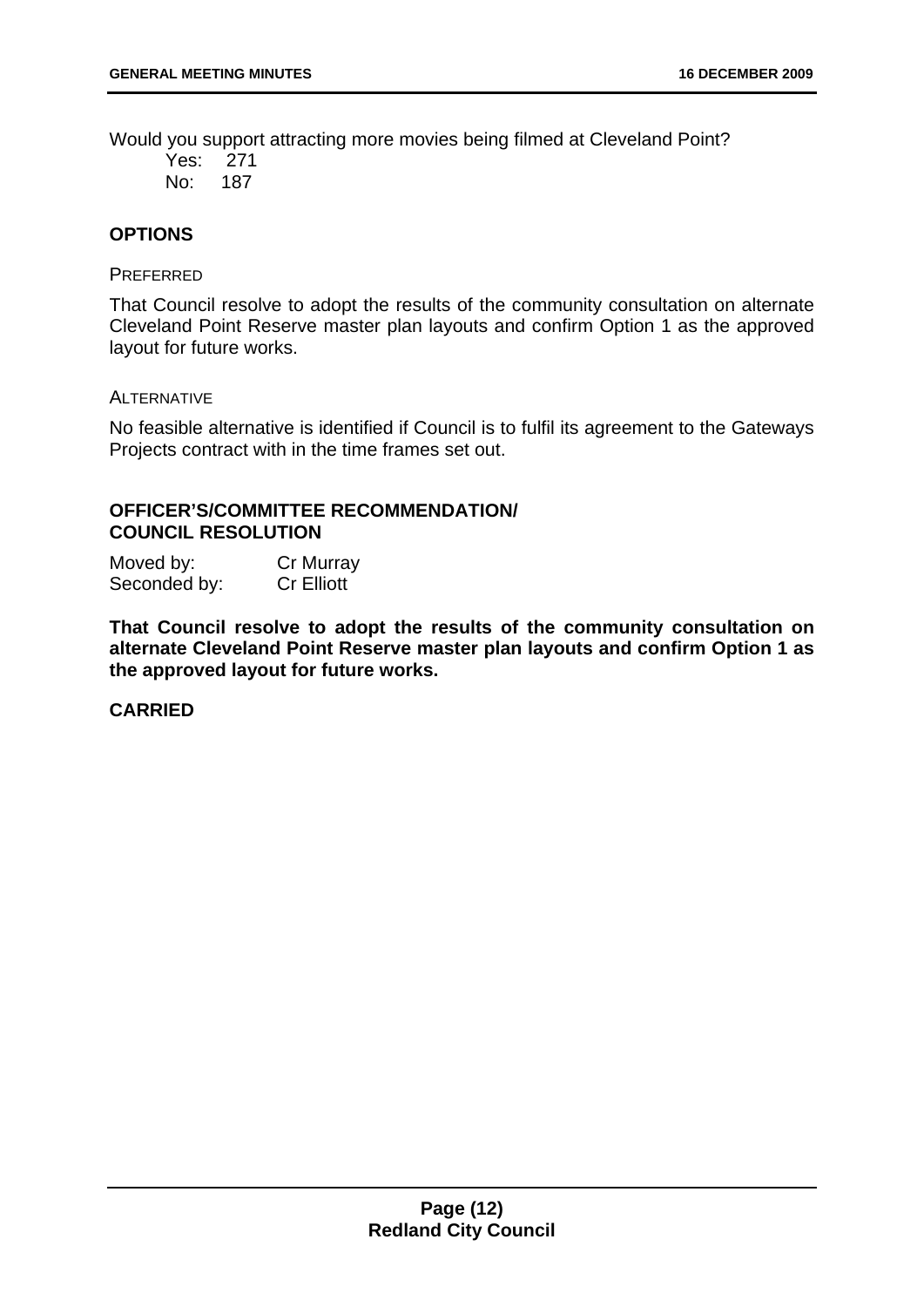Would you support attracting more movies being filmed at Cleveland Point?

Yes: 271 No: 187

#### **OPTIONS**

**PREFERRED** 

That Council resolve to adopt the results of the community consultation on alternate Cleveland Point Reserve master plan layouts and confirm Option 1 as the approved layout for future works.

**ALTERNATIVE** 

No feasible alternative is identified if Council is to fulfil its agreement to the Gateways Projects contract with in the time frames set out.

#### **OFFICER'S/COMMITTEE RECOMMENDATION/ COUNCIL RESOLUTION**

Moved by: Cr Murray Seconded by: Cr Elliott

**That Council resolve to adopt the results of the community consultation on alternate Cleveland Point Reserve master plan layouts and confirm Option 1 as the approved layout for future works.**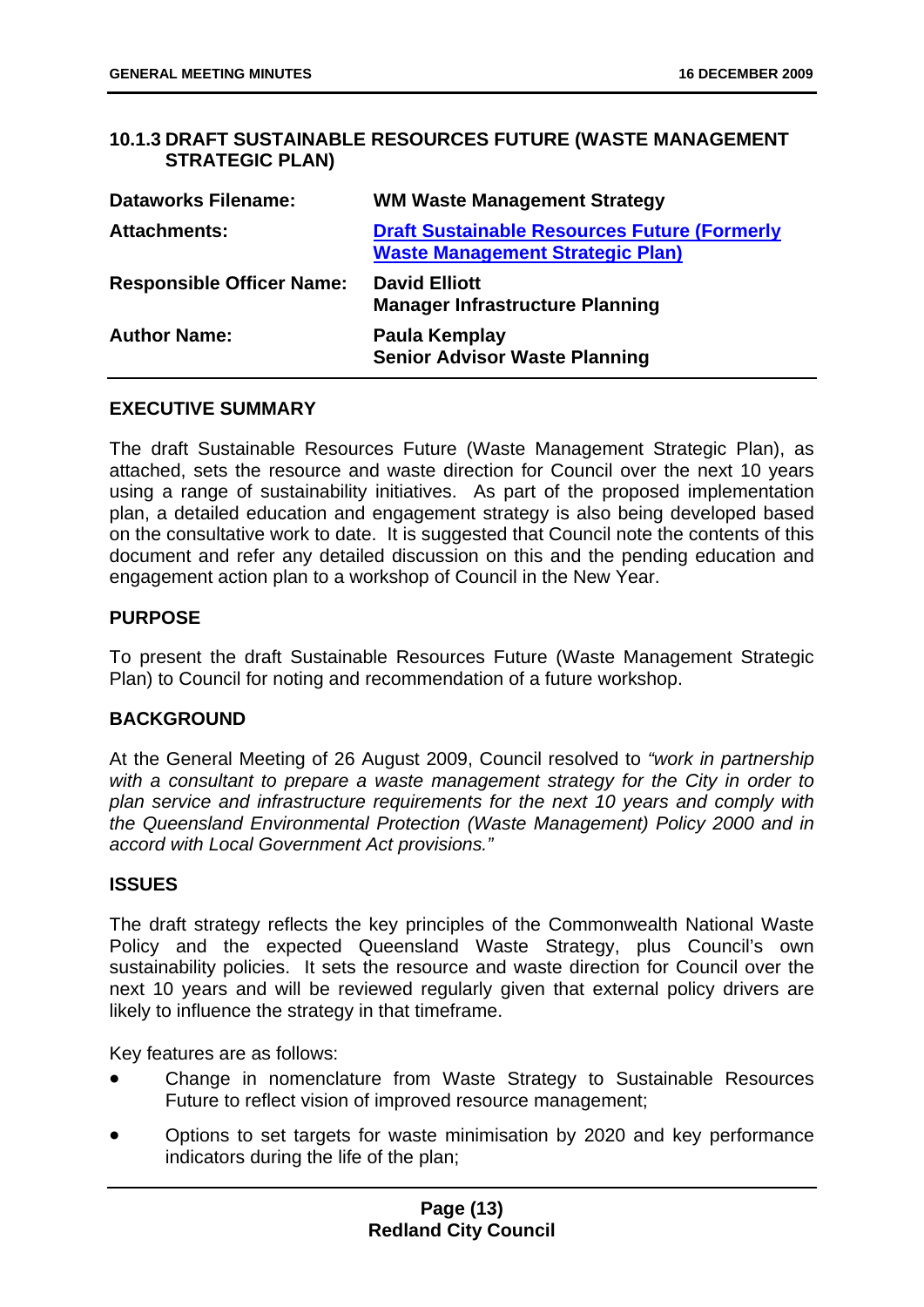#### <span id="page-13-0"></span>**10.1.3 DRAFT SUSTAINABLE RESOURCES FUTURE (WASTE MANAGEMENT STRATEGIC PLAN)**

| <b>Dataworks Filename:</b>       | <b>WM Waste Management Strategy</b>                                                            |
|----------------------------------|------------------------------------------------------------------------------------------------|
| <b>Attachments:</b>              | <b>Draft Sustainable Resources Future (Formerly</b><br><b>Waste Management Strategic Plan)</b> |
| <b>Responsible Officer Name:</b> | <b>David Elliott</b><br><b>Manager Infrastructure Planning</b>                                 |
| <b>Author Name:</b>              | Paula Kemplay<br><b>Senior Advisor Waste Planning</b>                                          |

#### **EXECUTIVE SUMMARY**

The draft Sustainable Resources Future (Waste Management Strategic Plan), as attached, sets the resource and waste direction for Council over the next 10 years using a range of sustainability initiatives. As part of the proposed implementation plan, a detailed education and engagement strategy is also being developed based on the consultative work to date. It is suggested that Council note the contents of this document and refer any detailed discussion on this and the pending education and engagement action plan to a workshop of Council in the New Year.

#### **PURPOSE**

To present the draft Sustainable Resources Future (Waste Management Strategic Plan) to Council for noting and recommendation of a future workshop.

#### **BACKGROUND**

At the General Meeting of 26 August 2009, Council resolved to *"work in partnership*  with a consultant to prepare a waste management strategy for the City in order to *plan service and infrastructure requirements for the next 10 years and comply with the Queensland Environmental Protection (Waste Management) Policy 2000 and in accord with Local Government Act provisions."*

#### **ISSUES**

The draft strategy reflects the key principles of the Commonwealth National Waste Policy and the expected Queensland Waste Strategy, plus Council's own sustainability policies. It sets the resource and waste direction for Council over the next 10 years and will be reviewed regularly given that external policy drivers are likely to influence the strategy in that timeframe.

Key features are as follows:

- Change in nomenclature from Waste Strategy to Sustainable Resources Future to reflect vision of improved resource management;
- Options to set targets for waste minimisation by 2020 and key performance indicators during the life of the plan;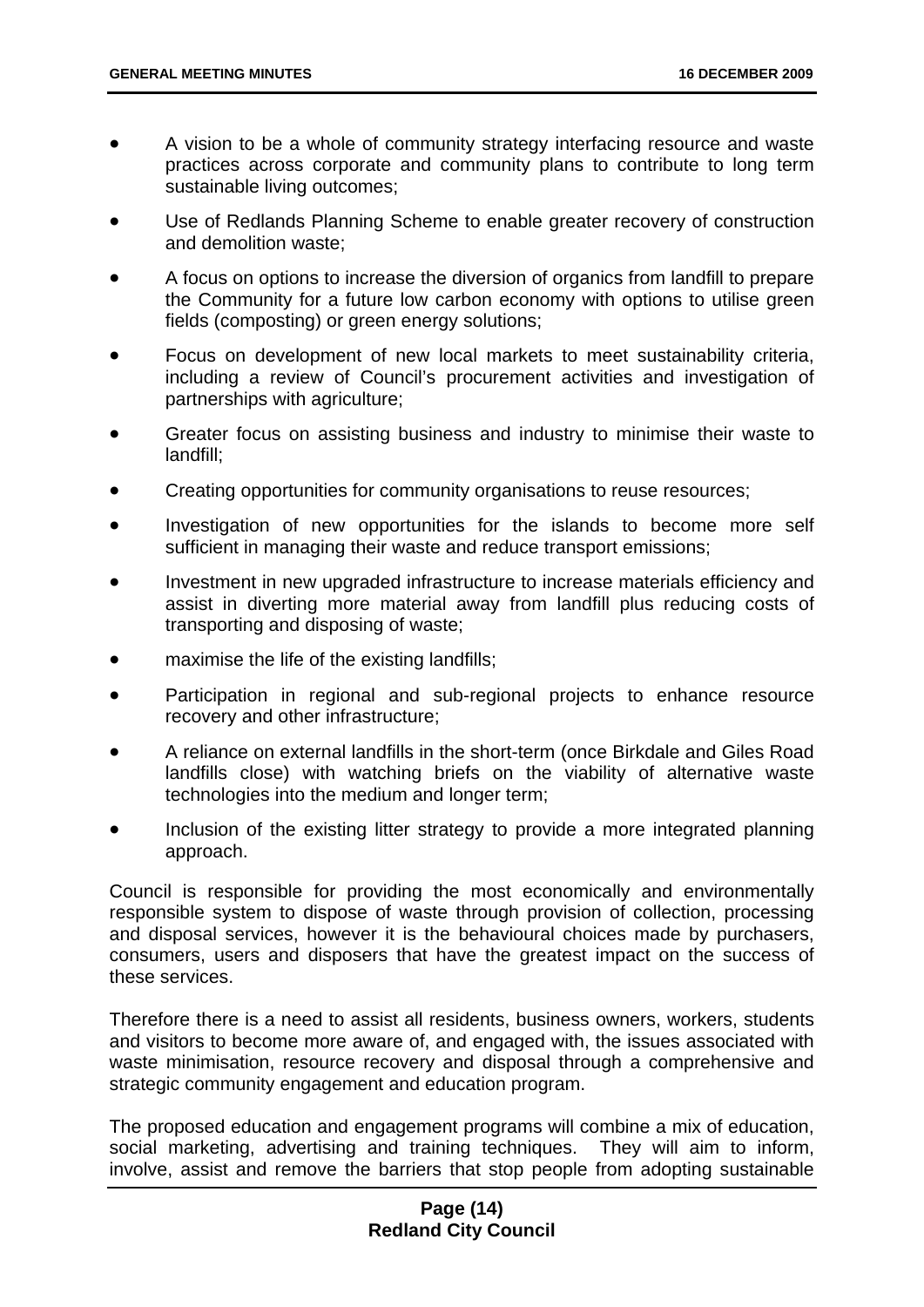- A vision to be a whole of community strategy interfacing resource and waste practices across corporate and community plans to contribute to long term sustainable living outcomes;
- Use of Redlands Planning Scheme to enable greater recovery of construction and demolition waste;
- A focus on options to increase the diversion of organics from landfill to prepare the Community for a future low carbon economy with options to utilise green fields (composting) or green energy solutions;
- Focus on development of new local markets to meet sustainability criteria, including a review of Council's procurement activities and investigation of partnerships with agriculture;
- Greater focus on assisting business and industry to minimise their waste to landfill;
- Creating opportunities for community organisations to reuse resources;
- Investigation of new opportunities for the islands to become more self sufficient in managing their waste and reduce transport emissions;
- Investment in new upgraded infrastructure to increase materials efficiency and assist in diverting more material away from landfill plus reducing costs of transporting and disposing of waste;
- maximise the life of the existing landfills;
- Participation in regional and sub-regional projects to enhance resource recovery and other infrastructure;
- A reliance on external landfills in the short-term (once Birkdale and Giles Road landfills close) with watching briefs on the viability of alternative waste technologies into the medium and longer term;
- Inclusion of the existing litter strategy to provide a more integrated planning approach.

Council is responsible for providing the most economically and environmentally responsible system to dispose of waste through provision of collection, processing and disposal services, however it is the behavioural choices made by purchasers, consumers, users and disposers that have the greatest impact on the success of these services.

Therefore there is a need to assist all residents, business owners, workers, students and visitors to become more aware of, and engaged with, the issues associated with waste minimisation, resource recovery and disposal through a comprehensive and strategic community engagement and education program.

The proposed education and engagement programs will combine a mix of education, social marketing, advertising and training techniques. They will aim to inform, involve, assist and remove the barriers that stop people from adopting sustainable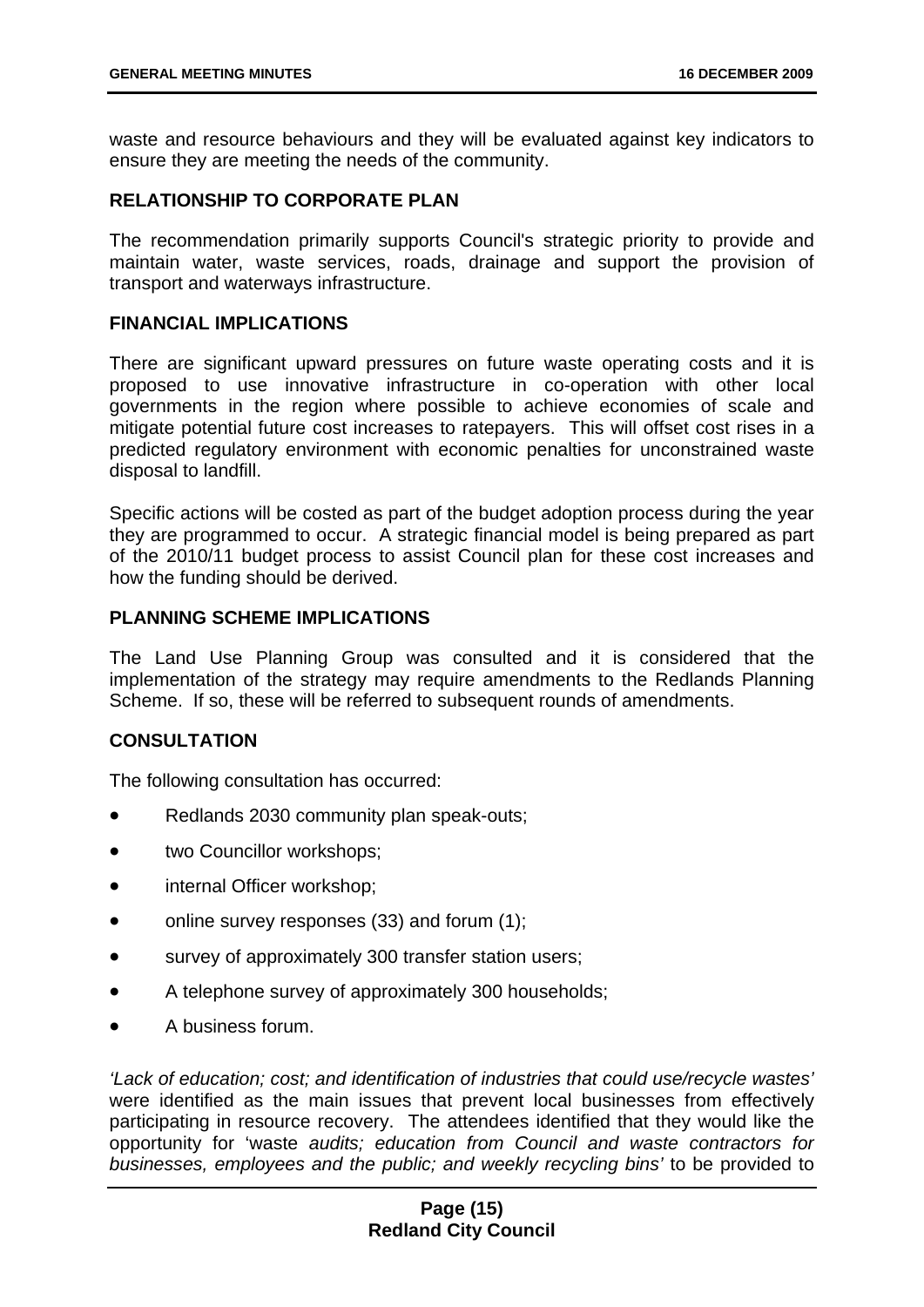waste and resource behaviours and they will be evaluated against key indicators to ensure they are meeting the needs of the community.

#### **RELATIONSHIP TO CORPORATE PLAN**

The recommendation primarily supports Council's strategic priority to provide and maintain water, waste services, roads, drainage and support the provision of transport and waterways infrastructure.

#### **FINANCIAL IMPLICATIONS**

There are significant upward pressures on future waste operating costs and it is proposed to use innovative infrastructure in co-operation with other local governments in the region where possible to achieve economies of scale and mitigate potential future cost increases to ratepayers. This will offset cost rises in a predicted regulatory environment with economic penalties for unconstrained waste disposal to landfill.

Specific actions will be costed as part of the budget adoption process during the year they are programmed to occur. A strategic financial model is being prepared as part of the 2010/11 budget process to assist Council plan for these cost increases and how the funding should be derived.

#### **PLANNING SCHEME IMPLICATIONS**

The Land Use Planning Group was consulted and it is considered that the implementation of the strategy may require amendments to the Redlands Planning Scheme. If so, these will be referred to subsequent rounds of amendments.

#### **CONSULTATION**

The following consultation has occurred:

- Redlands 2030 community plan speak-outs;
- two Councillor workshops;
- internal Officer workshop;
- online survey responses (33) and forum (1);
- survey of approximately 300 transfer station users;
- A telephone survey of approximately 300 households;
- A business forum.

*'Lack of education; cost; and identification of industries that could use/recycle wastes'*  were identified as the main issues that prevent local businesses from effectively participating in resource recovery. The attendees identified that they would like the opportunity for 'waste *audits; education from Council and waste contractors for businesses, employees and the public; and weekly recycling bins'* to be provided to

#### **Page (15) Redland City Council**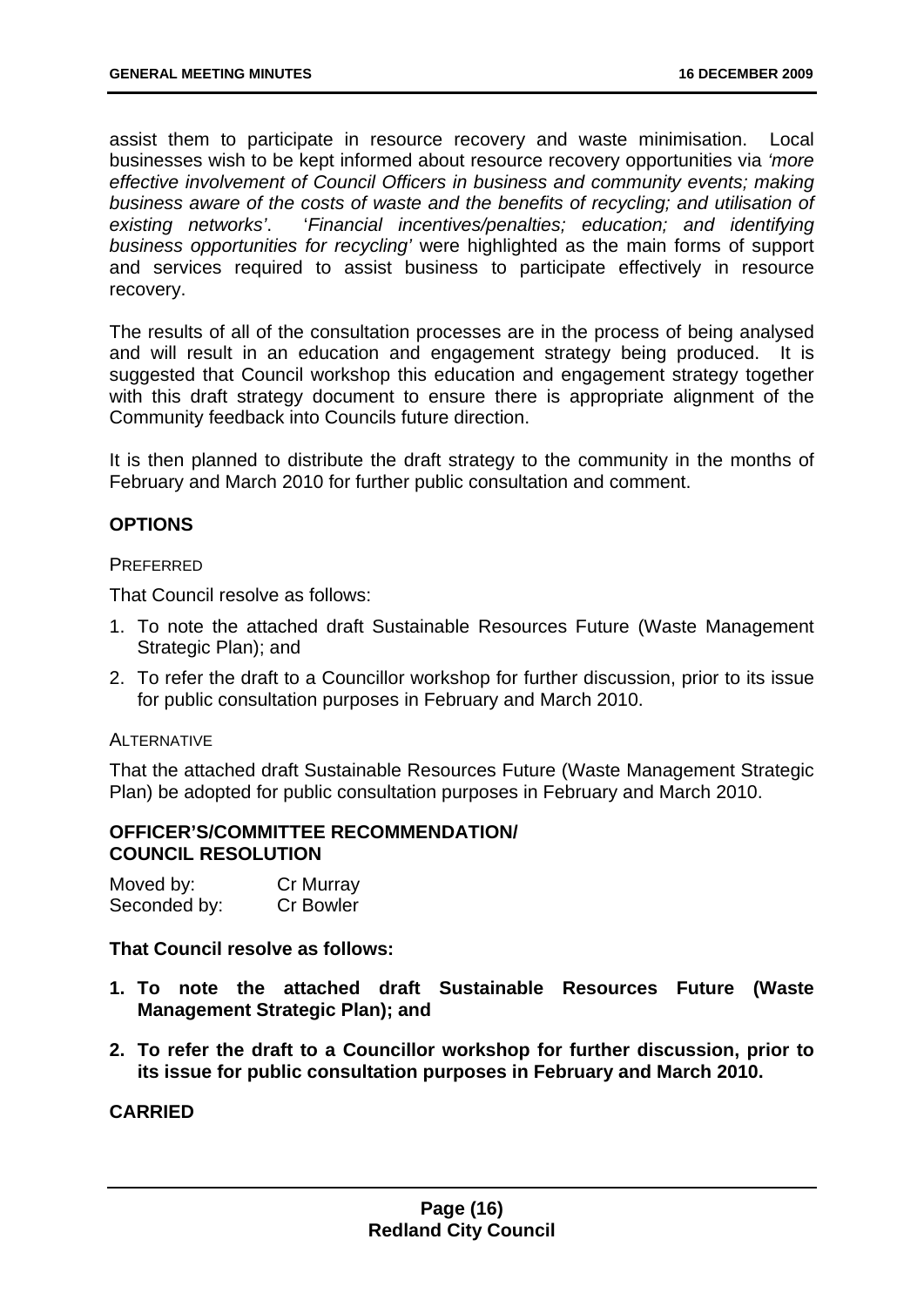assist them to participate in resource recovery and waste minimisation. Local businesses wish to be kept informed about resource recovery opportunities via *'more effective involvement of Council Officers in business and community events; making business aware of the costs of waste and the benefits of recycling; and utilisation of existing networks'*. '*Financial incentives/penalties; education; and identifying business opportunities for recycling'* were highlighted as the main forms of support and services required to assist business to participate effectively in resource recovery.

The results of all of the consultation processes are in the process of being analysed and will result in an education and engagement strategy being produced. It is suggested that Council workshop this education and engagement strategy together with this draft strategy document to ensure there is appropriate alignment of the Community feedback into Councils future direction.

It is then planned to distribute the draft strategy to the community in the months of February and March 2010 for further public consultation and comment.

#### **OPTIONS**

#### **PREFERRED**

That Council resolve as follows:

- 1. To note the attached draft Sustainable Resources Future (Waste Management Strategic Plan); and
- 2. To refer the draft to a Councillor workshop for further discussion, prior to its issue for public consultation purposes in February and March 2010.

#### **ALTERNATIVE**

That the attached draft Sustainable Resources Future (Waste Management Strategic Plan) be adopted for public consultation purposes in February and March 2010.

#### **OFFICER'S/COMMITTEE RECOMMENDATION/ COUNCIL RESOLUTION**

| Moved by:    | Cr Murray        |
|--------------|------------------|
| Seconded by: | <b>Cr Bowler</b> |

#### **That Council resolve as follows:**

- **1. To note the attached draft Sustainable Resources Future (Waste Management Strategic Plan); and**
- **2. To refer the draft to a Councillor workshop for further discussion, prior to its issue for public consultation purposes in February and March 2010.**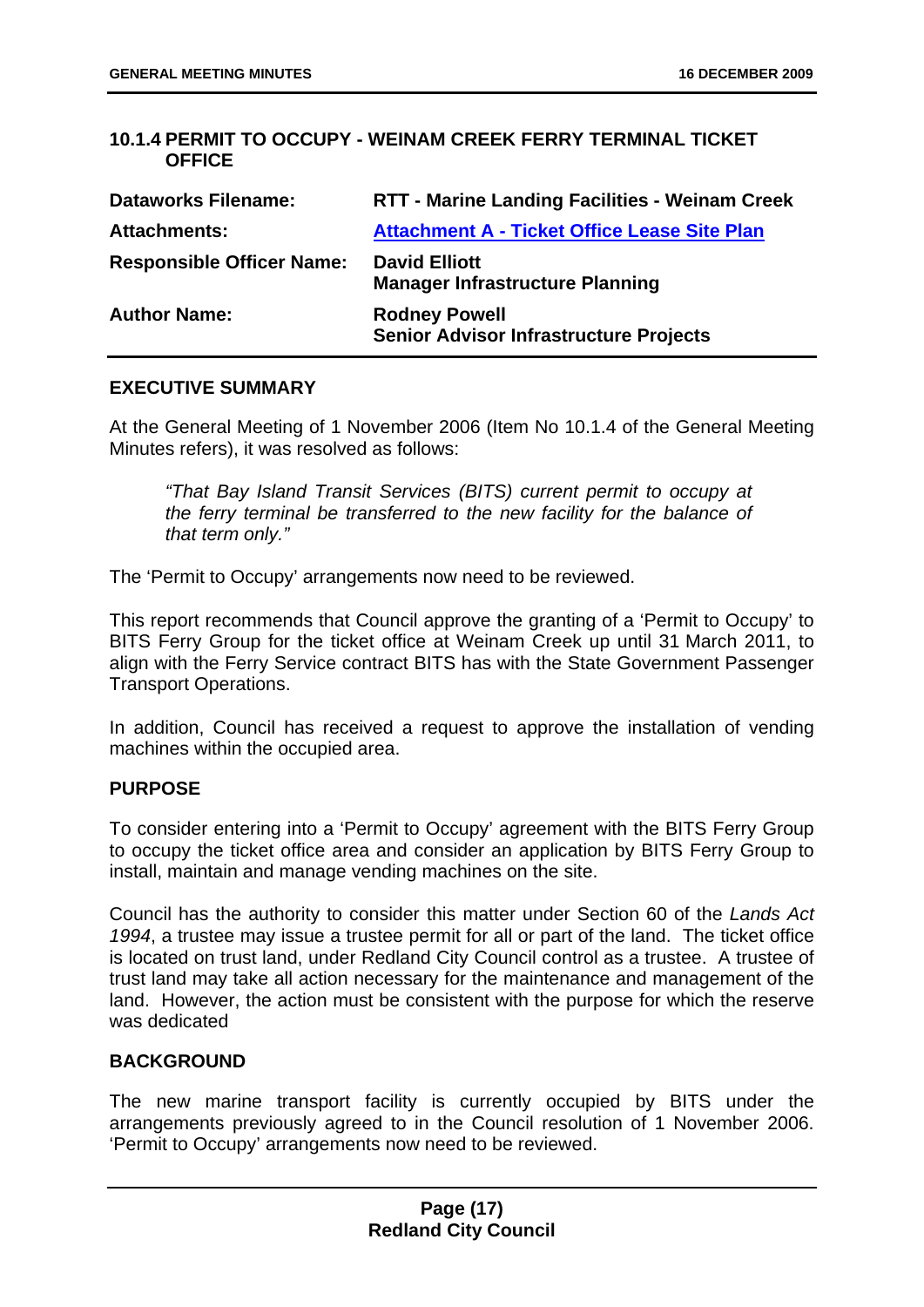#### <span id="page-17-0"></span>**10.1.4 PERMIT TO OCCUPY - WEINAM CREEK FERRY TERMINAL TICKET OFFICE**

| <b>Dataworks Filename:</b>       | <b>RTT - Marine Landing Facilities - Weinam Creek</b>                 |
|----------------------------------|-----------------------------------------------------------------------|
| <b>Attachments:</b>              | <b>Attachment A - Ticket Office Lease Site Plan</b>                   |
| <b>Responsible Officer Name:</b> | <b>David Elliott</b><br><b>Manager Infrastructure Planning</b>        |
| <b>Author Name:</b>              | <b>Rodney Powell</b><br><b>Senior Advisor Infrastructure Projects</b> |

#### **EXECUTIVE SUMMARY**

At the General Meeting of 1 November 2006 (Item No 10.1.4 of the General Meeting Minutes refers), it was resolved as follows:

*"That Bay Island Transit Services (BITS) current permit to occupy at the ferry terminal be transferred to the new facility for the balance of that term only."* 

The 'Permit to Occupy' arrangements now need to be reviewed.

This report recommends that Council approve the granting of a 'Permit to Occupy' to BITS Ferry Group for the ticket office at Weinam Creek up until 31 March 2011, to align with the Ferry Service contract BITS has with the State Government Passenger Transport Operations.

In addition, Council has received a request to approve the installation of vending machines within the occupied area.

#### **PURPOSE**

To consider entering into a 'Permit to Occupy' agreement with the BITS Ferry Group to occupy the ticket office area and consider an application by BITS Ferry Group to install, maintain and manage vending machines on the site.

Council has the authority to consider this matter under Section 60 of the *Lands Act 1994*, a trustee may issue a trustee permit for all or part of the land. The ticket office is located on trust land, under Redland City Council control as a trustee. A trustee of trust land may take all action necessary for the maintenance and management of the land. However, the action must be consistent with the purpose for which the reserve was dedicated

#### **BACKGROUND**

The new marine transport facility is currently occupied by BITS under the arrangements previously agreed to in the Council resolution of 1 November 2006. 'Permit to Occupy' arrangements now need to be reviewed.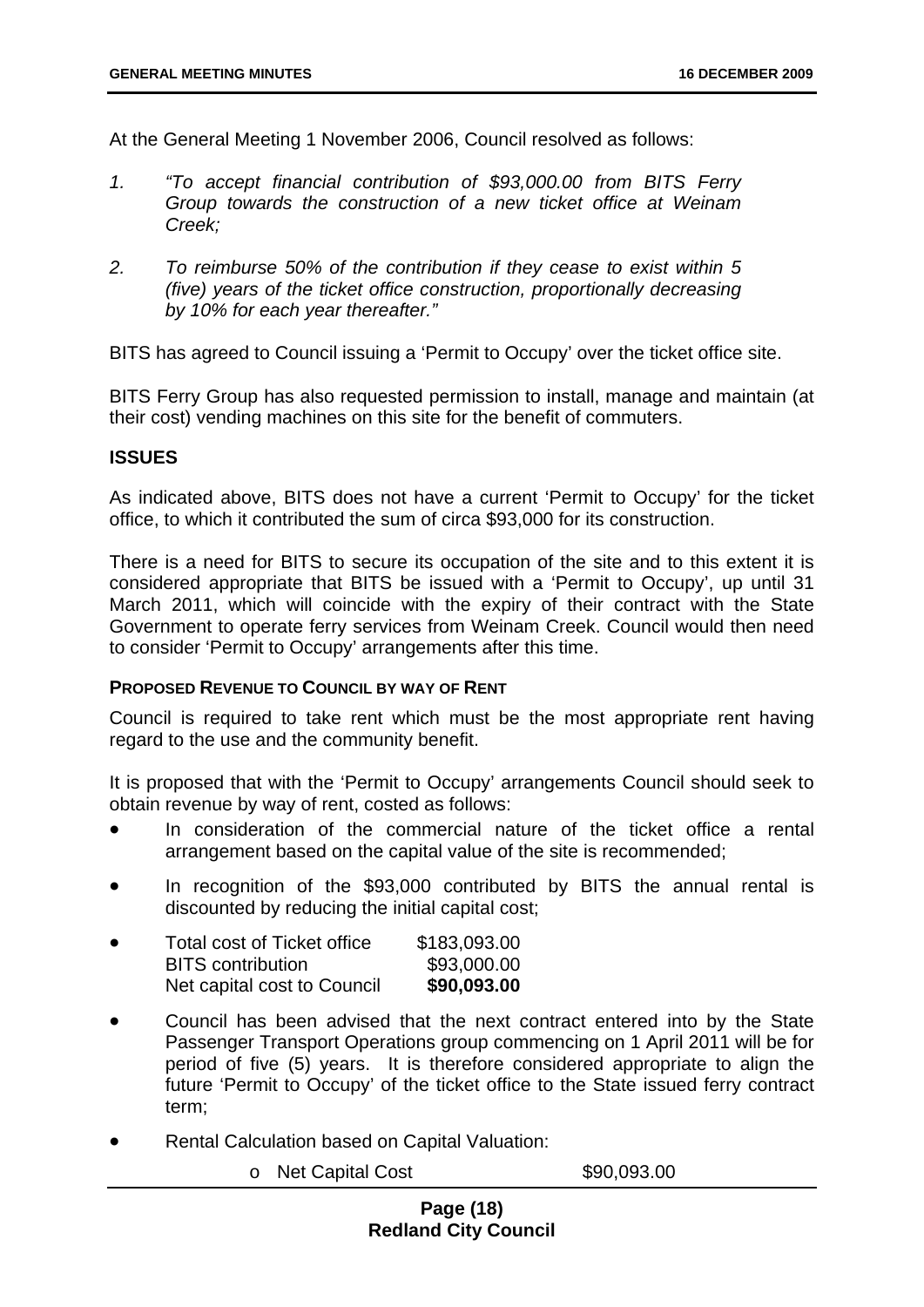At the General Meeting 1 November 2006, Council resolved as follows:

- *1. "To accept financial contribution of \$93,000.00 from BITS Ferry Group towards the construction of a new ticket office at Weinam Creek;*
- *2. To reimburse 50% of the contribution if they cease to exist within 5 (five) years of the ticket office construction, proportionally decreasing by 10% for each year thereafter."*

BITS has agreed to Council issuing a 'Permit to Occupy' over the ticket office site.

BITS Ferry Group has also requested permission to install, manage and maintain (at their cost) vending machines on this site for the benefit of commuters.

#### **ISSUES**

As indicated above, BITS does not have a current 'Permit to Occupy' for the ticket office, to which it contributed the sum of circa \$93,000 for its construction.

There is a need for BITS to secure its occupation of the site and to this extent it is considered appropriate that BITS be issued with a 'Permit to Occupy', up until 31 March 2011, which will coincide with the expiry of their contract with the State Government to operate ferry services from Weinam Creek. Council would then need to consider 'Permit to Occupy' arrangements after this time.

#### **PROPOSED REVENUE TO COUNCIL BY WAY OF RENT**

Council is required to take rent which must be the most appropriate rent having regard to the use and the community benefit.

It is proposed that with the 'Permit to Occupy' arrangements Council should seek to obtain revenue by way of rent, costed as follows:

- In consideration of the commercial nature of the ticket office a rental arrangement based on the capital value of the site is recommended;
- In recognition of the \$93,000 contributed by BITS the annual rental is discounted by reducing the initial capital cost;

| $\bullet$ | Total cost of Ticket office | \$183,093.00 |
|-----------|-----------------------------|--------------|
|           | <b>BITS</b> contribution    | \$93,000.00  |
|           | Net capital cost to Council | \$90,093.00  |

- Council has been advised that the next contract entered into by the State Passenger Transport Operations group commencing on 1 April 2011 will be for period of five (5) years. It is therefore considered appropriate to align the future 'Permit to Occupy' of the ticket office to the State issued ferry contract term;
- Rental Calculation based on Capital Valuation:

o Net Capital Cost \$90,093.00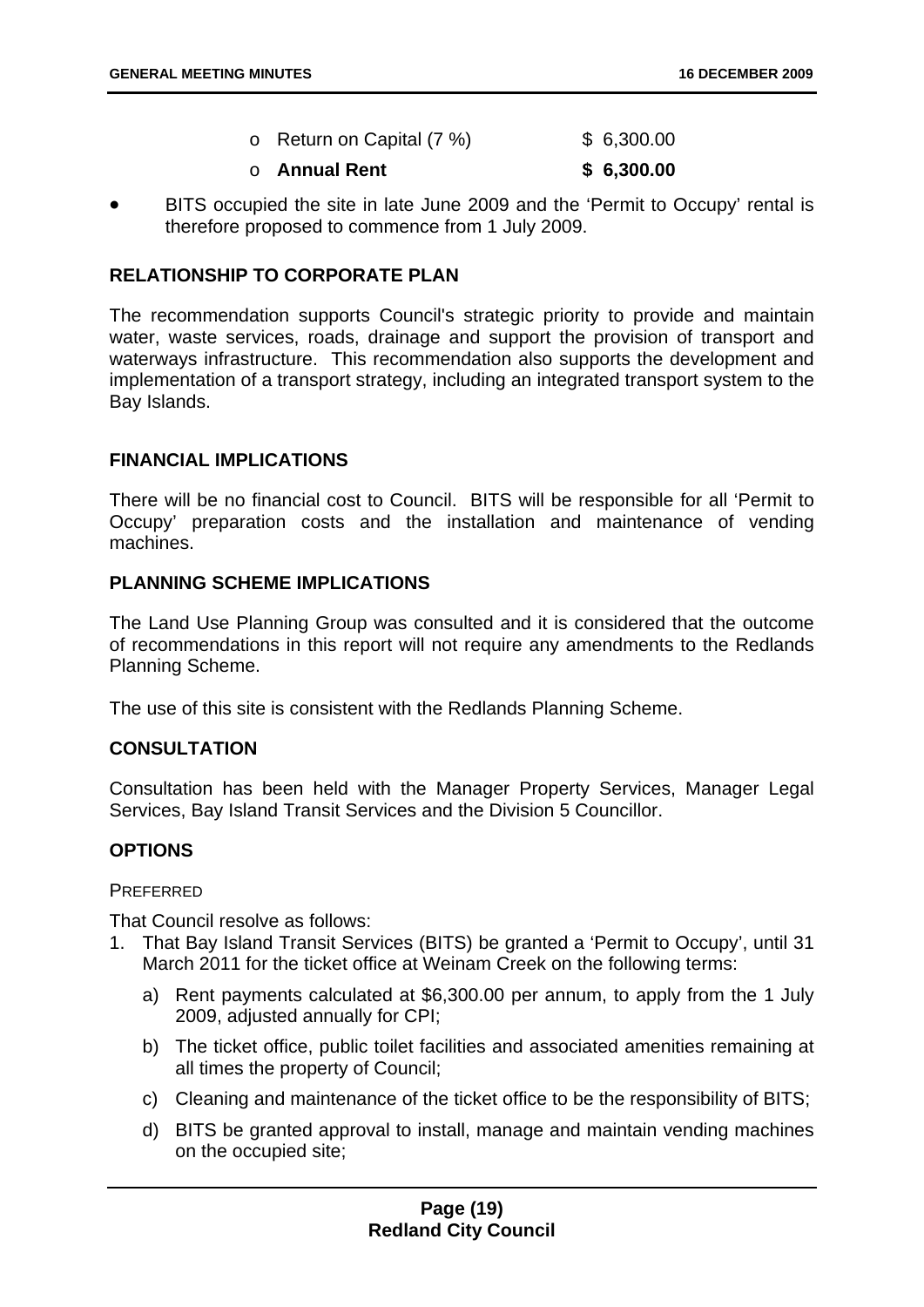| ○ Annual Rent                   | \$6,300.00 |  |
|---------------------------------|------------|--|
| $\circ$ Return on Capital (7 %) | \$6,300.00 |  |

• BITS occupied the site in late June 2009 and the 'Permit to Occupy' rental is therefore proposed to commence from 1 July 2009.

#### **RELATIONSHIP TO CORPORATE PLAN**

The recommendation supports Council's strategic priority to provide and maintain water, waste services, roads, drainage and support the provision of transport and waterways infrastructure. This recommendation also supports the development and implementation of a transport strategy, including an integrated transport system to the Bay Islands.

#### **FINANCIAL IMPLICATIONS**

There will be no financial cost to Council. BITS will be responsible for all 'Permit to Occupy' preparation costs and the installation and maintenance of vending machines.

#### **PLANNING SCHEME IMPLICATIONS**

The Land Use Planning Group was consulted and it is considered that the outcome of recommendations in this report will not require any amendments to the Redlands Planning Scheme.

The use of this site is consistent with the Redlands Planning Scheme.

#### **CONSULTATION**

Consultation has been held with the Manager Property Services, Manager Legal Services, Bay Island Transit Services and the Division 5 Councillor.

#### **OPTIONS**

#### **PREFERRED**

That Council resolve as follows:

- 1. That Bay Island Transit Services (BITS) be granted a 'Permit to Occupy', until 31 March 2011 for the ticket office at Weinam Creek on the following terms:
	- a) Rent payments calculated at \$6,300.00 per annum, to apply from the 1 July 2009, adjusted annually for CPI;
	- b) The ticket office, public toilet facilities and associated amenities remaining at all times the property of Council;
	- c) Cleaning and maintenance of the ticket office to be the responsibility of BITS;
	- d) BITS be granted approval to install, manage and maintain vending machines on the occupied site;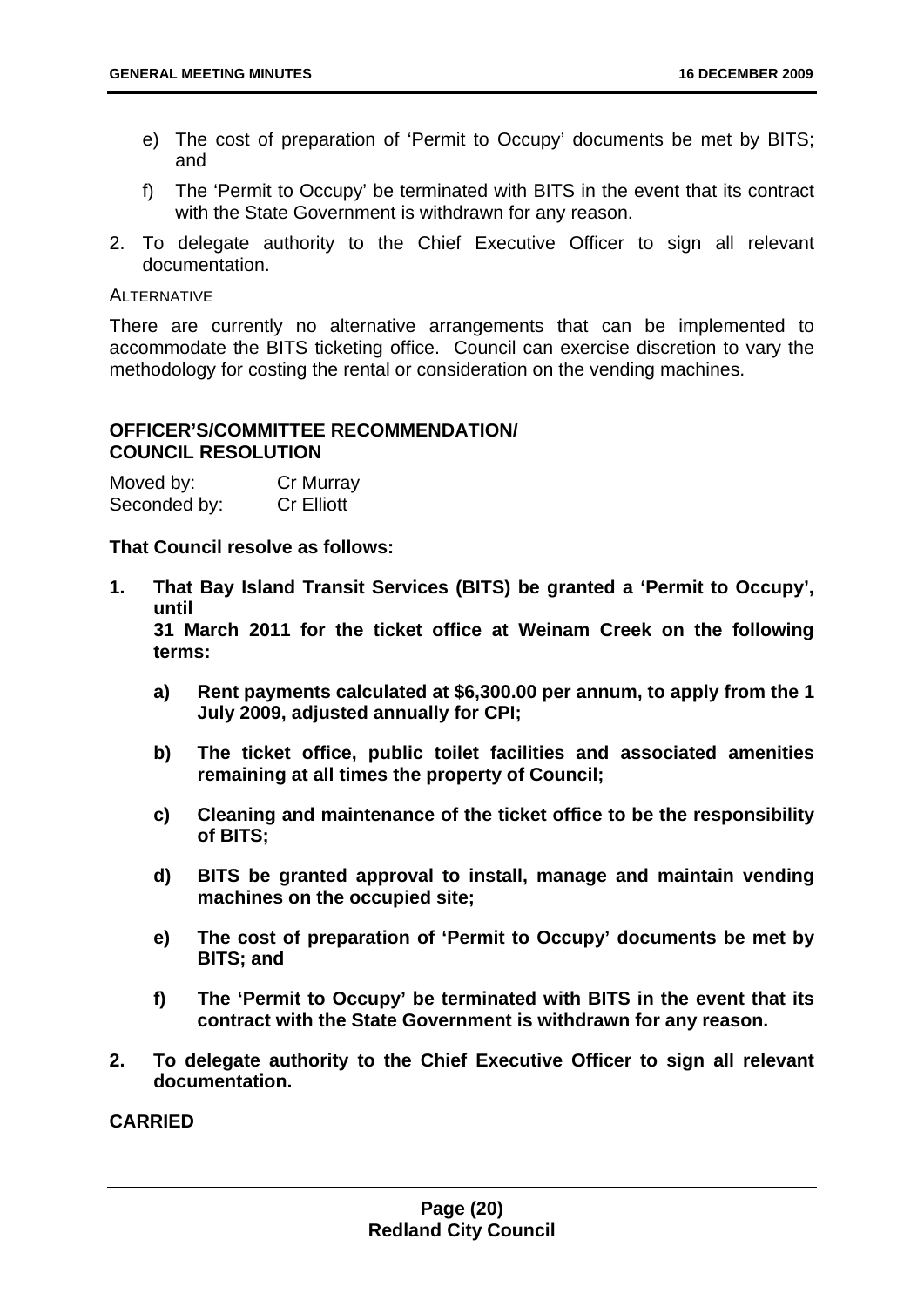- e) The cost of preparation of 'Permit to Occupy' documents be met by BITS; and
- f) The 'Permit to Occupy' be terminated with BITS in the event that its contract with the State Government is withdrawn for any reason.
- 2. To delegate authority to the Chief Executive Officer to sign all relevant documentation.

#### **ALTERNATIVE**

There are currently no alternative arrangements that can be implemented to accommodate the BITS ticketing office. Council can exercise discretion to vary the methodology for costing the rental or consideration on the vending machines.

#### **OFFICER'S/COMMITTEE RECOMMENDATION/ COUNCIL RESOLUTION**

| Moved by:    | Cr Murray         |
|--------------|-------------------|
| Seconded by: | <b>Cr Elliott</b> |

**That Council resolve as follows:** 

**1. That Bay Island Transit Services (BITS) be granted a 'Permit to Occupy', until** 

**31 March 2011 for the ticket office at Weinam Creek on the following terms:** 

- **a) Rent payments calculated at \$6,300.00 per annum, to apply from the 1 July 2009, adjusted annually for CPI;**
- **b) The ticket office, public toilet facilities and associated amenities remaining at all times the property of Council;**
- **c) Cleaning and maintenance of the ticket office to be the responsibility of BITS;**
- **d) BITS be granted approval to install, manage and maintain vending machines on the occupied site;**
- **e) The cost of preparation of 'Permit to Occupy' documents be met by BITS; and**
- **f) The 'Permit to Occupy' be terminated with BITS in the event that its contract with the State Government is withdrawn for any reason.**
- **2. To delegate authority to the Chief Executive Officer to sign all relevant documentation.**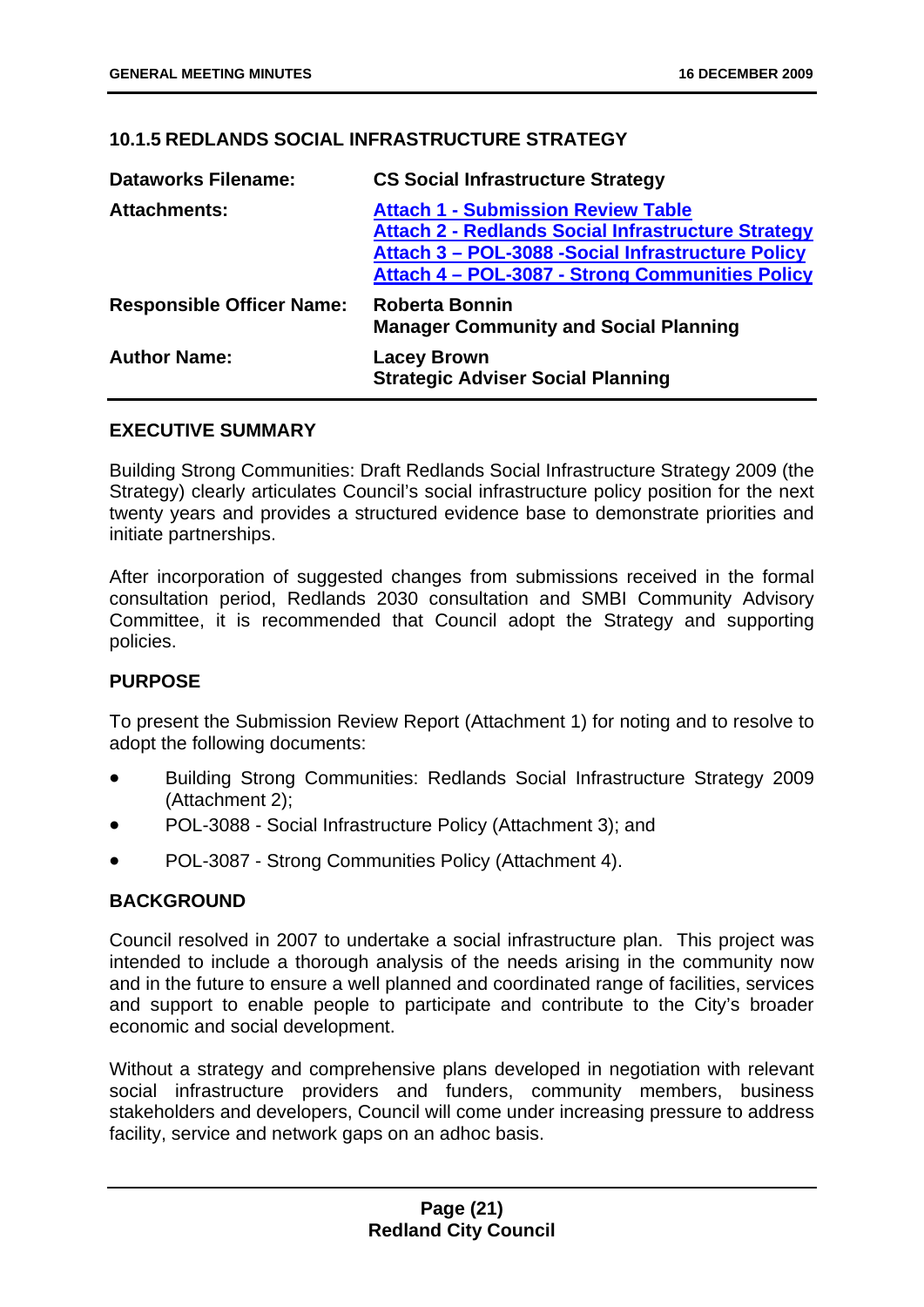#### <span id="page-21-0"></span>**10.1.5 REDLANDS SOCIAL INFRASTRUCTURE STRATEGY**

| <b>Dataworks Filename:</b>       | <b>CS Social Infrastructure Strategy</b>                                                                                                                                                                               |
|----------------------------------|------------------------------------------------------------------------------------------------------------------------------------------------------------------------------------------------------------------------|
| <b>Attachments:</b>              | <b>Attach 1 - Submission Review Table</b><br><b>Attach 2 - Redlands Social Infrastructure Strategy</b><br>Attach 3 - POL-3088 - Social Infrastructure Policy<br><b>Attach 4 - POL-3087 - Strong Communities Policy</b> |
| <b>Responsible Officer Name:</b> | <b>Roberta Bonnin</b><br><b>Manager Community and Social Planning</b>                                                                                                                                                  |
| <b>Author Name:</b>              | <b>Lacey Brown</b><br><b>Strategic Adviser Social Planning</b>                                                                                                                                                         |

#### **EXECUTIVE SUMMARY**

Building Strong Communities: Draft Redlands Social Infrastructure Strategy 2009 (the Strategy) clearly articulates Council's social infrastructure policy position for the next twenty years and provides a structured evidence base to demonstrate priorities and initiate partnerships.

After incorporation of suggested changes from submissions received in the formal consultation period, Redlands 2030 consultation and SMBI Community Advisory Committee, it is recommended that Council adopt the Strategy and supporting policies.

#### **PURPOSE**

To present the Submission Review Report (Attachment 1) for noting and to resolve to adopt the following documents:

- Building Strong Communities: Redlands Social Infrastructure Strategy 2009 (Attachment 2);
- POL-3088 Social Infrastructure Policy (Attachment 3); and
- POL-3087 Strong Communities Policy (Attachment 4).

#### **BACKGROUND**

Council resolved in 2007 to undertake a social infrastructure plan. This project was intended to include a thorough analysis of the needs arising in the community now and in the future to ensure a well planned and coordinated range of facilities, services and support to enable people to participate and contribute to the City's broader economic and social development.

Without a strategy and comprehensive plans developed in negotiation with relevant social infrastructure providers and funders, community members, business stakeholders and developers, Council will come under increasing pressure to address facility, service and network gaps on an adhoc basis.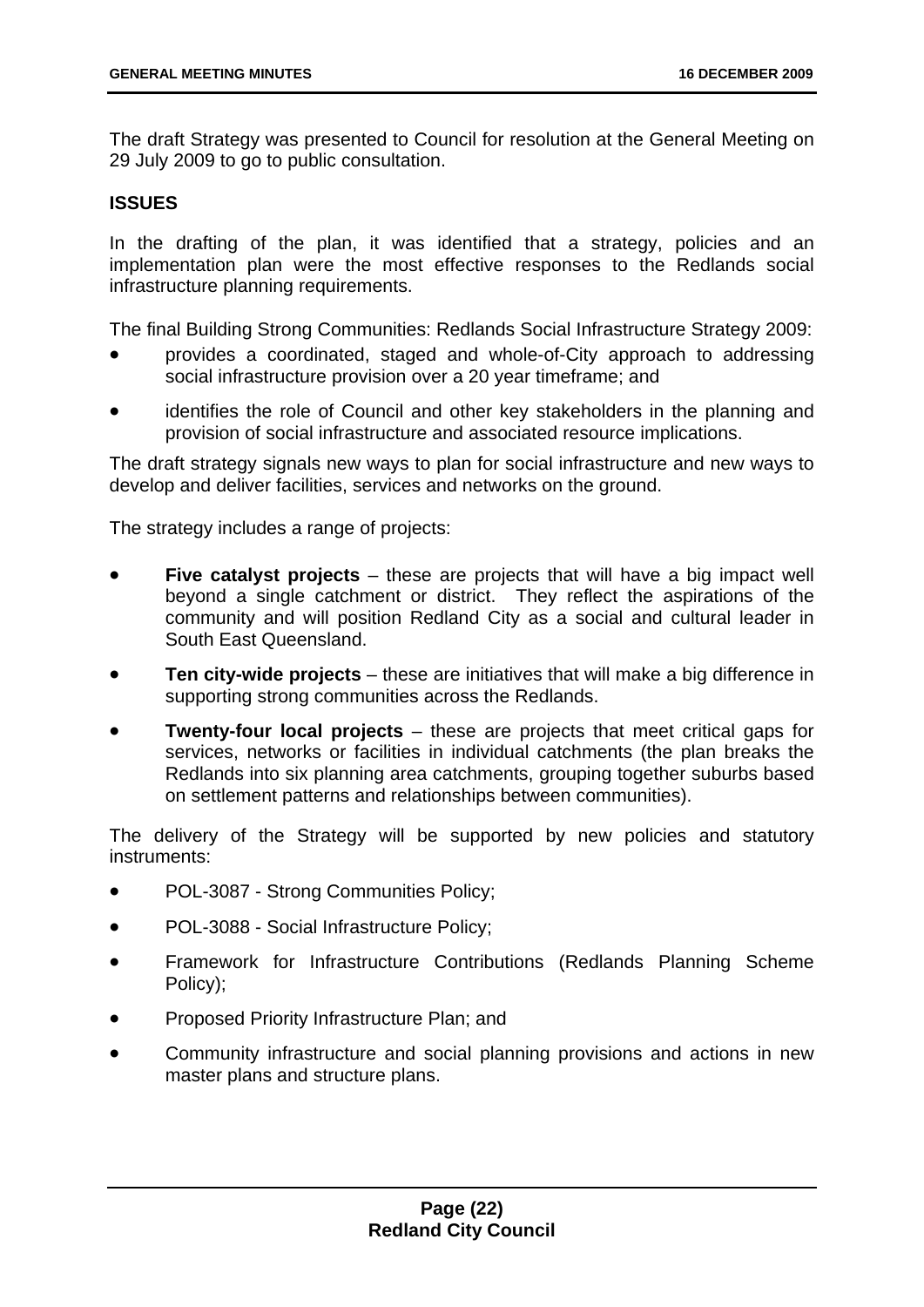The draft Strategy was presented to Council for resolution at the General Meeting on 29 July 2009 to go to public consultation.

#### **ISSUES**

In the drafting of the plan, it was identified that a strategy, policies and an implementation plan were the most effective responses to the Redlands social infrastructure planning requirements.

The final Building Strong Communities: Redlands Social Infrastructure Strategy 2009:

- provides a coordinated, staged and whole-of-City approach to addressing social infrastructure provision over a 20 year timeframe; and
- identifies the role of Council and other key stakeholders in the planning and provision of social infrastructure and associated resource implications.

The draft strategy signals new ways to plan for social infrastructure and new ways to develop and deliver facilities, services and networks on the ground.

The strategy includes a range of projects:

- **Five catalyst projects** these are projects that will have a big impact well beyond a single catchment or district. They reflect the aspirations of the community and will position Redland City as a social and cultural leader in South East Queensland.
- **Ten city-wide projects** these are initiatives that will make a big difference in supporting strong communities across the Redlands.
- **Twenty-four local projects** these are projects that meet critical gaps for services, networks or facilities in individual catchments (the plan breaks the Redlands into six planning area catchments, grouping together suburbs based on settlement patterns and relationships between communities).

The delivery of the Strategy will be supported by new policies and statutory instruments:

- POL-3087 Strong Communities Policy;
- POL-3088 Social Infrastructure Policy;
- Framework for Infrastructure Contributions (Redlands Planning Scheme Policy);
- Proposed Priority Infrastructure Plan; and
- Community infrastructure and social planning provisions and actions in new master plans and structure plans.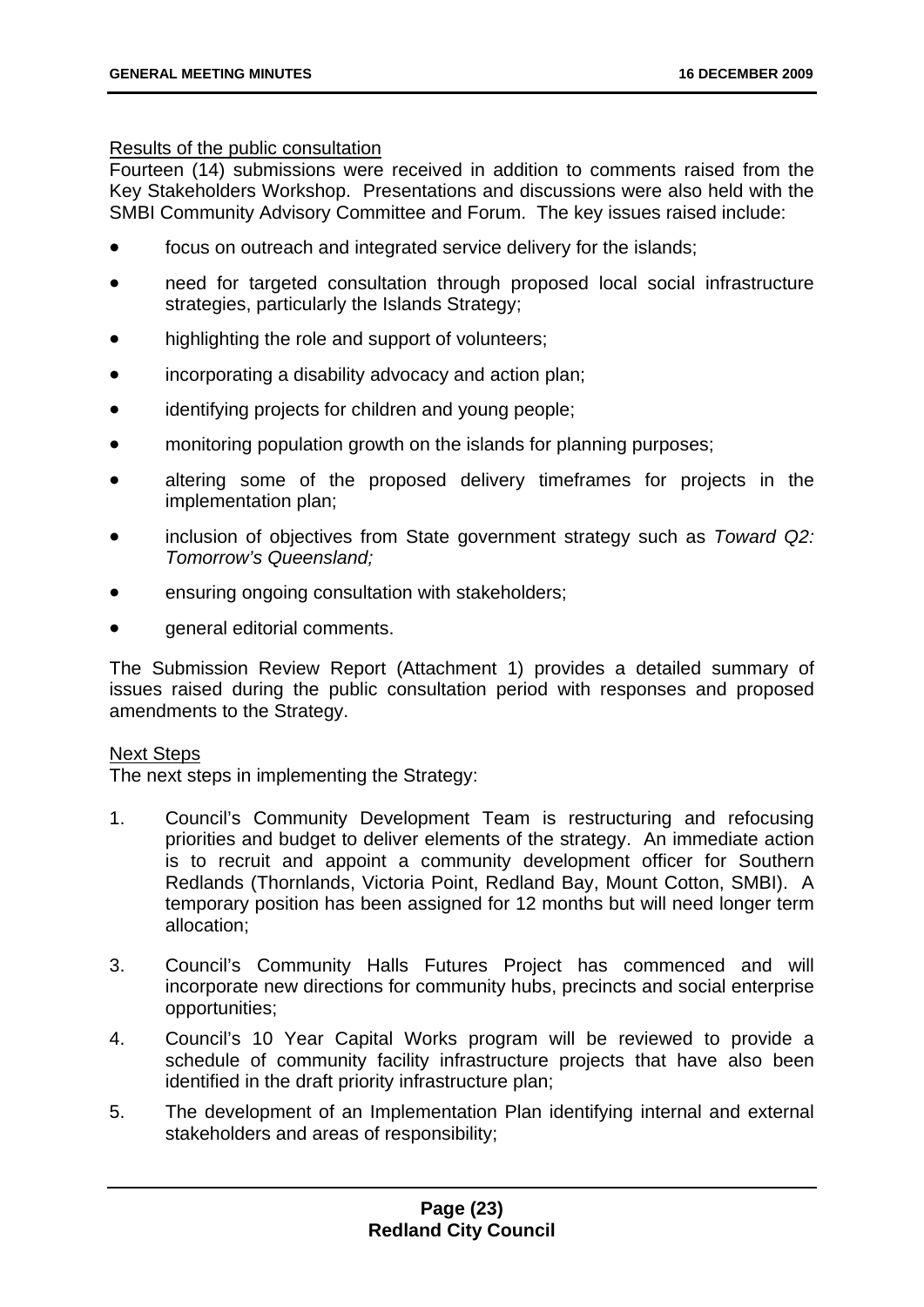#### Results of the public consultation

Fourteen (14) submissions were received in addition to comments raised from the Key Stakeholders Workshop. Presentations and discussions were also held with the SMBI Community Advisory Committee and Forum. The key issues raised include:

- focus on outreach and integrated service delivery for the islands;
- need for targeted consultation through proposed local social infrastructure strategies, particularly the Islands Strategy;
- highlighting the role and support of volunteers;
- incorporating a disability advocacy and action plan;
- identifying projects for children and young people;
- monitoring population growth on the islands for planning purposes;
- altering some of the proposed delivery timeframes for projects in the implementation plan;
- inclusion of objectives from State government strategy such as *Toward Q2: Tomorrow's Queensland;*
- ensuring ongoing consultation with stakeholders;
- general editorial comments.

The Submission Review Report (Attachment 1) provides a detailed summary of issues raised during the public consultation period with responses and proposed amendments to the Strategy.

#### Next Steps

The next steps in implementing the Strategy:

- 1. Council's Community Development Team is restructuring and refocusing priorities and budget to deliver elements of the strategy. An immediate action is to recruit and appoint a community development officer for Southern Redlands (Thornlands, Victoria Point, Redland Bay, Mount Cotton, SMBI). A temporary position has been assigned for 12 months but will need longer term allocation;
- 3. Council's Community Halls Futures Project has commenced and will incorporate new directions for community hubs, precincts and social enterprise opportunities;
- 4. Council's 10 Year Capital Works program will be reviewed to provide a schedule of community facility infrastructure projects that have also been identified in the draft priority infrastructure plan;
- 5. The development of an Implementation Plan identifying internal and external stakeholders and areas of responsibility;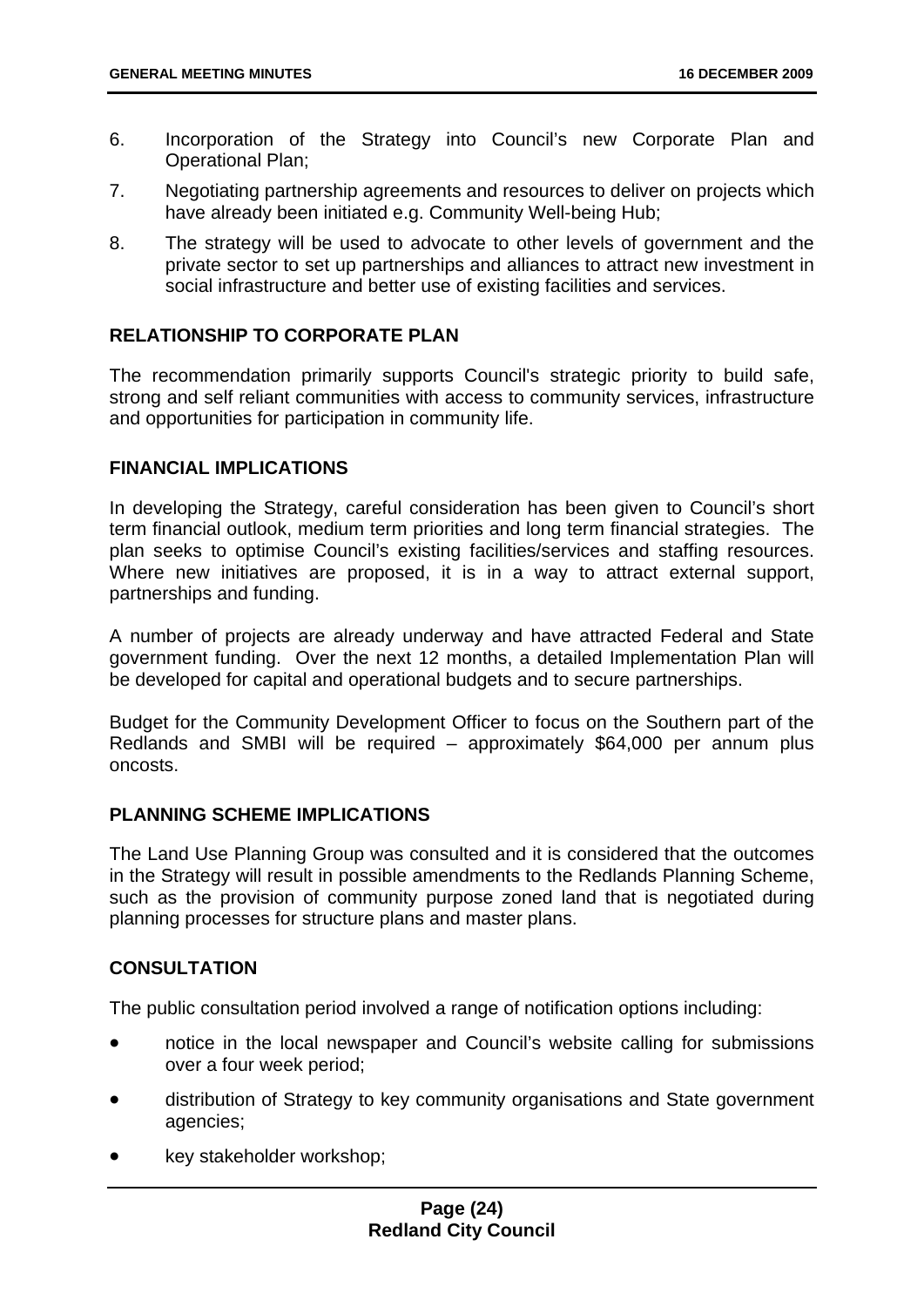- 6. Incorporation of the Strategy into Council's new Corporate Plan and Operational Plan;
- 7. Negotiating partnership agreements and resources to deliver on projects which have already been initiated e.g. Community Well-being Hub;
- 8. The strategy will be used to advocate to other levels of government and the private sector to set up partnerships and alliances to attract new investment in social infrastructure and better use of existing facilities and services.

#### **RELATIONSHIP TO CORPORATE PLAN**

The recommendation primarily supports Council's strategic priority to build safe, strong and self reliant communities with access to community services, infrastructure and opportunities for participation in community life.

#### **FINANCIAL IMPLICATIONS**

In developing the Strategy, careful consideration has been given to Council's short term financial outlook, medium term priorities and long term financial strategies. The plan seeks to optimise Council's existing facilities/services and staffing resources. Where new initiatives are proposed, it is in a way to attract external support, partnerships and funding.

A number of projects are already underway and have attracted Federal and State government funding. Over the next 12 months, a detailed Implementation Plan will be developed for capital and operational budgets and to secure partnerships.

Budget for the Community Development Officer to focus on the Southern part of the Redlands and SMBI will be required – approximately \$64,000 per annum plus oncosts.

#### **PLANNING SCHEME IMPLICATIONS**

The Land Use Planning Group was consulted and it is considered that the outcomes in the Strategy will result in possible amendments to the Redlands Planning Scheme, such as the provision of community purpose zoned land that is negotiated during planning processes for structure plans and master plans.

#### **CONSULTATION**

The public consultation period involved a range of notification options including:

- notice in the local newspaper and Council's website calling for submissions over a four week period;
- distribution of Strategy to key community organisations and State government agencies;
- key stakeholder workshop;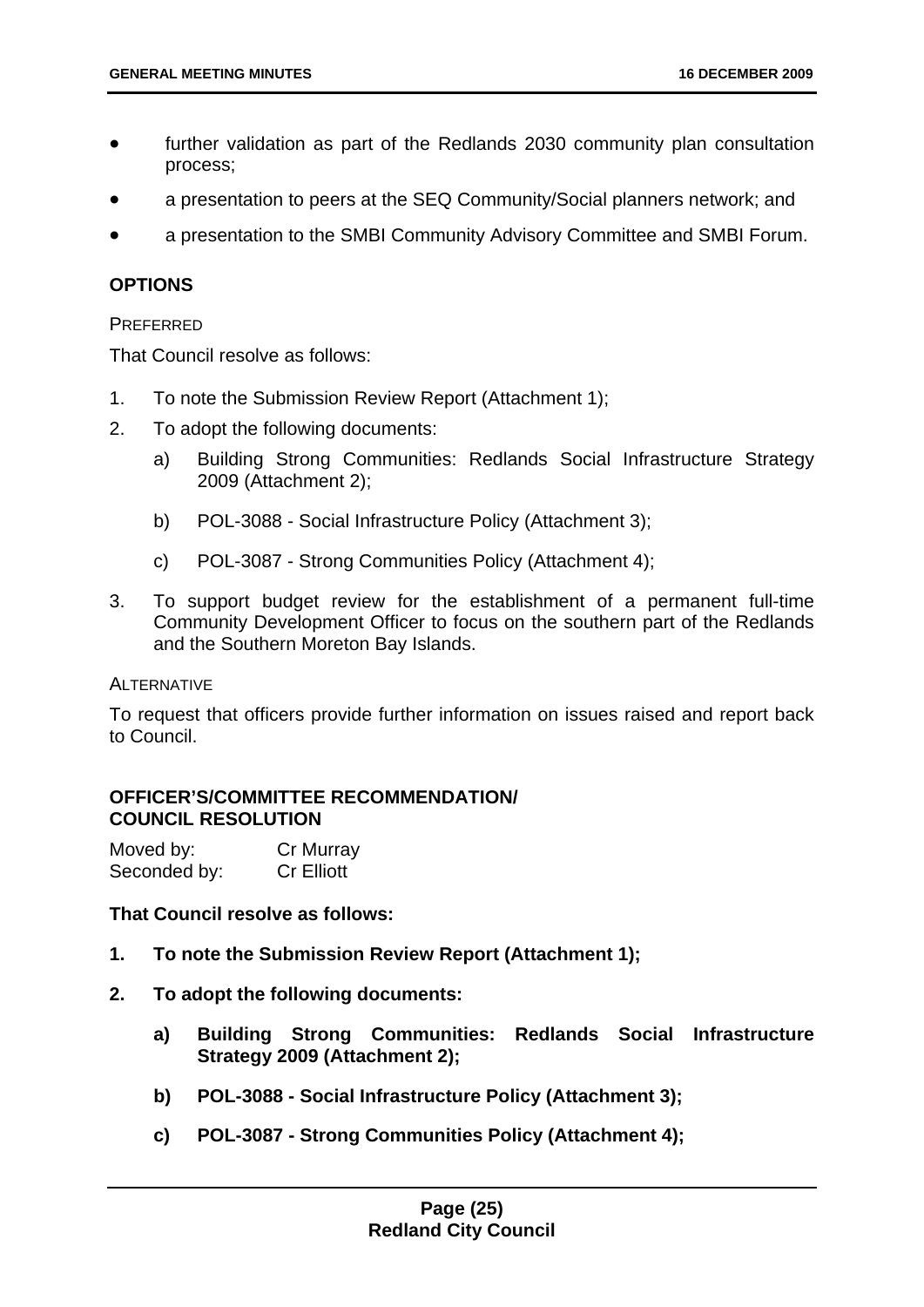- further validation as part of the Redlands 2030 community plan consultation process;
- a presentation to peers at the SEQ Community/Social planners network; and
- a presentation to the SMBI Community Advisory Committee and SMBI Forum.

#### **OPTIONS**

#### **PREFERRED**

That Council resolve as follows:

- 1. To note the Submission Review Report (Attachment 1);
- 2. To adopt the following documents:
	- a) Building Strong Communities: Redlands Social Infrastructure Strategy 2009 (Attachment 2);
	- b) POL-3088 Social Infrastructure Policy (Attachment 3);
	- c) POL-3087 Strong Communities Policy (Attachment 4);
- 3. To support budget review for the establishment of a permanent full-time Community Development Officer to focus on the southern part of the Redlands and the Southern Moreton Bay Islands.

#### **ALTERNATIVE**

To request that officers provide further information on issues raised and report back to Council.

#### **OFFICER'S/COMMITTEE RECOMMENDATION/ COUNCIL RESOLUTION**

| Moved by:    | Cr Murray         |
|--------------|-------------------|
| Seconded by: | <b>Cr Elliott</b> |

#### **That Council resolve as follows:**

- **1. To note the Submission Review Report (Attachment 1);**
- **2. To adopt the following documents:** 
	- **a) Building Strong Communities: Redlands Social Infrastructure Strategy 2009 (Attachment 2);**
	- **b) POL-3088 Social Infrastructure Policy (Attachment 3);**
	- **c) POL-3087 Strong Communities Policy (Attachment 4);**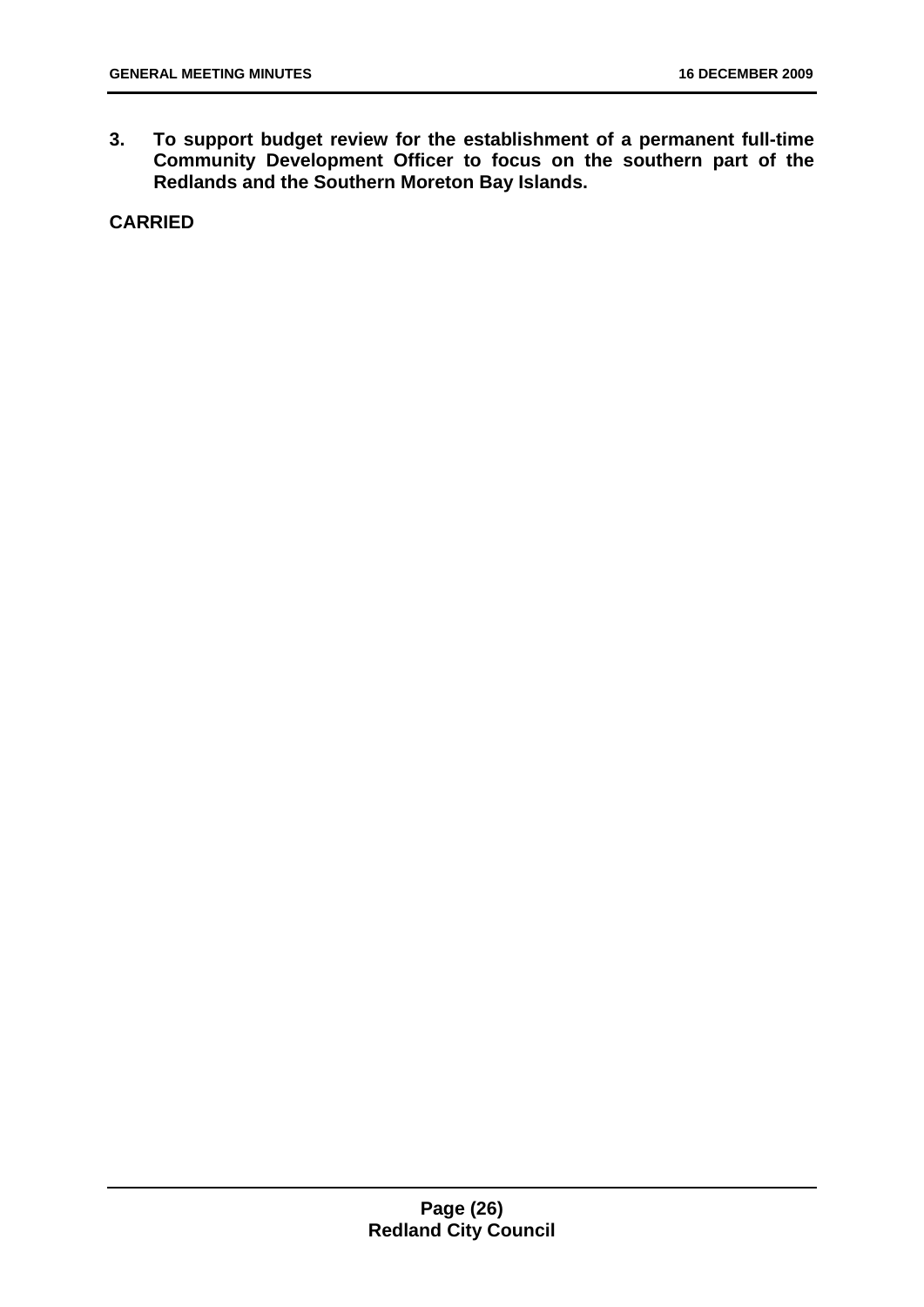**3. To support budget review for the establishment of a permanent full-time Community Development Officer to focus on the southern part of the Redlands and the Southern Moreton Bay Islands.**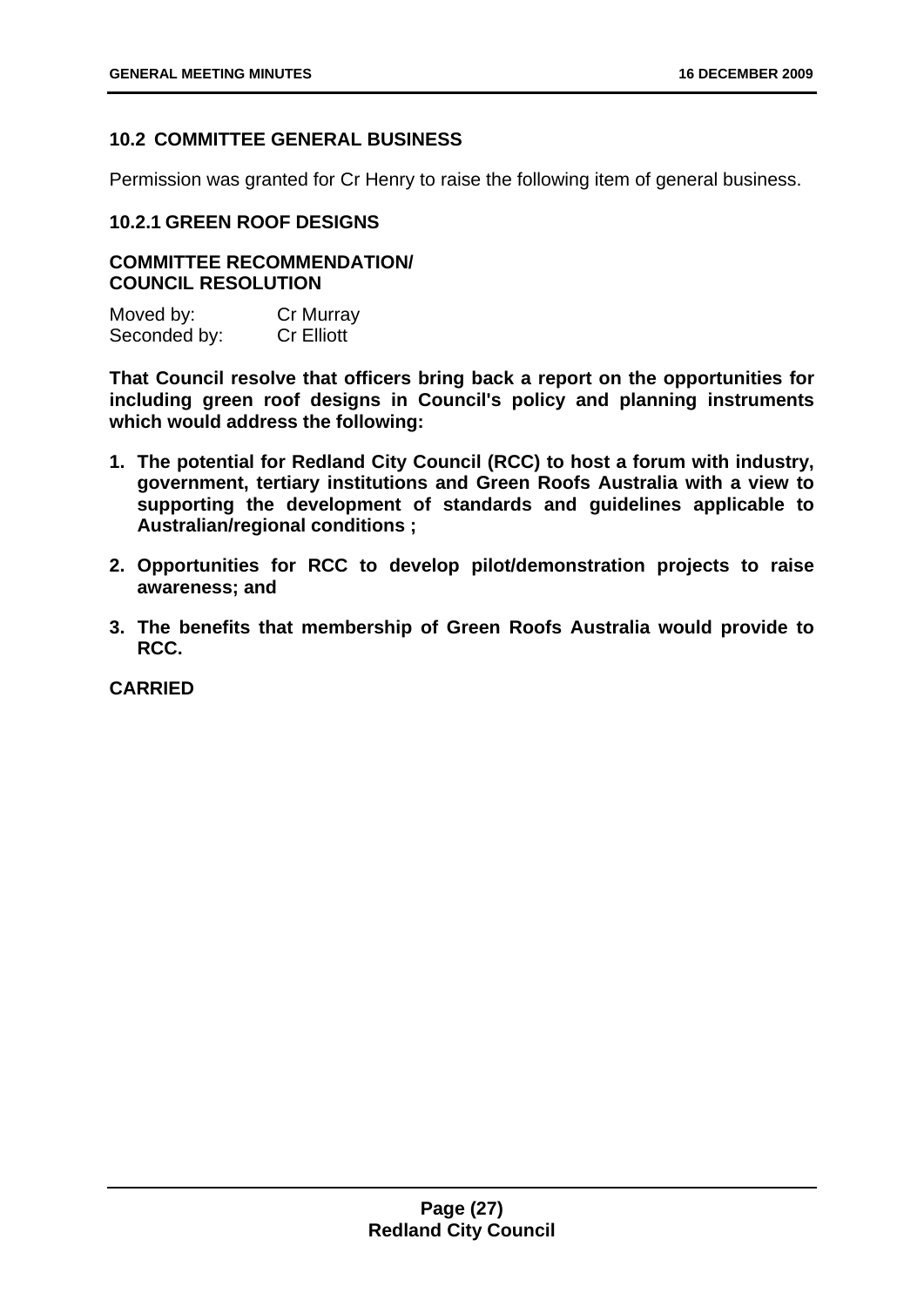#### <span id="page-27-0"></span>**10.2 COMMITTEE GENERAL BUSINESS**

Permission was granted for Cr Henry to raise the following item of general business.

#### <span id="page-27-1"></span>**10.2.1 GREEN ROOF DESIGNS**

#### **COMMITTEE RECOMMENDATION/ COUNCIL RESOLUTION**

| Moved by:    | Cr Murray         |
|--------------|-------------------|
| Seconded by: | <b>Cr Elliott</b> |

**That Council resolve that officers bring back a report on the opportunities for including green roof designs in Council's policy and planning instruments which would address the following:** 

- **1. The potential for Redland City Council (RCC) to host a forum with industry, government, tertiary institutions and Green Roofs Australia with a view to supporting the development of standards and guidelines applicable to Australian/regional conditions ;**
- **2. Opportunities for RCC to develop pilot/demonstration projects to raise awareness; and**
- **3. The benefits that membership of Green Roofs Australia would provide to RCC.**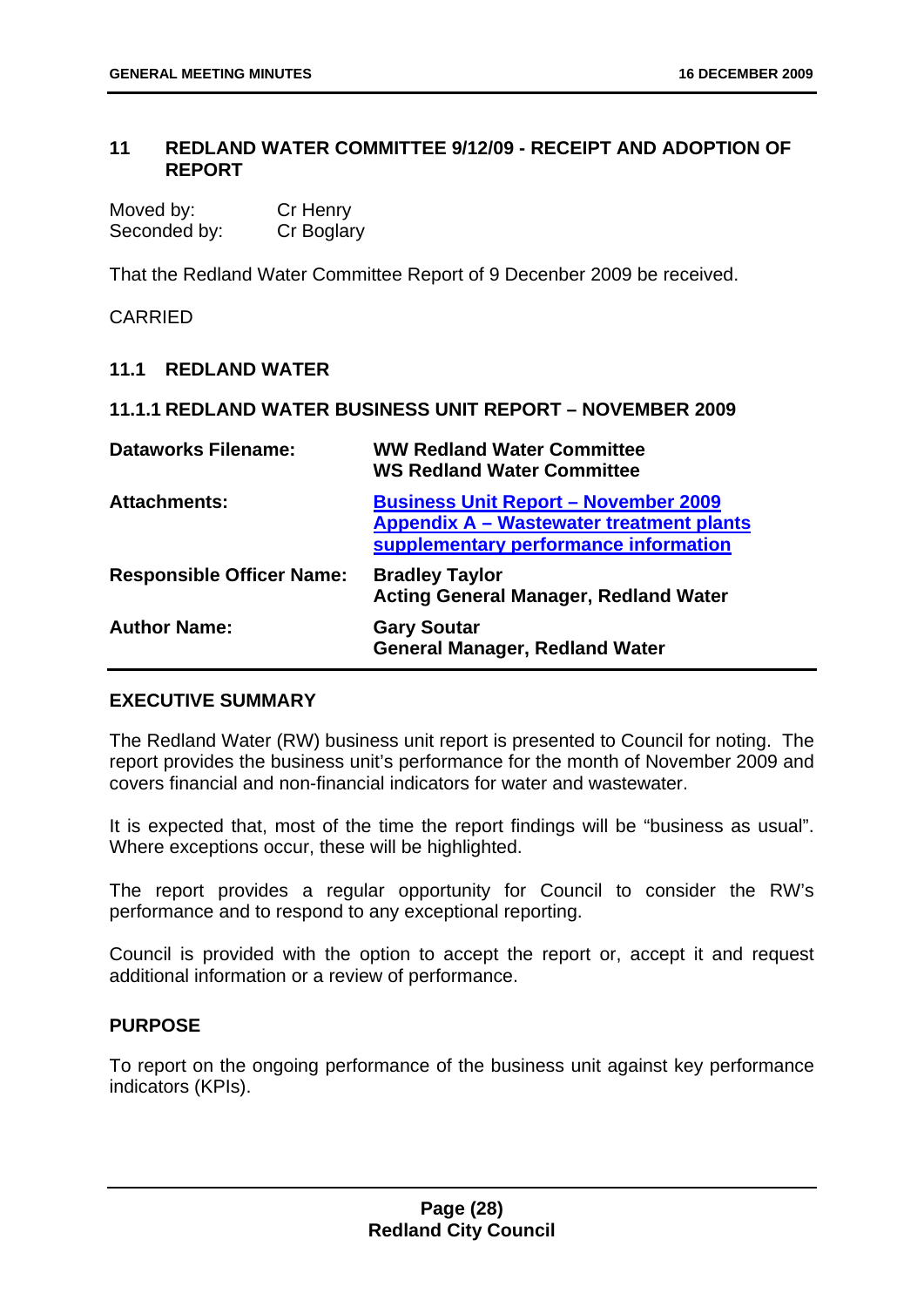#### <span id="page-28-0"></span>**11 REDLAND WATER COMMITTEE 9/12/09 - RECEIPT AND ADOPTION OF REPORT**

| Moved by:    | Cr Henry   |
|--------------|------------|
| Seconded by: | Cr Boglary |

That the Redland Water Committee Report of 9 Decenber 2009 be received.

CARRIED

#### <span id="page-28-1"></span>**11.1 REDLAND WATER**

#### <span id="page-28-2"></span>**11.1.1 REDLAND WATER BUSINESS UNIT REPORT – NOVEMBER 2009**

| <b>Dataworks Filename:</b>       | <b>WW Redland Water Committee</b><br><b>WS Redland Water Committee</b>                                                           |
|----------------------------------|----------------------------------------------------------------------------------------------------------------------------------|
| <b>Attachments:</b>              | <b>Business Unit Report - November 2009</b><br>Appendix A - Wastewater treatment plants<br>supplementary performance information |
| <b>Responsible Officer Name:</b> | <b>Bradley Taylor</b><br><b>Acting General Manager, Redland Water</b>                                                            |
| <b>Author Name:</b>              | <b>Gary Soutar</b><br><b>General Manager, Redland Water</b>                                                                      |

#### **EXECUTIVE SUMMARY**

The Redland Water (RW) business unit report is presented to Council for noting. The report provides the business unit's performance for the month of November 2009 and covers financial and non-financial indicators for water and wastewater.

It is expected that, most of the time the report findings will be "business as usual". Where exceptions occur, these will be highlighted.

The report provides a regular opportunity for Council to consider the RW's performance and to respond to any exceptional reporting.

Council is provided with the option to accept the report or, accept it and request additional information or a review of performance.

#### **PURPOSE**

To report on the ongoing performance of the business unit against key performance indicators (KPIs).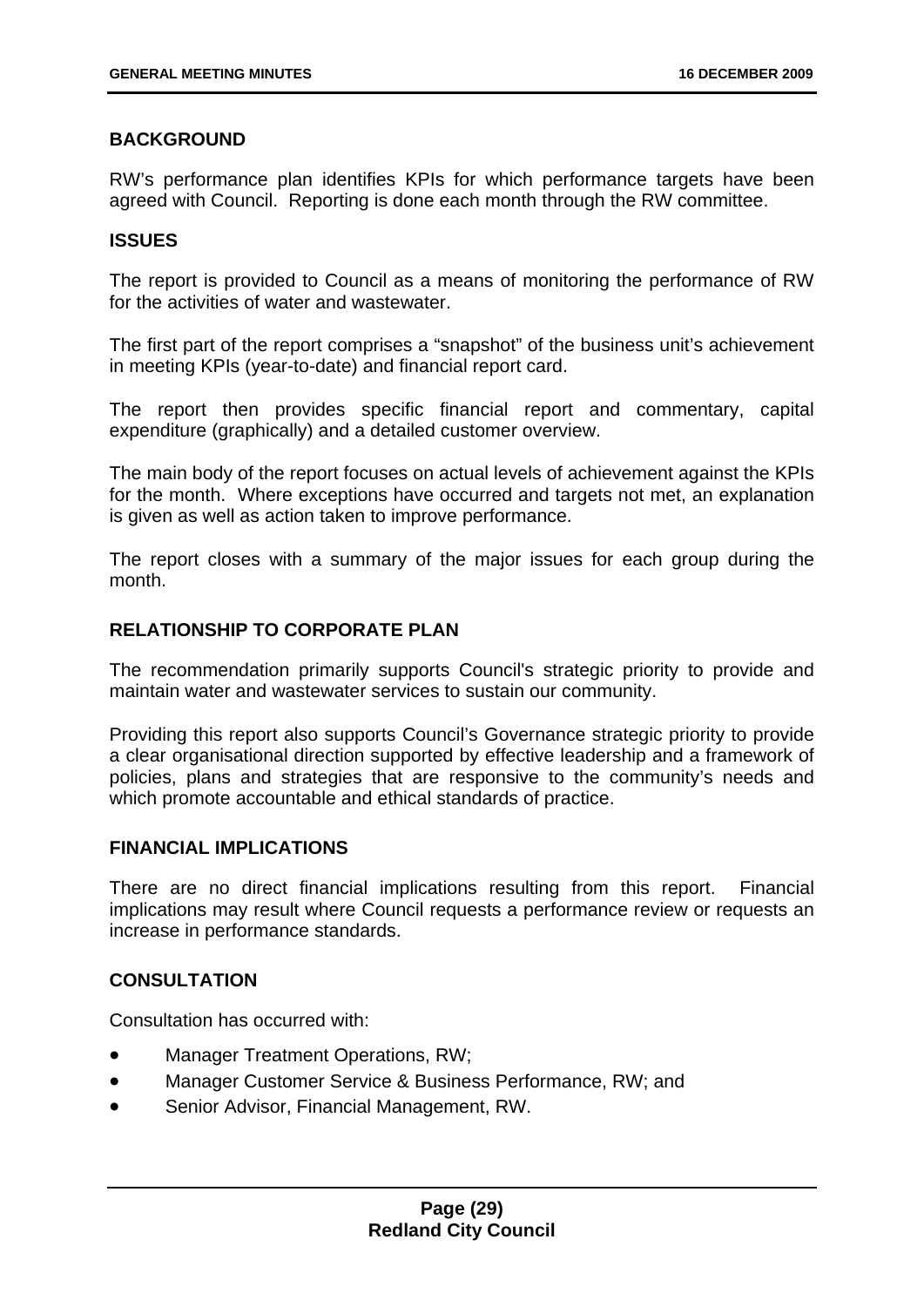#### **BACKGROUND**

RW's performance plan identifies KPIs for which performance targets have been agreed with Council. Reporting is done each month through the RW committee.

#### **ISSUES**

The report is provided to Council as a means of monitoring the performance of RW for the activities of water and wastewater.

The first part of the report comprises a "snapshot" of the business unit's achievement in meeting KPIs (year-to-date) and financial report card.

The report then provides specific financial report and commentary, capital expenditure (graphically) and a detailed customer overview.

The main body of the report focuses on actual levels of achievement against the KPIs for the month. Where exceptions have occurred and targets not met, an explanation is given as well as action taken to improve performance.

The report closes with a summary of the major issues for each group during the month.

#### **RELATIONSHIP TO CORPORATE PLAN**

The recommendation primarily supports Council's strategic priority to provide and maintain water and wastewater services to sustain our community.

Providing this report also supports Council's Governance strategic priority to provide a clear organisational direction supported by effective leadership and a framework of policies, plans and strategies that are responsive to the community's needs and which promote accountable and ethical standards of practice.

#### **FINANCIAL IMPLICATIONS**

There are no direct financial implications resulting from this report. Financial implications may result where Council requests a performance review or requests an increase in performance standards.

#### **CONSULTATION**

Consultation has occurred with:

- Manager Treatment Operations, RW;
- Manager Customer Service & Business Performance, RW; and
- Senior Advisor, Financial Management, RW.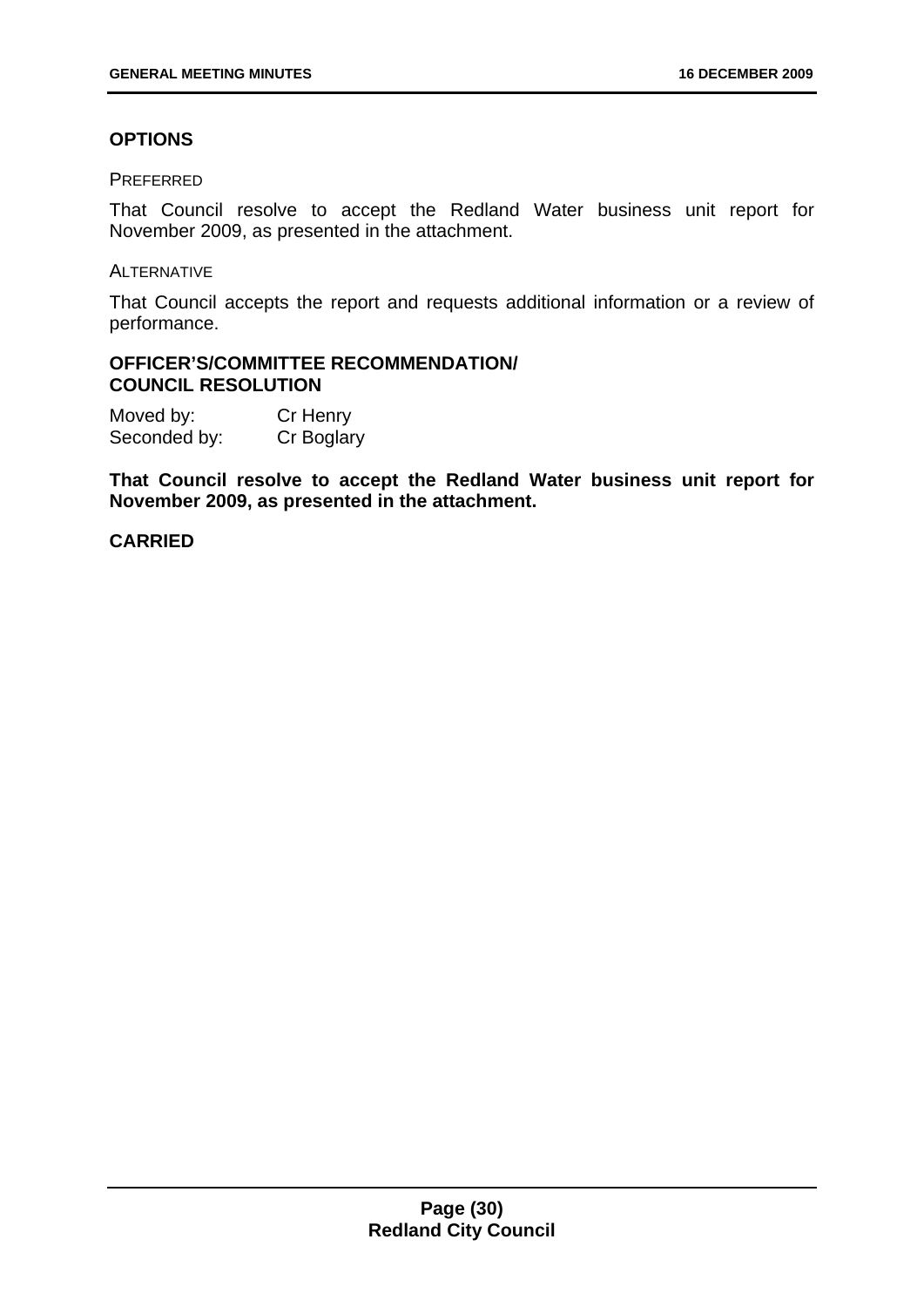#### **OPTIONS**

#### PREFERRED

That Council resolve to accept the Redland Water business unit report for November 2009, as presented in the attachment.

#### ALTERNATIVE

That Council accepts the report and requests additional information or a review of performance.

#### **OFFICER'S/COMMITTEE RECOMMENDATION/ COUNCIL RESOLUTION**

Moved by: Cr Henry Seconded by: Cr Boglary

**That Council resolve to accept the Redland Water business unit report for November 2009, as presented in the attachment.**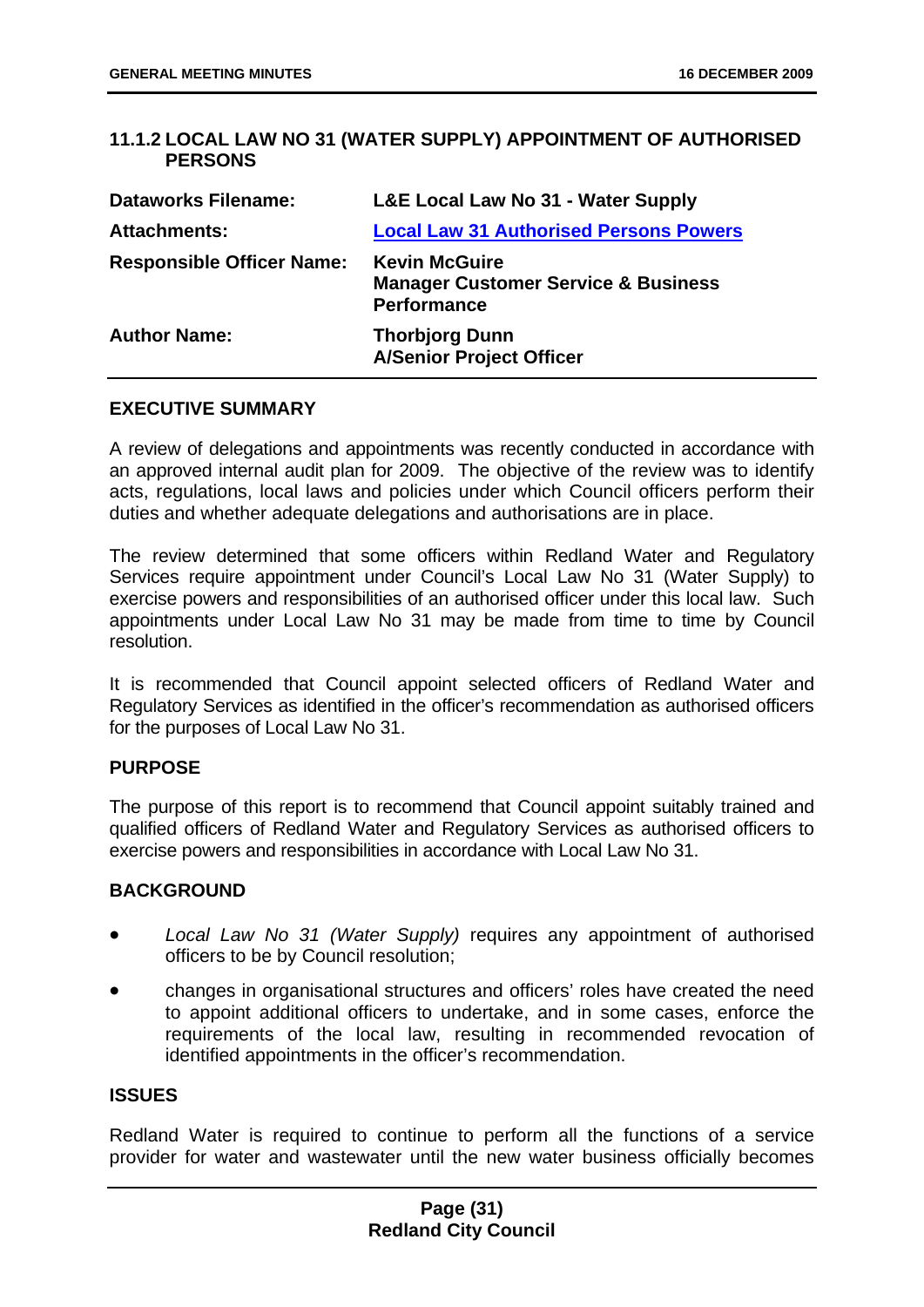#### <span id="page-31-0"></span>**11.1.2 LOCAL LAW NO 31 (WATER SUPPLY) APPOINTMENT OF AUTHORISED PERSONS**

| <b>Dataworks Filename:</b>       | L&E Local Law No 31 - Water Supply                                                           |
|----------------------------------|----------------------------------------------------------------------------------------------|
| <b>Attachments:</b>              | <b>Local Law 31 Authorised Persons Powers</b>                                                |
| <b>Responsible Officer Name:</b> | <b>Kevin McGuire</b><br><b>Manager Customer Service &amp; Business</b><br><b>Performance</b> |
| <b>Author Name:</b>              | <b>Thorbjorg Dunn</b><br><b>A/Senior Project Officer</b>                                     |

#### **EXECUTIVE SUMMARY**

A review of delegations and appointments was recently conducted in accordance with an approved internal audit plan for 2009. The objective of the review was to identify acts, regulations, local laws and policies under which Council officers perform their duties and whether adequate delegations and authorisations are in place.

The review determined that some officers within Redland Water and Regulatory Services require appointment under Council's Local Law No 31 (Water Supply) to exercise powers and responsibilities of an authorised officer under this local law. Such appointments under Local Law No 31 may be made from time to time by Council resolution.

It is recommended that Council appoint selected officers of Redland Water and Regulatory Services as identified in the officer's recommendation as authorised officers for the purposes of Local Law No 31.

#### **PURPOSE**

The purpose of this report is to recommend that Council appoint suitably trained and qualified officers of Redland Water and Regulatory Services as authorised officers to exercise powers and responsibilities in accordance with Local Law No 31.

#### **BACKGROUND**

- *Local Law No 31 (Water Supply)* requires any appointment of authorised officers to be by Council resolution;
- changes in organisational structures and officers' roles have created the need to appoint additional officers to undertake, and in some cases, enforce the requirements of the local law, resulting in recommended revocation of identified appointments in the officer's recommendation.

#### **ISSUES**

Redland Water is required to continue to perform all the functions of a service provider for water and wastewater until the new water business officially becomes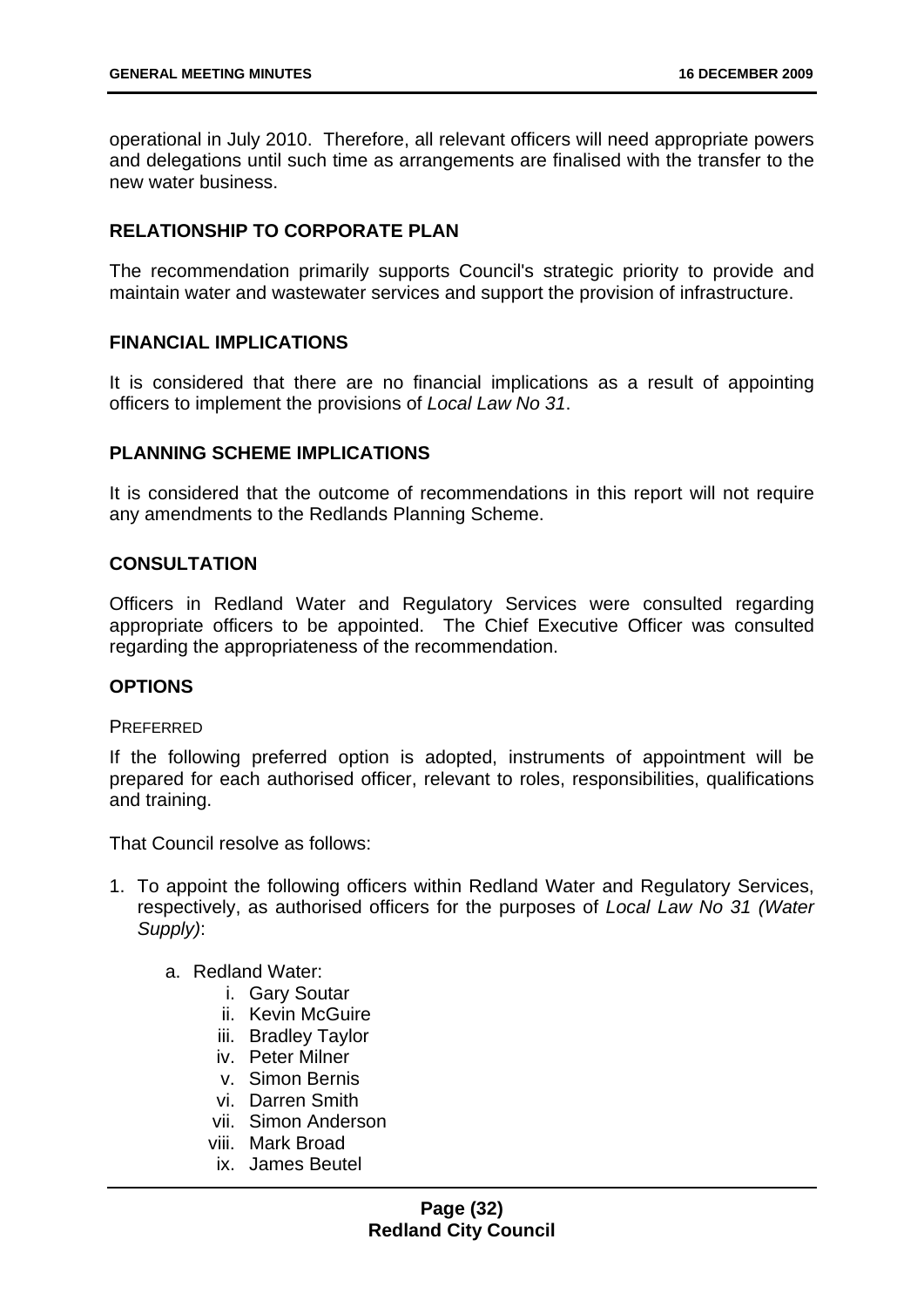operational in July 2010. Therefore, all relevant officers will need appropriate powers and delegations until such time as arrangements are finalised with the transfer to the new water business.

#### **RELATIONSHIP TO CORPORATE PLAN**

The recommendation primarily supports Council's strategic priority to provide and maintain water and wastewater services and support the provision of infrastructure.

#### **FINANCIAL IMPLICATIONS**

It is considered that there are no financial implications as a result of appointing officers to implement the provisions of *Local Law No 31*.

#### **PLANNING SCHEME IMPLICATIONS**

It is considered that the outcome of recommendations in this report will not require any amendments to the Redlands Planning Scheme.

#### **CONSULTATION**

Officers in Redland Water and Regulatory Services were consulted regarding appropriate officers to be appointed. The Chief Executive Officer was consulted regarding the appropriateness of the recommendation.

#### **OPTIONS**

#### **PREFERRED**

If the following preferred option is adopted, instruments of appointment will be prepared for each authorised officer, relevant to roles, responsibilities, qualifications and training.

That Council resolve as follows:

- 1. To appoint the following officers within Redland Water and Regulatory Services, respectively, as authorised officers for the purposes of *Local Law No 31 (Water Supply)*:
	- a. Redland Water:
		- i. Gary Soutar
		- ii. Kevin McGuire
		- iii. Bradley Taylor
		- iv. Peter Milner
		- v. Simon Bernis
		- vi. Darren Smith
		- vii. Simon Anderson
		- viii. Mark Broad
		- ix. James Beutel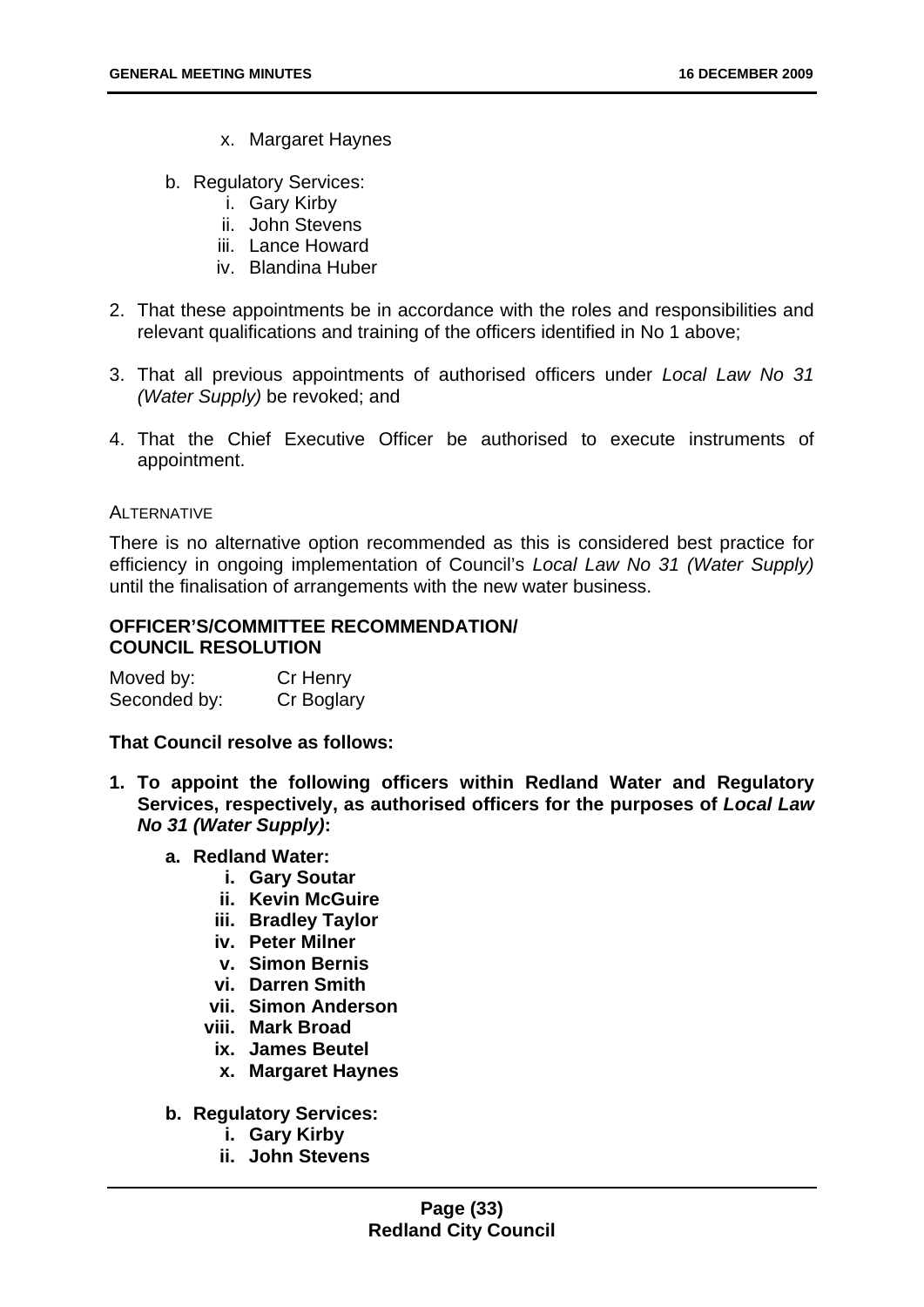- x. Margaret Haynes
- b. Regulatory Services:
	- i. Gary Kirby
	- ii. John Stevens
	- iii. Lance Howard
	- iv. Blandina Huber
- 2. That these appointments be in accordance with the roles and responsibilities and relevant qualifications and training of the officers identified in No 1 above;
- 3. That all previous appointments of authorised officers under *Local Law No 31 (Water Supply)* be revoked; and
- 4. That the Chief Executive Officer be authorised to execute instruments of appointment.

#### **ALTERNATIVE**

There is no alternative option recommended as this is considered best practice for efficiency in ongoing implementation of Council's *Local Law No 31 (Water Supply)* until the finalisation of arrangements with the new water business.

#### **OFFICER'S/COMMITTEE RECOMMENDATION/ COUNCIL RESOLUTION**

Moved by: Cr Henry Seconded by: Cr Boglary

#### **That Council resolve as follows:**

- **1. To appoint the following officers within Redland Water and Regulatory Services, respectively, as authorised officers for the purposes of** *Local Law No 31 (Water Supply)***:** 
	- **a. Redland Water:** 
		- **i. Gary Soutar**
		- **ii. Kevin McGuire**
		- **iii. Bradley Taylor**
		- **iv. Peter Milner**
		- **v. Simon Bernis**
		- **vi. Darren Smith**
		- **vii. Simon Anderson**
		- **viii. Mark Broad** 
			- **ix. James Beutel**
			- **x. Margaret Haynes**

#### **b. Regulatory Services:**

- **i. Gary Kirby**
- **ii. John Stevens**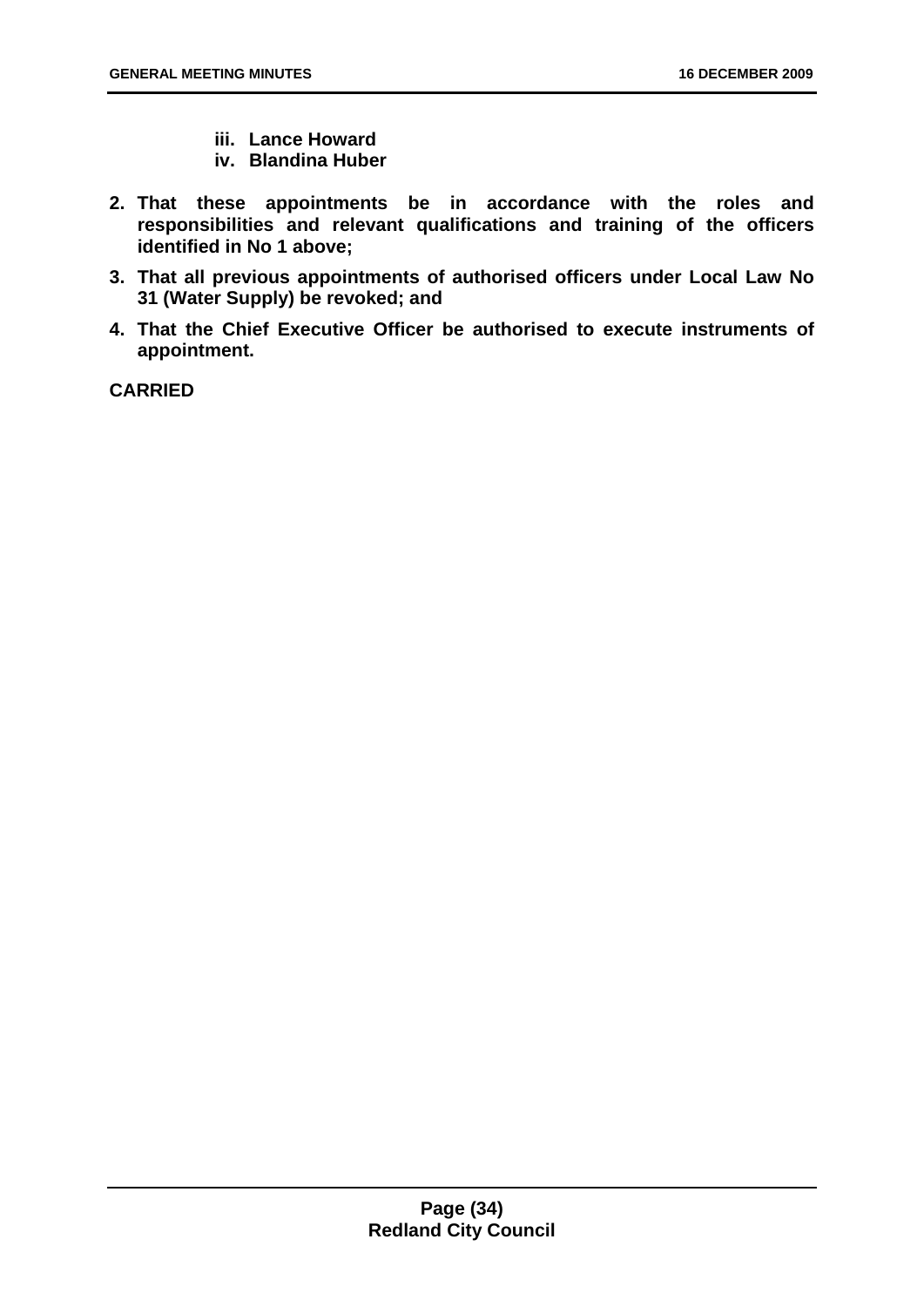- **iii. Lance Howard**
- **iv. Blandina Huber**
- **2. That these appointments be in accordance with the roles and responsibilities and relevant qualifications and training of the officers identified in No 1 above;**
- **3. That all previous appointments of authorised officers under Local Law No 31 (Water Supply) be revoked; and**
- **4. That the Chief Executive Officer be authorised to execute instruments of appointment.**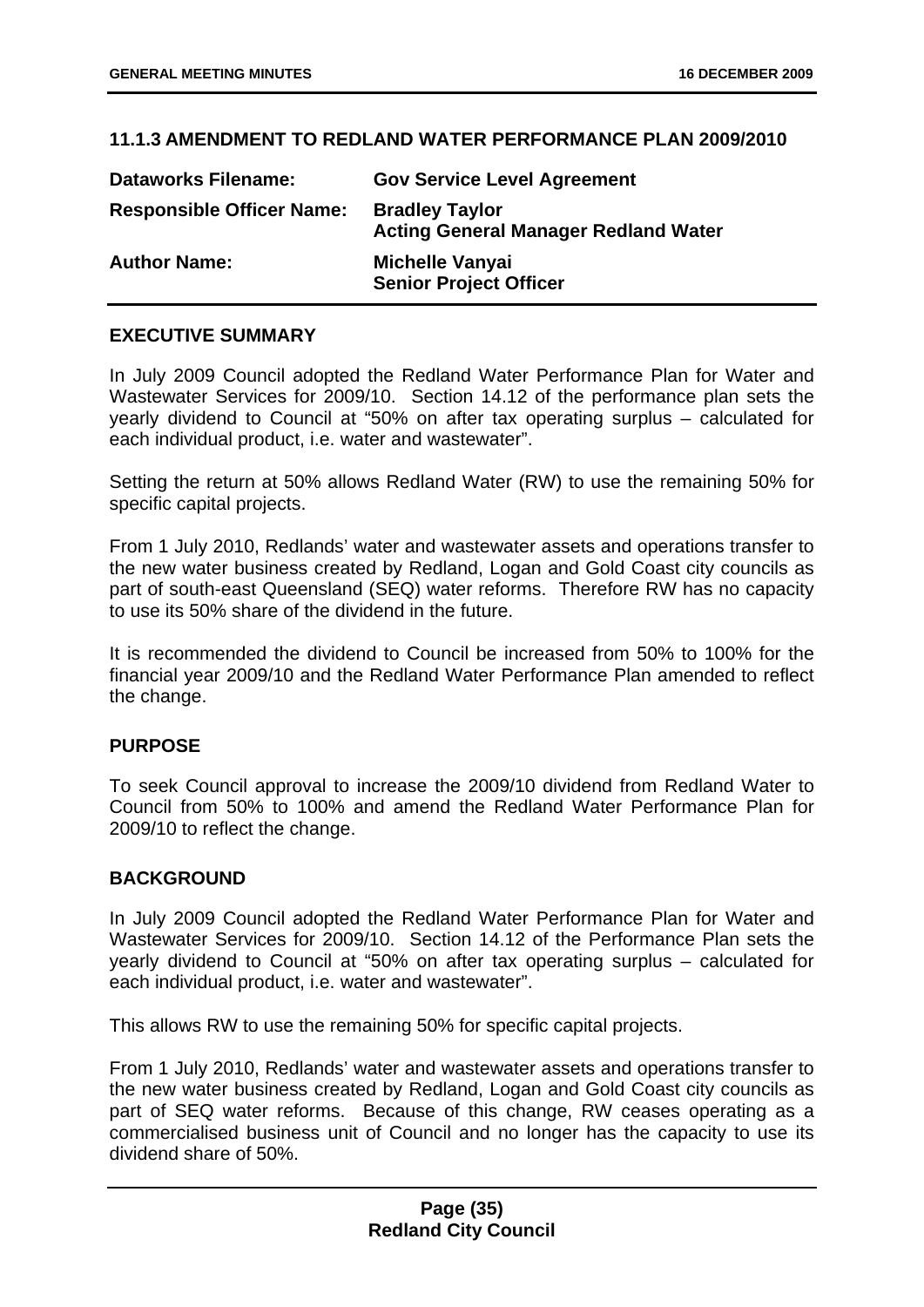#### <span id="page-35-0"></span>**11.1.3 AMENDMENT TO REDLAND WATER PERFORMANCE PLAN 2009/2010**

| <b>Dataworks Filename:</b>       | <b>Gov Service Level Agreement</b>                                   |
|----------------------------------|----------------------------------------------------------------------|
| <b>Responsible Officer Name:</b> | <b>Bradley Taylor</b><br><b>Acting General Manager Redland Water</b> |
| <b>Author Name:</b>              | <b>Michelle Vanyai</b><br><b>Senior Project Officer</b>              |

#### **EXECUTIVE SUMMARY**

In July 2009 Council adopted the Redland Water Performance Plan for Water and Wastewater Services for 2009/10. Section 14.12 of the performance plan sets the yearly dividend to Council at "50% on after tax operating surplus – calculated for each individual product, i.e. water and wastewater".

Setting the return at 50% allows Redland Water (RW) to use the remaining 50% for specific capital projects.

From 1 July 2010, Redlands' water and wastewater assets and operations transfer to the new water business created by Redland, Logan and Gold Coast city councils as part of south-east Queensland (SEQ) water reforms. Therefore RW has no capacity to use its 50% share of the dividend in the future.

It is recommended the dividend to Council be increased from 50% to 100% for the financial year 2009/10 and the Redland Water Performance Plan amended to reflect the change.

#### **PURPOSE**

To seek Council approval to increase the 2009/10 dividend from Redland Water to Council from 50% to 100% and amend the Redland Water Performance Plan for 2009/10 to reflect the change.

#### **BACKGROUND**

In July 2009 Council adopted the Redland Water Performance Plan for Water and Wastewater Services for 2009/10. Section 14.12 of the Performance Plan sets the yearly dividend to Council at "50% on after tax operating surplus – calculated for each individual product, i.e. water and wastewater".

This allows RW to use the remaining 50% for specific capital projects.

From 1 July 2010, Redlands' water and wastewater assets and operations transfer to the new water business created by Redland, Logan and Gold Coast city councils as part of SEQ water reforms. Because of this change, RW ceases operating as a commercialised business unit of Council and no longer has the capacity to use its dividend share of 50%.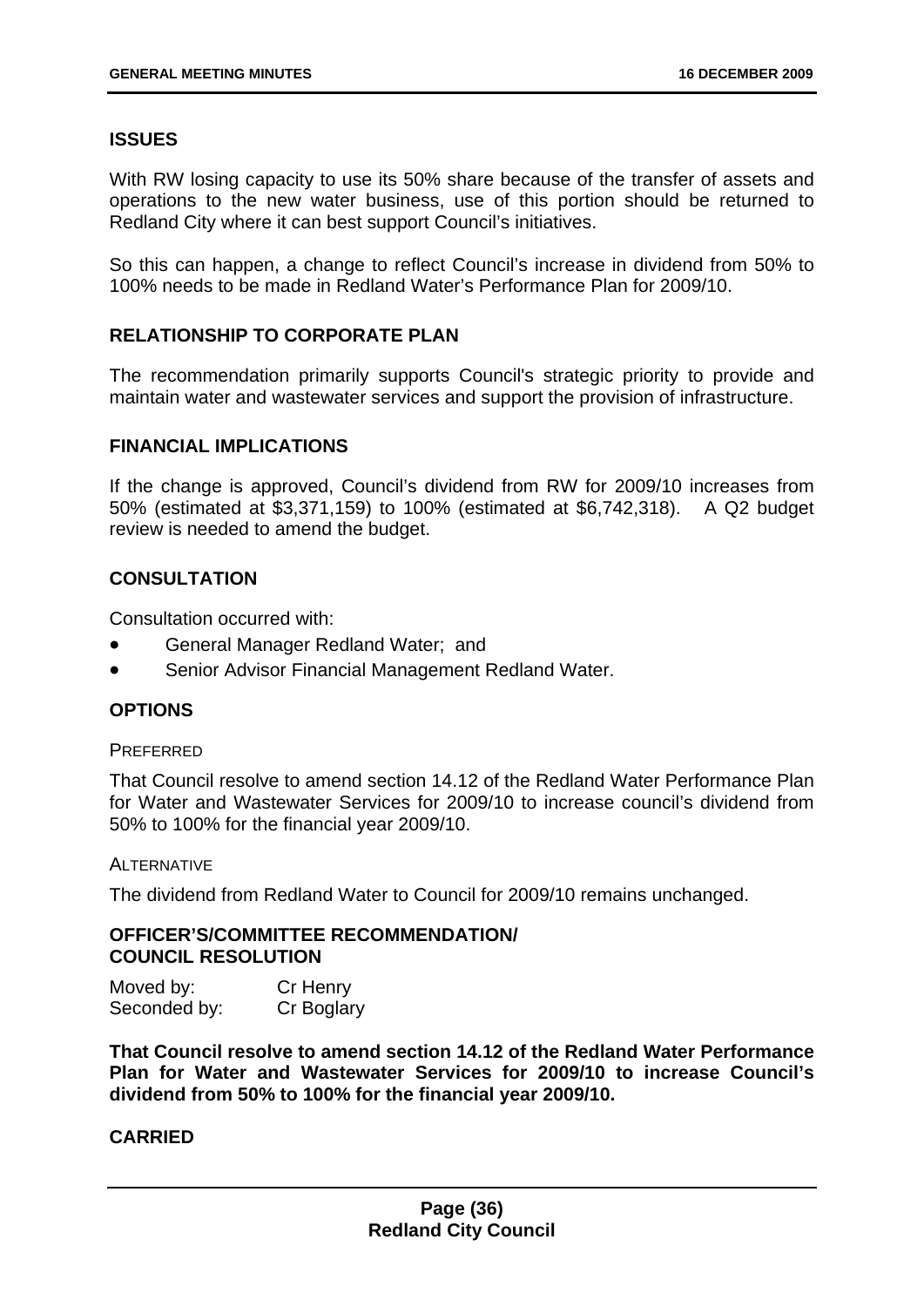## **ISSUES**

With RW losing capacity to use its 50% share because of the transfer of assets and operations to the new water business, use of this portion should be returned to Redland City where it can best support Council's initiatives.

So this can happen, a change to reflect Council's increase in dividend from 50% to 100% needs to be made in Redland Water's Performance Plan for 2009/10.

## **RELATIONSHIP TO CORPORATE PLAN**

The recommendation primarily supports Council's strategic priority to provide and maintain water and wastewater services and support the provision of infrastructure.

### **FINANCIAL IMPLICATIONS**

If the change is approved, Council's dividend from RW for 2009/10 increases from 50% (estimated at \$3,371,159) to 100% (estimated at \$6,742,318). A Q2 budget review is needed to amend the budget.

## **CONSULTATION**

Consultation occurred with:

- General Manager Redland Water; and
- Senior Advisor Financial Management Redland Water.

### **OPTIONS**

#### **PREFERRED**

That Council resolve to amend section 14.12 of the Redland Water Performance Plan for Water and Wastewater Services for 2009/10 to increase council's dividend from 50% to 100% for the financial year 2009/10.

#### **ALTERNATIVE**

The dividend from Redland Water to Council for 2009/10 remains unchanged.

### **OFFICER'S/COMMITTEE RECOMMENDATION/ COUNCIL RESOLUTION**

| Moved by:    | Cr Henry   |
|--------------|------------|
| Seconded by: | Cr Boglary |

**That Council resolve to amend section 14.12 of the Redland Water Performance Plan for Water and Wastewater Services for 2009/10 to increase Council's dividend from 50% to 100% for the financial year 2009/10.**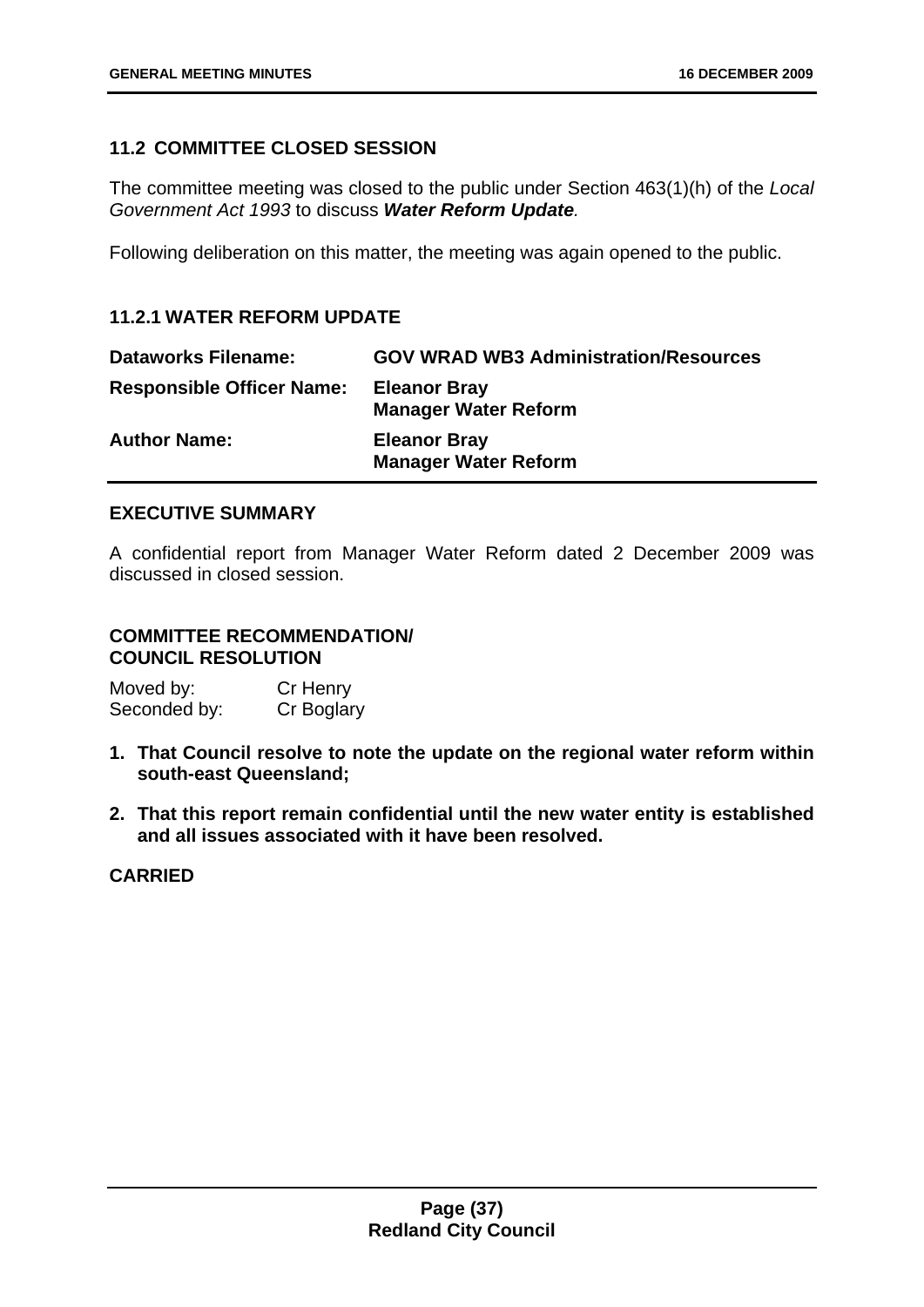## **11.2 COMMITTEE CLOSED SESSION**

The committee meeting was closed to the public under Section 463(1)(h) of the *Local Government Act 1993* to discuss *Water Reform Update.* 

Following deliberation on this matter, the meeting was again opened to the public.

## **11.2.1 WATER REFORM UPDATE**

| <b>Dataworks Filename:</b>       | <b>GOV WRAD WB3 Administration/Resources</b>       |
|----------------------------------|----------------------------------------------------|
| <b>Responsible Officer Name:</b> | <b>Eleanor Bray</b><br><b>Manager Water Reform</b> |
| <b>Author Name:</b>              | <b>Eleanor Bray</b><br><b>Manager Water Reform</b> |

### **EXECUTIVE SUMMARY**

A confidential report from Manager Water Reform dated 2 December 2009 was discussed in closed session.

# **COMMITTEE RECOMMENDATION/ COUNCIL RESOLUTION**

Moved by: Cr Henry Seconded by: Cr Boglary

- **1. That Council resolve to note the update on the regional water reform within south-east Queensland;**
- **2. That this report remain confidential until the new water entity is established and all issues associated with it have been resolved.**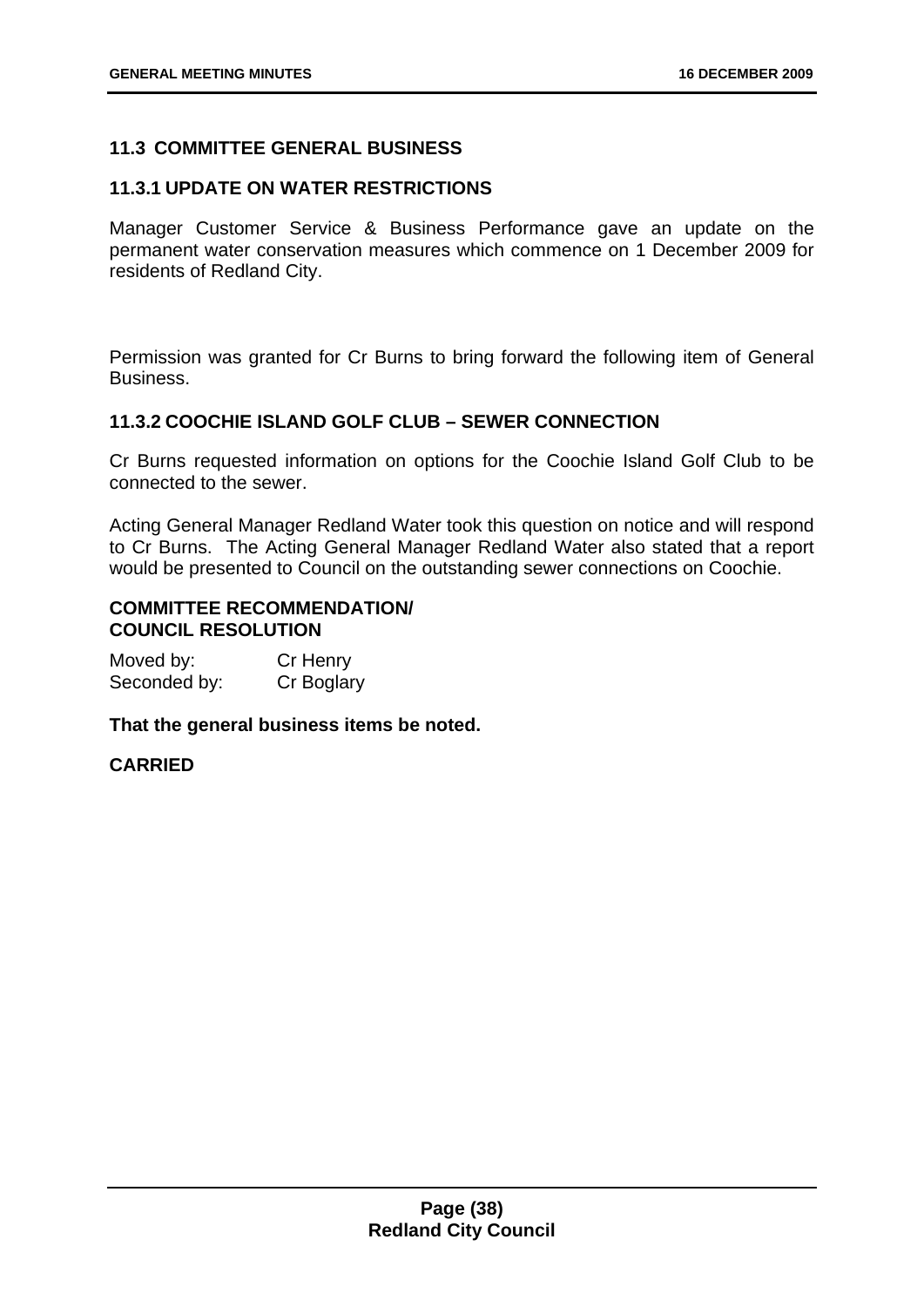## **11.3 COMMITTEE GENERAL BUSINESS**

### **11.3.1 UPDATE ON WATER RESTRICTIONS**

Manager Customer Service & Business Performance gave an update on the permanent water conservation measures which commence on 1 December 2009 for residents of Redland City.

Permission was granted for Cr Burns to bring forward the following item of General Business.

## **11.3.2 COOCHIE ISLAND GOLF CLUB – SEWER CONNECTION**

Cr Burns requested information on options for the Coochie Island Golf Club to be connected to the sewer.

Acting General Manager Redland Water took this question on notice and will respond to Cr Burns. The Acting General Manager Redland Water also stated that a report would be presented to Council on the outstanding sewer connections on Coochie.

## **COMMITTEE RECOMMENDATION/ COUNCIL RESOLUTION**

| Moved by:    | Cr Henry   |
|--------------|------------|
| Seconded by: | Cr Boglary |

**That the general business items be noted.**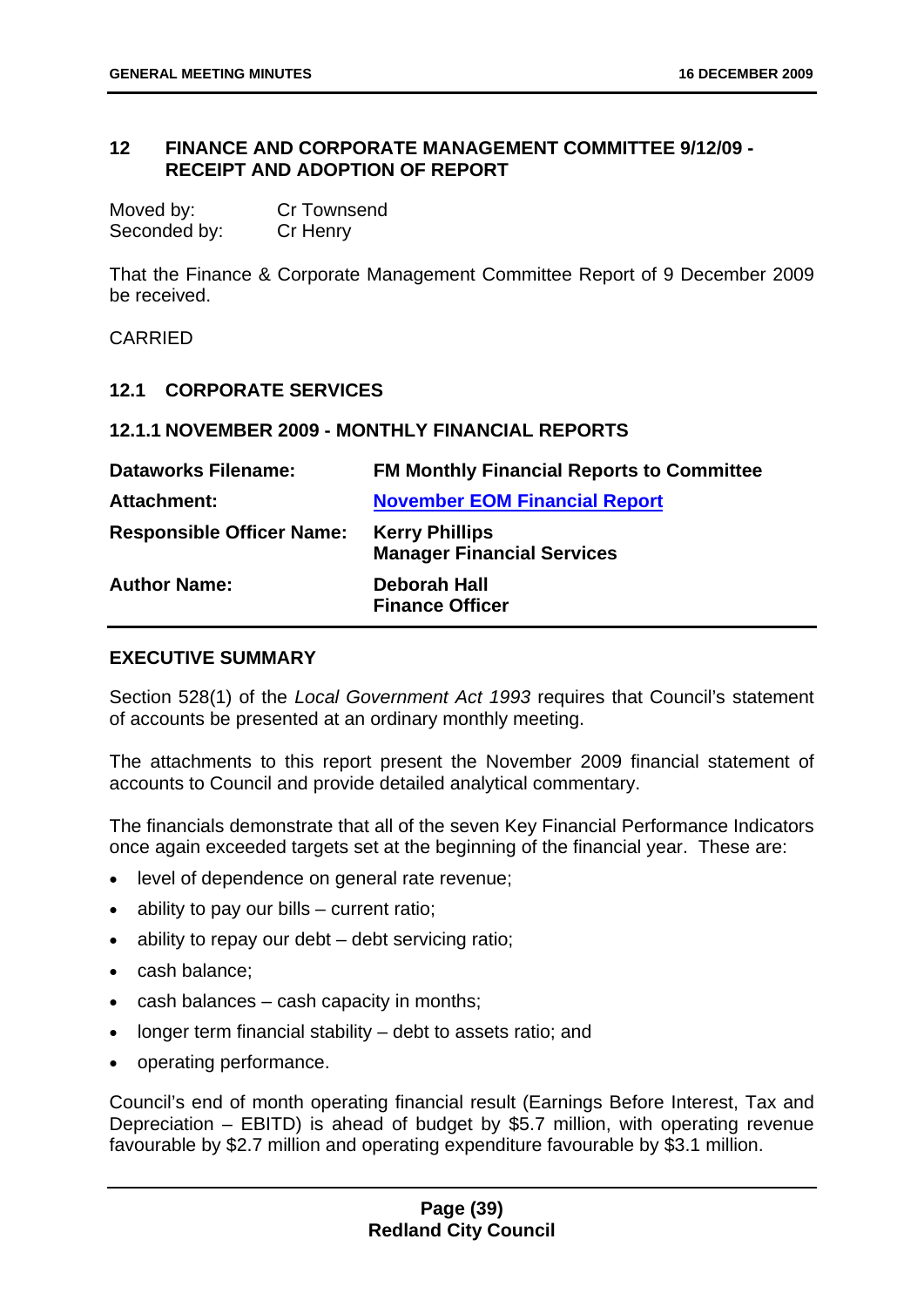## **12 FINANCE AND CORPORATE MANAGEMENT COMMITTEE 9/12/09 - RECEIPT AND ADOPTION OF REPORT**

| Moved by:    | <b>Cr Townsend</b> |
|--------------|--------------------|
| Seconded by: | Cr Henry           |

That the Finance & Corporate Management Committee Report of 9 December 2009 be received.

CARRIED

### **12.1 CORPORATE SERVICES**

#### **12.1.1 NOVEMBER 2009 - MONTHLY FINANCIAL REPORTS**

| <b>Dataworks Filename:</b>       | <b>FM Monthly Financial Reports to Committee</b>           |
|----------------------------------|------------------------------------------------------------|
| Attachment:                      | <b>November EOM Financial Report</b>                       |
| <b>Responsible Officer Name:</b> | <b>Kerry Phillips</b><br><b>Manager Financial Services</b> |
| <b>Author Name:</b>              | Deborah Hall<br><b>Finance Officer</b>                     |

### **EXECUTIVE SUMMARY**

Section 528(1) of the *Local Government Act 1993* requires that Council's statement of accounts be presented at an ordinary monthly meeting.

The attachments to this report present the November 2009 financial statement of accounts to Council and provide detailed analytical commentary.

The financials demonstrate that all of the seven Key Financial Performance Indicators once again exceeded targets set at the beginning of the financial year. These are:

- level of dependence on general rate revenue;
- ability to pay our bills current ratio:
- ability to repay our debt debt servicing ratio;
- cash balance;
- cash balances cash capacity in months;
- longer term financial stability debt to assets ratio; and
- operating performance.

Council's end of month operating financial result (Earnings Before Interest, Tax and Depreciation – EBITD) is ahead of budget by \$5.7 million, with operating revenue favourable by \$2.7 million and operating expenditure favourable by \$3.1 million.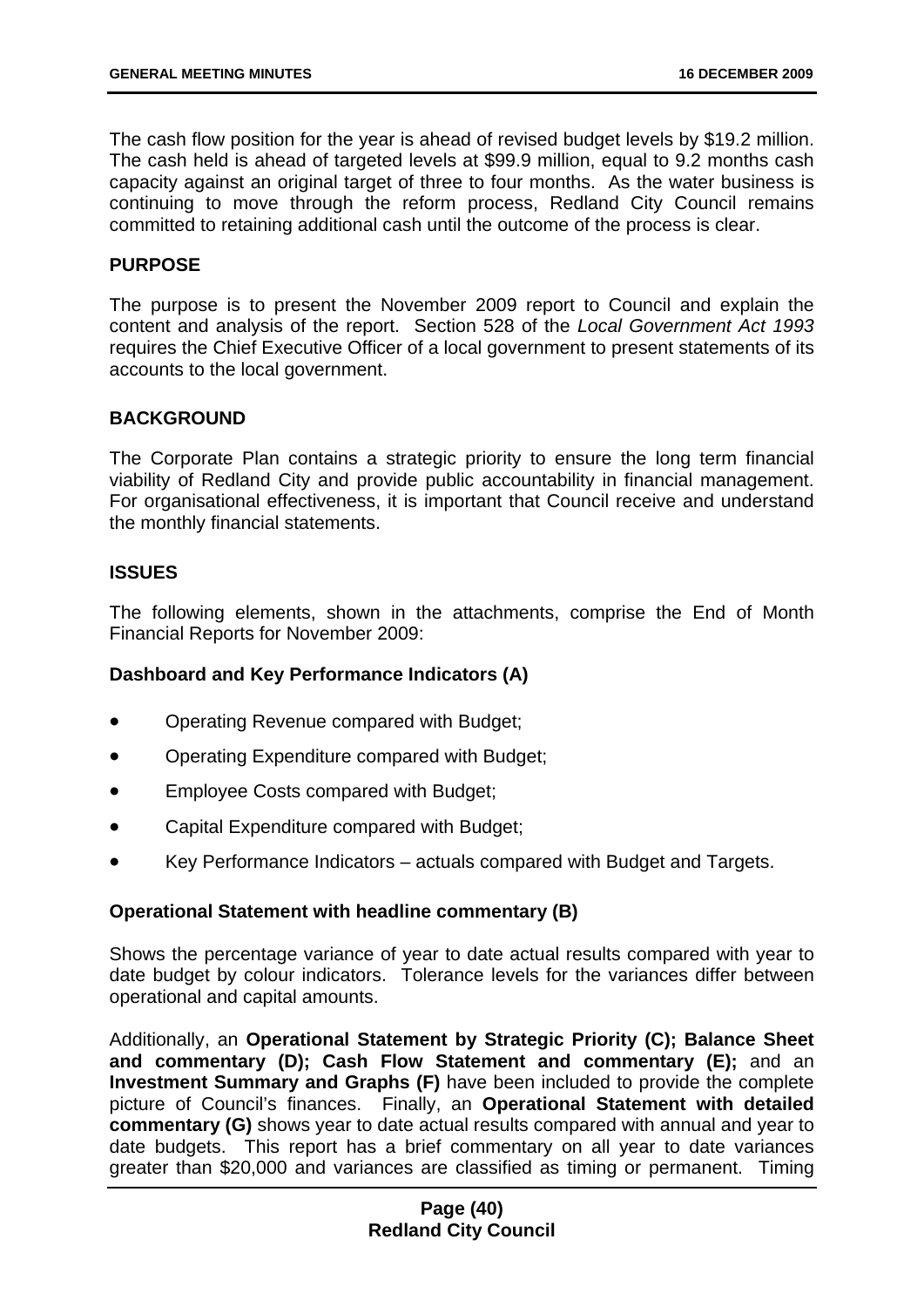The cash flow position for the year is ahead of revised budget levels by \$19.2 million. The cash held is ahead of targeted levels at \$99.9 million, equal to 9.2 months cash capacity against an original target of three to four months. As the water business is continuing to move through the reform process, Redland City Council remains committed to retaining additional cash until the outcome of the process is clear.

## **PURPOSE**

The purpose is to present the November 2009 report to Council and explain the content and analysis of the report. Section 528 of the *Local Government Act 1993* requires the Chief Executive Officer of a local government to present statements of its accounts to the local government.

## **BACKGROUND**

The Corporate Plan contains a strategic priority to ensure the long term financial viability of Redland City and provide public accountability in financial management. For organisational effectiveness, it is important that Council receive and understand the monthly financial statements.

## **ISSUES**

The following elements, shown in the attachments, comprise the End of Month Financial Reports for November 2009:

### **Dashboard and Key Performance Indicators (A)**

- Operating Revenue compared with Budget;
- Operating Expenditure compared with Budget;
- Employee Costs compared with Budget;
- Capital Expenditure compared with Budget;
- Key Performance Indicators actuals compared with Budget and Targets.

### **Operational Statement with headline commentary (B)**

Shows the percentage variance of year to date actual results compared with year to date budget by colour indicators. Tolerance levels for the variances differ between operational and capital amounts.

Additionally, an **Operational Statement by Strategic Priority (C); Balance Sheet and commentary (D); Cash Flow Statement and commentary (E);** and an **Investment Summary and Graphs (F)** have been included to provide the complete picture of Council's finances. Finally, an **Operational Statement with detailed commentary (G)** shows year to date actual results compared with annual and year to date budgets. This report has a brief commentary on all year to date variances greater than \$20,000 and variances are classified as timing or permanent. Timing

### **Page (40) Redland City Council**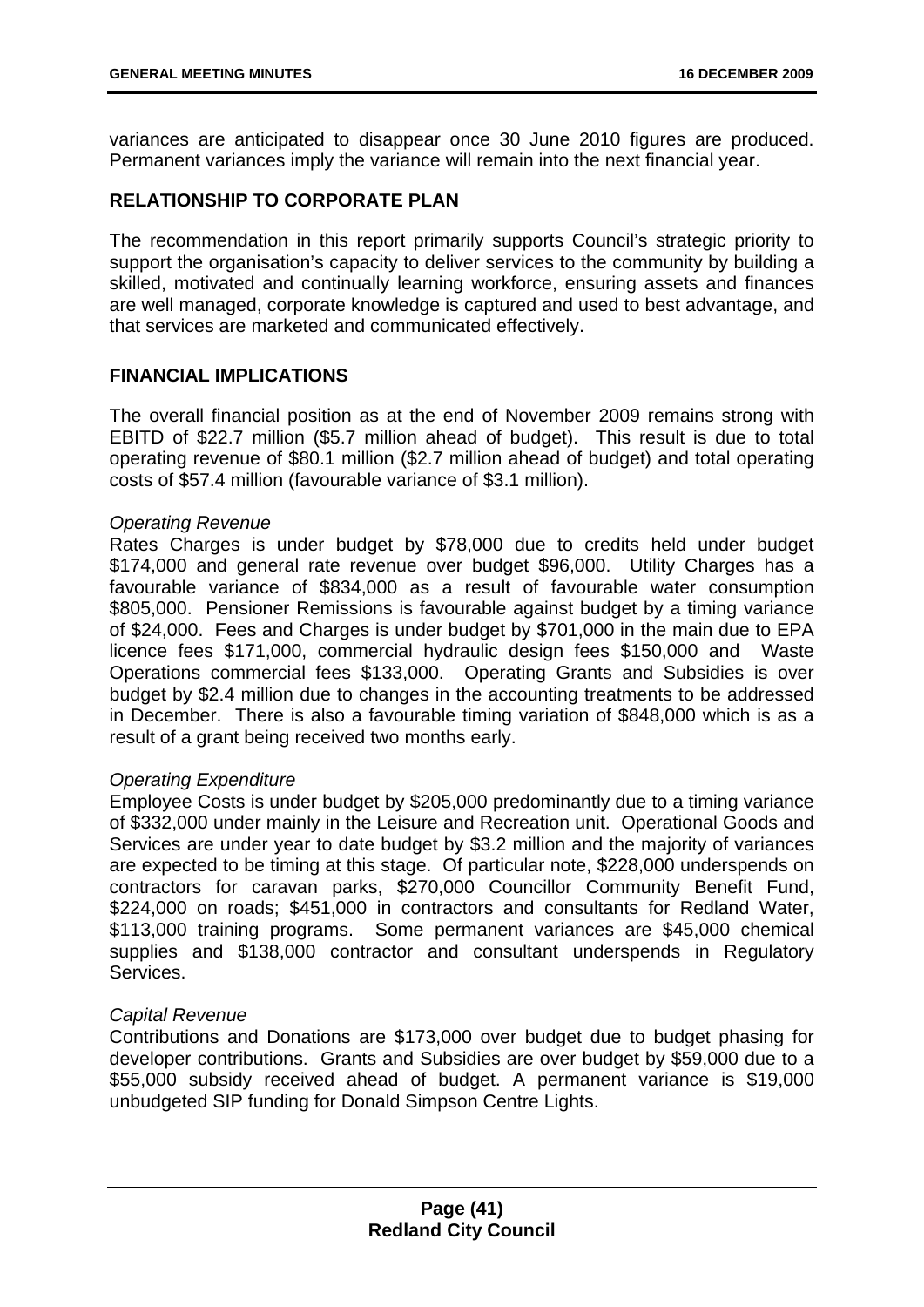variances are anticipated to disappear once 30 June 2010 figures are produced. Permanent variances imply the variance will remain into the next financial year.

# **RELATIONSHIP TO CORPORATE PLAN**

The recommendation in this report primarily supports Council's strategic priority to support the organisation's capacity to deliver services to the community by building a skilled, motivated and continually learning workforce, ensuring assets and finances are well managed, corporate knowledge is captured and used to best advantage, and that services are marketed and communicated effectively.

# **FINANCIAL IMPLICATIONS**

The overall financial position as at the end of November 2009 remains strong with EBITD of \$22.7 million (\$5.7 million ahead of budget). This result is due to total operating revenue of \$80.1 million (\$2.7 million ahead of budget) and total operating costs of \$57.4 million (favourable variance of \$3.1 million).

## *Operating Revenue*

Rates Charges is under budget by \$78,000 due to credits held under budget \$174,000 and general rate revenue over budget \$96,000. Utility Charges has a favourable variance of \$834,000 as a result of favourable water consumption \$805,000. Pensioner Remissions is favourable against budget by a timing variance of \$24,000. Fees and Charges is under budget by \$701,000 in the main due to EPA licence fees \$171,000, commercial hydraulic design fees \$150,000 and Waste Operations commercial fees \$133,000. Operating Grants and Subsidies is over budget by \$2.4 million due to changes in the accounting treatments to be addressed in December. There is also a favourable timing variation of \$848,000 which is as a result of a grant being received two months early.

### *Operating Expenditure*

Employee Costs is under budget by \$205,000 predominantly due to a timing variance of \$332,000 under mainly in the Leisure and Recreation unit. Operational Goods and Services are under year to date budget by \$3.2 million and the majority of variances are expected to be timing at this stage. Of particular note, \$228,000 underspends on contractors for caravan parks, \$270,000 Councillor Community Benefit Fund, \$224,000 on roads; \$451,000 in contractors and consultants for Redland Water, \$113,000 training programs. Some permanent variances are \$45,000 chemical supplies and \$138,000 contractor and consultant underspends in Regulatory **Services** 

### *Capital Revenue*

Contributions and Donations are \$173,000 over budget due to budget phasing for developer contributions. Grants and Subsidies are over budget by \$59,000 due to a \$55,000 subsidy received ahead of budget. A permanent variance is \$19,000 unbudgeted SIP funding for Donald Simpson Centre Lights.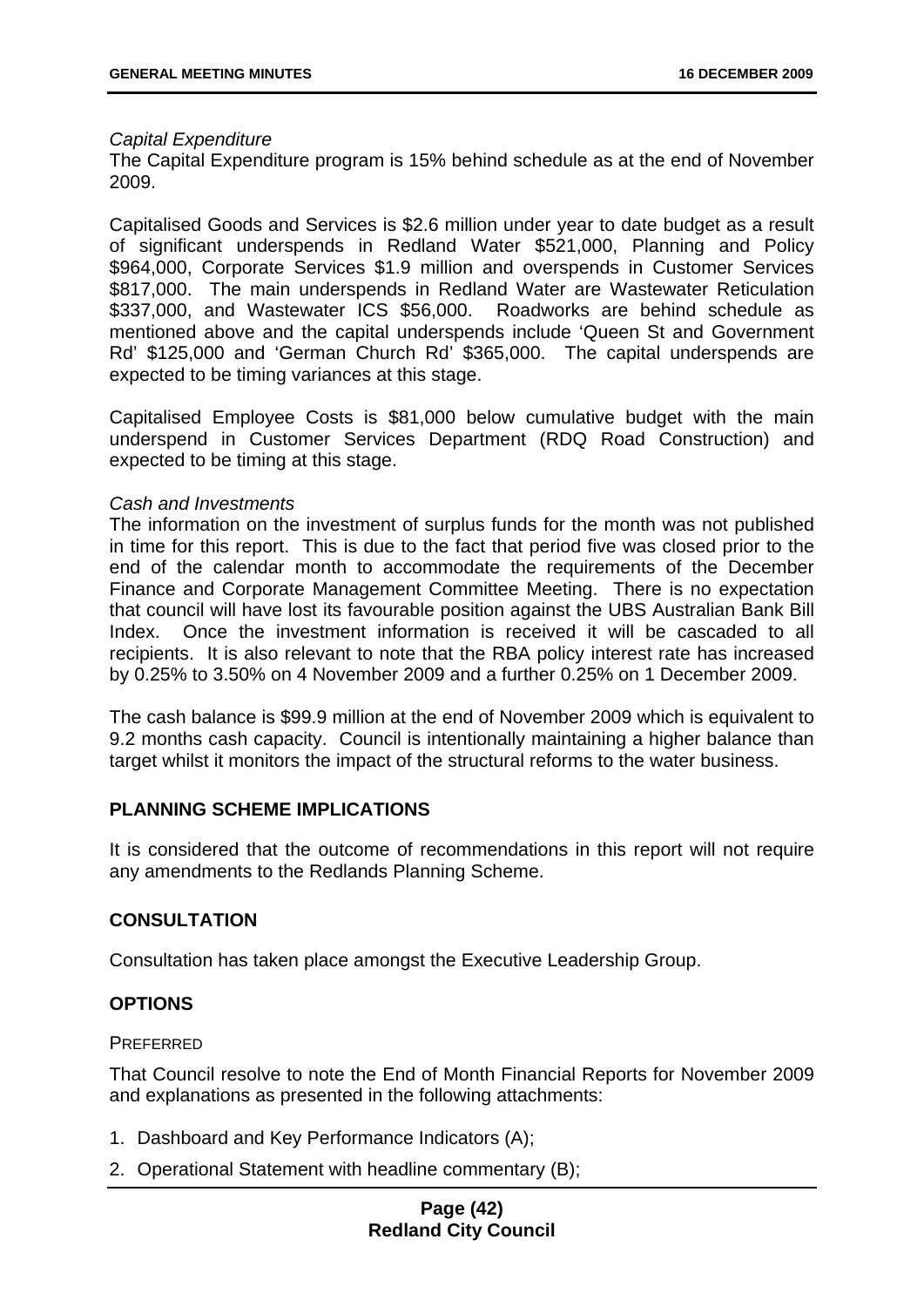#### *Capital Expenditure*

The Capital Expenditure program is 15% behind schedule as at the end of November 2009.

Capitalised Goods and Services is \$2.6 million under year to date budget as a result of significant underspends in Redland Water \$521,000, Planning and Policy \$964,000, Corporate Services \$1.9 million and overspends in Customer Services \$817,000. The main underspends in Redland Water are Wastewater Reticulation \$337,000, and Wastewater ICS \$56,000. Roadworks are behind schedule as mentioned above and the capital underspends include 'Queen St and Government Rd' \$125,000 and 'German Church Rd' \$365,000. The capital underspends are expected to be timing variances at this stage.

Capitalised Employee Costs is \$81,000 below cumulative budget with the main underspend in Customer Services Department (RDQ Road Construction) and expected to be timing at this stage.

#### *Cash and Investments*

The information on the investment of surplus funds for the month was not published in time for this report. This is due to the fact that period five was closed prior to the end of the calendar month to accommodate the requirements of the December Finance and Corporate Management Committee Meeting. There is no expectation that council will have lost its favourable position against the UBS Australian Bank Bill Index. Once the investment information is received it will be cascaded to all recipients. It is also relevant to note that the RBA policy interest rate has increased by 0.25% to 3.50% on 4 November 2009 and a further 0.25% on 1 December 2009.

The cash balance is \$99.9 million at the end of November 2009 which is equivalent to 9.2 months cash capacity. Council is intentionally maintaining a higher balance than target whilst it monitors the impact of the structural reforms to the water business.

## **PLANNING SCHEME IMPLICATIONS**

It is considered that the outcome of recommendations in this report will not require any amendments to the Redlands Planning Scheme.

# **CONSULTATION**

Consultation has taken place amongst the Executive Leadership Group.

### **OPTIONS**

#### **PREFERRED**

That Council resolve to note the End of Month Financial Reports for November 2009 and explanations as presented in the following attachments:

- 1. Dashboard and Key Performance Indicators (A);
- 2. Operational Statement with headline commentary (B);

## **Page (42) Redland City Council**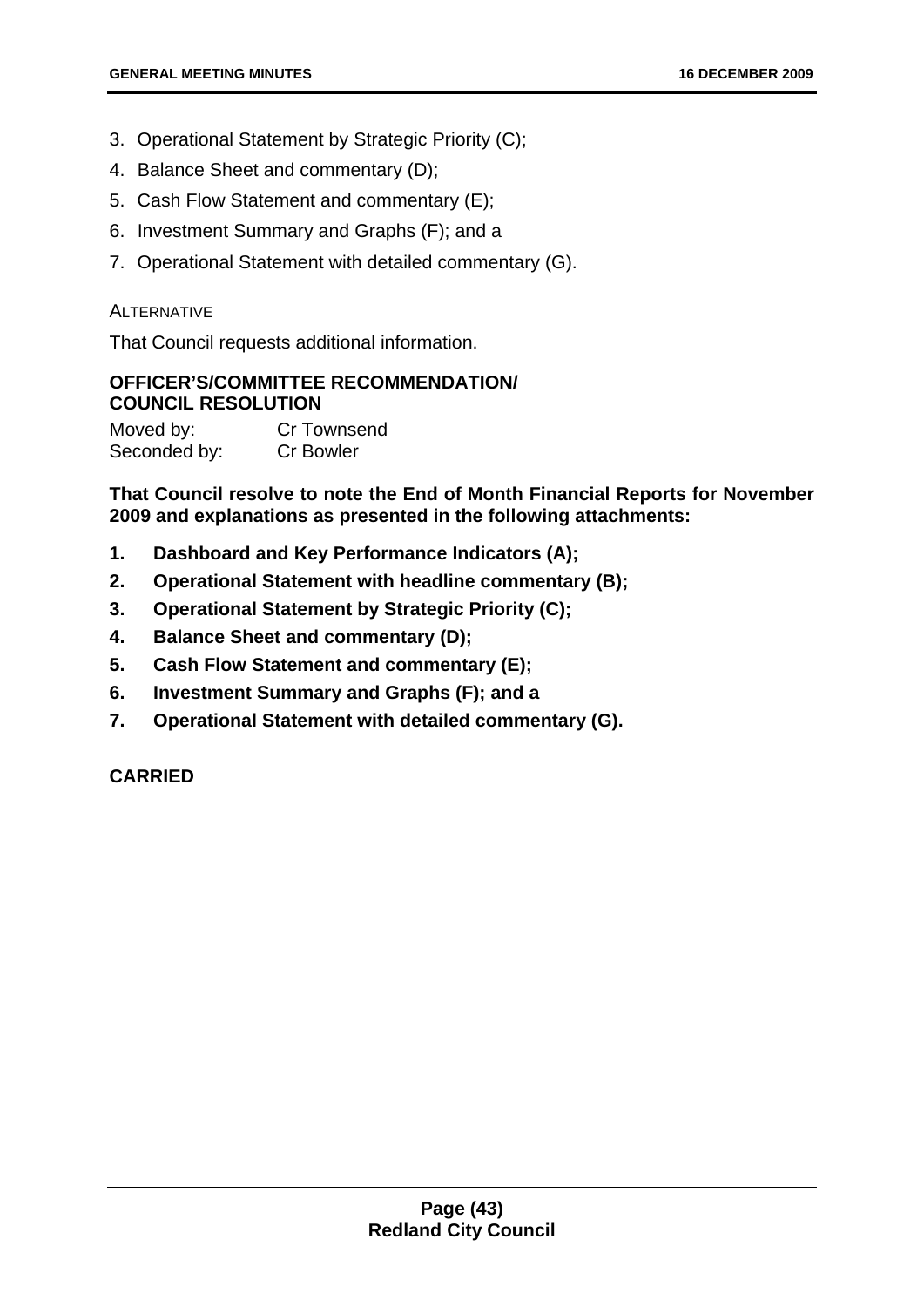- 3. Operational Statement by Strategic Priority (C);
- 4. Balance Sheet and commentary (D);
- 5. Cash Flow Statement and commentary (E);
- 6. Investment Summary and Graphs (F); and a
- 7. Operational Statement with detailed commentary (G).

### **ALTERNATIVE**

That Council requests additional information.

# **OFFICER'S/COMMITTEE RECOMMENDATION/ COUNCIL RESOLUTION**

| Moved by:    | Cr Townsend      |
|--------------|------------------|
| Seconded by: | <b>Cr Bowler</b> |

**That Council resolve to note the End of Month Financial Reports for November 2009 and explanations as presented in the following attachments:** 

- **1. Dashboard and Key Performance Indicators (A);**
- **2. Operational Statement with headline commentary (B);**
- **3. Operational Statement by Strategic Priority (C);**
- **4. Balance Sheet and commentary (D);**
- **5. Cash Flow Statement and commentary (E);**
- **6. Investment Summary and Graphs (F); and a**
- **7. Operational Statement with detailed commentary (G).**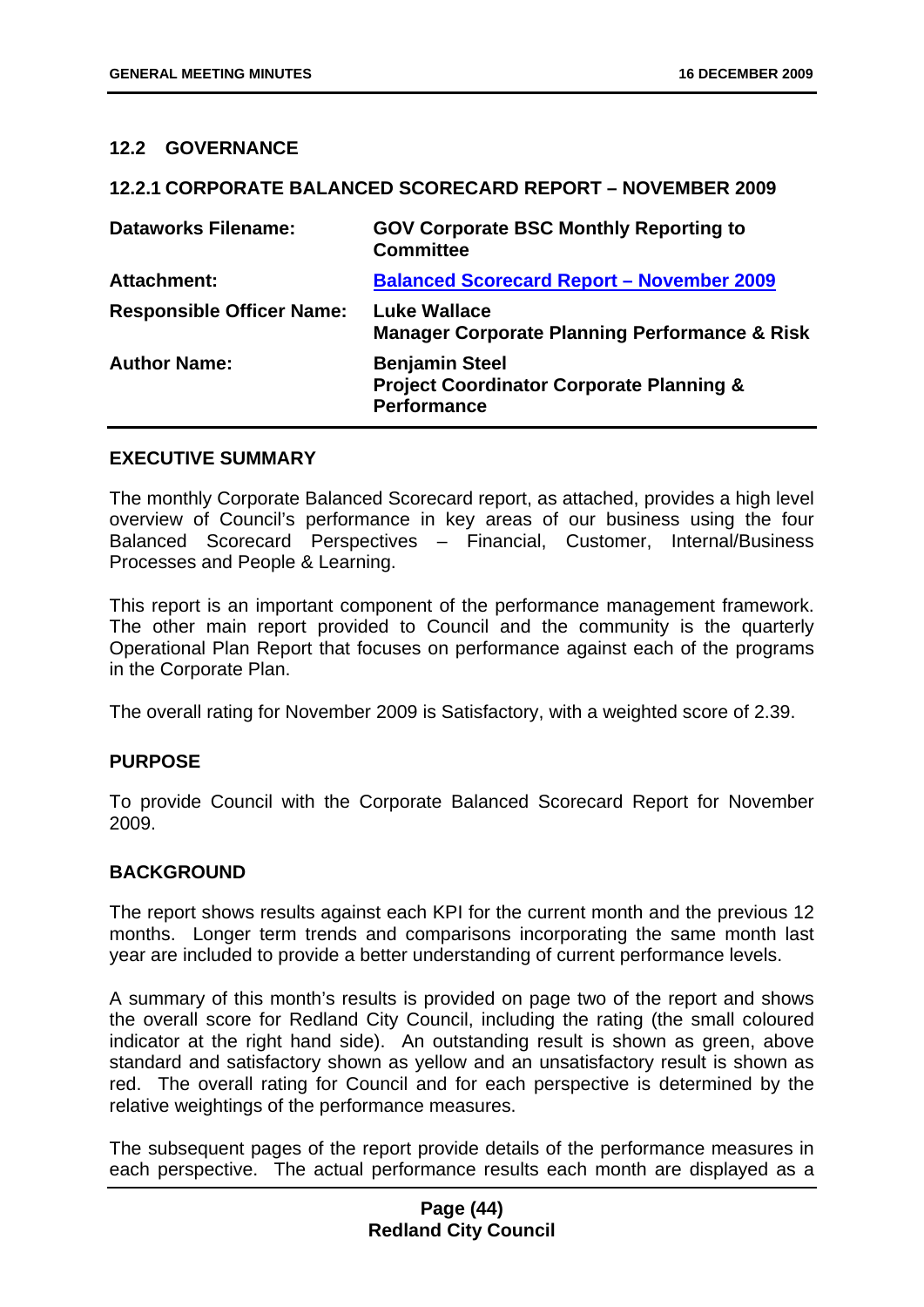## **12.2 GOVERNANCE**

#### **12.2.1 CORPORATE BALANCED SCORECARD REPORT – NOVEMBER 2009**

| <b>Dataworks Filename:</b>       | <b>GOV Corporate BSC Monthly Reporting to</b><br><b>Committee</b>                                  |
|----------------------------------|----------------------------------------------------------------------------------------------------|
| <b>Attachment:</b>               | <b>Balanced Scorecard Report - November 2009</b>                                                   |
| <b>Responsible Officer Name:</b> | <b>Luke Wallace</b><br><b>Manager Corporate Planning Performance &amp; Risk</b>                    |
| <b>Author Name:</b>              | <b>Benjamin Steel</b><br><b>Project Coordinator Corporate Planning &amp;</b><br><b>Performance</b> |

### **EXECUTIVE SUMMARY**

The monthly Corporate Balanced Scorecard report, as attached, provides a high level overview of Council's performance in key areas of our business using the four Balanced Scorecard Perspectives – Financial, Customer, Internal/Business Processes and People & Learning.

This report is an important component of the performance management framework. The other main report provided to Council and the community is the quarterly Operational Plan Report that focuses on performance against each of the programs in the Corporate Plan.

The overall rating for November 2009 is Satisfactory, with a weighted score of 2.39.

### **PURPOSE**

To provide Council with the Corporate Balanced Scorecard Report for November 2009.

### **BACKGROUND**

The report shows results against each KPI for the current month and the previous 12 months. Longer term trends and comparisons incorporating the same month last year are included to provide a better understanding of current performance levels.

A summary of this month's results is provided on page two of the report and shows the overall score for Redland City Council, including the rating (the small coloured indicator at the right hand side). An outstanding result is shown as green, above standard and satisfactory shown as yellow and an unsatisfactory result is shown as red. The overall rating for Council and for each perspective is determined by the relative weightings of the performance measures.

The subsequent pages of the report provide details of the performance measures in each perspective. The actual performance results each month are displayed as a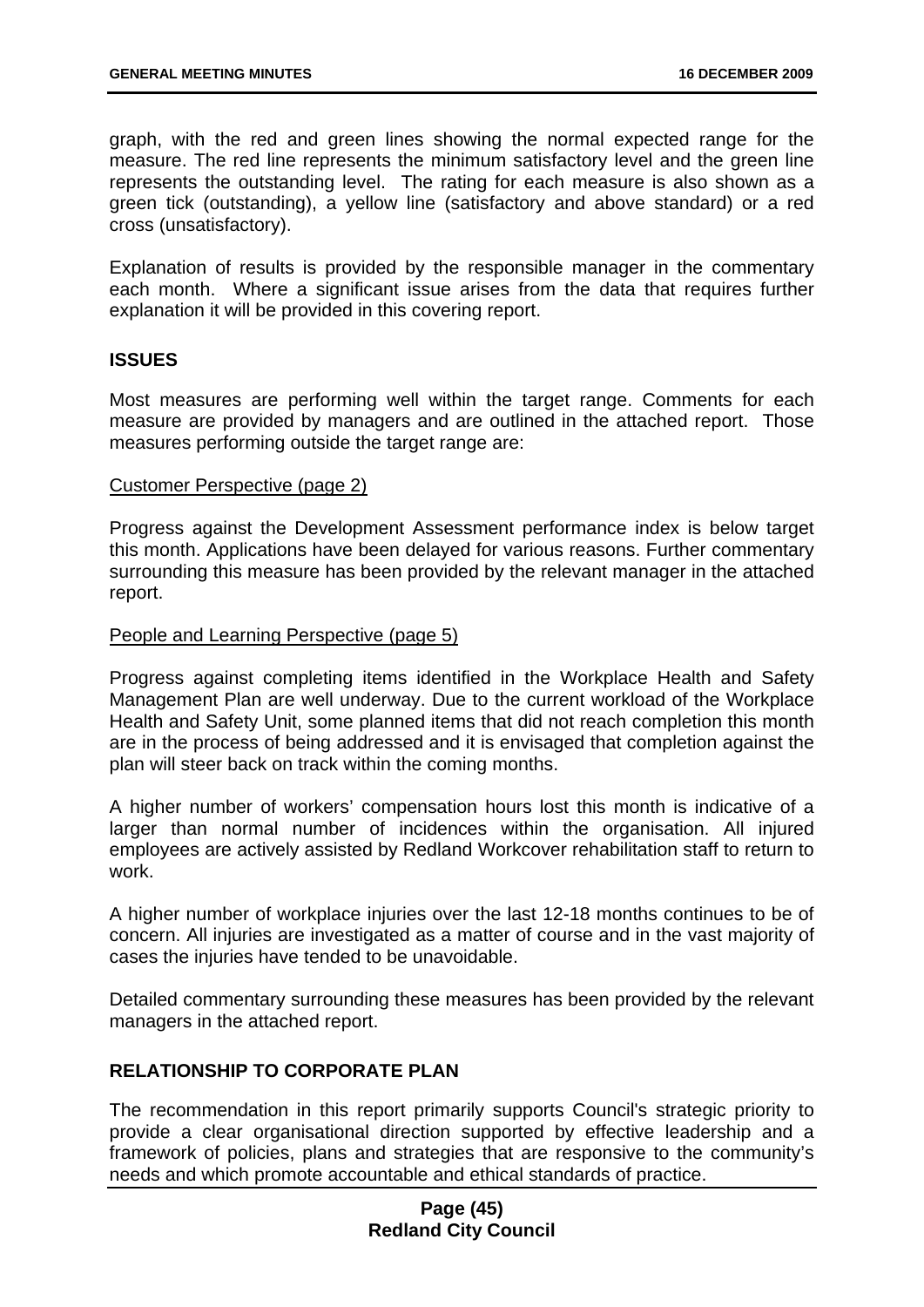graph, with the red and green lines showing the normal expected range for the measure. The red line represents the minimum satisfactory level and the green line represents the outstanding level. The rating for each measure is also shown as a green tick (outstanding), a yellow line (satisfactory and above standard) or a red cross (unsatisfactory).

Explanation of results is provided by the responsible manager in the commentary each month. Where a significant issue arises from the data that requires further explanation it will be provided in this covering report.

### **ISSUES**

Most measures are performing well within the target range. Comments for each measure are provided by managers and are outlined in the attached report. Those measures performing outside the target range are:

### Customer Perspective (page 2)

Progress against the Development Assessment performance index is below target this month. Applications have been delayed for various reasons. Further commentary surrounding this measure has been provided by the relevant manager in the attached report.

#### People and Learning Perspective (page 5)

Progress against completing items identified in the Workplace Health and Safety Management Plan are well underway. Due to the current workload of the Workplace Health and Safety Unit, some planned items that did not reach completion this month are in the process of being addressed and it is envisaged that completion against the plan will steer back on track within the coming months.

A higher number of workers' compensation hours lost this month is indicative of a larger than normal number of incidences within the organisation. All injured employees are actively assisted by Redland Workcover rehabilitation staff to return to work.

A higher number of workplace injuries over the last 12-18 months continues to be of concern. All injuries are investigated as a matter of course and in the vast majority of cases the injuries have tended to be unavoidable.

Detailed commentary surrounding these measures has been provided by the relevant managers in the attached report.

### **RELATIONSHIP TO CORPORATE PLAN**

The recommendation in this report primarily supports Council's strategic priority to provide a clear organisational direction supported by effective leadership and a framework of policies, plans and strategies that are responsive to the community's needs and which promote accountable and ethical standards of practice.

### **Page (45) Redland City Council**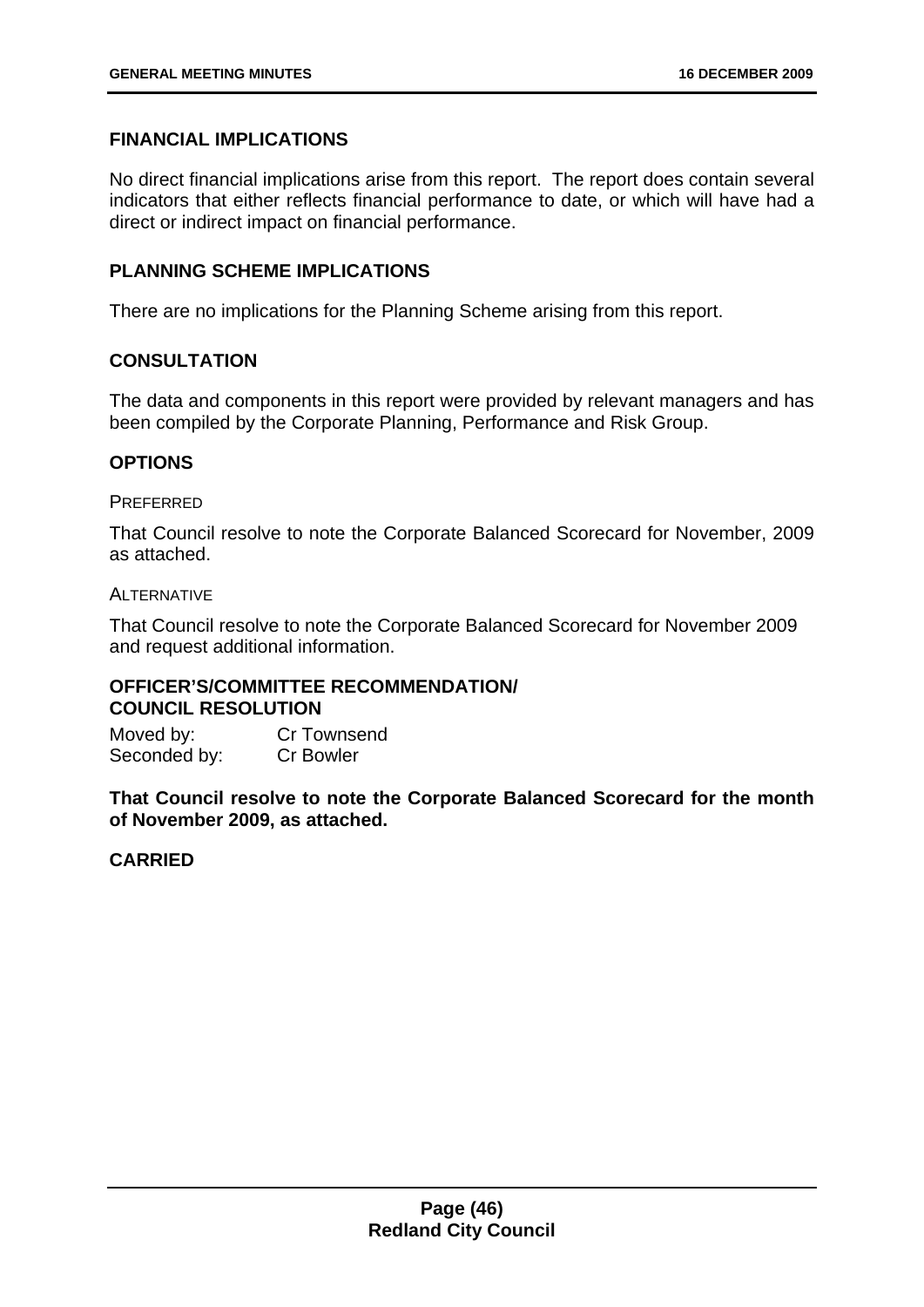### **FINANCIAL IMPLICATIONS**

No direct financial implications arise from this report. The report does contain several indicators that either reflects financial performance to date, or which will have had a direct or indirect impact on financial performance.

## **PLANNING SCHEME IMPLICATIONS**

There are no implications for the Planning Scheme arising from this report.

## **CONSULTATION**

The data and components in this report were provided by relevant managers and has been compiled by the Corporate Planning, Performance and Risk Group.

## **OPTIONS**

#### PREFERRED

That Council resolve to note the Corporate Balanced Scorecard for November, 2009 as attached.

#### ALTERNATIVE

That Council resolve to note the Corporate Balanced Scorecard for November 2009 and request additional information.

## **OFFICER'S/COMMITTEE RECOMMENDATION/ COUNCIL RESOLUTION**

| Moved by:    | <b>Cr Townsend</b> |
|--------------|--------------------|
| Seconded by: | <b>Cr Bowler</b>   |

**That Council resolve to note the Corporate Balanced Scorecard for the month of November 2009, as attached.**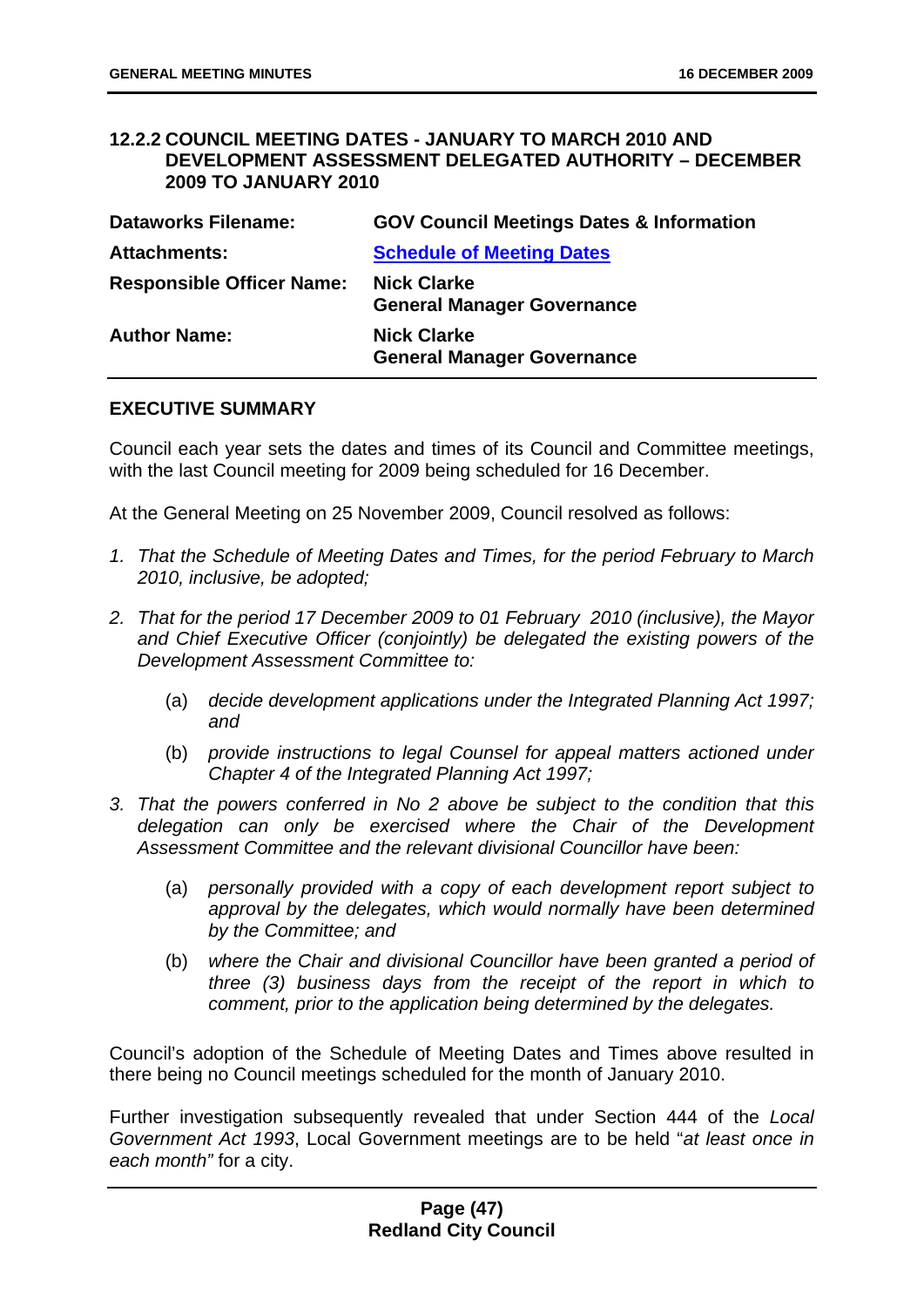### **12.2.2 COUNCIL MEETING DATES - JANUARY TO MARCH 2010 AND DEVELOPMENT ASSESSMENT DELEGATED AUTHORITY – DECEMBER 2009 TO JANUARY 2010**

| <b>Dataworks Filename:</b>       | <b>GOV Council Meetings Dates &amp; Information</b>     |
|----------------------------------|---------------------------------------------------------|
| <b>Attachments:</b>              | <b>Schedule of Meeting Dates</b>                        |
| <b>Responsible Officer Name:</b> | <b>Nick Clarke</b><br><b>General Manager Governance</b> |
| <b>Author Name:</b>              | <b>Nick Clarke</b><br><b>General Manager Governance</b> |

#### **EXECUTIVE SUMMARY**

Council each year sets the dates and times of its Council and Committee meetings, with the last Council meeting for 2009 being scheduled for 16 December.

At the General Meeting on 25 November 2009, Council resolved as follows:

- *1. That the Schedule of Meeting Dates and Times, for the period February to March 2010, inclusive, be adopted;*
- *2. That for the period 17 December 2009 to 01 February 2010 (inclusive), the Mayor and Chief Executive Officer (conjointly) be delegated the existing powers of the Development Assessment Committee to:* 
	- (a) *decide development applications under the Integrated Planning Act 1997; and*
	- (b) *provide instructions to legal Counsel for appeal matters actioned under Chapter 4 of the Integrated Planning Act 1997;*
- *3. That the powers conferred in No 2 above be subject to the condition that this delegation can only be exercised where the Chair of the Development Assessment Committee and the relevant divisional Councillor have been:* 
	- (a) *personally provided with a copy of each development report subject to approval by the delegates, which would normally have been determined by the Committee; and*
	- (b) *where the Chair and divisional Councillor have been granted a period of three (3) business days from the receipt of the report in which to comment, prior to the application being determined by the delegates.*

Council's adoption of the Schedule of Meeting Dates and Times above resulted in there being no Council meetings scheduled for the month of January 2010.

Further investigation subsequently revealed that under Section 444 of the *Local Government Act 1993*, Local Government meetings are to be held "*at least once in each month"* for a city.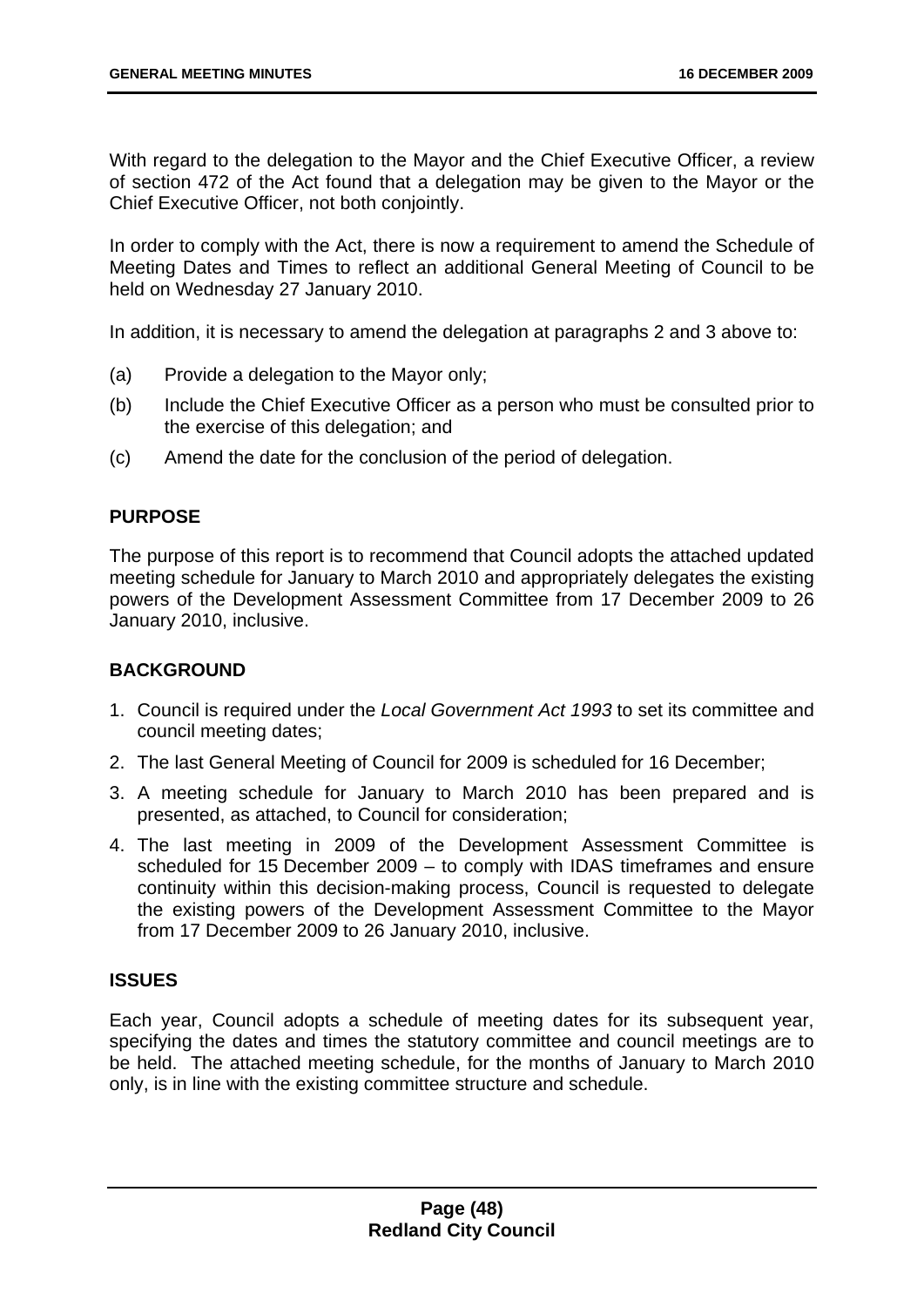With regard to the delegation to the Mayor and the Chief Executive Officer, a review of section 472 of the Act found that a delegation may be given to the Mayor or the Chief Executive Officer, not both conjointly.

In order to comply with the Act, there is now a requirement to amend the Schedule of Meeting Dates and Times to reflect an additional General Meeting of Council to be held on Wednesday 27 January 2010.

In addition, it is necessary to amend the delegation at paragraphs 2 and 3 above to:

- (a) Provide a delegation to the Mayor only;
- (b) Include the Chief Executive Officer as a person who must be consulted prior to the exercise of this delegation; and
- (c) Amend the date for the conclusion of the period of delegation.

### **PURPOSE**

The purpose of this report is to recommend that Council adopts the attached updated meeting schedule for January to March 2010 and appropriately delegates the existing powers of the Development Assessment Committee from 17 December 2009 to 26 January 2010, inclusive.

### **BACKGROUND**

- 1. Council is required under the *Local Government Act 1993* to set its committee and council meeting dates;
- 2. The last General Meeting of Council for 2009 is scheduled for 16 December;
- 3. A meeting schedule for January to March 2010 has been prepared and is presented, as attached, to Council for consideration;
- 4. The last meeting in 2009 of the Development Assessment Committee is scheduled for 15 December 2009 – to comply with IDAS timeframes and ensure continuity within this decision-making process, Council is requested to delegate the existing powers of the Development Assessment Committee to the Mayor from 17 December 2009 to 26 January 2010, inclusive.

### **ISSUES**

Each year, Council adopts a schedule of meeting dates for its subsequent year, specifying the dates and times the statutory committee and council meetings are to be held. The attached meeting schedule, for the months of January to March 2010 only, is in line with the existing committee structure and schedule.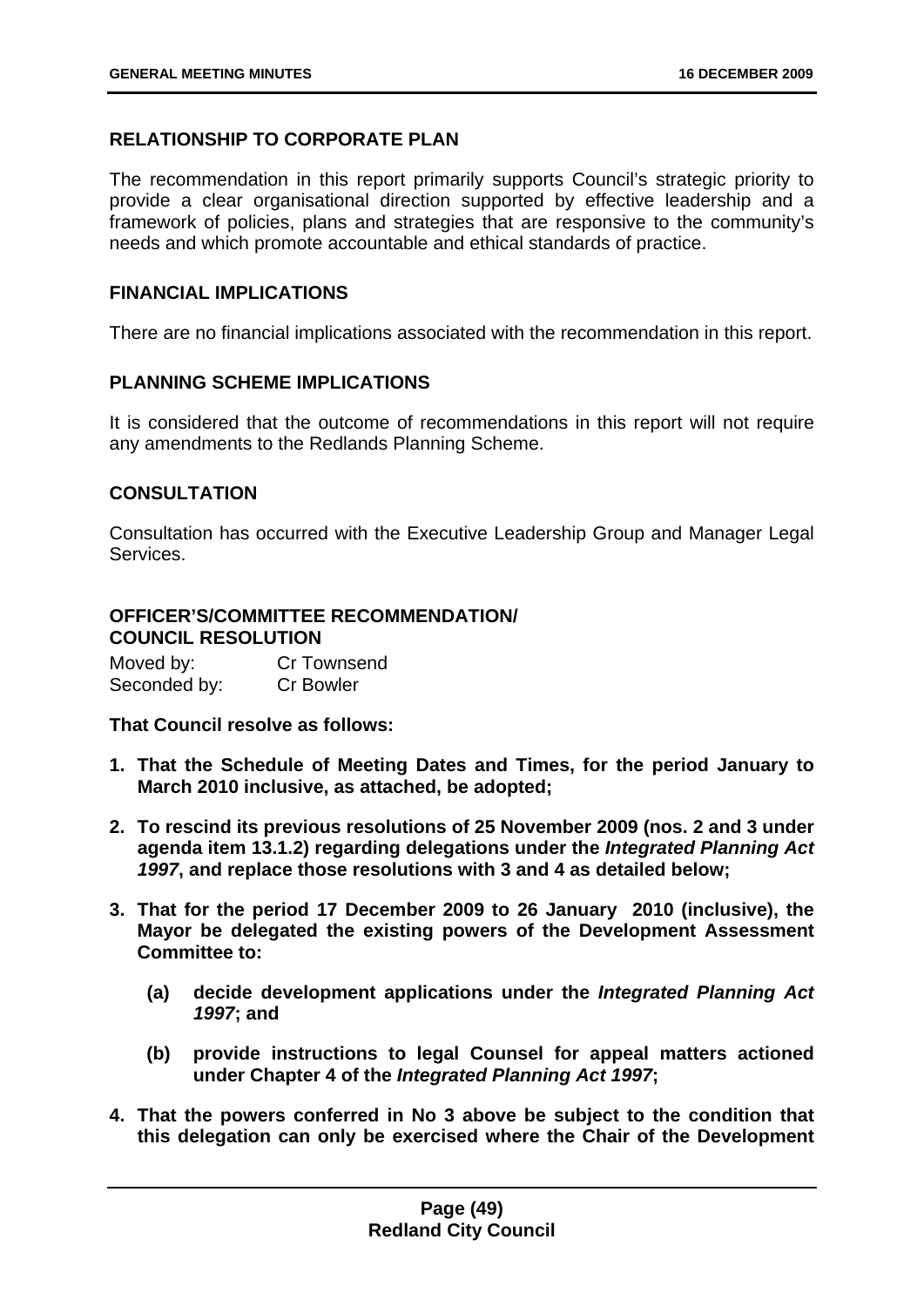# **RELATIONSHIP TO CORPORATE PLAN**

The recommendation in this report primarily supports Council's strategic priority to provide a clear organisational direction supported by effective leadership and a framework of policies, plans and strategies that are responsive to the community's needs and which promote accountable and ethical standards of practice.

# **FINANCIAL IMPLICATIONS**

There are no financial implications associated with the recommendation in this report.

# **PLANNING SCHEME IMPLICATIONS**

It is considered that the outcome of recommendations in this report will not require any amendments to the Redlands Planning Scheme.

# **CONSULTATION**

Consultation has occurred with the Executive Leadership Group and Manager Legal Services.

## **OFFICER'S/COMMITTEE RECOMMENDATION/ COUNCIL RESOLUTION**

Moved by: Cr Townsend Seconded by: Cr Bowler

**That Council resolve as follows:** 

- **1. That the Schedule of Meeting Dates and Times, for the period January to March 2010 inclusive, as attached, be adopted;**
- **2. To rescind its previous resolutions of 25 November 2009 (nos. 2 and 3 under agenda item 13.1.2) regarding delegations under the** *Integrated Planning Act 1997***, and replace those resolutions with 3 and 4 as detailed below;**
- **3. That for the period 17 December 2009 to 26 January 2010 (inclusive), the Mayor be delegated the existing powers of the Development Assessment Committee to:** 
	- **(a) decide development applications under the** *Integrated Planning Act 1997***; and**
	- **(b) provide instructions to legal Counsel for appeal matters actioned under Chapter 4 of the** *Integrated Planning Act 1997***;**
- **4. That the powers conferred in No 3 above be subject to the condition that this delegation can only be exercised where the Chair of the Development**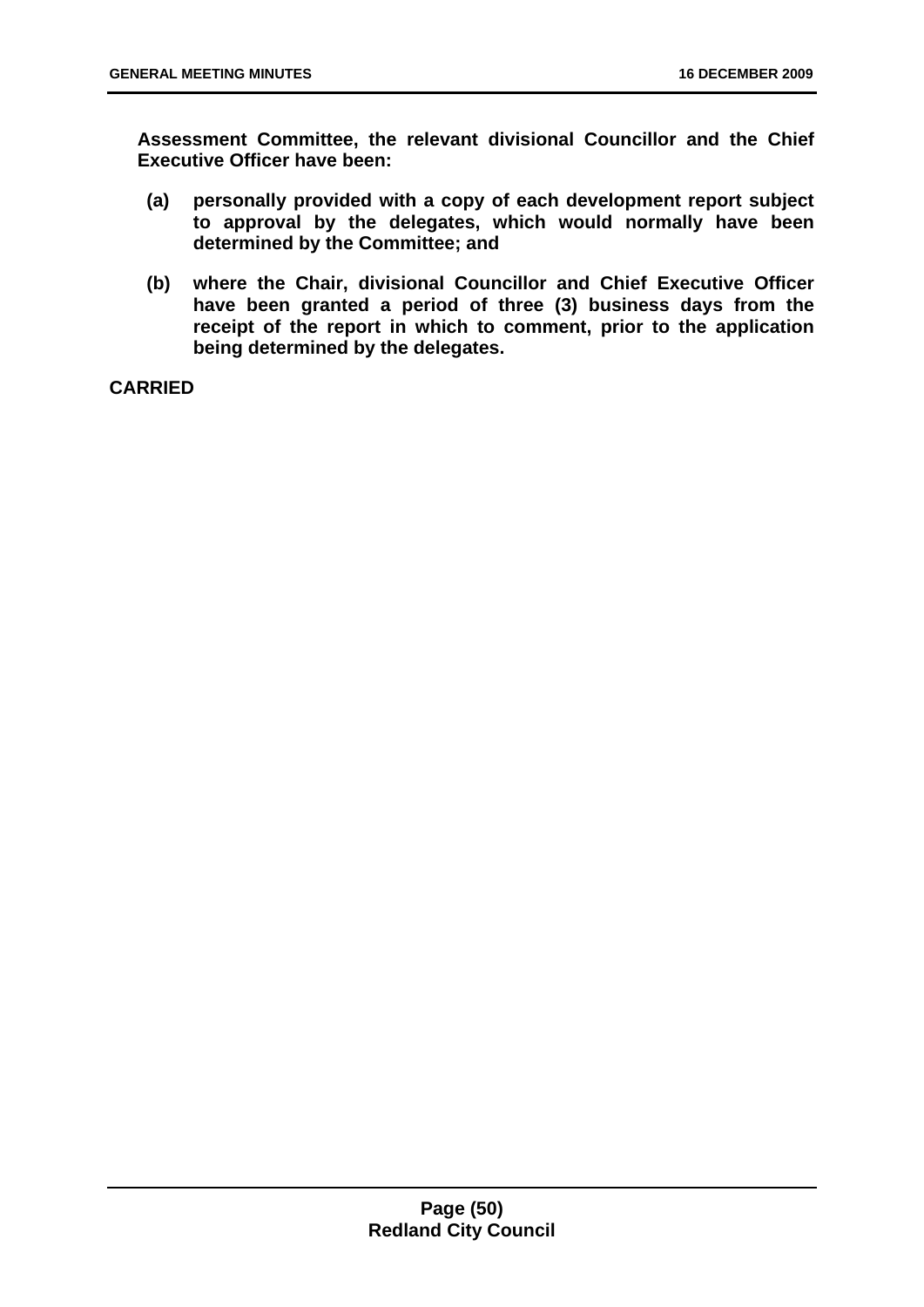**Assessment Committee, the relevant divisional Councillor and the Chief Executive Officer have been:** 

- **(a) personally provided with a copy of each development report subject to approval by the delegates, which would normally have been determined by the Committee; and**
- **(b) where the Chair, divisional Councillor and Chief Executive Officer have been granted a period of three (3) business days from the receipt of the report in which to comment, prior to the application being determined by the delegates.**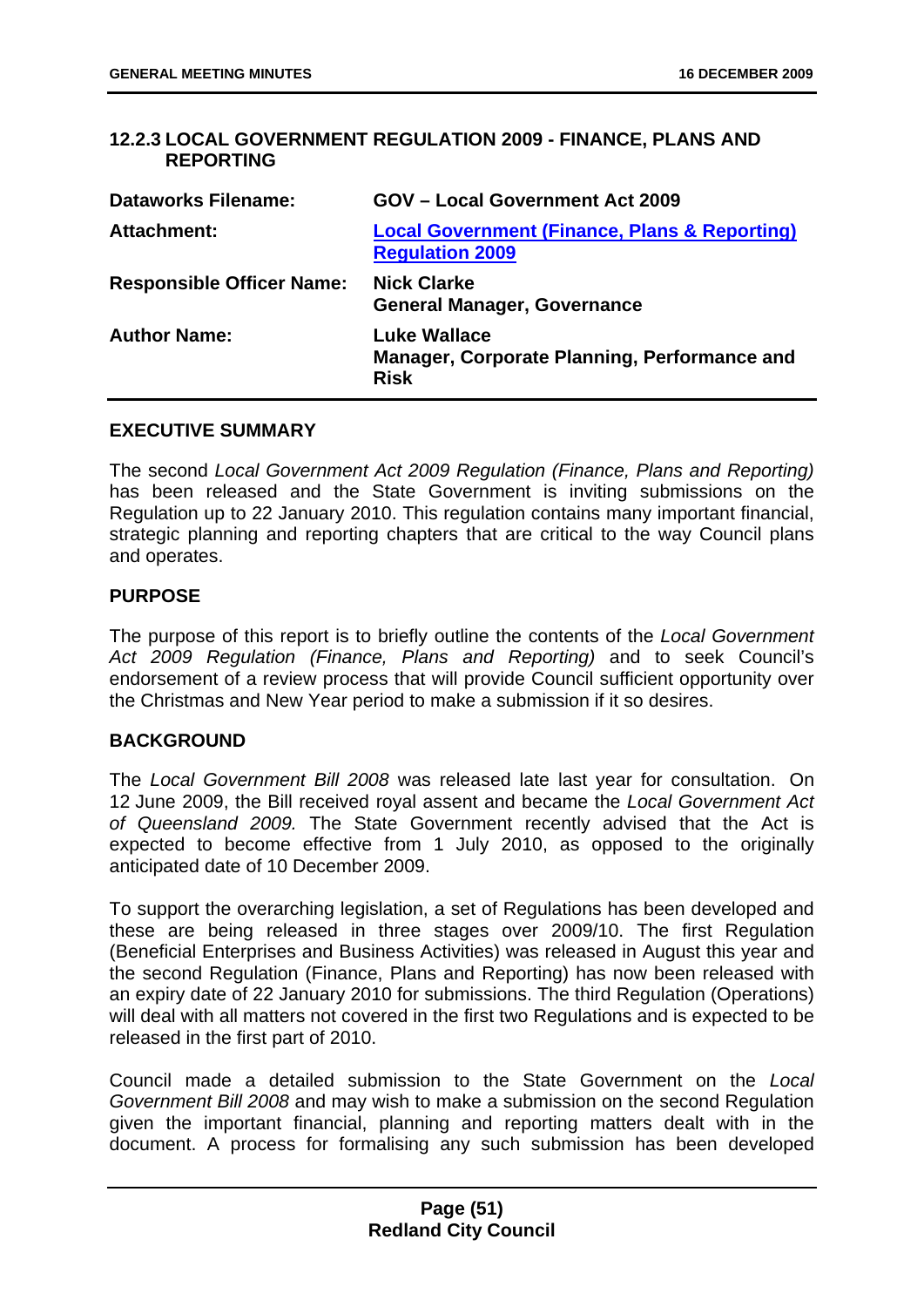# **12.2.3 LOCAL GOVERNMENT REGULATION 2009 - FINANCE, PLANS AND REPORTING**

| <b>Dataworks Filename:</b>       | <b>GOV</b> - Local Government Act 2009                                             |
|----------------------------------|------------------------------------------------------------------------------------|
| <b>Attachment:</b>               | <b>Local Government (Finance, Plans &amp; Reporting)</b><br><b>Regulation 2009</b> |
| <b>Responsible Officer Name:</b> | <b>Nick Clarke</b><br><b>General Manager, Governance</b>                           |
| <b>Author Name:</b>              | <b>Luke Wallace</b><br>Manager, Corporate Planning, Performance and<br><b>Risk</b> |

### **EXECUTIVE SUMMARY**

The second *Local Government Act 2009 Regulation (Finance, Plans and Reporting)* has been released and the State Government is inviting submissions on the Regulation up to 22 January 2010. This regulation contains many important financial, strategic planning and reporting chapters that are critical to the way Council plans and operates.

## **PURPOSE**

The purpose of this report is to briefly outline the contents of the *Local Government Act 2009 Regulation (Finance, Plans and Reporting)* and to seek Council's endorsement of a review process that will provide Council sufficient opportunity over the Christmas and New Year period to make a submission if it so desires.

# **BACKGROUND**

The *Local Government Bill 2008* was released late last year for consultation. On 12 June 2009, the Bill received royal assent and became the *Local Government Act of Queensland 2009.* The State Government recently advised that the Act is expected to become effective from 1 July 2010, as opposed to the originally anticipated date of 10 December 2009.

To support the overarching legislation, a set of Regulations has been developed and these are being released in three stages over 2009/10. The first Regulation (Beneficial Enterprises and Business Activities) was released in August this year and the second Regulation (Finance, Plans and Reporting) has now been released with an expiry date of 22 January 2010 for submissions. The third Regulation (Operations) will deal with all matters not covered in the first two Regulations and is expected to be released in the first part of 2010.

Council made a detailed submission to the State Government on the *Local Government Bill 2008* and may wish to make a submission on the second Regulation given the important financial, planning and reporting matters dealt with in the document. A process for formalising any such submission has been developed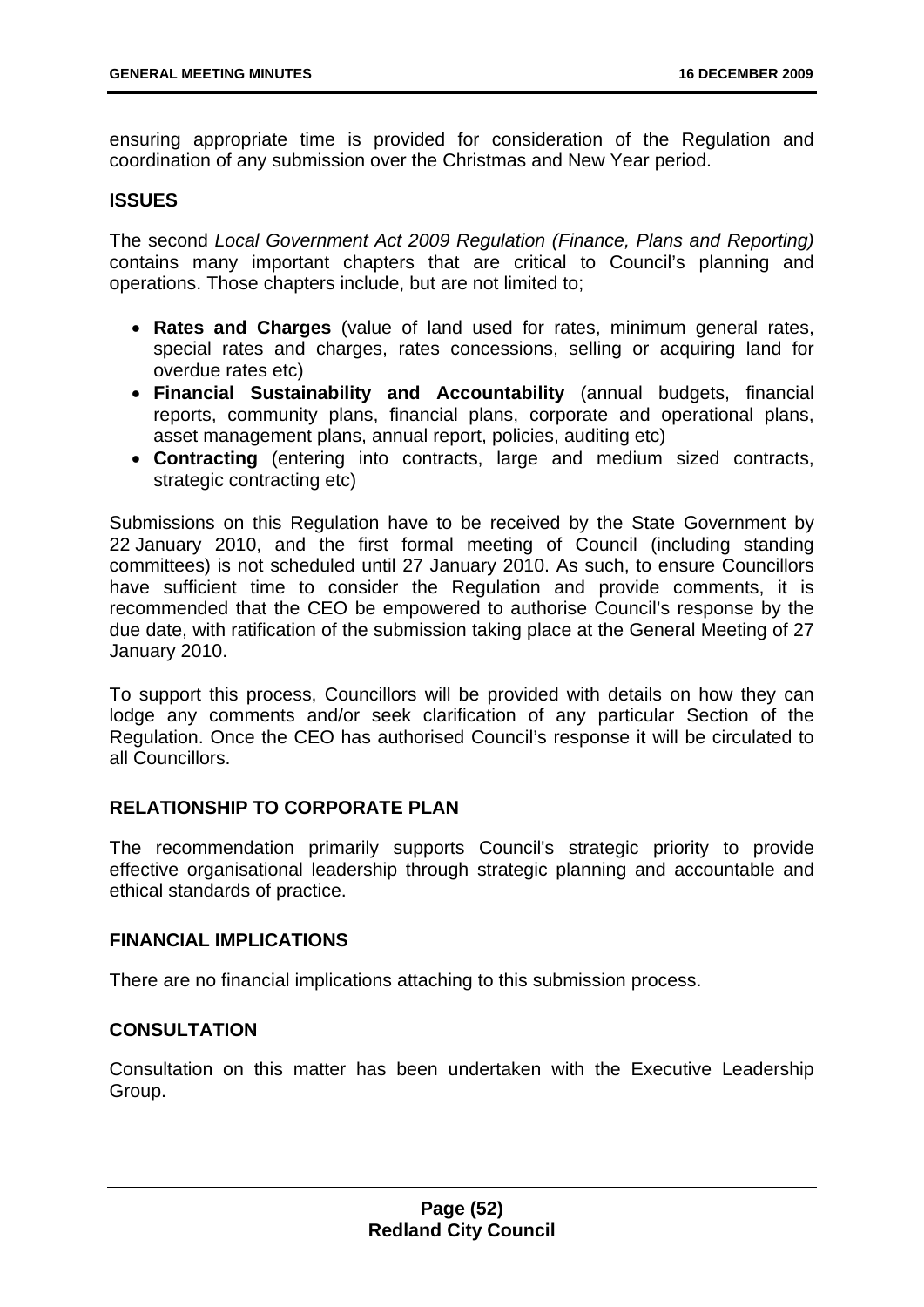ensuring appropriate time is provided for consideration of the Regulation and coordination of any submission over the Christmas and New Year period.

## **ISSUES**

The second *Local Government Act 2009 Regulation (Finance, Plans and Reporting)* contains many important chapters that are critical to Council's planning and operations. Those chapters include, but are not limited to;

- **Rates and Charges** (value of land used for rates, minimum general rates, special rates and charges, rates concessions, selling or acquiring land for overdue rates etc)
- **Financial Sustainability and Accountability** (annual budgets, financial reports, community plans, financial plans, corporate and operational plans, asset management plans, annual report, policies, auditing etc)
- **Contracting** (entering into contracts, large and medium sized contracts, strategic contracting etc)

Submissions on this Regulation have to be received by the State Government by 22 January 2010, and the first formal meeting of Council (including standing committees) is not scheduled until 27 January 2010. As such, to ensure Councillors have sufficient time to consider the Regulation and provide comments, it is recommended that the CEO be empowered to authorise Council's response by the due date, with ratification of the submission taking place at the General Meeting of 27 January 2010.

To support this process, Councillors will be provided with details on how they can lodge any comments and/or seek clarification of any particular Section of the Regulation. Once the CEO has authorised Council's response it will be circulated to all Councillors.

# **RELATIONSHIP TO CORPORATE PLAN**

The recommendation primarily supports Council's strategic priority to provide effective organisational leadership through strategic planning and accountable and ethical standards of practice.

### **FINANCIAL IMPLICATIONS**

There are no financial implications attaching to this submission process.

# **CONSULTATION**

Consultation on this matter has been undertaken with the Executive Leadership Group.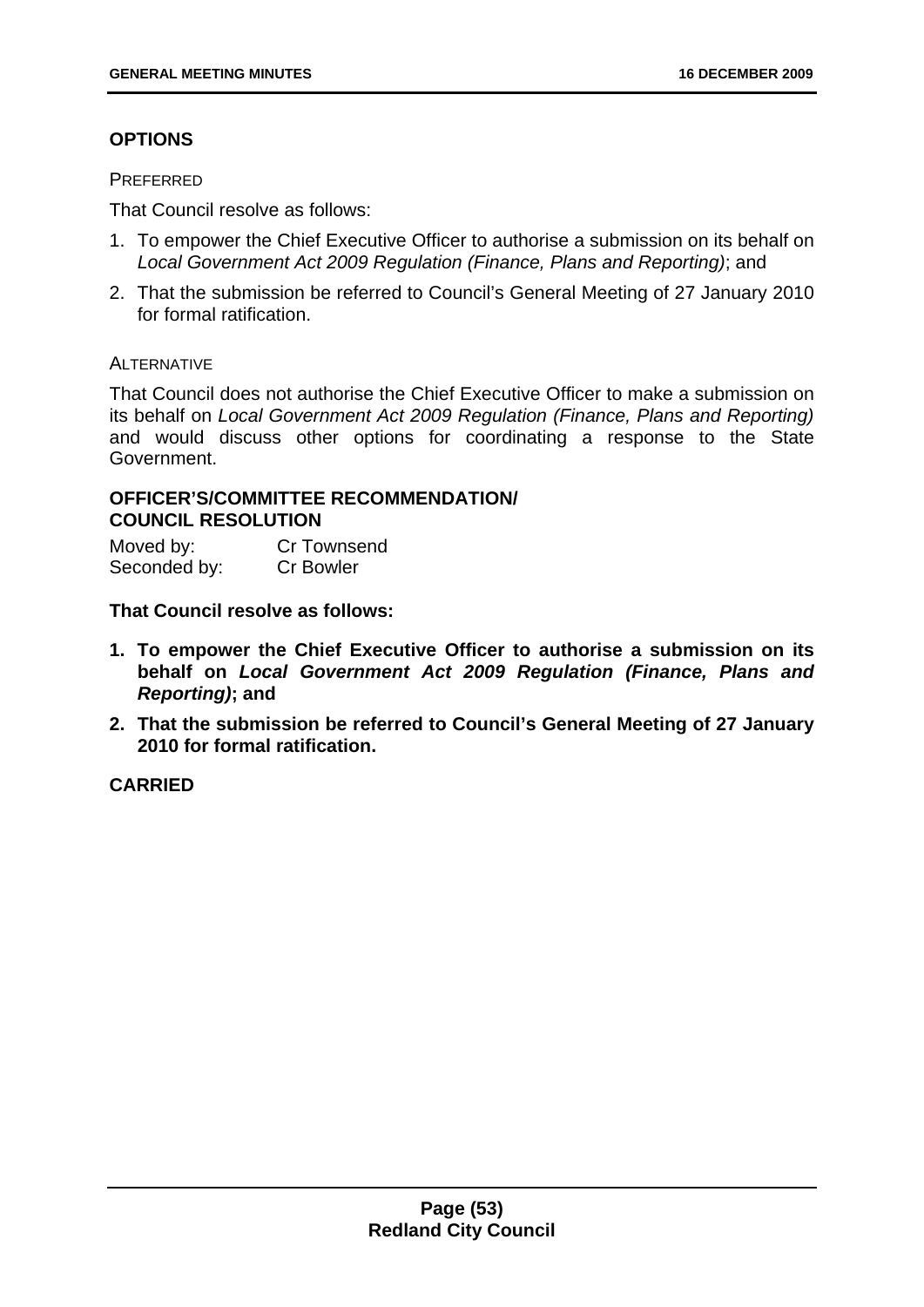# **OPTIONS**

PREFERRED

That Council resolve as follows:

- 1. To empower the Chief Executive Officer to authorise a submission on its behalf on *Local Government Act 2009 Regulation (Finance, Plans and Reporting)*; and
- 2. That the submission be referred to Council's General Meeting of 27 January 2010 for formal ratification.

**ALTERNATIVE** 

That Council does not authorise the Chief Executive Officer to make a submission on its behalf on *Local Government Act 2009 Regulation (Finance, Plans and Reporting)* and would discuss other options for coordinating a response to the State Government.

## **OFFICER'S/COMMITTEE RECOMMENDATION/ COUNCIL RESOLUTION**

Moved by: Cr Townsend Seconded by: Cr Bowler

**That Council resolve as follows:** 

- **1. To empower the Chief Executive Officer to authorise a submission on its behalf on** *Local Government Act 2009 Regulation (Finance, Plans and Reporting)***; and**
- **2. That the submission be referred to Council's General Meeting of 27 January 2010 for formal ratification.**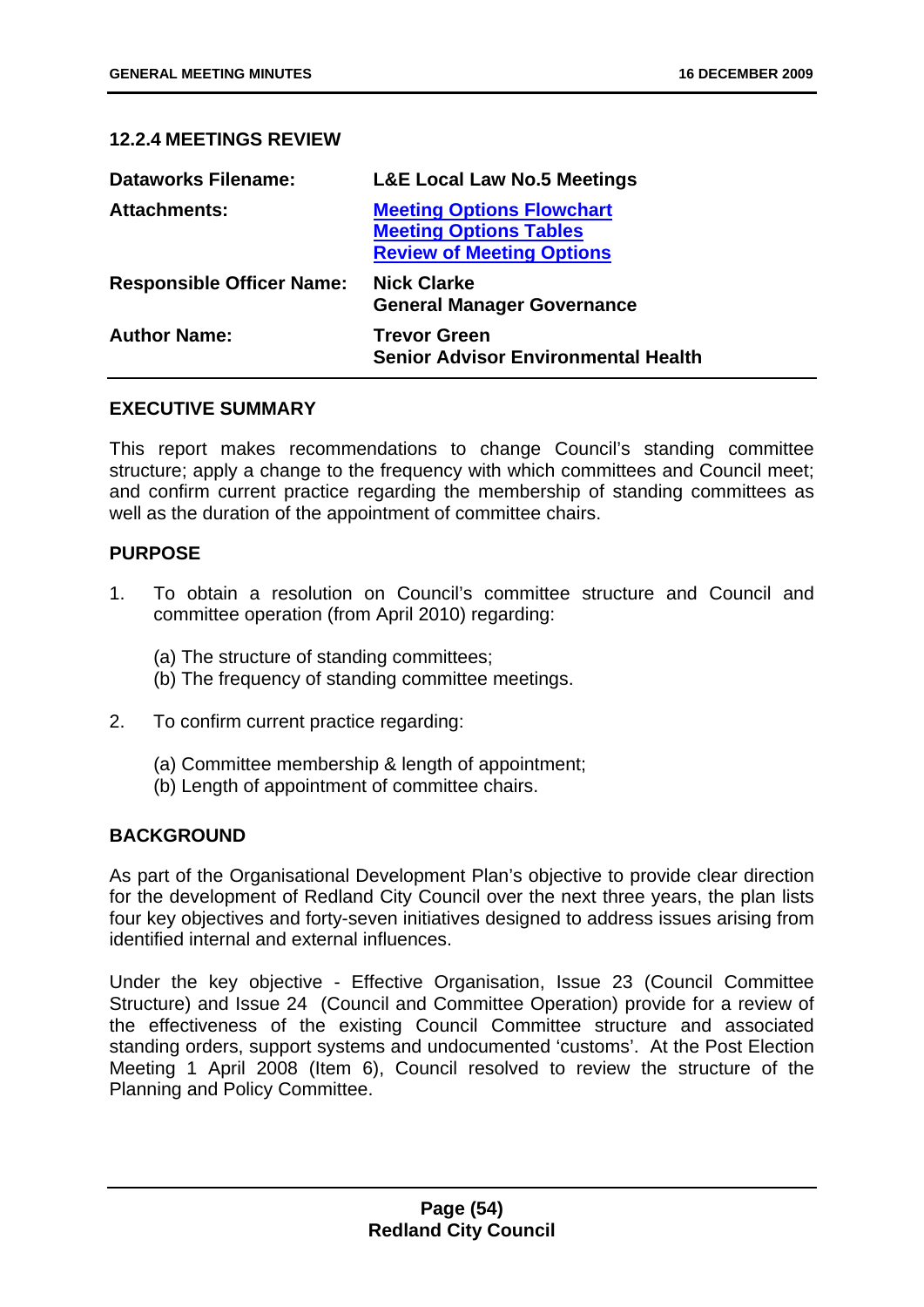## **12.2.4 MEETINGS REVIEW**

| <b>Dataworks Filename:</b>       | <b>L&amp;E Local Law No.5 Meetings</b>                                                                |
|----------------------------------|-------------------------------------------------------------------------------------------------------|
| <b>Attachments:</b>              | <b>Meeting Options Flowchart</b><br><b>Meeting Options Tables</b><br><b>Review of Meeting Options</b> |
| <b>Responsible Officer Name:</b> | <b>Nick Clarke</b><br><b>General Manager Governance</b>                                               |
| <b>Author Name:</b>              | <b>Trevor Green</b><br><b>Senior Advisor Environmental Health</b>                                     |

### **EXECUTIVE SUMMARY**

This report makes recommendations to change Council's standing committee structure; apply a change to the frequency with which committees and Council meet; and confirm current practice regarding the membership of standing committees as well as the duration of the appointment of committee chairs.

## **PURPOSE**

- 1. To obtain a resolution on Council's committee structure and Council and committee operation (from April 2010) regarding:
	- (a) The structure of standing committees;
	- (b) The frequency of standing committee meetings.
- 2. To confirm current practice regarding:
	- (a) Committee membership & length of appointment;
	- (b) Length of appointment of committee chairs.

# **BACKGROUND**

As part of the Organisational Development Plan's objective to provide clear direction for the development of Redland City Council over the next three years, the plan lists four key objectives and forty-seven initiatives designed to address issues arising from identified internal and external influences.

Under the key objective - Effective Organisation, Issue 23 (Council Committee Structure) and Issue 24 (Council and Committee Operation) provide for a review of the effectiveness of the existing Council Committee structure and associated standing orders, support systems and undocumented 'customs'. At the Post Election Meeting 1 April 2008 (Item 6), Council resolved to review the structure of the Planning and Policy Committee.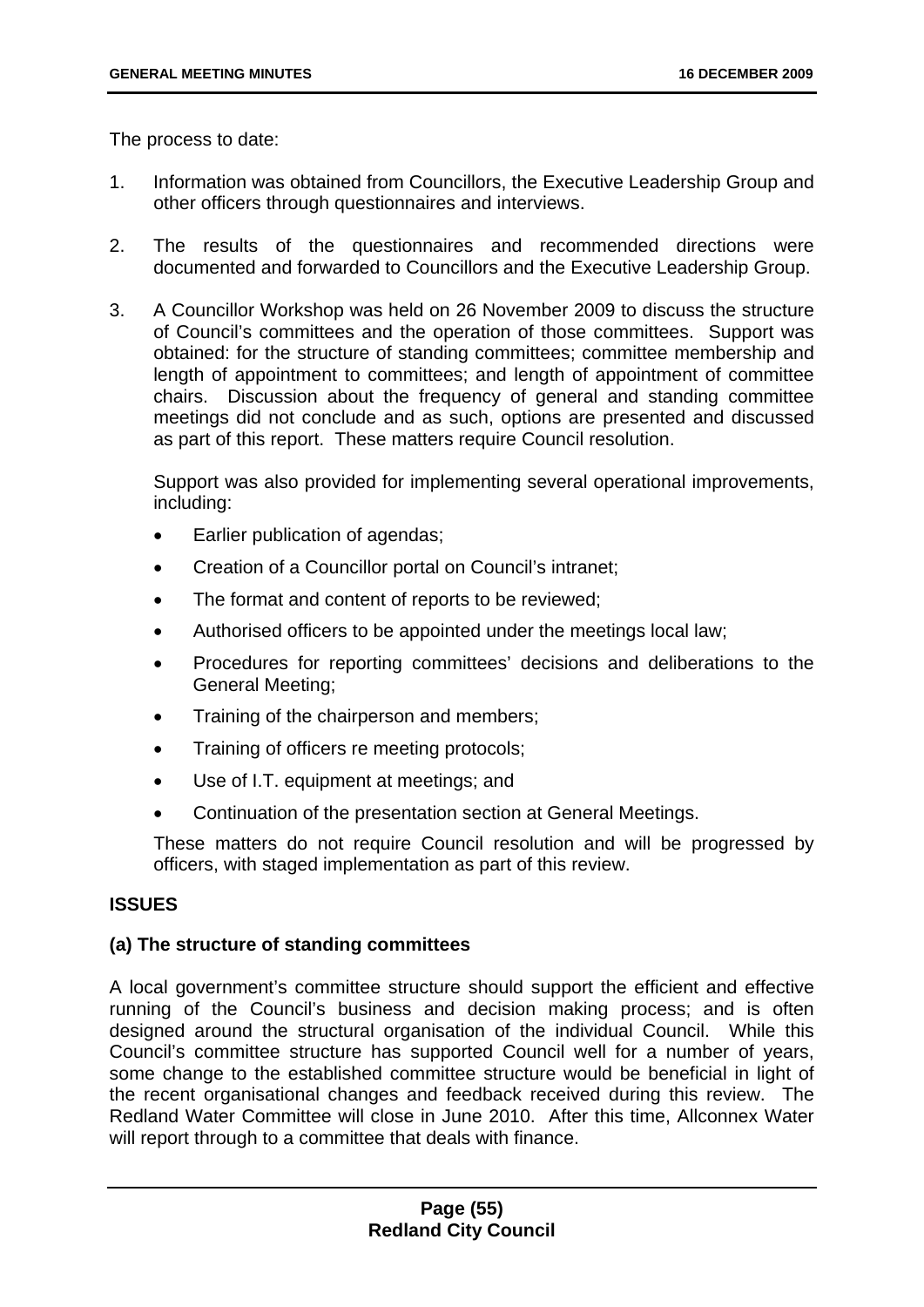The process to date:

- 1. Information was obtained from Councillors, the Executive Leadership Group and other officers through questionnaires and interviews.
- 2. The results of the questionnaires and recommended directions were documented and forwarded to Councillors and the Executive Leadership Group.
- 3. A Councillor Workshop was held on 26 November 2009 to discuss the structure of Council's committees and the operation of those committees. Support was obtained: for the structure of standing committees; committee membership and length of appointment to committees; and length of appointment of committee chairs. Discussion about the frequency of general and standing committee meetings did not conclude and as such, options are presented and discussed as part of this report. These matters require Council resolution.

Support was also provided for implementing several operational improvements, including:

- Earlier publication of agendas:
- Creation of a Councillor portal on Council's intranet;
- The format and content of reports to be reviewed;
- Authorised officers to be appointed under the meetings local law;
- Procedures for reporting committees' decisions and deliberations to the General Meeting;
- Training of the chairperson and members;
- Training of officers re meeting protocols;
- Use of I.T. equipment at meetings; and
- Continuation of the presentation section at General Meetings.

These matters do not require Council resolution and will be progressed by officers, with staged implementation as part of this review.

# **ISSUES**

### **(a) The structure of standing committees**

A local government's committee structure should support the efficient and effective running of the Council's business and decision making process; and is often designed around the structural organisation of the individual Council. While this Council's committee structure has supported Council well for a number of years, some change to the established committee structure would be beneficial in light of the recent organisational changes and feedback received during this review. The Redland Water Committee will close in June 2010. After this time, Allconnex Water will report through to a committee that deals with finance.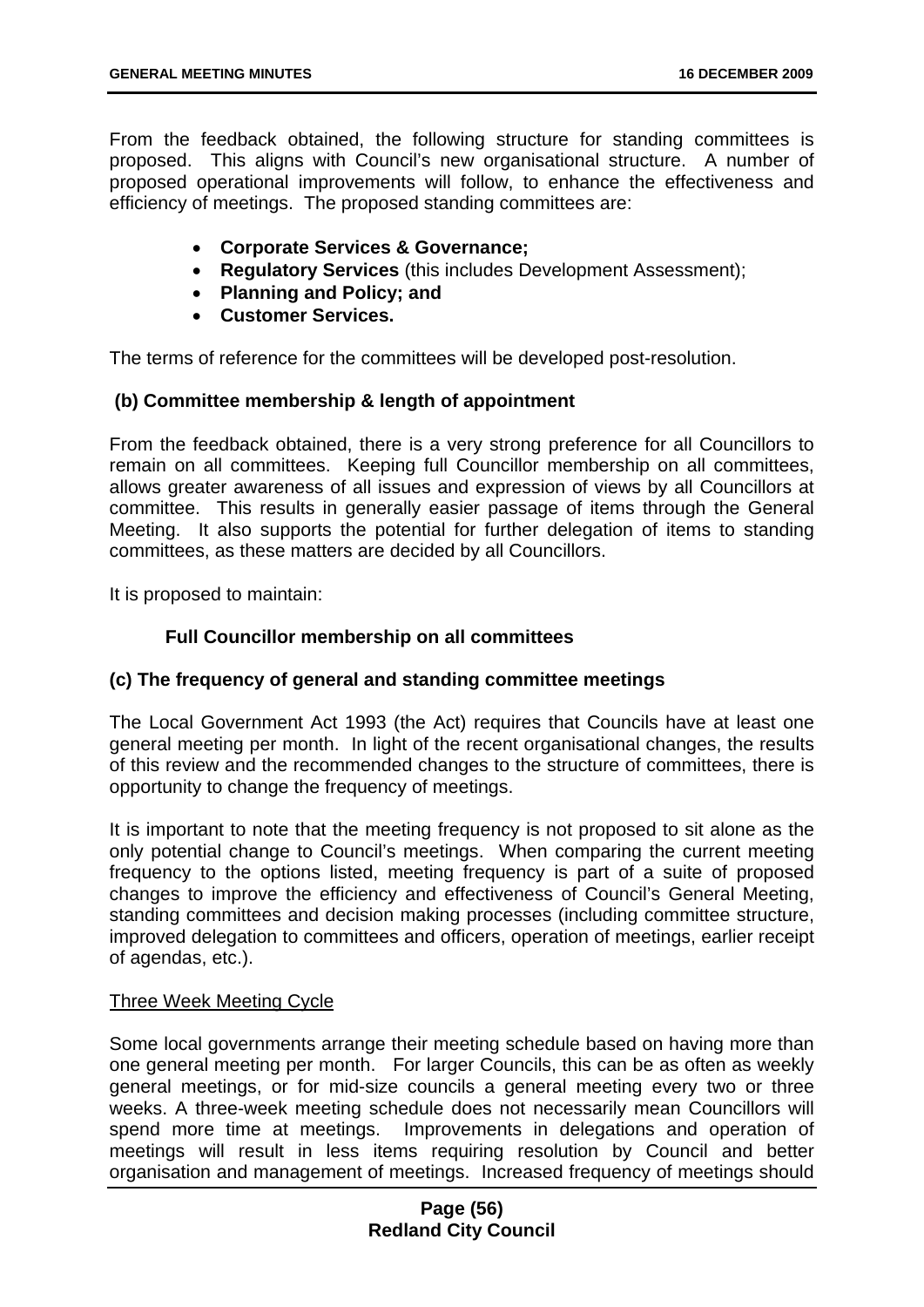From the feedback obtained, the following structure for standing committees is proposed. This aligns with Council's new organisational structure. A number of proposed operational improvements will follow, to enhance the effectiveness and efficiency of meetings. The proposed standing committees are:

- **Corporate Services & Governance;**
- **Regulatory Services** (this includes Development Assessment);
- **Planning and Policy; and**
- **Customer Services.**

The terms of reference for the committees will be developed post-resolution.

## **(b) Committee membership & length of appointment**

From the feedback obtained, there is a very strong preference for all Councillors to remain on all committees. Keeping full Councillor membership on all committees, allows greater awareness of all issues and expression of views by all Councillors at committee. This results in generally easier passage of items through the General Meeting. It also supports the potential for further delegation of items to standing committees, as these matters are decided by all Councillors.

It is proposed to maintain:

## **Full Councillor membership on all committees**

### **(c) The frequency of general and standing committee meetings**

The Local Government Act 1993 (the Act) requires that Councils have at least one general meeting per month. In light of the recent organisational changes, the results of this review and the recommended changes to the structure of committees, there is opportunity to change the frequency of meetings.

It is important to note that the meeting frequency is not proposed to sit alone as the only potential change to Council's meetings. When comparing the current meeting frequency to the options listed, meeting frequency is part of a suite of proposed changes to improve the efficiency and effectiveness of Council's General Meeting, standing committees and decision making processes (including committee structure, improved delegation to committees and officers, operation of meetings, earlier receipt of agendas, etc.).

### Three Week Meeting Cycle

Some local governments arrange their meeting schedule based on having more than one general meeting per month. For larger Councils, this can be as often as weekly general meetings, or for mid-size councils a general meeting every two or three weeks. A three-week meeting schedule does not necessarily mean Councillors will spend more time at meetings. Improvements in delegations and operation of meetings will result in less items requiring resolution by Council and better organisation and management of meetings. Increased frequency of meetings should

### **Page (56) Redland City Council**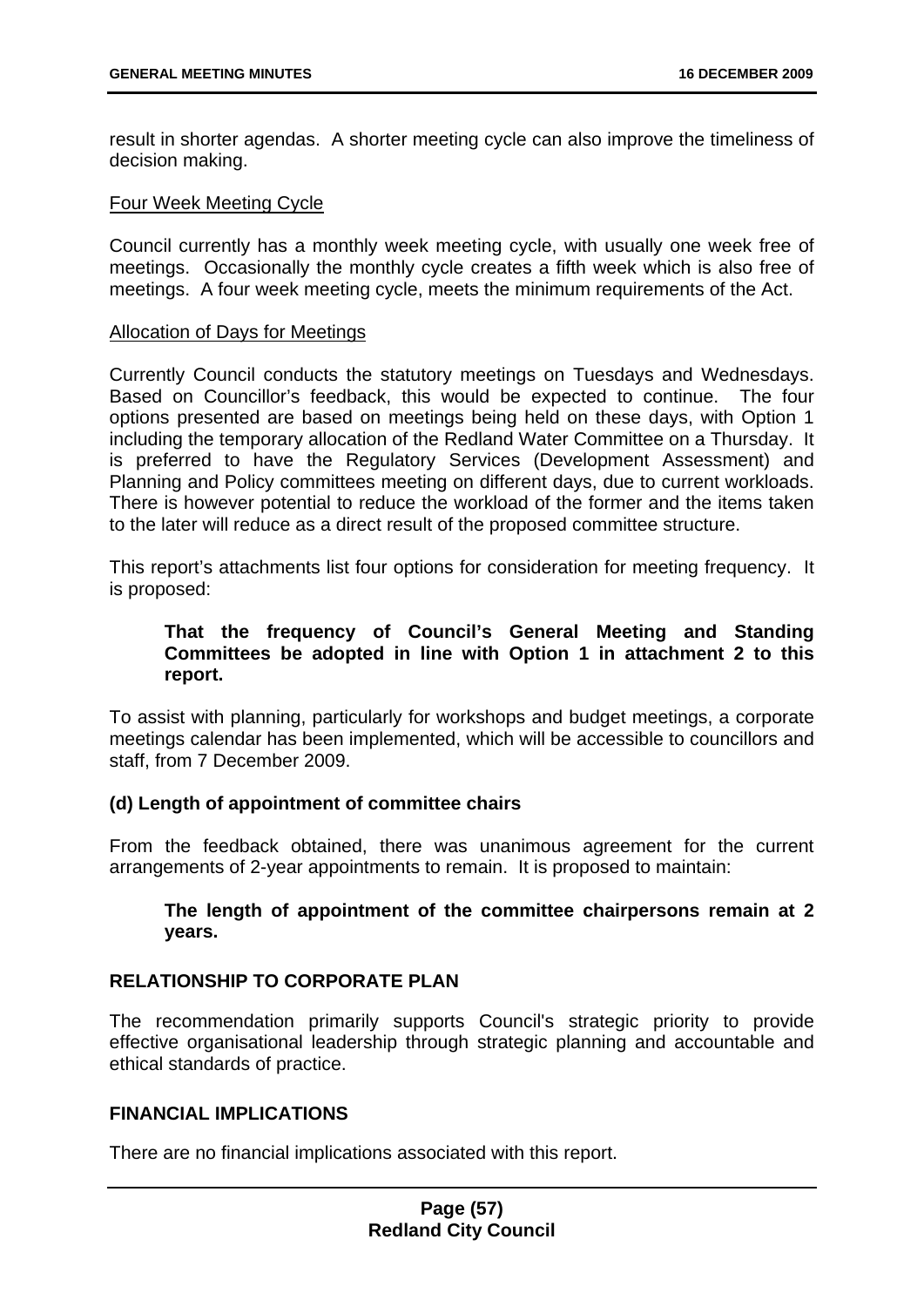result in shorter agendas. A shorter meeting cycle can also improve the timeliness of decision making.

### Four Week Meeting Cycle

Council currently has a monthly week meeting cycle, with usually one week free of meetings. Occasionally the monthly cycle creates a fifth week which is also free of meetings. A four week meeting cycle, meets the minimum requirements of the Act.

#### Allocation of Days for Meetings

Currently Council conducts the statutory meetings on Tuesdays and Wednesdays. Based on Councillor's feedback, this would be expected to continue. The four options presented are based on meetings being held on these days, with Option 1 including the temporary allocation of the Redland Water Committee on a Thursday. It is preferred to have the Regulatory Services (Development Assessment) and Planning and Policy committees meeting on different days, due to current workloads. There is however potential to reduce the workload of the former and the items taken to the later will reduce as a direct result of the proposed committee structure.

This report's attachments list four options for consideration for meeting frequency. It is proposed:

## **That the frequency of Council's General Meeting and Standing Committees be adopted in line with Option 1 in attachment 2 to this report.**

To assist with planning, particularly for workshops and budget meetings, a corporate meetings calendar has been implemented, which will be accessible to councillors and staff, from 7 December 2009.

### **(d) Length of appointment of committee chairs**

From the feedback obtained, there was unanimous agreement for the current arrangements of 2-year appointments to remain. It is proposed to maintain:

# **The length of appointment of the committee chairpersons remain at 2 years.**

### **RELATIONSHIP TO CORPORATE PLAN**

The recommendation primarily supports Council's strategic priority to provide effective organisational leadership through strategic planning and accountable and ethical standards of practice.

# **FINANCIAL IMPLICATIONS**

There are no financial implications associated with this report.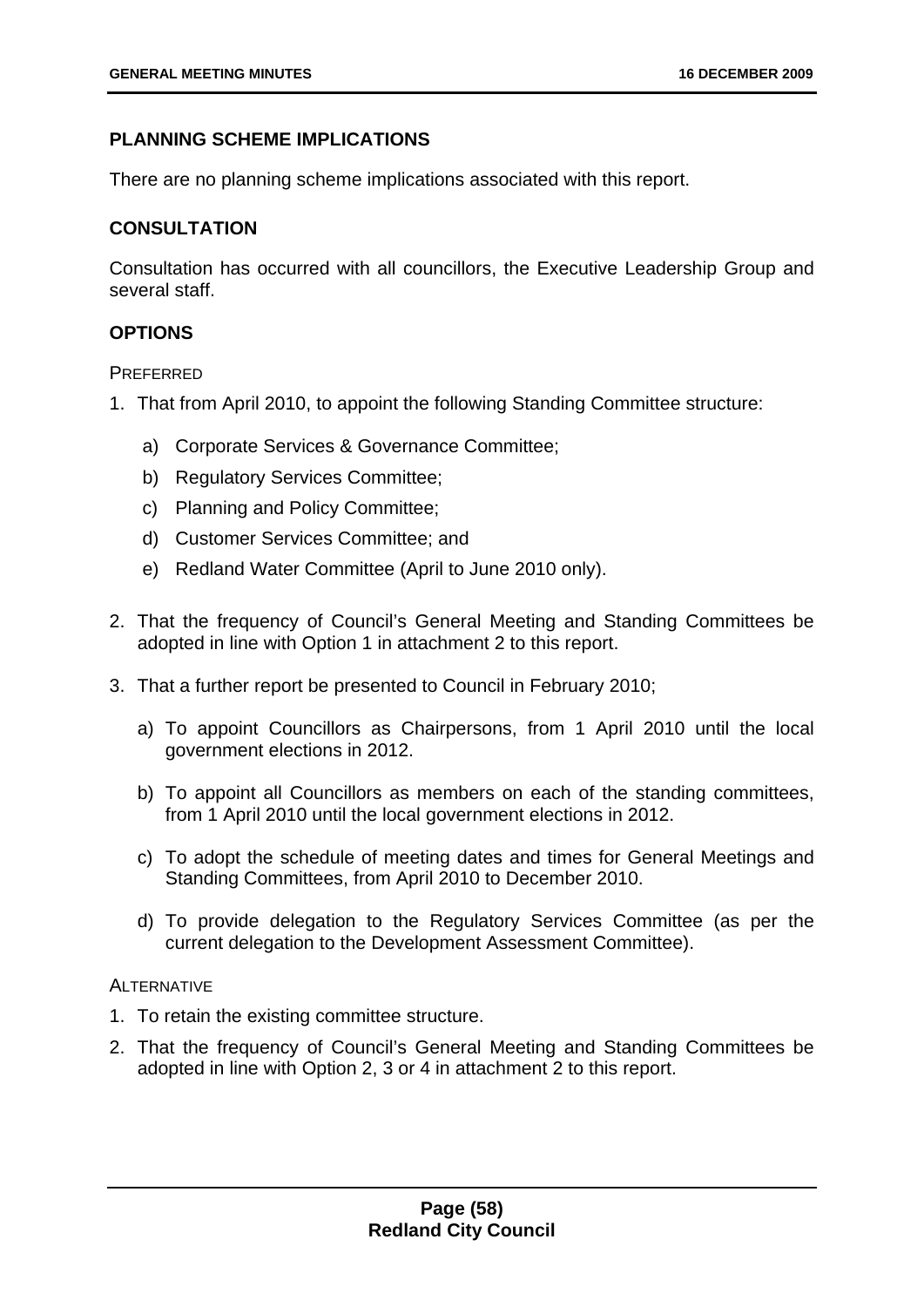# **PLANNING SCHEME IMPLICATIONS**

There are no planning scheme implications associated with this report.

# **CONSULTATION**

Consultation has occurred with all councillors, the Executive Leadership Group and several staff.

# **OPTIONS**

**PREFERRED** 

- 1. That from April 2010, to appoint the following Standing Committee structure:
	- a) Corporate Services & Governance Committee;
	- b) Regulatory Services Committee;
	- c) Planning and Policy Committee;
	- d) Customer Services Committee; and
	- e) Redland Water Committee (April to June 2010 only).
- 2. That the frequency of Council's General Meeting and Standing Committees be adopted in line with Option 1 in attachment 2 to this report.
- 3. That a further report be presented to Council in February 2010;
	- a) To appoint Councillors as Chairpersons, from 1 April 2010 until the local government elections in 2012.
	- b) To appoint all Councillors as members on each of the standing committees, from 1 April 2010 until the local government elections in 2012.
	- c) To adopt the schedule of meeting dates and times for General Meetings and Standing Committees, from April 2010 to December 2010.
	- d) To provide delegation to the Regulatory Services Committee (as per the current delegation to the Development Assessment Committee).

### **ALTERNATIVE**

- 1. To retain the existing committee structure.
- 2. That the frequency of Council's General Meeting and Standing Committees be adopted in line with Option 2, 3 or 4 in attachment 2 to this report.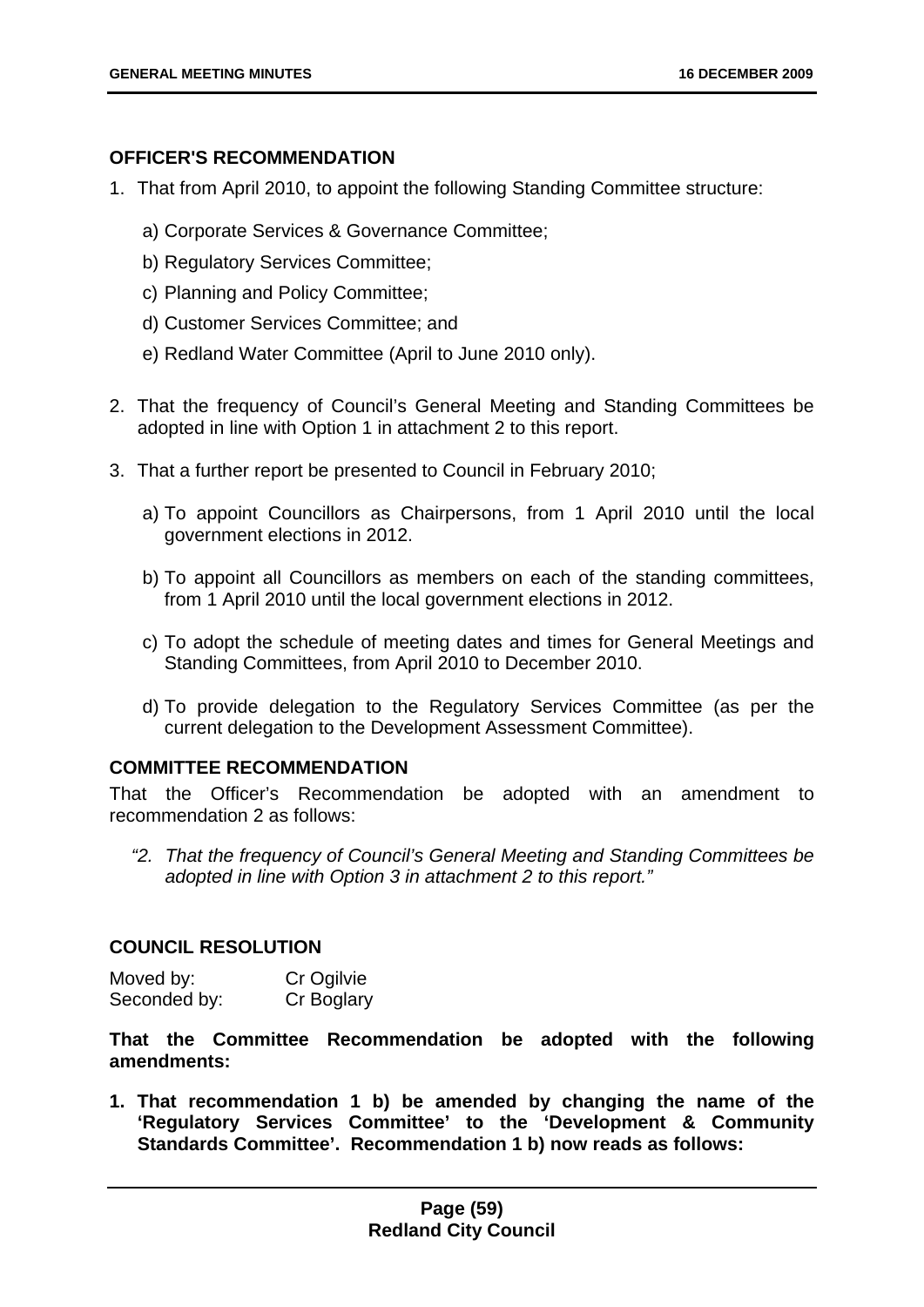## **OFFICER'S RECOMMENDATION**

- 1. That from April 2010, to appoint the following Standing Committee structure:
	- a) Corporate Services & Governance Committee;
	- b) Regulatory Services Committee;
	- c) Planning and Policy Committee;
	- d) Customer Services Committee; and
	- e) Redland Water Committee (April to June 2010 only).
- 2. That the frequency of Council's General Meeting and Standing Committees be adopted in line with Option 1 in attachment 2 to this report.
- 3. That a further report be presented to Council in February 2010;
	- a) To appoint Councillors as Chairpersons, from 1 April 2010 until the local government elections in 2012.
	- b) To appoint all Councillors as members on each of the standing committees, from 1 April 2010 until the local government elections in 2012.
	- c) To adopt the schedule of meeting dates and times for General Meetings and Standing Committees, from April 2010 to December 2010.
	- d) To provide delegation to the Regulatory Services Committee (as per the current delegation to the Development Assessment Committee).

### **COMMITTEE RECOMMENDATION**

That the Officer's Recommendation be adopted with an amendment to recommendation 2 as follows:

*"2. That the frequency of Council's General Meeting and Standing Committees be adopted in line with Option 3 in attachment 2 to this report."* 

### **COUNCIL RESOLUTION**

Moved by: Cr Ogilvie Seconded by: Cr Boglary

**That the Committee Recommendation be adopted with the following amendments:** 

**1. That recommendation 1 b) be amended by changing the name of the 'Regulatory Services Committee' to the 'Development & Community Standards Committee'. Recommendation 1 b) now reads as follows:**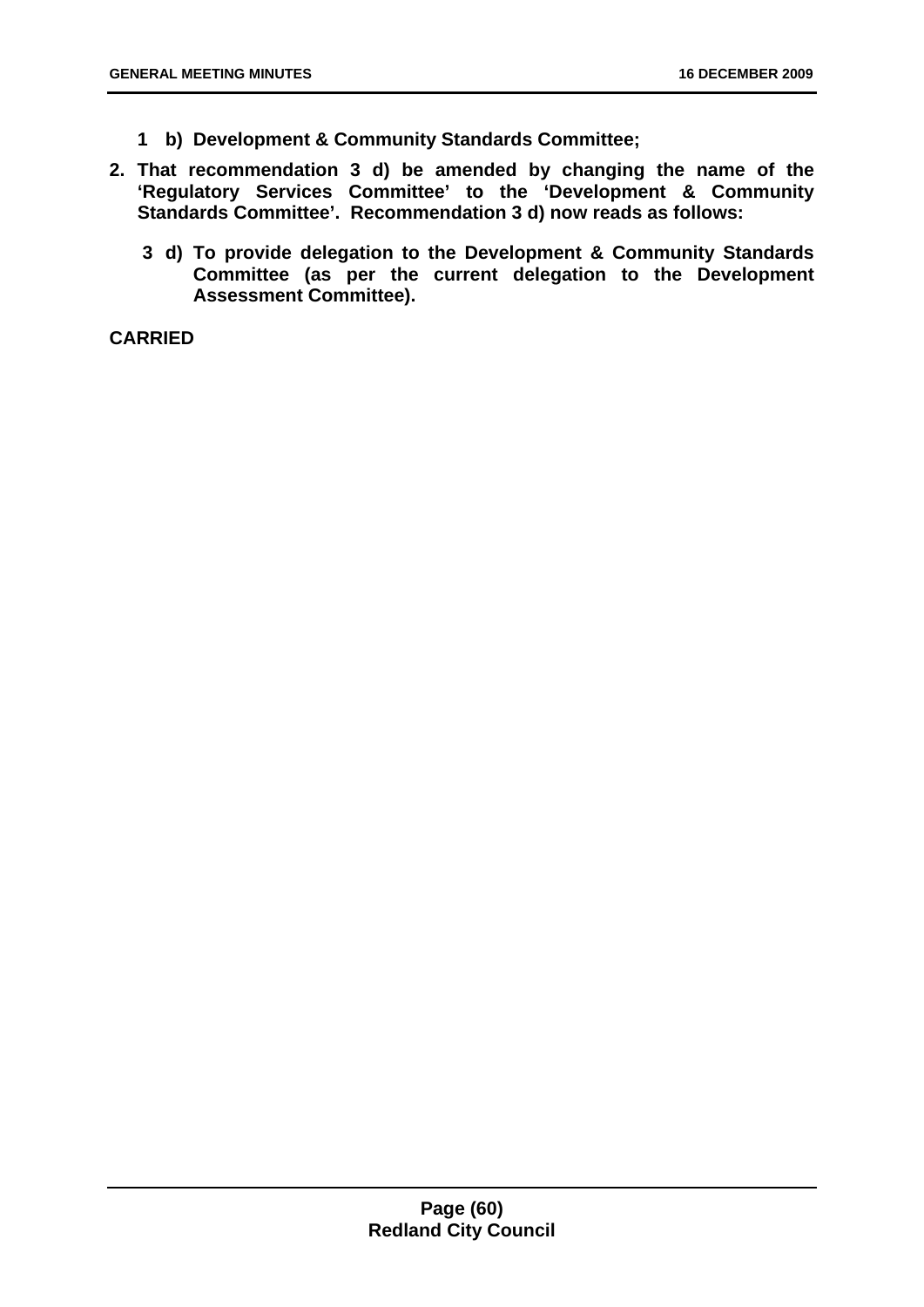- **1 b) Development & Community Standards Committee;**
- **2. That recommendation 3 d) be amended by changing the name of the 'Regulatory Services Committee' to the 'Development & Community Standards Committee'. Recommendation 3 d) now reads as follows:** 
	- **3 d) To provide delegation to the Development & Community Standards Committee (as per the current delegation to the Development Assessment Committee).**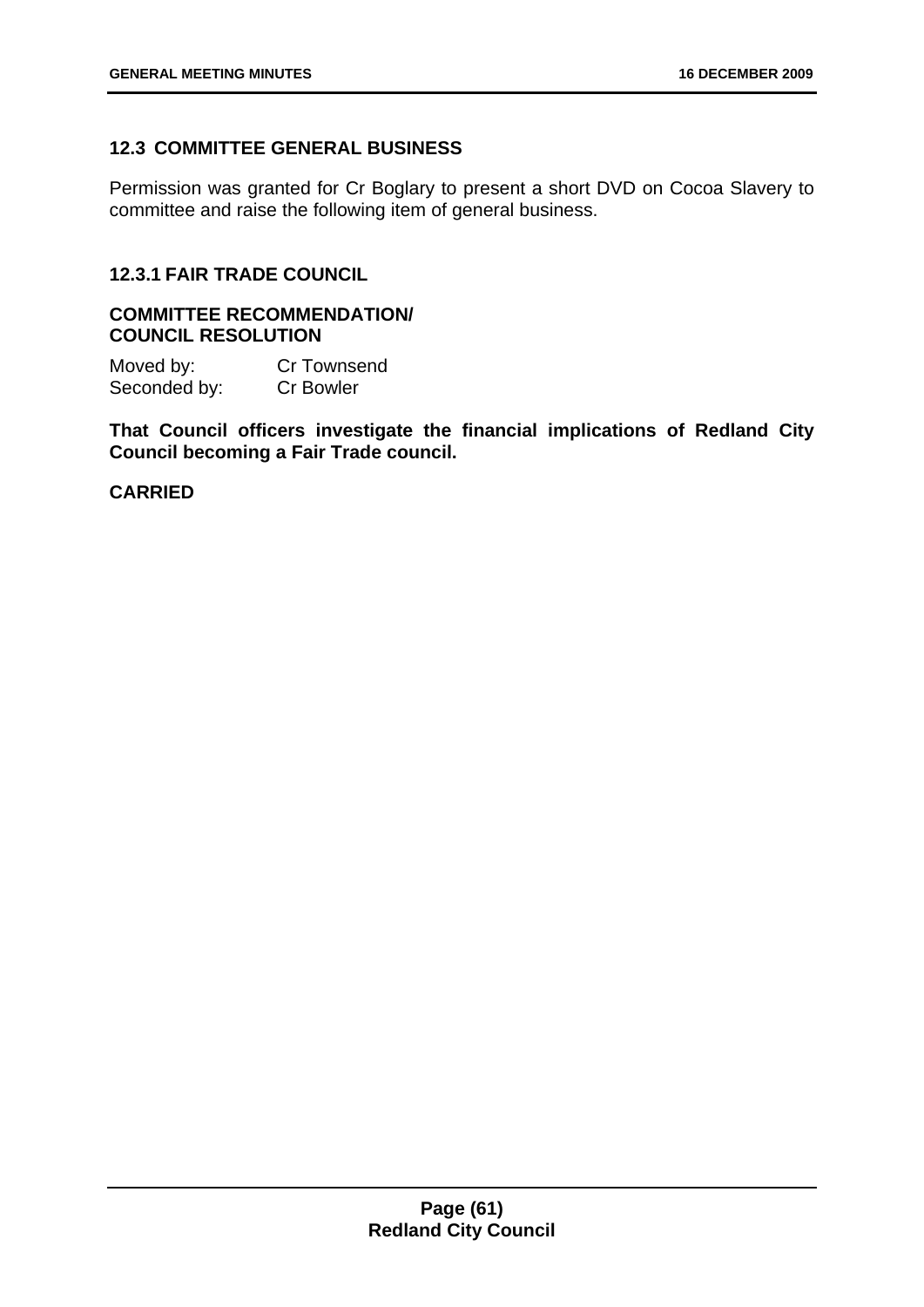# **12.3 COMMITTEE GENERAL BUSINESS**

Permission was granted for Cr Boglary to present a short DVD on Cocoa Slavery to committee and raise the following item of general business.

## **12.3.1 FAIR TRADE COUNCIL**

### **COMMITTEE RECOMMENDATION/ COUNCIL RESOLUTION**

Moved by: Cr Townsend Seconded by: Cr Bowler

**That Council officers investigate the financial implications of Redland City Council becoming a Fair Trade council.**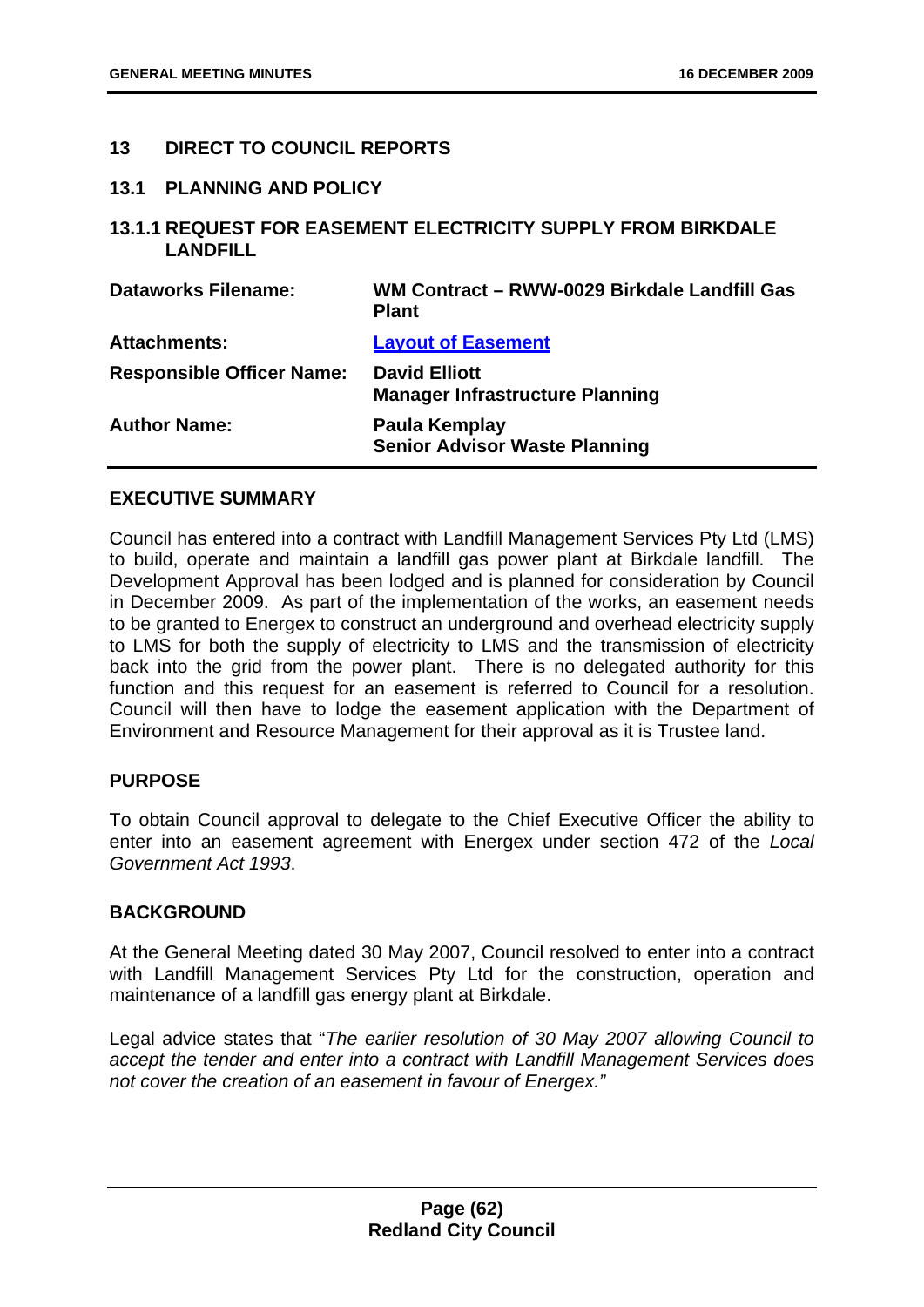## **13 DIRECT TO COUNCIL REPORTS**

- **13.1 PLANNING AND POLICY**
- **13.1.1 REQUEST FOR EASEMENT ELECTRICITY SUPPLY FROM BIRKDALE LANDFILL**

| <b>Dataworks Filename:</b>       | WM Contract - RWW-0029 Birkdale Landfill Gas<br><b>Plant</b>   |
|----------------------------------|----------------------------------------------------------------|
| <b>Attachments:</b>              | <b>Layout of Easement</b>                                      |
| <b>Responsible Officer Name:</b> | <b>David Elliott</b><br><b>Manager Infrastructure Planning</b> |
| <b>Author Name:</b>              | Paula Kemplay<br><b>Senior Advisor Waste Planning</b>          |

## **EXECUTIVE SUMMARY**

Council has entered into a contract with Landfill Management Services Pty Ltd (LMS) to build, operate and maintain a landfill gas power plant at Birkdale landfill. The Development Approval has been lodged and is planned for consideration by Council in December 2009. As part of the implementation of the works, an easement needs to be granted to Energex to construct an underground and overhead electricity supply to LMS for both the supply of electricity to LMS and the transmission of electricity back into the grid from the power plant. There is no delegated authority for this function and this request for an easement is referred to Council for a resolution. Council will then have to lodge the easement application with the Department of Environment and Resource Management for their approval as it is Trustee land.

### **PURPOSE**

To obtain Council approval to delegate to the Chief Executive Officer the ability to enter into an easement agreement with Energex under section 472 of the *Local Government Act 1993*.

## **BACKGROUND**

At the General Meeting dated 30 May 2007, Council resolved to enter into a contract with Landfill Management Services Pty Ltd for the construction, operation and maintenance of a landfill gas energy plant at Birkdale.

Legal advice states that "*The earlier resolution of 30 May 2007 allowing Council to accept the tender and enter into a contract with Landfill Management Services does not cover the creation of an easement in favour of Energex."*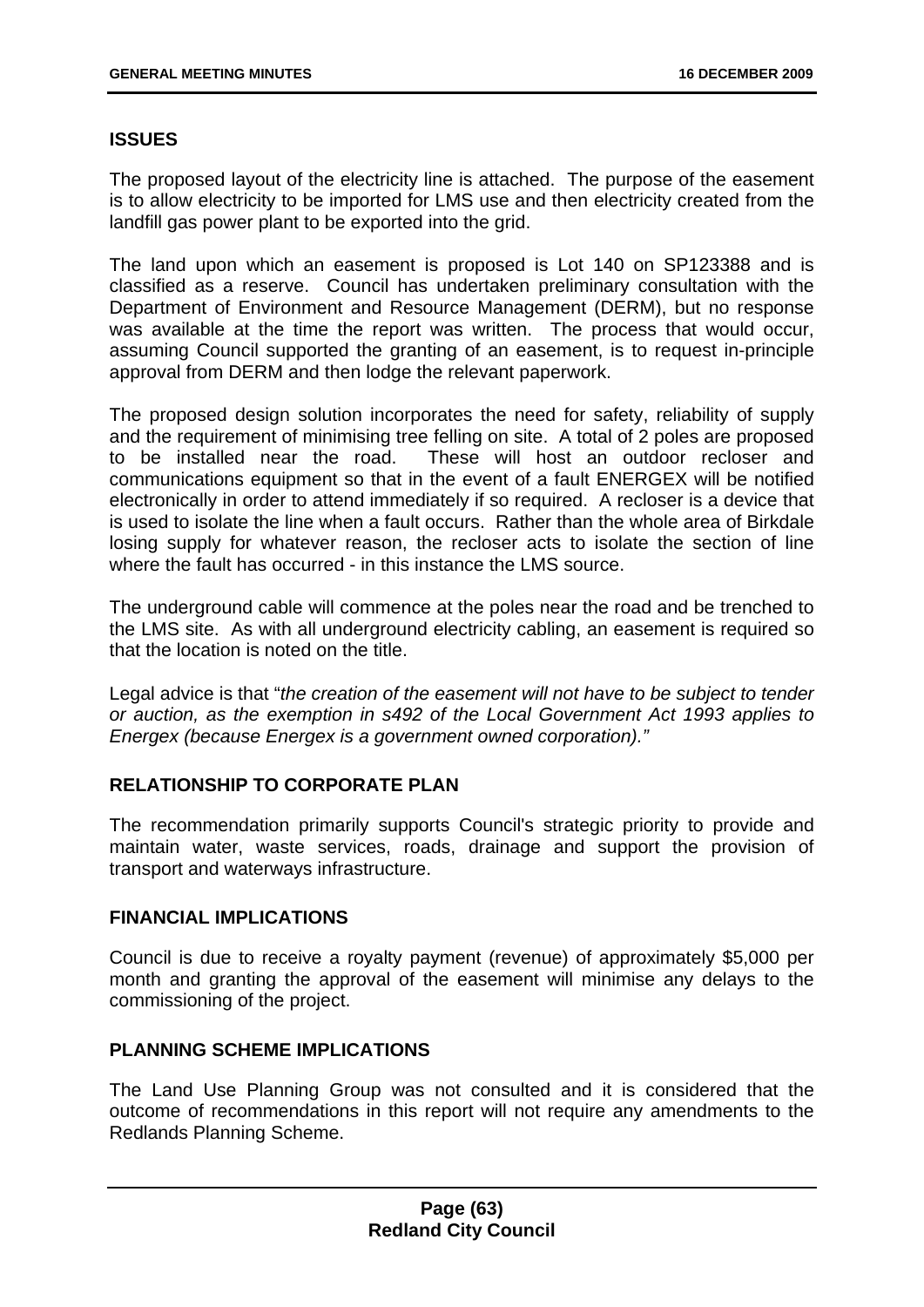## **ISSUES**

The proposed layout of the electricity line is attached. The purpose of the easement is to allow electricity to be imported for LMS use and then electricity created from the landfill gas power plant to be exported into the grid.

The land upon which an easement is proposed is Lot 140 on SP123388 and is classified as a reserve. Council has undertaken preliminary consultation with the Department of Environment and Resource Management (DERM), but no response was available at the time the report was written. The process that would occur, assuming Council supported the granting of an easement, is to request in-principle approval from DERM and then lodge the relevant paperwork.

The proposed design solution incorporates the need for safety, reliability of supply and the requirement of minimising tree felling on site. A total of 2 poles are proposed to be installed near the road. These will host an outdoor recloser and communications equipment so that in the event of a fault ENERGEX will be notified electronically in order to attend immediately if so required. A recloser is a device that is used to isolate the line when a fault occurs. Rather than the whole area of Birkdale losing supply for whatever reason, the recloser acts to isolate the section of line where the fault has occurred - in this instance the LMS source.

The underground cable will commence at the poles near the road and be trenched to the LMS site. As with all underground electricity cabling, an easement is required so that the location is noted on the title.

Legal advice is that "*the creation of the easement will not have to be subject to tender or auction, as the exemption in s492 of the Local Government Act 1993 applies to Energex (because Energex is a government owned corporation)."*

# **RELATIONSHIP TO CORPORATE PLAN**

The recommendation primarily supports Council's strategic priority to provide and maintain water, waste services, roads, drainage and support the provision of transport and waterways infrastructure.

### **FINANCIAL IMPLICATIONS**

Council is due to receive a royalty payment (revenue) of approximately \$5,000 per month and granting the approval of the easement will minimise any delays to the commissioning of the project.

### **PLANNING SCHEME IMPLICATIONS**

The Land Use Planning Group was not consulted and it is considered that the outcome of recommendations in this report will not require any amendments to the Redlands Planning Scheme.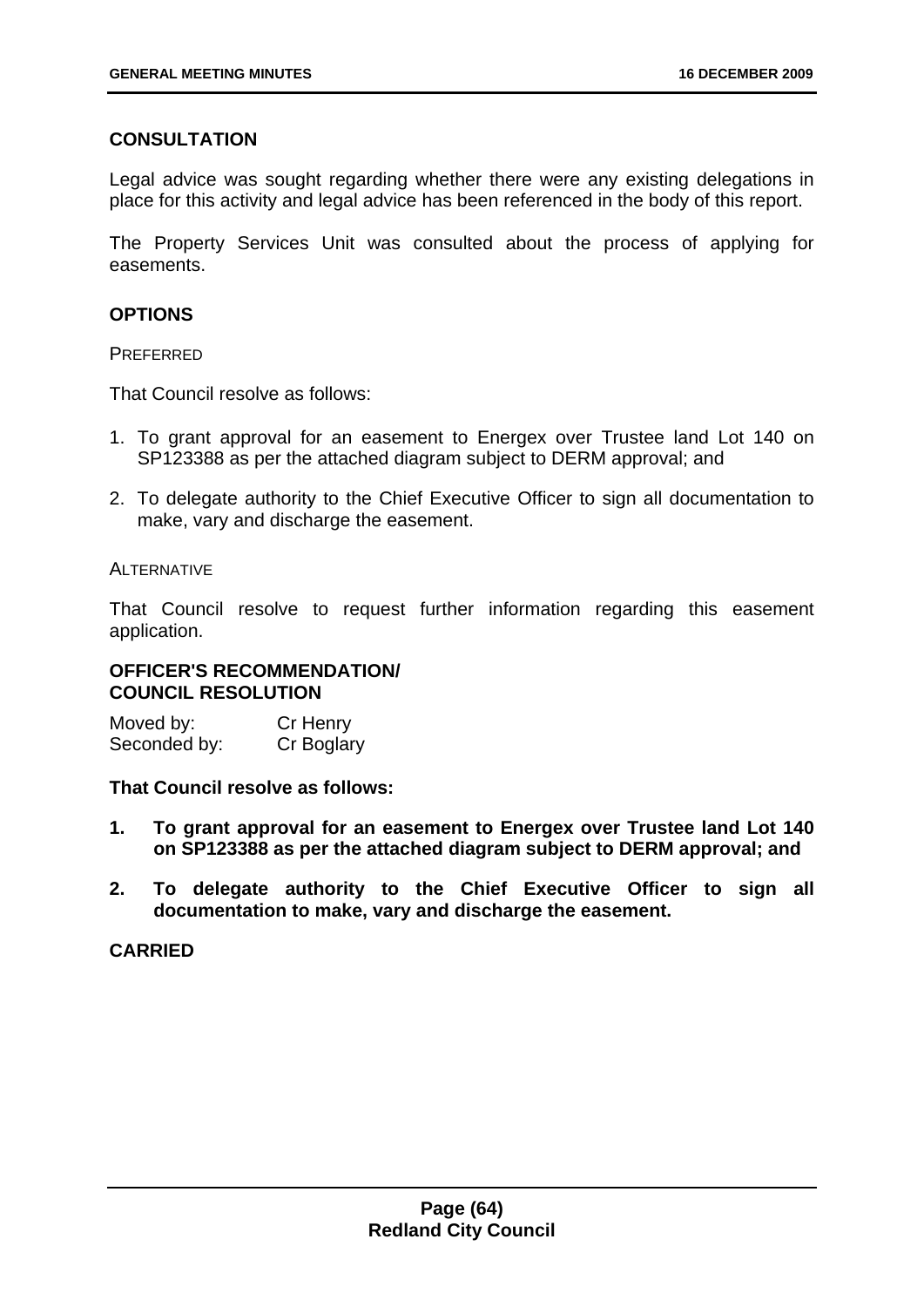## **CONSULTATION**

Legal advice was sought regarding whether there were any existing delegations in place for this activity and legal advice has been referenced in the body of this report.

The Property Services Unit was consulted about the process of applying for easements.

### **OPTIONS**

PREFERRED

That Council resolve as follows:

- 1. To grant approval for an easement to Energex over Trustee land Lot 140 on SP123388 as per the attached diagram subject to DERM approval; and
- 2. To delegate authority to the Chief Executive Officer to sign all documentation to make, vary and discharge the easement.

#### **ALTERNATIVE**

That Council resolve to request further information regarding this easement application.

## **OFFICER'S RECOMMENDATION/ COUNCIL RESOLUTION**

Moved by: Cr Henry Seconded by: Cr Boglary

**That Council resolve as follows:** 

- **1. To grant approval for an easement to Energex over Trustee land Lot 140 on SP123388 as per the attached diagram subject to DERM approval; and**
- **2. To delegate authority to the Chief Executive Officer to sign all documentation to make, vary and discharge the easement.**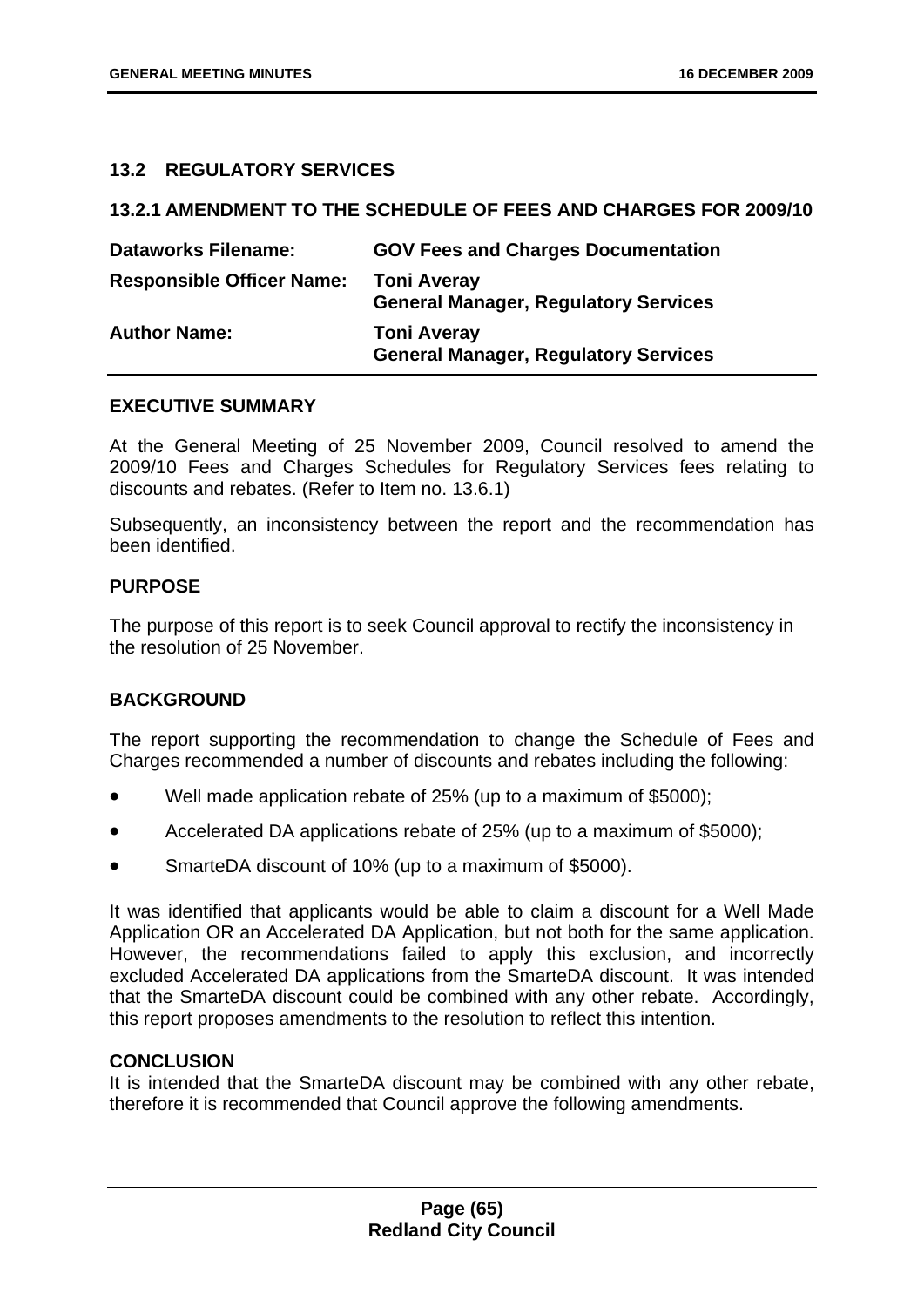## **13.2 REGULATORY SERVICES**

### **13.2.1 AMENDMENT TO THE SCHEDULE OF FEES AND CHARGES FOR 2009/10**

| <b>Dataworks Filename:</b>       | <b>GOV Fees and Charges Documentation</b>                         |
|----------------------------------|-------------------------------------------------------------------|
| <b>Responsible Officer Name:</b> | <b>Toni Averay</b><br><b>General Manager, Regulatory Services</b> |
| <b>Author Name:</b>              | <b>Toni Averay</b><br><b>General Manager, Regulatory Services</b> |

### **EXECUTIVE SUMMARY**

At the General Meeting of 25 November 2009, Council resolved to amend the 2009/10 Fees and Charges Schedules for Regulatory Services fees relating to discounts and rebates. (Refer to Item no. 13.6.1)

Subsequently, an inconsistency between the report and the recommendation has been identified.

## **PURPOSE**

The purpose of this report is to seek Council approval to rectify the inconsistency in the resolution of 25 November.

# **BACKGROUND**

The report supporting the recommendation to change the Schedule of Fees and Charges recommended a number of discounts and rebates including the following:

- Well made application rebate of 25% (up to a maximum of \$5000);
- Accelerated DA applications rebate of 25% (up to a maximum of \$5000);
- SmarteDA discount of 10% (up to a maximum of \$5000).

It was identified that applicants would be able to claim a discount for a Well Made Application OR an Accelerated DA Application, but not both for the same application. However, the recommendations failed to apply this exclusion, and incorrectly excluded Accelerated DA applications from the SmarteDA discount. It was intended that the SmarteDA discount could be combined with any other rebate. Accordingly, this report proposes amendments to the resolution to reflect this intention.

### **CONCLUSION**

It is intended that the SmarteDA discount may be combined with any other rebate, therefore it is recommended that Council approve the following amendments.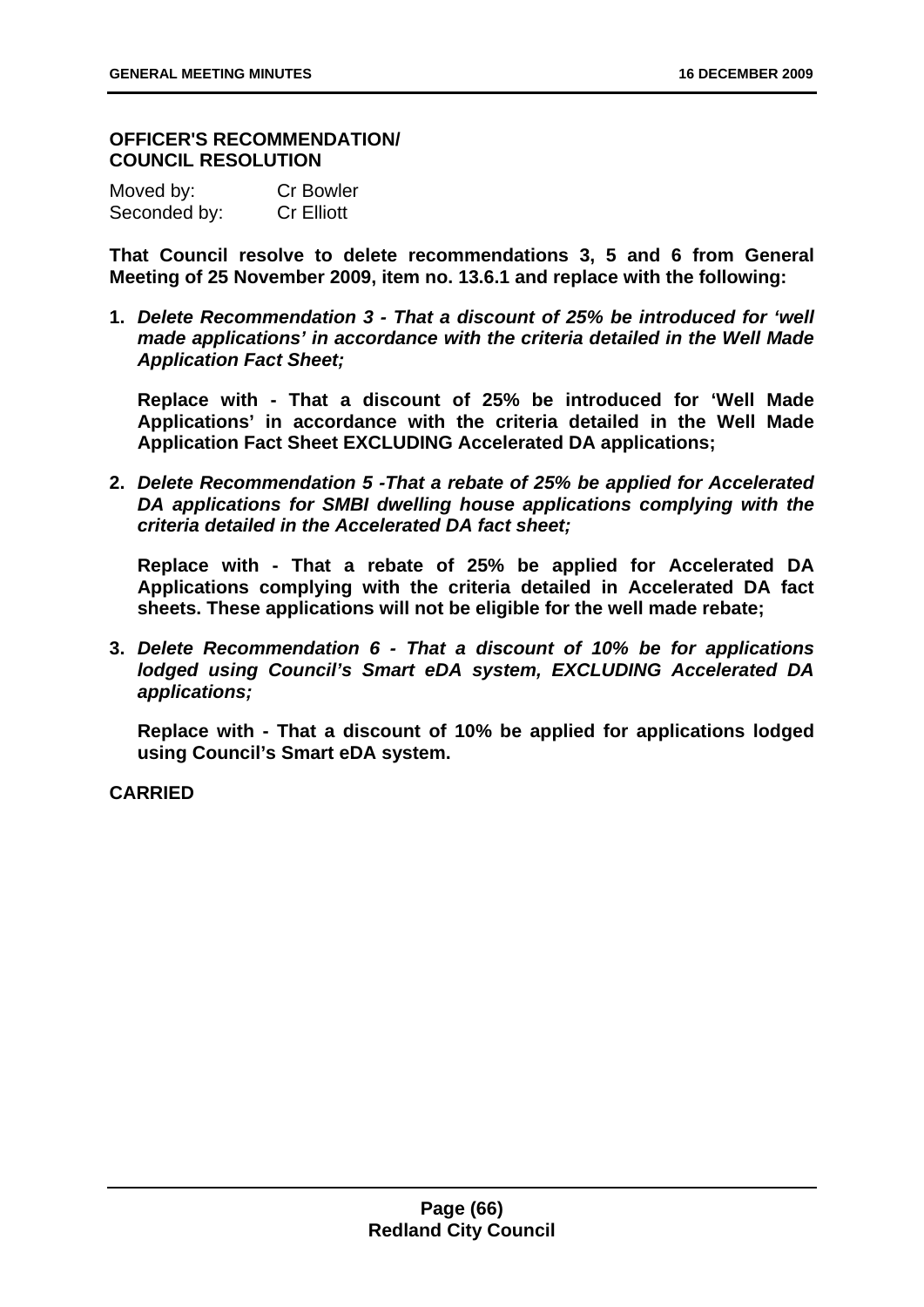### **OFFICER'S RECOMMENDATION/ COUNCIL RESOLUTION**

| Moved by:    | <b>Cr Bowler</b>  |
|--------------|-------------------|
| Seconded by: | <b>Cr Elliott</b> |

**That Council resolve to delete recommendations 3, 5 and 6 from General Meeting of 25 November 2009, item no. 13.6.1 and replace with the following:** 

**1.** *Delete Recommendation 3 - That a discount of 25% be introduced for 'well made applications' in accordance with the criteria detailed in the Well Made Application Fact Sheet;* 

**Replace with - That a discount of 25% be introduced for 'Well Made Applications' in accordance with the criteria detailed in the Well Made Application Fact Sheet EXCLUDING Accelerated DA applications;** 

**2.** *Delete Recommendation 5 -That a rebate of 25% be applied for Accelerated DA applications for SMBI dwelling house applications complying with the criteria detailed in the Accelerated DA fact sheet;* 

**Replace with - That a rebate of 25% be applied for Accelerated DA Applications complying with the criteria detailed in Accelerated DA fact sheets. These applications will not be eligible for the well made rebate;** 

**3.** *Delete Recommendation 6 - That a discount of 10% be for applications lodged using Council's Smart eDA system, EXCLUDING Accelerated DA applications;* 

**Replace with - That a discount of 10% be applied for applications lodged using Council's Smart eDA system.**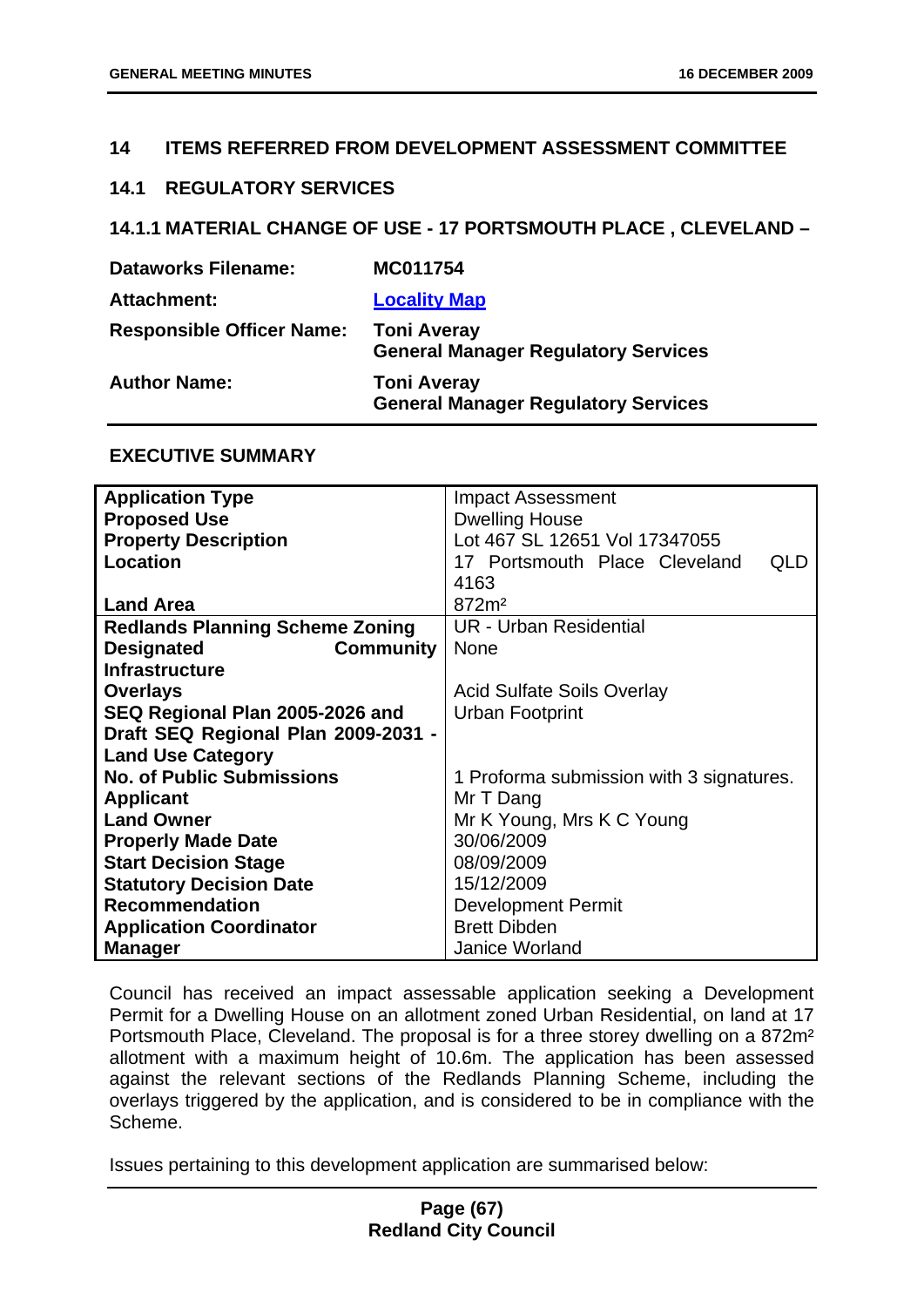## **14 ITEMS REFERRED FROM DEVELOPMENT ASSESSMENT COMMITTEE**

## **14.1 REGULATORY SERVICES**

## **14.1.1 MATERIAL CHANGE OF USE - 17 PORTSMOUTH PLACE , CLEVELAND –**

| <b>Dataworks Filename:</b>       | MC011754                                                         |
|----------------------------------|------------------------------------------------------------------|
| <b>Attachment:</b>               | <b>Locality Map</b>                                              |
| <b>Responsible Officer Name:</b> | <b>Toni Averay</b><br><b>General Manager Regulatory Services</b> |
| <b>Author Name:</b>              | <b>Toni Averay</b><br><b>General Manager Regulatory Services</b> |

### **EXECUTIVE SUMMARY**

| <b>Application Type</b>                | <b>Impact Assessment</b>                 |
|----------------------------------------|------------------------------------------|
| <b>Proposed Use</b>                    | <b>Dwelling House</b>                    |
| <b>Property Description</b>            | Lot 467 SL 12651 Vol 17347055            |
| Location                               | 17 Portsmouth Place Cleveland<br>QLD     |
|                                        | 4163                                     |
| <b>Land Area</b>                       | 872m <sup>2</sup>                        |
| <b>Redlands Planning Scheme Zoning</b> | <b>UR - Urban Residential</b>            |
| <b>Designated</b><br><b>Community</b>  | <b>None</b>                              |
| <b>Infrastructure</b>                  |                                          |
| <b>Overlays</b>                        | <b>Acid Sulfate Soils Overlay</b>        |
| SEQ Regional Plan 2005-2026 and        | Urban Footprint                          |
| Draft SEQ Regional Plan 2009-2031 -    |                                          |
| <b>Land Use Category</b>               |                                          |
| <b>No. of Public Submissions</b>       | 1 Proforma submission with 3 signatures. |
| <b>Applicant</b>                       | Mr T Dang                                |
| <b>Land Owner</b>                      | Mr K Young, Mrs K C Young                |
| <b>Properly Made Date</b>              | 30/06/2009                               |
| <b>Start Decision Stage</b>            | 08/09/2009                               |
| <b>Statutory Decision Date</b>         | 15/12/2009                               |
| <b>Recommendation</b>                  | <b>Development Permit</b>                |
| <b>Application Coordinator</b>         | <b>Brett Dibden</b>                      |
| <b>Manager</b>                         | <b>Janice Worland</b>                    |

Council has received an impact assessable application seeking a Development Permit for a Dwelling House on an allotment zoned Urban Residential, on land at 17 Portsmouth Place, Cleveland. The proposal is for a three storey dwelling on a 872m² allotment with a maximum height of 10.6m. The application has been assessed against the relevant sections of the Redlands Planning Scheme, including the overlays triggered by the application, and is considered to be in compliance with the Scheme.

Issues pertaining to this development application are summarised below: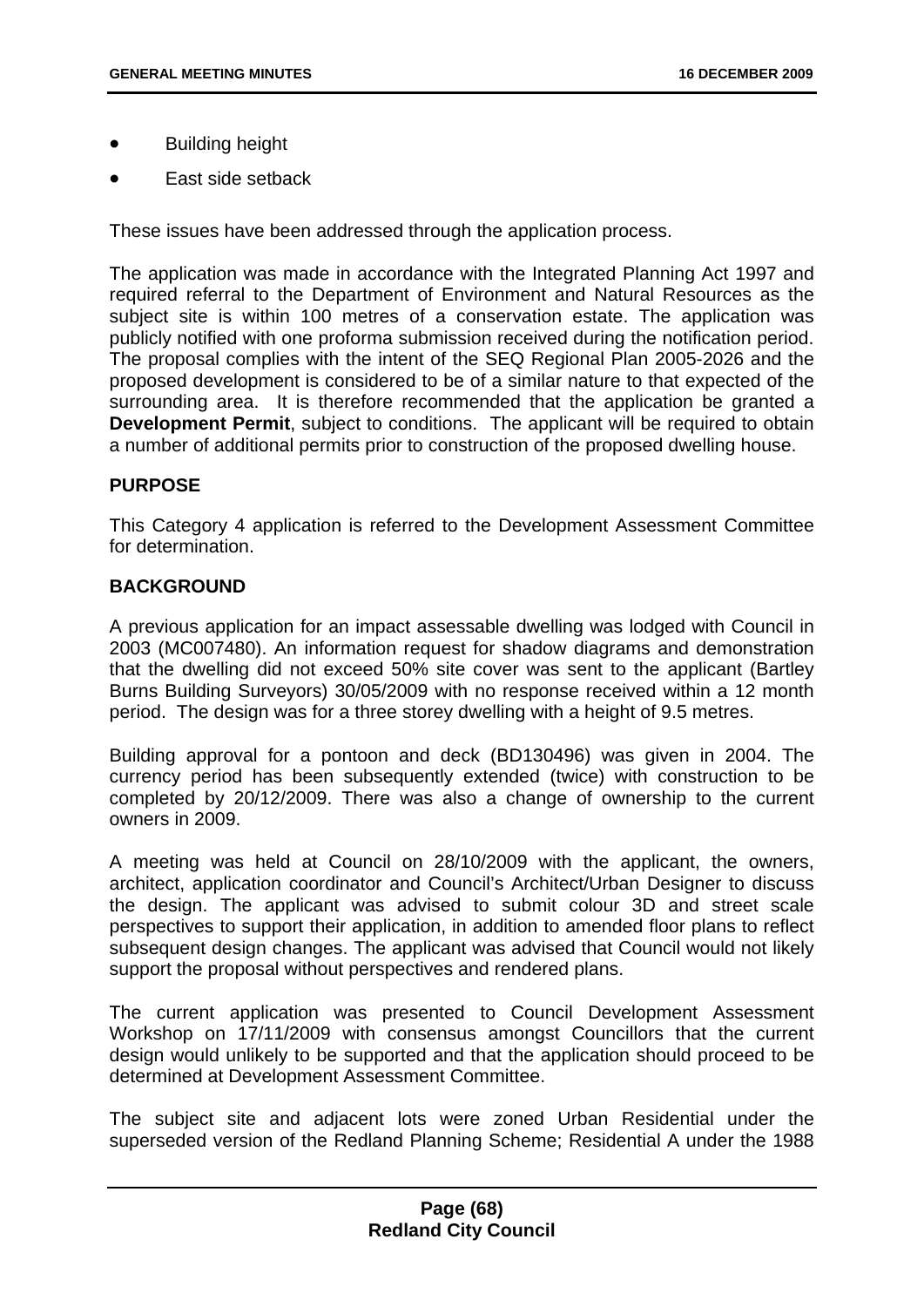- Building height
- East side setback

These issues have been addressed through the application process.

The application was made in accordance with the Integrated Planning Act 1997 and required referral to the Department of Environment and Natural Resources as the subject site is within 100 metres of a conservation estate. The application was publicly notified with one proforma submission received during the notification period. The proposal complies with the intent of the SEQ Regional Plan 2005-2026 and the proposed development is considered to be of a similar nature to that expected of the surrounding area. It is therefore recommended that the application be granted a **Development Permit**, subject to conditions. The applicant will be required to obtain a number of additional permits prior to construction of the proposed dwelling house.

## **PURPOSE**

This Category 4 application is referred to the Development Assessment Committee for determination.

## **BACKGROUND**

A previous application for an impact assessable dwelling was lodged with Council in 2003 (MC007480). An information request for shadow diagrams and demonstration that the dwelling did not exceed 50% site cover was sent to the applicant (Bartley Burns Building Surveyors) 30/05/2009 with no response received within a 12 month period. The design was for a three storey dwelling with a height of 9.5 metres.

Building approval for a pontoon and deck (BD130496) was given in 2004. The currency period has been subsequently extended (twice) with construction to be completed by 20/12/2009. There was also a change of ownership to the current owners in 2009.

A meeting was held at Council on 28/10/2009 with the applicant, the owners, architect, application coordinator and Council's Architect/Urban Designer to discuss the design. The applicant was advised to submit colour 3D and street scale perspectives to support their application, in addition to amended floor plans to reflect subsequent design changes. The applicant was advised that Council would not likely support the proposal without perspectives and rendered plans.

The current application was presented to Council Development Assessment Workshop on 17/11/2009 with consensus amongst Councillors that the current design would unlikely to be supported and that the application should proceed to be determined at Development Assessment Committee.

The subject site and adjacent lots were zoned Urban Residential under the superseded version of the Redland Planning Scheme; Residential A under the 1988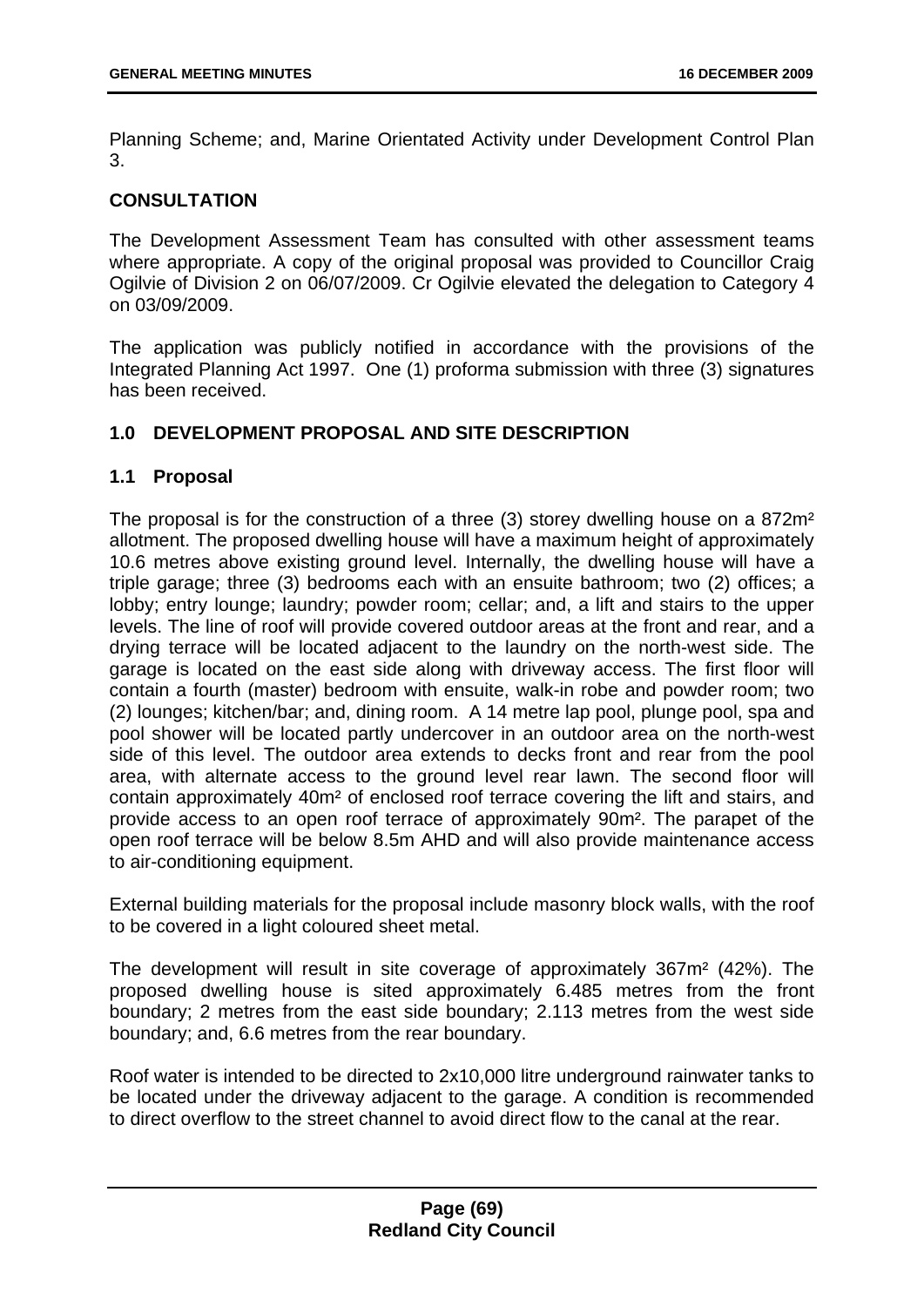Planning Scheme; and, Marine Orientated Activity under Development Control Plan 3.

# **CONSULTATION**

The Development Assessment Team has consulted with other assessment teams where appropriate. A copy of the original proposal was provided to Councillor Craig Ogilvie of Division 2 on 06/07/2009. Cr Ogilvie elevated the delegation to Category 4 on 03/09/2009.

The application was publicly notified in accordance with the provisions of the Integrated Planning Act 1997. One (1) proforma submission with three (3) signatures has been received.

# **1.0 DEVELOPMENT PROPOSAL AND SITE DESCRIPTION**

## **1.1 Proposal**

The proposal is for the construction of a three (3) storey dwelling house on a 872m² allotment. The proposed dwelling house will have a maximum height of approximately 10.6 metres above existing ground level. Internally, the dwelling house will have a triple garage; three (3) bedrooms each with an ensuite bathroom; two (2) offices; a lobby; entry lounge; laundry; powder room; cellar; and, a lift and stairs to the upper levels. The line of roof will provide covered outdoor areas at the front and rear, and a drying terrace will be located adjacent to the laundry on the north-west side. The garage is located on the east side along with driveway access. The first floor will contain a fourth (master) bedroom with ensuite, walk-in robe and powder room; two (2) lounges; kitchen/bar; and, dining room. A 14 metre lap pool, plunge pool, spa and pool shower will be located partly undercover in an outdoor area on the north-west side of this level. The outdoor area extends to decks front and rear from the pool area, with alternate access to the ground level rear lawn. The second floor will contain approximately 40m² of enclosed roof terrace covering the lift and stairs, and provide access to an open roof terrace of approximately 90m². The parapet of the open roof terrace will be below 8.5m AHD and will also provide maintenance access to air-conditioning equipment.

External building materials for the proposal include masonry block walls, with the roof to be covered in a light coloured sheet metal.

The development will result in site coverage of approximately 367m² (42%). The proposed dwelling house is sited approximately 6.485 metres from the front boundary; 2 metres from the east side boundary; 2.113 metres from the west side boundary; and, 6.6 metres from the rear boundary.

Roof water is intended to be directed to 2x10,000 litre underground rainwater tanks to be located under the driveway adjacent to the garage. A condition is recommended to direct overflow to the street channel to avoid direct flow to the canal at the rear.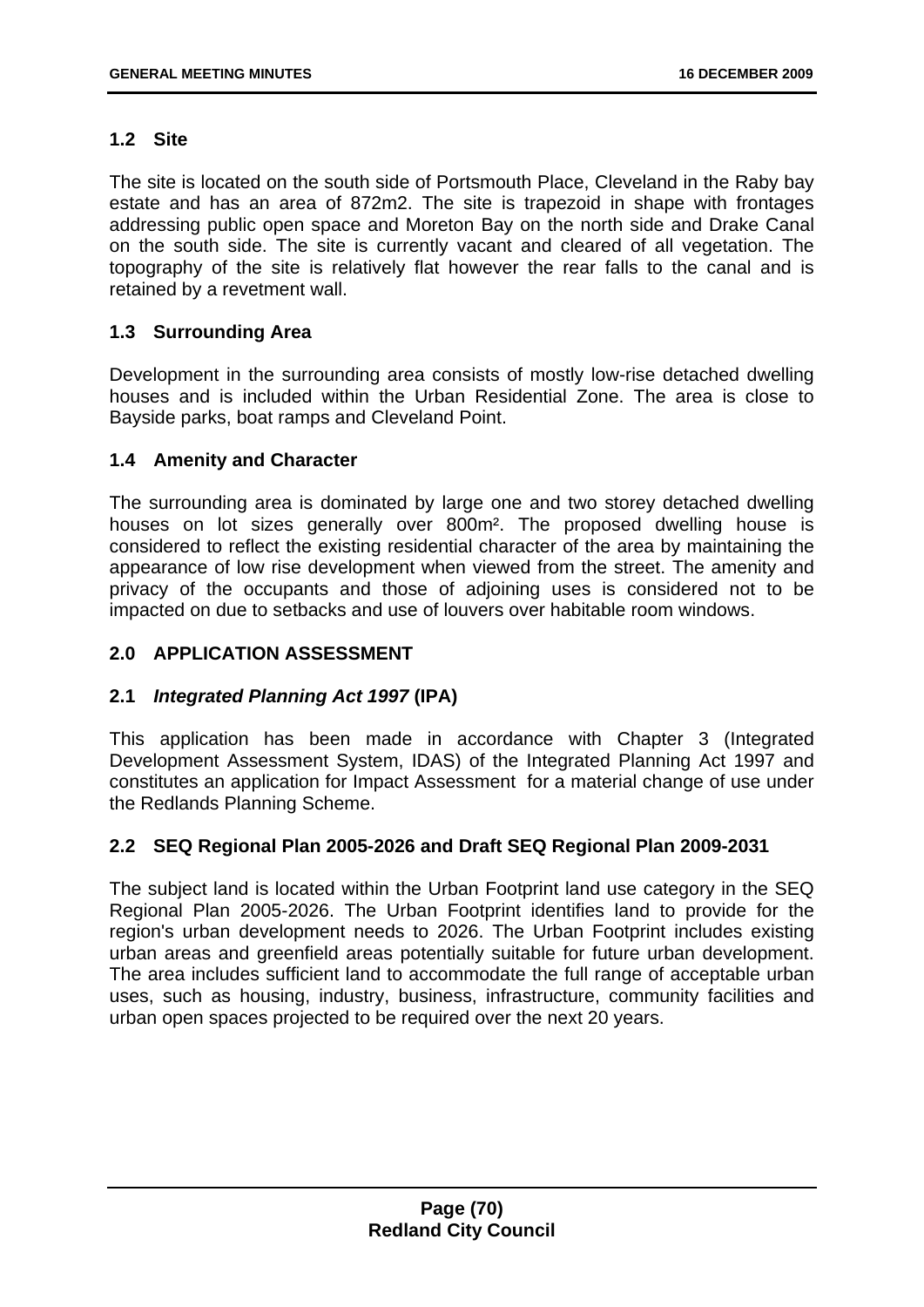# **1.2 Site**

The site is located on the south side of Portsmouth Place, Cleveland in the Raby bay estate and has an area of 872m2. The site is trapezoid in shape with frontages addressing public open space and Moreton Bay on the north side and Drake Canal on the south side. The site is currently vacant and cleared of all vegetation. The topography of the site is relatively flat however the rear falls to the canal and is retained by a revetment wall.

# **1.3 Surrounding Area**

Development in the surrounding area consists of mostly low-rise detached dwelling houses and is included within the Urban Residential Zone. The area is close to Bayside parks, boat ramps and Cleveland Point.

# **1.4 Amenity and Character**

The surrounding area is dominated by large one and two storey detached dwelling houses on lot sizes generally over 800m². The proposed dwelling house is considered to reflect the existing residential character of the area by maintaining the appearance of low rise development when viewed from the street. The amenity and privacy of the occupants and those of adjoining uses is considered not to be impacted on due to setbacks and use of louvers over habitable room windows.

# **2.0 APPLICATION ASSESSMENT**

# **2.1** *Integrated Planning Act 1997* **(IPA)**

This application has been made in accordance with Chapter 3 (Integrated Development Assessment System, IDAS) of the Integrated Planning Act 1997 and constitutes an application for Impact Assessment for a material change of use under the Redlands Planning Scheme.

# **2.2 SEQ Regional Plan 2005-2026 and Draft SEQ Regional Plan 2009-2031**

The subject land is located within the Urban Footprint land use category in the SEQ Regional Plan 2005-2026. The Urban Footprint identifies land to provide for the region's urban development needs to 2026. The Urban Footprint includes existing urban areas and greenfield areas potentially suitable for future urban development. The area includes sufficient land to accommodate the full range of acceptable urban uses, such as housing, industry, business, infrastructure, community facilities and urban open spaces projected to be required over the next 20 years.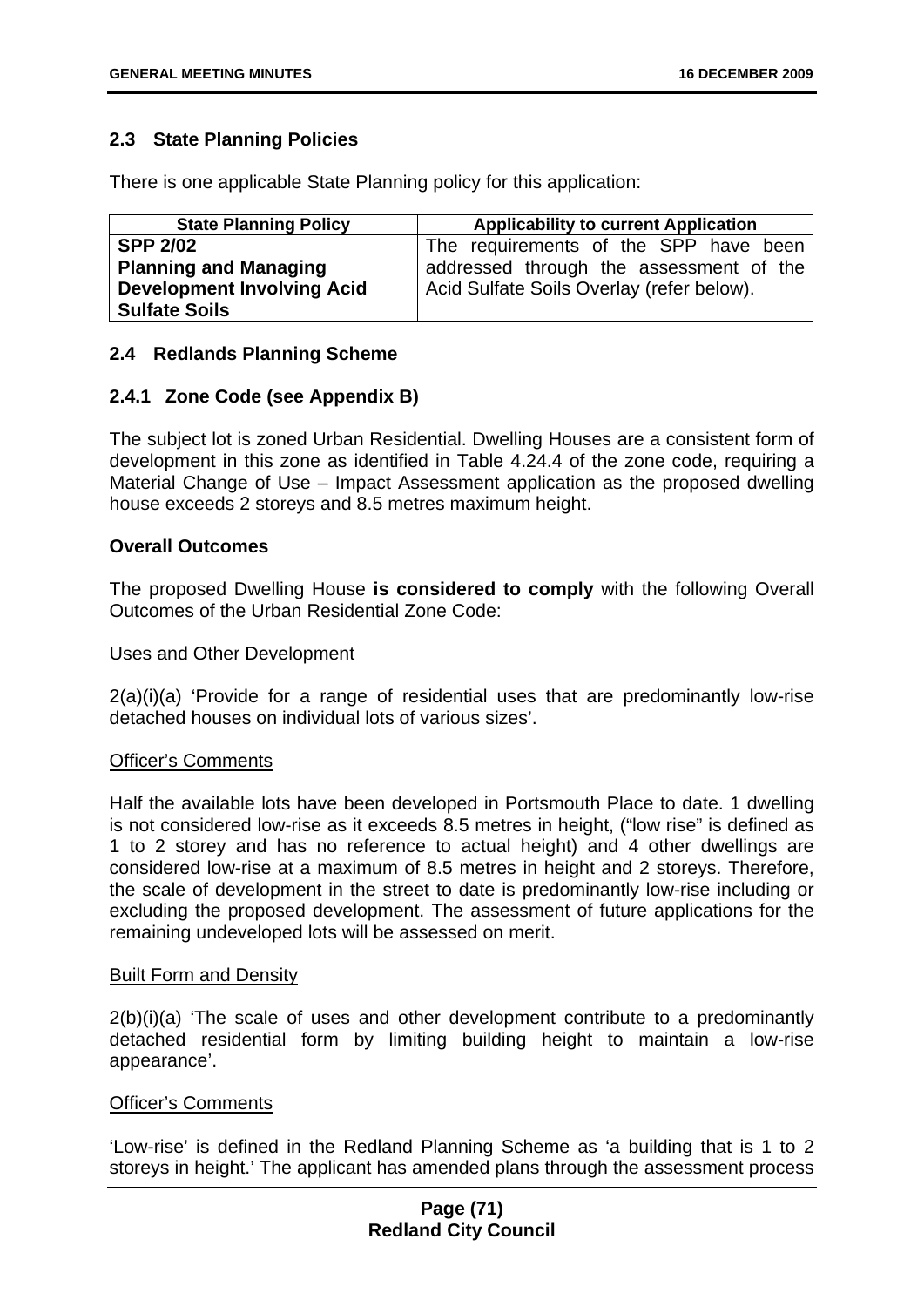## **2.3 State Planning Policies**

There is one applicable State Planning policy for this application:

| <b>State Planning Policy</b>      | <b>Applicability to current Application</b> |
|-----------------------------------|---------------------------------------------|
| <b>SPP 2/02</b>                   | The requirements of the SPP have been       |
| <b>Planning and Managing</b>      | addressed through the assessment of the     |
| <b>Development Involving Acid</b> | Acid Sulfate Soils Overlay (refer below).   |
| <b>Sulfate Soils</b>              |                                             |

## **2.4 Redlands Planning Scheme**

## **2.4.1 Zone Code (see Appendix B)**

The subject lot is zoned Urban Residential. Dwelling Houses are a consistent form of development in this zone as identified in Table 4.24.4 of the zone code, requiring a Material Change of Use – Impact Assessment application as the proposed dwelling house exceeds 2 storeys and 8.5 metres maximum height.

### **Overall Outcomes**

The proposed Dwelling House **is considered to comply** with the following Overall Outcomes of the Urban Residential Zone Code:

Uses and Other Development

2(a)(i)(a) 'Provide for a range of residential uses that are predominantly low-rise detached houses on individual lots of various sizes'.

### Officer's Comments

Half the available lots have been developed in Portsmouth Place to date. 1 dwelling is not considered low-rise as it exceeds 8.5 metres in height, ("low rise" is defined as 1 to 2 storey and has no reference to actual height) and 4 other dwellings are considered low-rise at a maximum of 8.5 metres in height and 2 storeys. Therefore, the scale of development in the street to date is predominantly low-rise including or excluding the proposed development. The assessment of future applications for the remaining undeveloped lots will be assessed on merit.

### Built Form and Density

2(b)(i)(a) 'The scale of uses and other development contribute to a predominantly detached residential form by limiting building height to maintain a low-rise appearance'.

### Officer's Comments

'Low-rise' is defined in the Redland Planning Scheme as 'a building that is 1 to 2 storeys in height.' The applicant has amended plans through the assessment process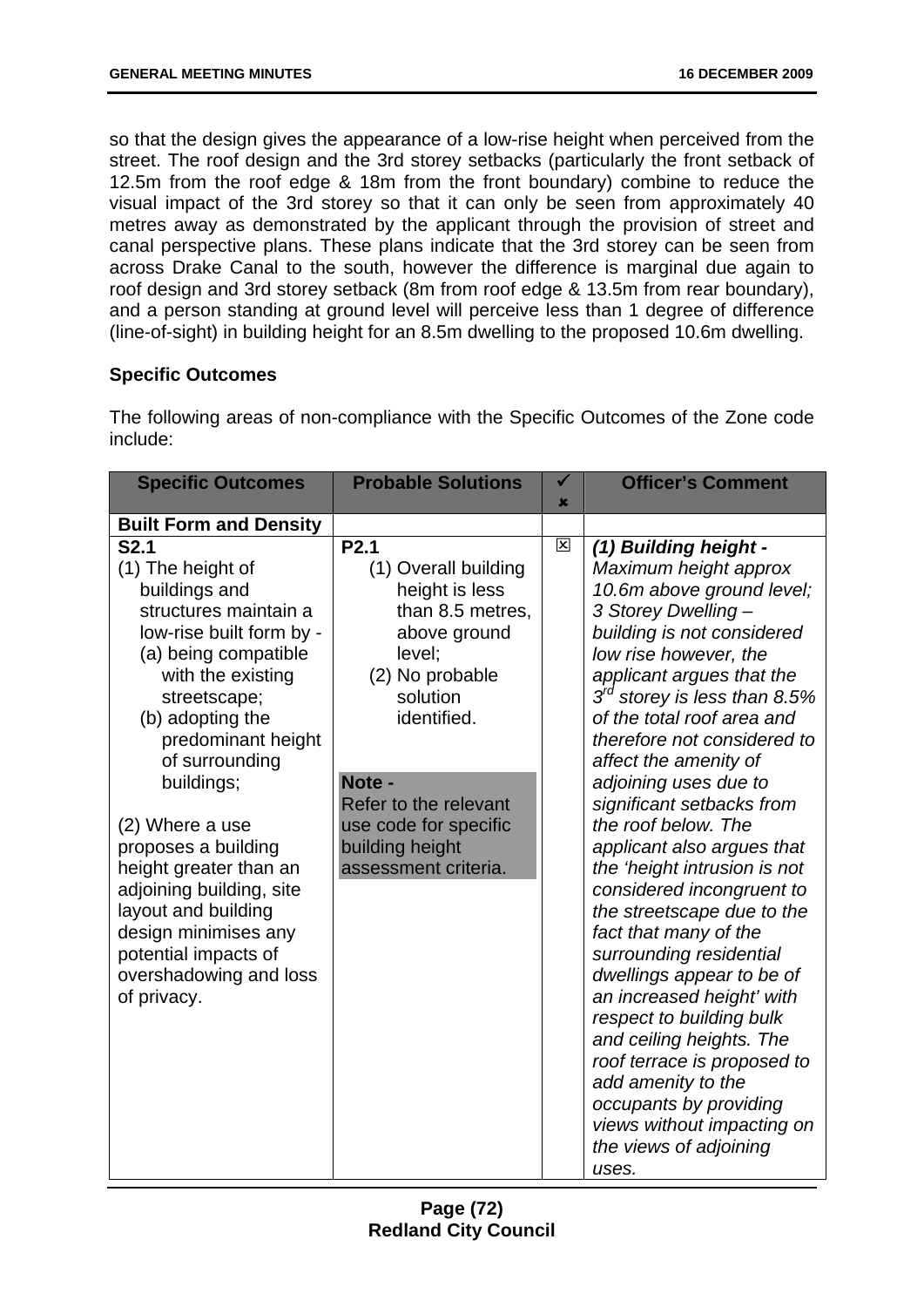so that the design gives the appearance of a low-rise height when perceived from the street. The roof design and the 3rd storey setbacks (particularly the front setback of 12.5m from the roof edge & 18m from the front boundary) combine to reduce the visual impact of the 3rd storey so that it can only be seen from approximately 40 metres away as demonstrated by the applicant through the provision of street and canal perspective plans. These plans indicate that the 3rd storey can be seen from across Drake Canal to the south, however the difference is marginal due again to roof design and 3rd storey setback (8m from roof edge & 13.5m from rear boundary), and a person standing at ground level will perceive less than 1 degree of difference (line-of-sight) in building height for an 8.5m dwelling to the proposed 10.6m dwelling.

# **Specific Outcomes**

The following areas of non-compliance with the Specific Outcomes of the Zone code include:

| <b>Specific Outcomes</b>                    | <b>Probable Solutions</b> | ✔            | <b>Officer's Comment</b>                         |
|---------------------------------------------|---------------------------|--------------|--------------------------------------------------|
|                                             |                           | x            |                                                  |
| <b>Built Form and Density</b>               |                           |              |                                                  |
| S <sub>2.1</sub>                            | P <sub>2.1</sub>          | $\mathbf{x}$ | (1) Building height -                            |
| (1) The height of                           | (1) Overall building      |              | Maximum height approx                            |
| buildings and                               | height is less            |              | 10.6m above ground level;                        |
| structures maintain a                       | than 8.5 metres,          |              | 3 Storey Dwelling -                              |
| low-rise built form by -                    | above ground              |              | building is not considered                       |
| (a) being compatible                        | level;                    |              | low rise however, the                            |
| with the existing                           | (2) No probable           |              | applicant argues that the                        |
| streetscape;                                | solution                  |              | $3^{r\sigma}$ storey is less than 8.5%           |
| (b) adopting the                            | identified.               |              | of the total roof area and                       |
| predominant height                          |                           |              | therefore not considered to                      |
| of surrounding                              |                           |              | affect the amenity of                            |
| buildings;                                  | Note -                    |              | adjoining uses due to                            |
|                                             | Refer to the relevant     |              | significant setbacks from                        |
| (2) Where a use                             | use code for specific     |              | the roof below. The                              |
| proposes a building                         | building height           |              | applicant also argues that                       |
| height greater than an                      | assessment criteria.      |              | the 'height intrusion is not                     |
| adjoining building, site                    |                           |              | considered incongruent to                        |
| layout and building<br>design minimises any |                           |              | the streetscape due to the                       |
| potential impacts of                        |                           |              | fact that many of the<br>surrounding residential |
| overshadowing and loss                      |                           |              | dwellings appear to be of                        |
| of privacy.                                 |                           |              | an increased height' with                        |
|                                             |                           |              | respect to building bulk                         |
|                                             |                           |              | and ceiling heights. The                         |
|                                             |                           |              | roof terrace is proposed to                      |
|                                             |                           |              | add amenity to the                               |
|                                             |                           |              | occupants by providing                           |
|                                             |                           |              | views without impacting on                       |
|                                             |                           |              | the views of adjoining                           |
|                                             |                           |              | uses.                                            |
|                                             |                           |              |                                                  |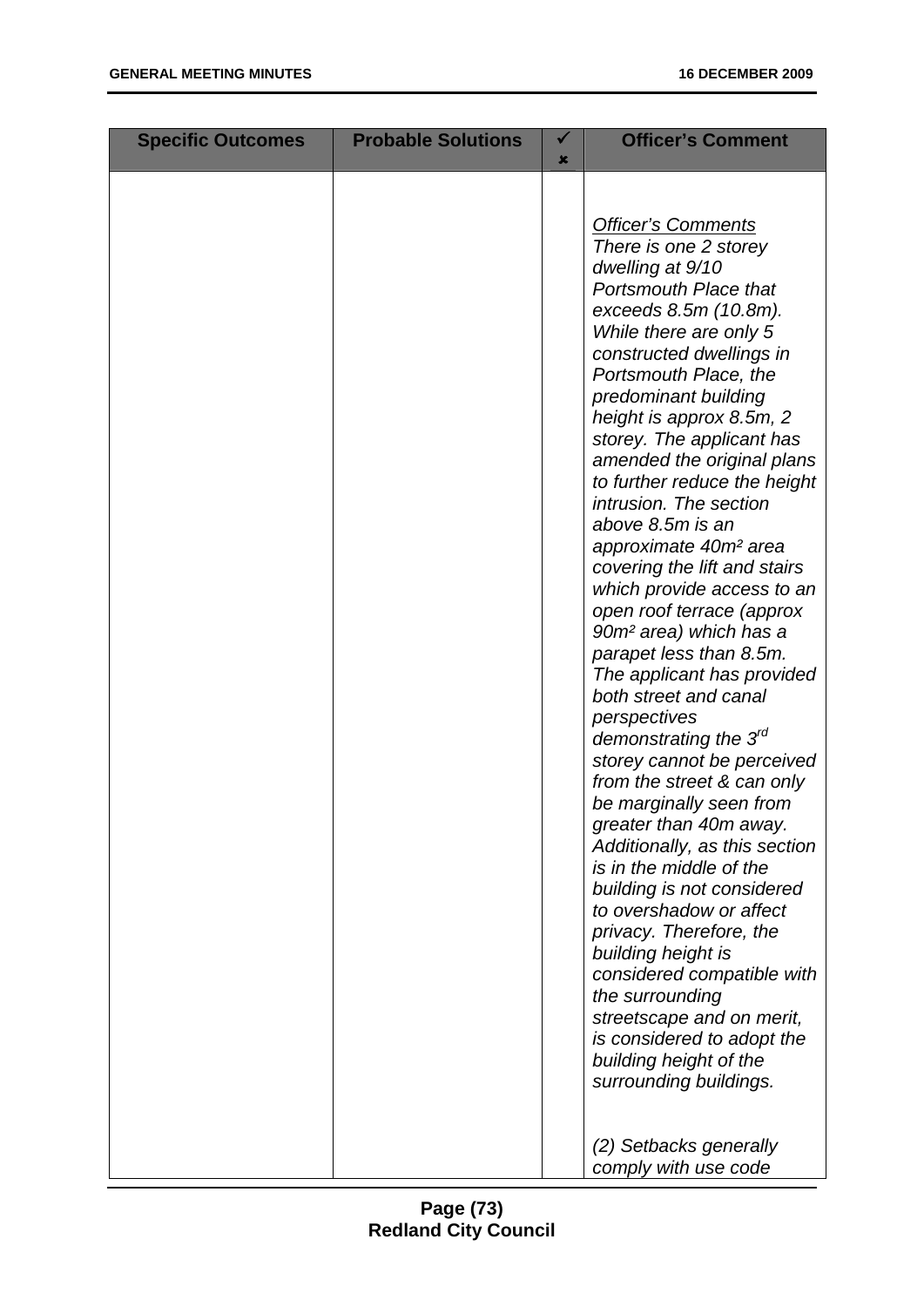| <b>Specific Outcomes</b> | <b>Probable Solutions</b> | × | <b>Officer's Comment</b>                                                                                                                                                                                                                                                                                                                                                                                                                                                                                                                                                                                                                                                                                                                                                                                                                                                                                                                                                                                                                                                                                                                                                                           |
|--------------------------|---------------------------|---|----------------------------------------------------------------------------------------------------------------------------------------------------------------------------------------------------------------------------------------------------------------------------------------------------------------------------------------------------------------------------------------------------------------------------------------------------------------------------------------------------------------------------------------------------------------------------------------------------------------------------------------------------------------------------------------------------------------------------------------------------------------------------------------------------------------------------------------------------------------------------------------------------------------------------------------------------------------------------------------------------------------------------------------------------------------------------------------------------------------------------------------------------------------------------------------------------|
|                          |                           |   | <b>Officer's Comments</b><br>There is one 2 storey<br>dwelling at 9/10<br><b>Portsmouth Place that</b><br>exceeds 8.5m (10.8m).<br>While there are only 5<br>constructed dwellings in<br>Portsmouth Place, the<br>predominant building<br>height is approx 8.5m, 2<br>storey. The applicant has<br>amended the original plans<br>to further reduce the height<br>intrusion. The section<br>above 8.5m is an<br>approximate 40m <sup>2</sup> area<br>covering the lift and stairs<br>which provide access to an<br>open roof terrace (approx<br>90m <sup>2</sup> area) which has a<br>parapet less than 8.5m.<br>The applicant has provided<br>both street and canal<br>perspectives<br>demonstrating the $3^{rd}$<br>storey cannot be perceived<br>from the street & can only<br>be marginally seen from<br>greater than 40m away.<br>Additionally, as this section<br>is in the middle of the<br>building is not considered<br>to overshadow or affect<br>privacy. Therefore, the<br>building height is<br>considered compatible with<br>the surrounding<br>streetscape and on merit,<br>is considered to adopt the<br>building height of the<br>surrounding buildings.<br>(2) Setbacks generally |
|                          |                           |   | comply with use code                                                                                                                                                                                                                                                                                                                                                                                                                                                                                                                                                                                                                                                                                                                                                                                                                                                                                                                                                                                                                                                                                                                                                                               |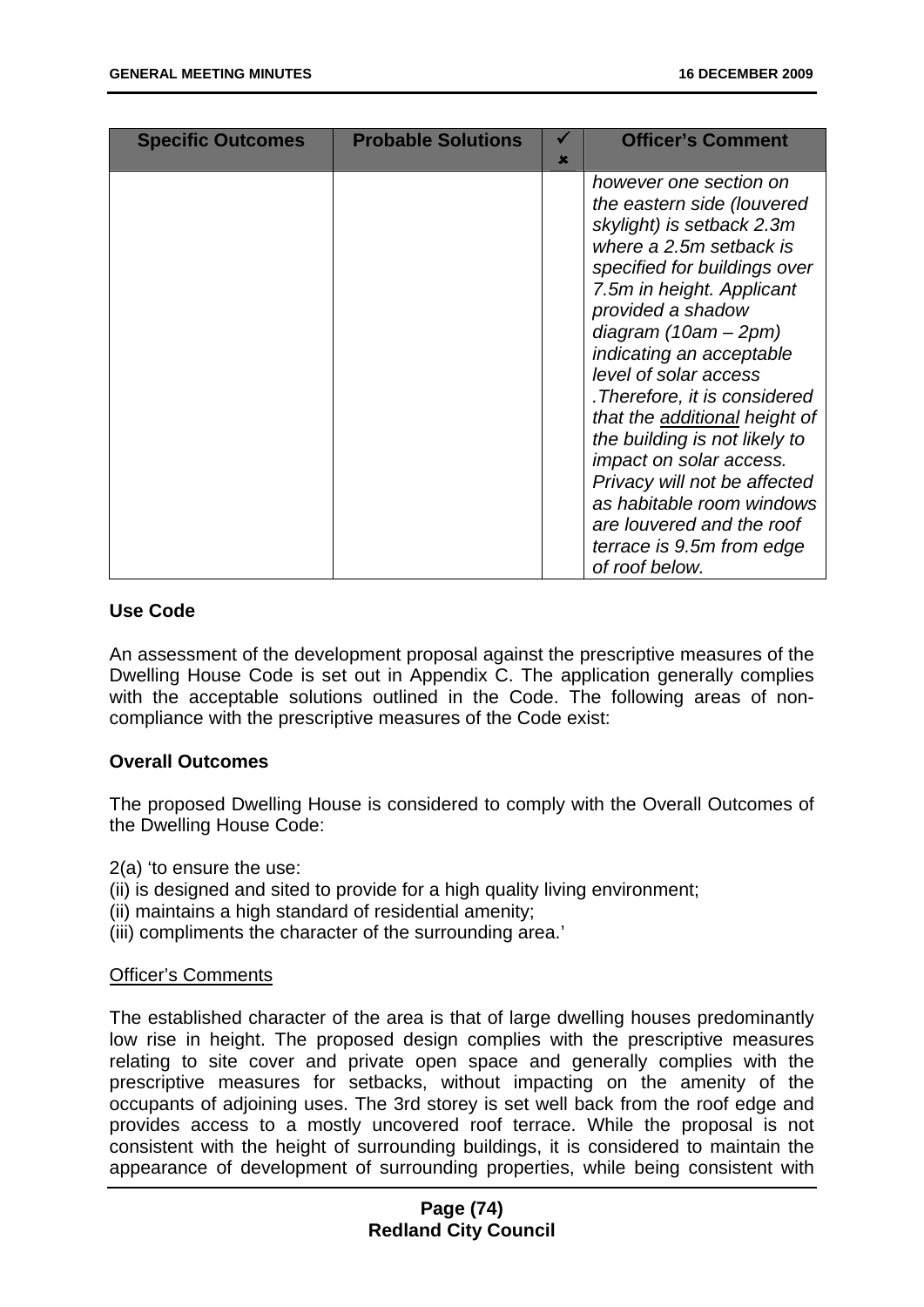| <b>Specific Outcomes</b> | <b>Probable Solutions</b> | $\mathbf x$ | <b>Officer's Comment</b>                                                                                                                                                                                                                                                                                                                                                                                                                                                                                                                            |
|--------------------------|---------------------------|-------------|-----------------------------------------------------------------------------------------------------------------------------------------------------------------------------------------------------------------------------------------------------------------------------------------------------------------------------------------------------------------------------------------------------------------------------------------------------------------------------------------------------------------------------------------------------|
|                          |                           |             | however one section on<br>the eastern side (louvered<br>skylight) is setback 2.3m<br>where a 2.5m setback is<br>specified for buildings over<br>7.5m in height. Applicant<br>provided a shadow<br>diagram $(10am - 2pm)$<br>indicating an acceptable<br>level of solar access<br>Therefore, it is considered.<br>that the additional height of<br>the building is not likely to<br>impact on solar access.<br>Privacy will not be affected<br>as habitable room windows<br>are louvered and the roof<br>terrace is 9.5m from edge<br>of roof below. |

### **Use Code**

An assessment of the development proposal against the prescriptive measures of the Dwelling House Code is set out in Appendix C. The application generally complies with the acceptable solutions outlined in the Code. The following areas of noncompliance with the prescriptive measures of the Code exist:

#### **Overall Outcomes**

The proposed Dwelling House is considered to comply with the Overall Outcomes of the Dwelling House Code:

2(a) 'to ensure the use:

- (ii) is designed and sited to provide for a high quality living environment;
- (ii) maintains a high standard of residential amenity:
- (iii) compliments the character of the surrounding area.'

#### Officer's Comments

The established character of the area is that of large dwelling houses predominantly low rise in height. The proposed design complies with the prescriptive measures relating to site cover and private open space and generally complies with the prescriptive measures for setbacks, without impacting on the amenity of the occupants of adjoining uses. The 3rd storey is set well back from the roof edge and provides access to a mostly uncovered roof terrace. While the proposal is not consistent with the height of surrounding buildings, it is considered to maintain the appearance of development of surrounding properties, while being consistent with

### **Page (74) Redland City Council**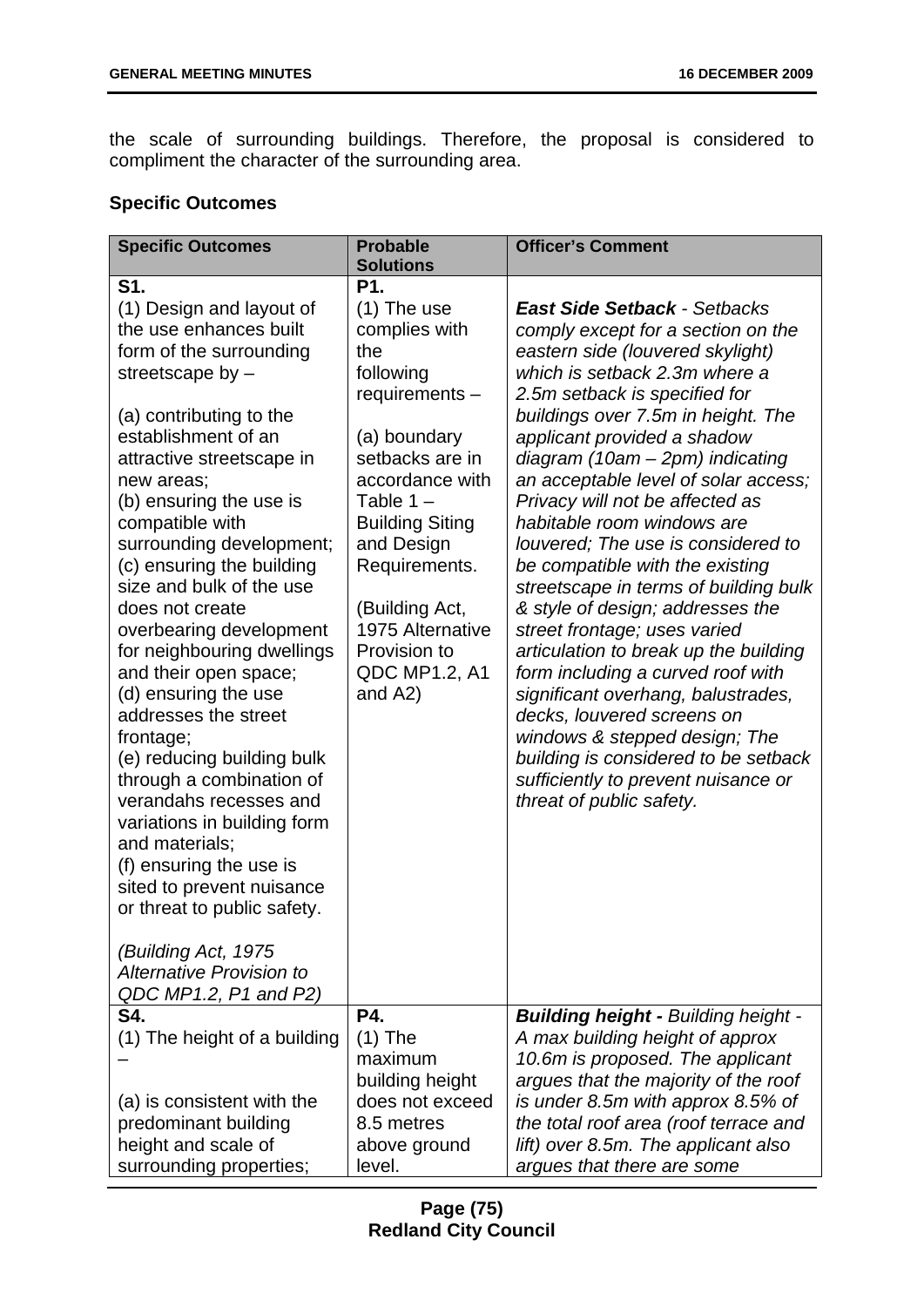the scale of surrounding buildings. Therefore, the proposal is considered to compliment the character of the surrounding area.

# **Specific Outcomes**

| <b>Specific Outcomes</b>                               | <b>Probable</b><br><b>Solutions</b> | <b>Officer's Comment</b>                                        |
|--------------------------------------------------------|-------------------------------------|-----------------------------------------------------------------|
| S1.                                                    | P1.                                 |                                                                 |
| (1) Design and layout of                               | $(1)$ The use                       | <b>East Side Setback - Setbacks</b>                             |
| the use enhances built                                 | complies with                       | comply except for a section on the                              |
| form of the surrounding                                | the                                 | eastern side (louvered skylight)                                |
| streetscape by -                                       | following                           | which is setback 2.3m where a                                   |
|                                                        | requirements -                      | 2.5m setback is specified for                                   |
| (a) contributing to the                                |                                     | buildings over 7.5m in height. The                              |
| establishment of an                                    | (a) boundary                        | applicant provided a shadow                                     |
| attractive streetscape in                              | setbacks are in                     | diagram $(10am - 2pm)$ indicating                               |
| new areas;                                             | accordance with                     | an acceptable level of solar access;                            |
| (b) ensuring the use is                                | Table $1 -$                         | Privacy will not be affected as                                 |
| compatible with                                        | <b>Building Siting</b>              | habitable room windows are                                      |
| surrounding development;                               | and Design                          | louvered; The use is considered to                              |
| (c) ensuring the building                              | Requirements.                       | be compatible with the existing                                 |
| size and bulk of the use                               |                                     | streetscape in terms of building bulk                           |
| does not create                                        | (Building Act,                      | & style of design; addresses the                                |
| overbearing development                                | 1975 Alternative                    | street frontage; uses varied                                    |
| for neighbouring dwellings                             | Provision to                        | articulation to break up the building                           |
| and their open space;                                  | QDC MP1.2, A1                       | form including a curved roof with                               |
| (d) ensuring the use                                   | and A2)                             | significant overhang, balustrades,                              |
| addresses the street                                   |                                     | decks, louvered screens on                                      |
| frontage;                                              |                                     | windows & stepped design; The                                   |
| (e) reducing building bulk<br>through a combination of |                                     | building is considered to be setback                            |
| verandahs recesses and                                 |                                     | sufficiently to prevent nuisance or<br>threat of public safety. |
| variations in building form                            |                                     |                                                                 |
| and materials:                                         |                                     |                                                                 |
| (f) ensuring the use is                                |                                     |                                                                 |
| sited to prevent nuisance                              |                                     |                                                                 |
| or threat to public safety.                            |                                     |                                                                 |
|                                                        |                                     |                                                                 |
| (Building Act, 1975                                    |                                     |                                                                 |
| Alternative Provision to                               |                                     |                                                                 |
| QDC MP1.2, P1 and P2)                                  |                                     |                                                                 |
| S4.                                                    | P4.                                 | <b>Building height - Building height -</b>                      |
| (1) The height of a building                           | $(1)$ The                           | A max building height of approx                                 |
|                                                        | maximum                             | 10.6m is proposed. The applicant                                |
|                                                        | building height                     | argues that the majority of the roof                            |
| (a) is consistent with the                             | does not exceed                     | is under 8.5m with approx 8.5% of                               |
| predominant building                                   | 8.5 metres                          | the total roof area (roof terrace and                           |
| height and scale of                                    | above ground                        | lift) over 8.5m. The applicant also                             |
| surrounding properties;                                | level.                              | argues that there are some                                      |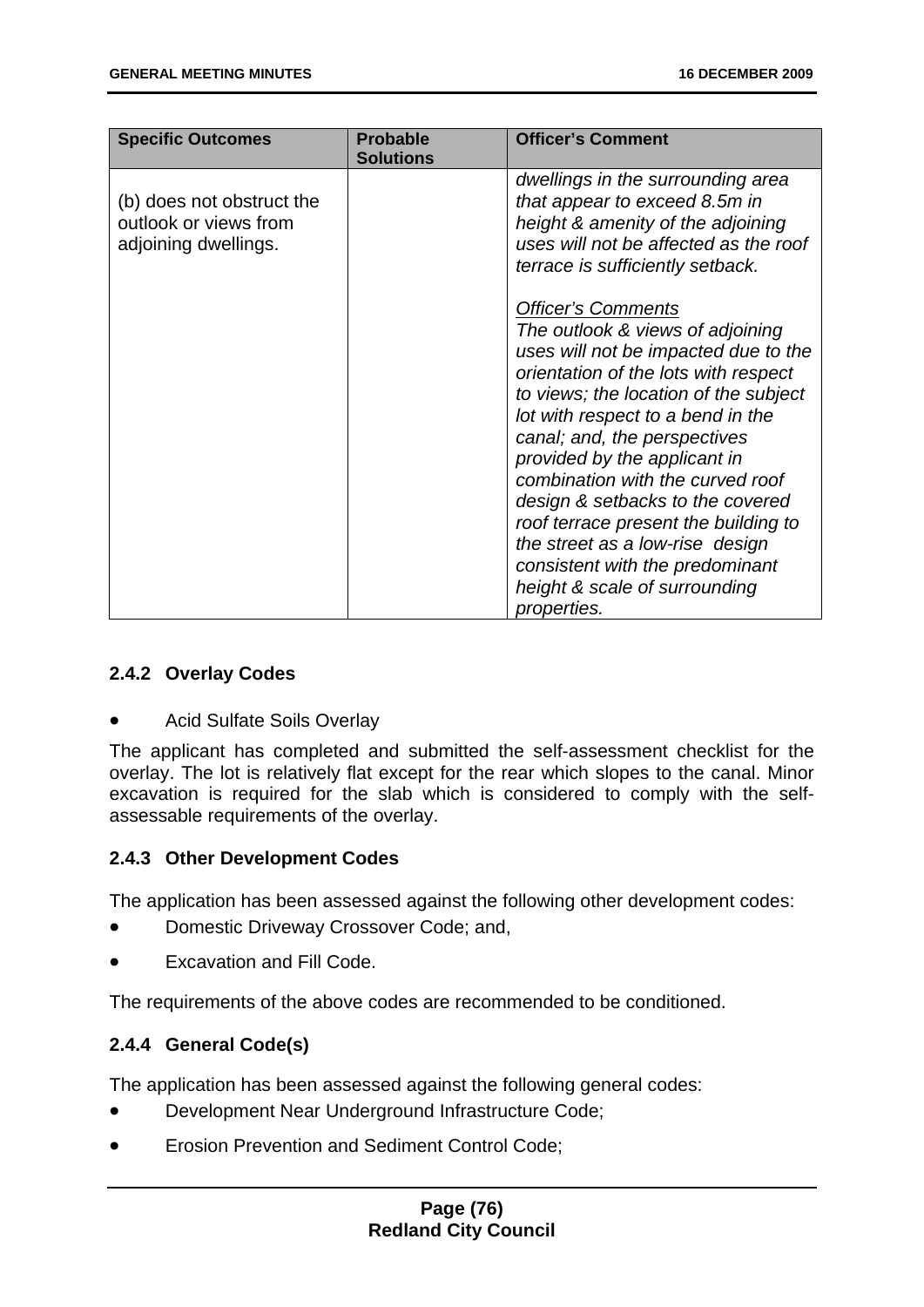| <b>Specific Outcomes</b>                                                   | <b>Probable</b><br><b>Solutions</b> | <b>Officer's Comment</b>                                                                                                                                                                                                                                                                                                                                                                                                                                                                                                          |
|----------------------------------------------------------------------------|-------------------------------------|-----------------------------------------------------------------------------------------------------------------------------------------------------------------------------------------------------------------------------------------------------------------------------------------------------------------------------------------------------------------------------------------------------------------------------------------------------------------------------------------------------------------------------------|
| (b) does not obstruct the<br>outlook or views from<br>adjoining dwellings. |                                     | dwellings in the surrounding area<br>that appear to exceed 8.5m in<br>height & amenity of the adjoining<br>uses will not be affected as the roof<br>terrace is sufficiently setback.                                                                                                                                                                                                                                                                                                                                              |
|                                                                            |                                     | <b>Officer's Comments</b><br>The outlook & views of adjoining<br>uses will not be impacted due to the<br>orientation of the lots with respect<br>to views; the location of the subject<br>lot with respect to a bend in the<br>canal; and, the perspectives<br>provided by the applicant in<br>combination with the curved roof<br>design & setbacks to the covered<br>roof terrace present the building to<br>the street as a low-rise design<br>consistent with the predominant<br>height & scale of surrounding<br>properties. |

# **2.4.2 Overlay Codes**

• Acid Sulfate Soils Overlay

The applicant has completed and submitted the self-assessment checklist for the overlay. The lot is relatively flat except for the rear which slopes to the canal. Minor excavation is required for the slab which is considered to comply with the selfassessable requirements of the overlay.

# **2.4.3 Other Development Codes**

The application has been assessed against the following other development codes:

- Domestic Driveway Crossover Code; and,
- Excavation and Fill Code.

The requirements of the above codes are recommended to be conditioned.

# **2.4.4 General Code(s)**

The application has been assessed against the following general codes:

- Development Near Underground Infrastructure Code;
- Erosion Prevention and Sediment Control Code;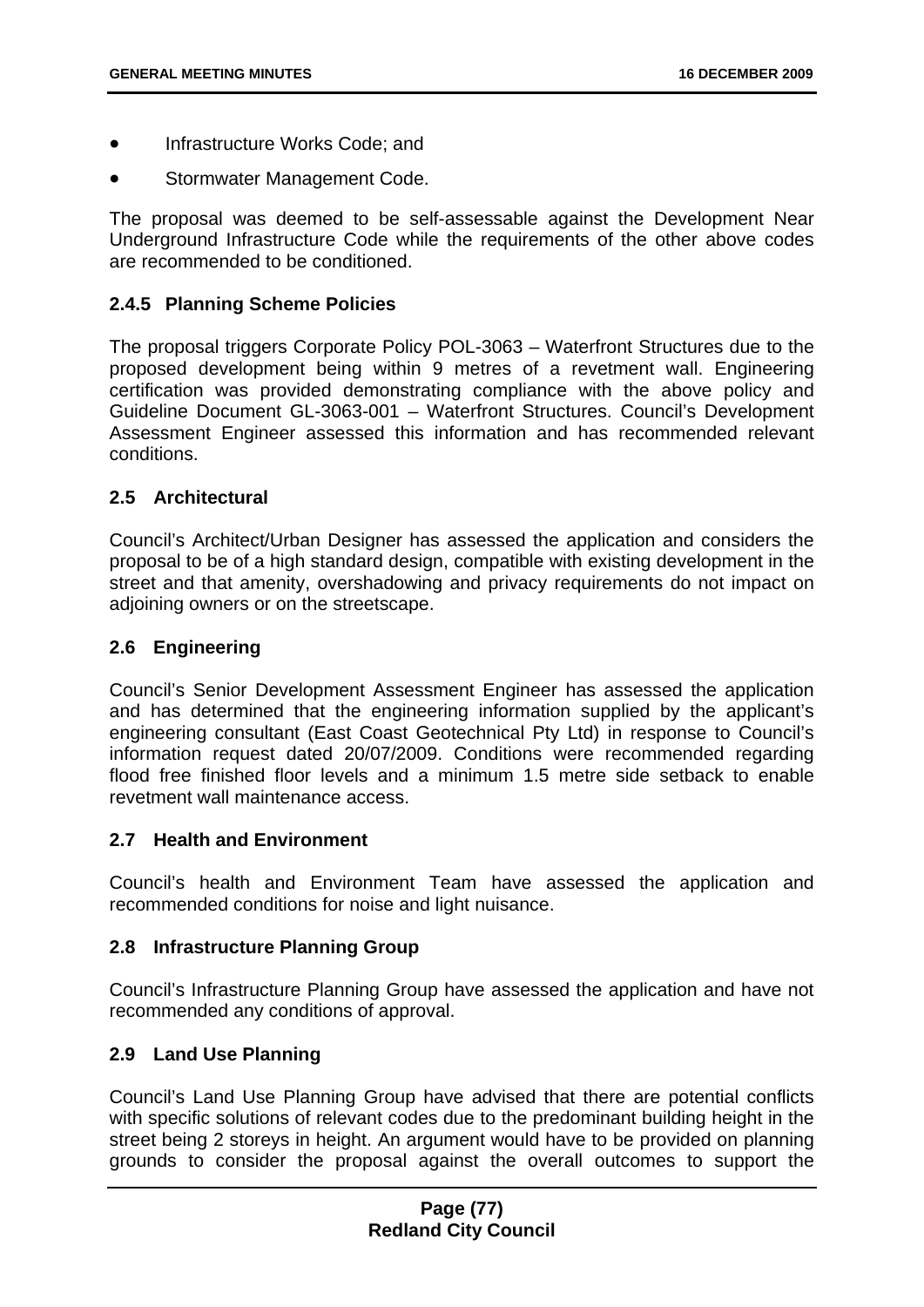- Infrastructure Works Code; and
- Stormwater Management Code.

The proposal was deemed to be self-assessable against the Development Near Underground Infrastructure Code while the requirements of the other above codes are recommended to be conditioned.

### **2.4.5 Planning Scheme Policies**

The proposal triggers Corporate Policy POL-3063 – Waterfront Structures due to the proposed development being within 9 metres of a revetment wall. Engineering certification was provided demonstrating compliance with the above policy and Guideline Document GL-3063-001 – Waterfront Structures. Council's Development Assessment Engineer assessed this information and has recommended relevant conditions.

#### **2.5 Architectural**

Council's Architect/Urban Designer has assessed the application and considers the proposal to be of a high standard design, compatible with existing development in the street and that amenity, overshadowing and privacy requirements do not impact on adjoining owners or on the streetscape.

#### **2.6 Engineering**

Council's Senior Development Assessment Engineer has assessed the application and has determined that the engineering information supplied by the applicant's engineering consultant (East Coast Geotechnical Pty Ltd) in response to Council's information request dated 20/07/2009. Conditions were recommended regarding flood free finished floor levels and a minimum 1.5 metre side setback to enable revetment wall maintenance access.

#### **2.7 Health and Environment**

Council's health and Environment Team have assessed the application and recommended conditions for noise and light nuisance.

#### **2.8 Infrastructure Planning Group**

Council's Infrastructure Planning Group have assessed the application and have not recommended any conditions of approval.

# **2.9 Land Use Planning**

Council's Land Use Planning Group have advised that there are potential conflicts with specific solutions of relevant codes due to the predominant building height in the street being 2 storeys in height. An argument would have to be provided on planning grounds to consider the proposal against the overall outcomes to support the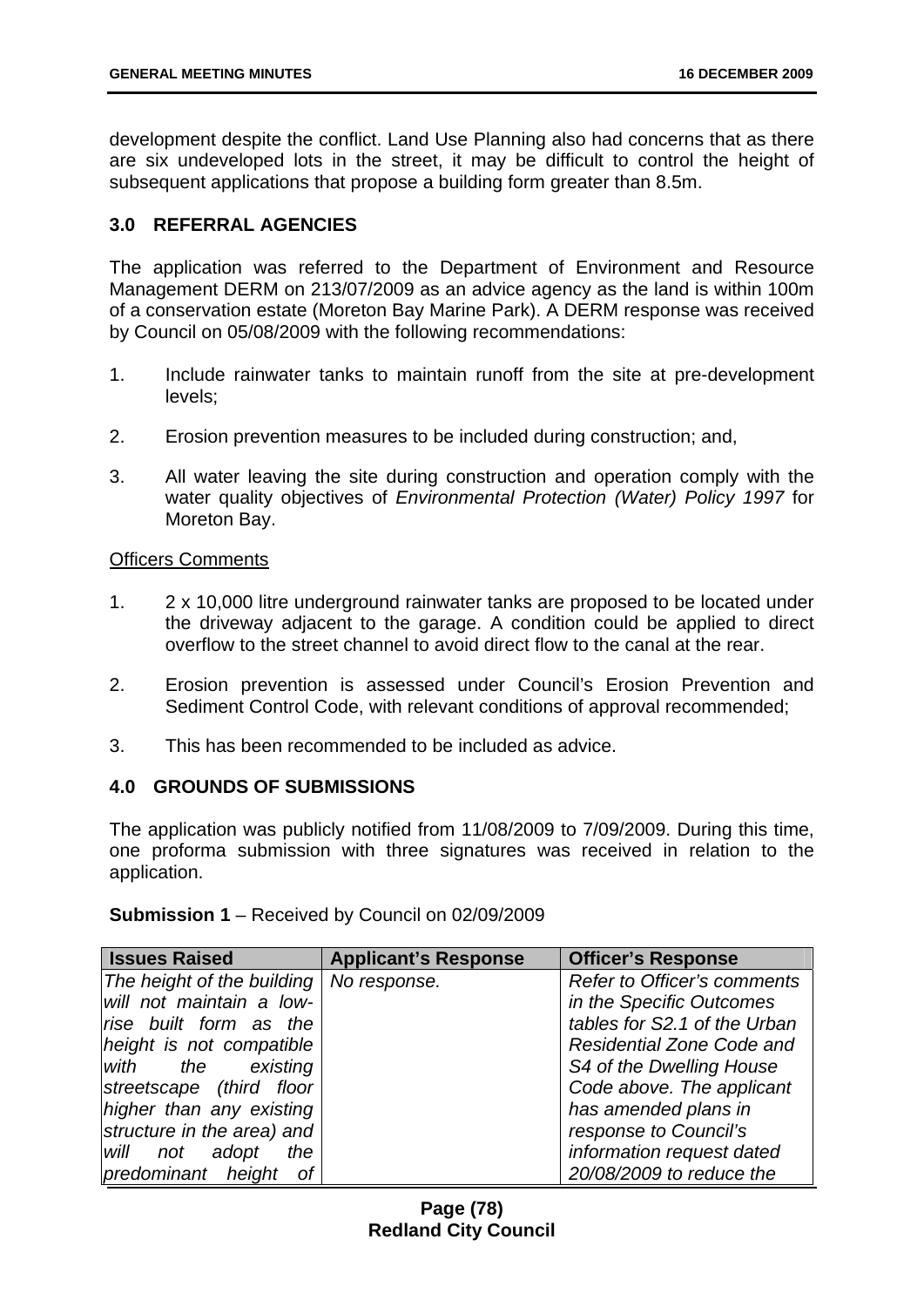development despite the conflict. Land Use Planning also had concerns that as there are six undeveloped lots in the street, it may be difficult to control the height of subsequent applications that propose a building form greater than 8.5m.

### **3.0 REFERRAL AGENCIES**

The application was referred to the Department of Environment and Resource Management DERM on 213/07/2009 as an advice agency as the land is within 100m of a conservation estate (Moreton Bay Marine Park). A DERM response was received by Council on 05/08/2009 with the following recommendations:

- 1. Include rainwater tanks to maintain runoff from the site at pre-development levels;
- 2. Erosion prevention measures to be included during construction; and,
- 3. All water leaving the site during construction and operation comply with the water quality objectives of *Environmental Protection (Water) Policy 1997* for Moreton Bay.

#### Officers Comments

- 1. 2 x 10,000 litre underground rainwater tanks are proposed to be located under the driveway adjacent to the garage. A condition could be applied to direct overflow to the street channel to avoid direct flow to the canal at the rear.
- 2. Erosion prevention is assessed under Council's Erosion Prevention and Sediment Control Code, with relevant conditions of approval recommended;
- 3. This has been recommended to be included as advice.

# **4.0 GROUNDS OF SUBMISSIONS**

The application was publicly notified from 11/08/2009 to 7/09/2009. During this time, one proforma submission with three signatures was received in relation to the application.

| <b>Issues Raised</b>                      | <b>Applicant's Response</b> | <b>Officer's Response</b>          |
|-------------------------------------------|-----------------------------|------------------------------------|
| The height of the building   No response. |                             | <b>Refer to Officer's comments</b> |
| will not maintain a low-                  |                             | in the Specific Outcomes           |
| rise built form as the                    |                             | tables for S2.1 of the Urban       |
| height is not compatible                  |                             | Residential Zone Code and          |
| with the existing                         |                             | S4 of the Dwelling House           |
| streetscape (third floor                  |                             | Code above. The applicant          |
| higher than any existing                  |                             | has amended plans in               |
| structure in the area) and                |                             | response to Council's              |
| will not<br>adopt<br>the                  |                             | information request dated          |
| predominant height of                     |                             | 20/08/2009 to reduce the           |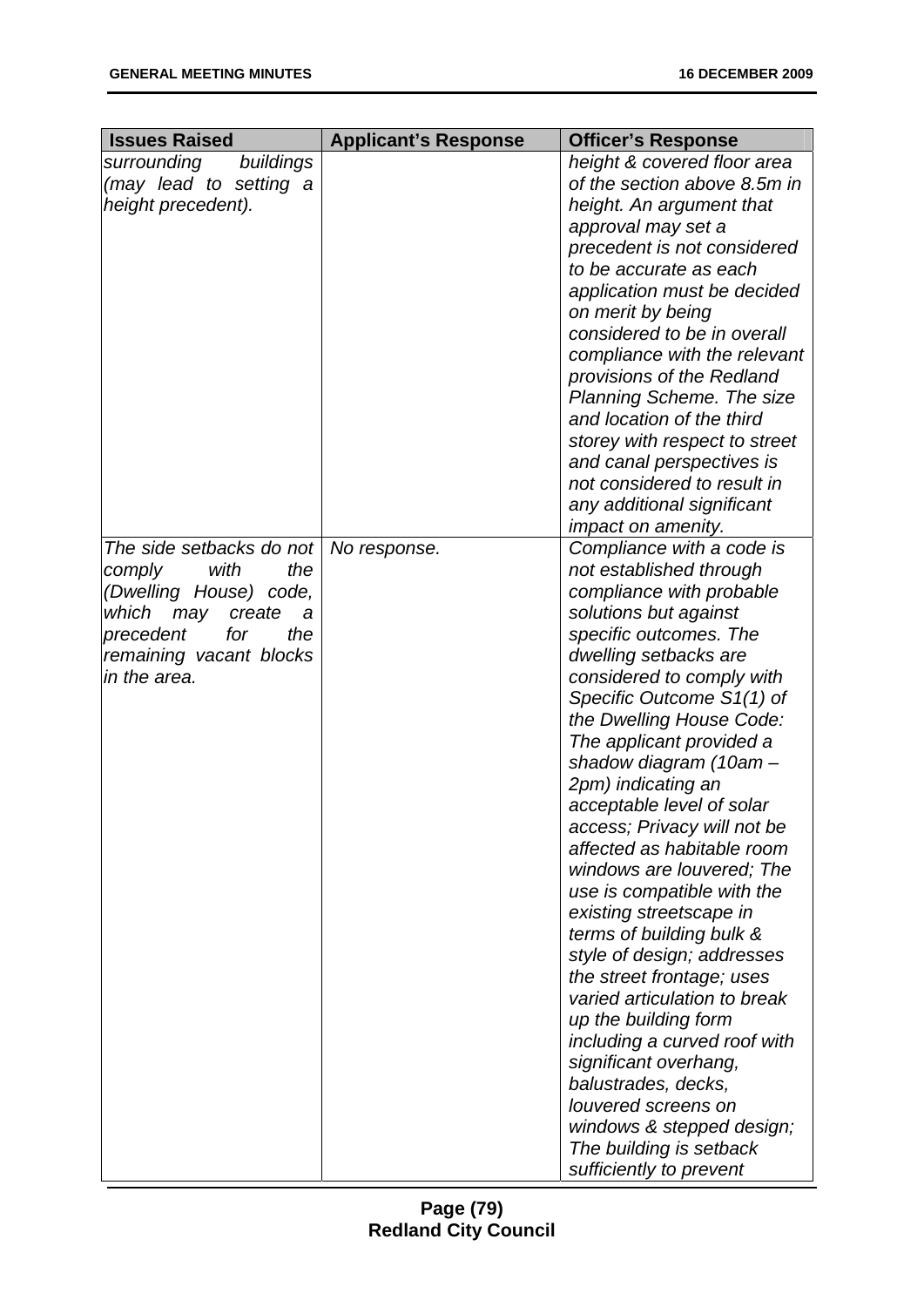| <b>Issues Raised</b>                                                                                                                                                             | <b>Applicant's Response</b> | <b>Officer's Response</b>                                                                                                                                                                                                                                                                                                                                                                                                                                                                                                                                                                                                                                                                                                                                                                                                                               |
|----------------------------------------------------------------------------------------------------------------------------------------------------------------------------------|-----------------------------|---------------------------------------------------------------------------------------------------------------------------------------------------------------------------------------------------------------------------------------------------------------------------------------------------------------------------------------------------------------------------------------------------------------------------------------------------------------------------------------------------------------------------------------------------------------------------------------------------------------------------------------------------------------------------------------------------------------------------------------------------------------------------------------------------------------------------------------------------------|
| surrounding<br>buildings<br>(may lead to setting a<br>height precedent).                                                                                                         |                             | height & covered floor area<br>of the section above 8.5m in<br>height. An argument that<br>approval may set a<br>precedent is not considered<br>to be accurate as each<br>application must be decided<br>on merit by being<br>considered to be in overall<br>compliance with the relevant<br>provisions of the Redland<br>Planning Scheme. The size<br>and location of the third<br>storey with respect to street<br>and canal perspectives is<br>not considered to result in<br>any additional significant<br>impact on amenity.                                                                                                                                                                                                                                                                                                                       |
| The side setbacks do not<br>with<br>the<br>comply<br>(Dwelling House) code,<br>which<br>may<br>create<br>a<br>precedent<br>the<br>for<br>remaining vacant blocks<br>in the area. | No response.                | Compliance with a code is<br>not established through<br>compliance with probable<br>solutions but against<br>specific outcomes. The<br>dwelling setbacks are<br>considered to comply with<br>Specific Outcome S1(1) of<br>the Dwelling House Code:<br>The applicant provided a<br>shadow diagram (10am –<br>2pm) indicating an<br>acceptable level of solar<br>access; Privacy will not be<br>affected as habitable room<br>windows are louvered; The<br>use is compatible with the<br>existing streetscape in<br>terms of building bulk &<br>style of design; addresses<br>the street frontage; uses<br>varied articulation to break<br>up the building form<br>including a curved roof with<br>significant overhang,<br>balustrades, decks,<br>louvered screens on<br>windows & stepped design;<br>The building is setback<br>sufficiently to prevent |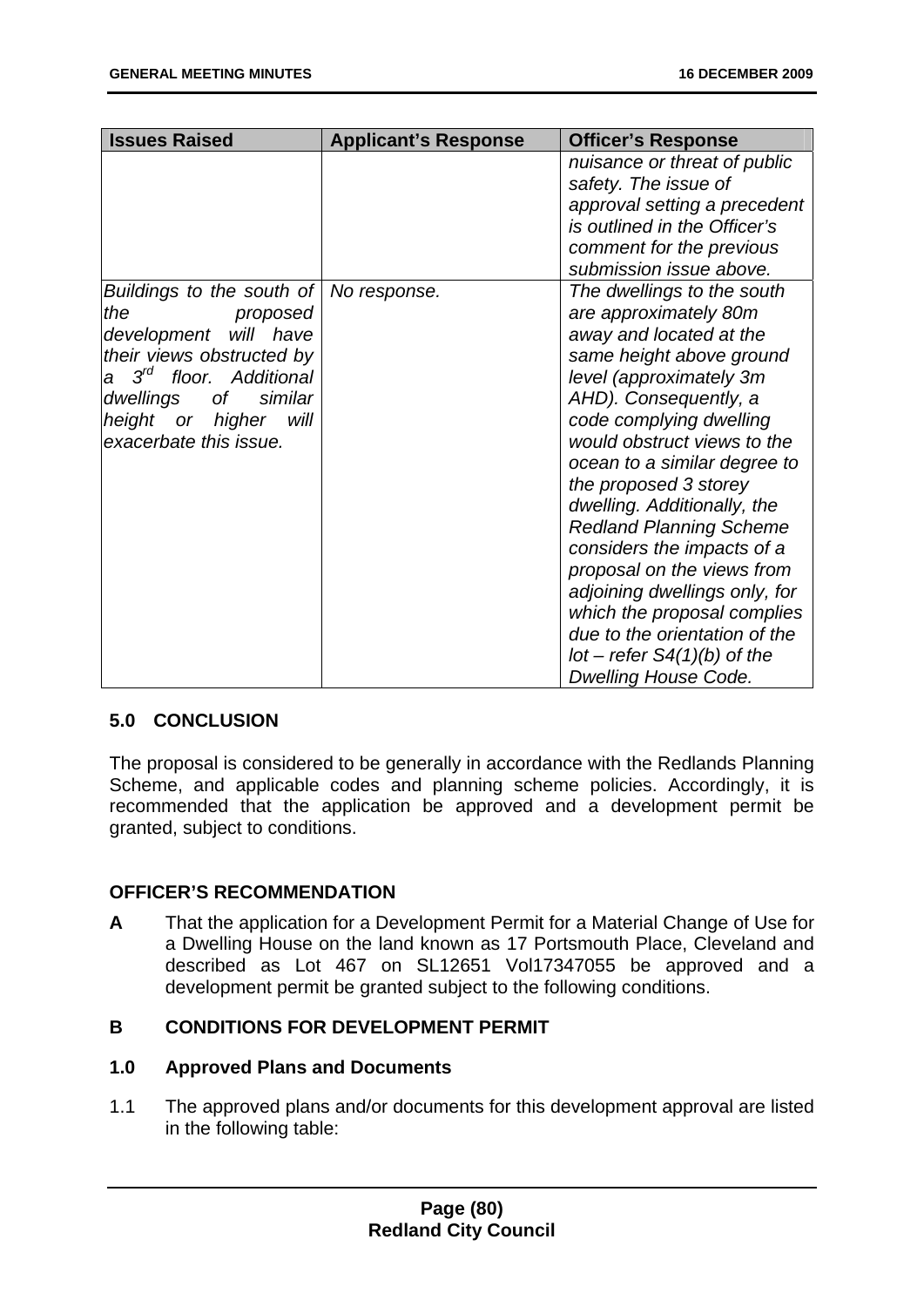| <b>Issues Raised</b>                | <b>Applicant's Response</b> | <b>Officer's Response</b>      |
|-------------------------------------|-----------------------------|--------------------------------|
|                                     |                             | nuisance or threat of public   |
|                                     |                             | safety. The issue of           |
|                                     |                             | approval setting a precedent   |
|                                     |                             | is outlined in the Officer's   |
|                                     |                             | comment for the previous       |
|                                     |                             | submission issue above.        |
| Buildings to the south of           | No response.                | The dwellings to the south     |
| the<br>proposed                     |                             | are approximately 80m          |
| development will have               |                             | away and located at the        |
| their views obstructed by           |                             | same height above ground       |
| a 3 <sup>rd</sup> floor. Additional |                             | level (approximately 3m        |
| of<br>similar<br>dwellings          |                             | AHD). Consequently, a          |
| height or higher<br>will            |                             | code complying dwelling        |
| exacerbate this issue.              |                             | would obstruct views to the    |
|                                     |                             | ocean to a similar degree to   |
|                                     |                             | the proposed 3 storey          |
|                                     |                             | dwelling. Additionally, the    |
|                                     |                             | <b>Redland Planning Scheme</b> |
|                                     |                             | considers the impacts of a     |
|                                     |                             | proposal on the views from     |
|                                     |                             | adjoining dwellings only, for  |
|                                     |                             | which the proposal complies    |
|                                     |                             | due to the orientation of the  |
|                                     |                             | $lot - refer S4(1)(b)$ of the  |
|                                     |                             | <b>Dwelling House Code.</b>    |

# **5.0 CONCLUSION**

The proposal is considered to be generally in accordance with the Redlands Planning Scheme, and applicable codes and planning scheme policies. Accordingly, it is recommended that the application be approved and a development permit be granted, subject to conditions.

# **OFFICER'S RECOMMENDATION**

**A** That the application for a Development Permit for a Material Change of Use for a Dwelling House on the land known as 17 Portsmouth Place, Cleveland and described as Lot 467 on SL12651 Vol17347055 be approved and a development permit be granted subject to the following conditions.

# **B CONDITIONS FOR DEVELOPMENT PERMIT**

# **1.0 Approved Plans and Documents**

1.1 The approved plans and/or documents for this development approval are listed in the following table: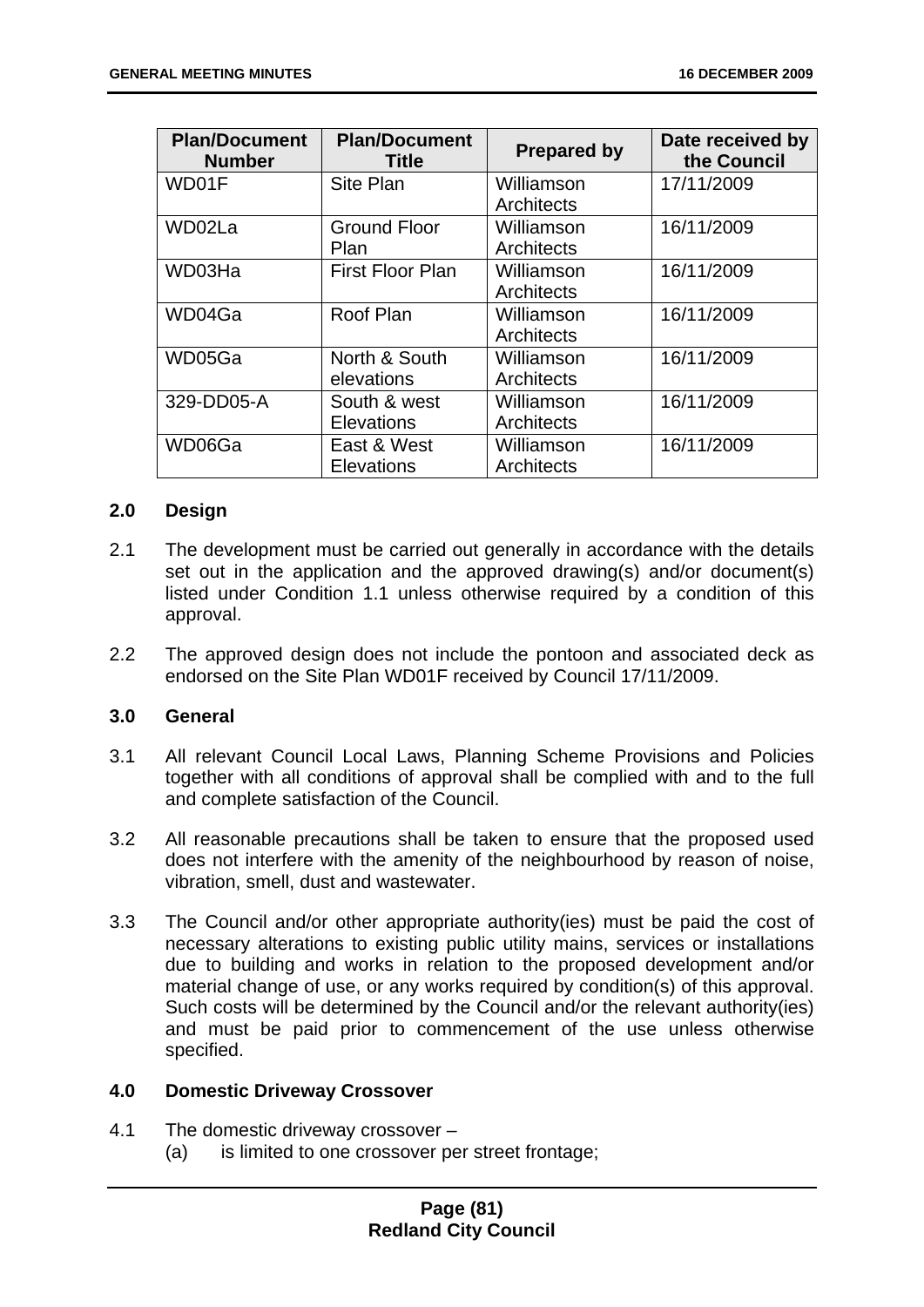| <b>Plan/Document</b><br><b>Number</b> | <b>Plan/Document</b><br><b>Title</b> | <b>Prepared by</b> | Date received by<br>the Council |
|---------------------------------------|--------------------------------------|--------------------|---------------------------------|
| WD01F                                 | Site Plan                            | Williamson         | 17/11/2009                      |
|                                       |                                      | Architects         |                                 |
| WD02La                                | <b>Ground Floor</b>                  | Williamson         | 16/11/2009                      |
|                                       | Plan                                 | Architects         |                                 |
| WD03Ha                                | <b>First Floor Plan</b>              | Williamson         | 16/11/2009                      |
|                                       |                                      | Architects         |                                 |
| WD04Ga                                | Roof Plan                            | Williamson         | 16/11/2009                      |
|                                       |                                      | Architects         |                                 |
| WD05Ga                                | North & South                        | Williamson         | 16/11/2009                      |
|                                       | elevations                           | Architects         |                                 |
| 329-DD05-A                            | South & west                         | Williamson         | 16/11/2009                      |
|                                       | <b>Elevations</b>                    | Architects         |                                 |
| WD06Ga                                | East & West                          | Williamson         | 16/11/2009                      |
|                                       | <b>Elevations</b>                    | Architects         |                                 |

#### **2.0 Design**

- 2.1 The development must be carried out generally in accordance with the details set out in the application and the approved drawing(s) and/or document(s) listed under Condition 1.1 unless otherwise required by a condition of this approval.
- 2.2 The approved design does not include the pontoon and associated deck as endorsed on the Site Plan WD01F received by Council 17/11/2009.

#### **3.0 General**

- 3.1 All relevant Council Local Laws, Planning Scheme Provisions and Policies together with all conditions of approval shall be complied with and to the full and complete satisfaction of the Council.
- 3.2 All reasonable precautions shall be taken to ensure that the proposed used does not interfere with the amenity of the neighbourhood by reason of noise, vibration, smell, dust and wastewater.
- 3.3 The Council and/or other appropriate authority(ies) must be paid the cost of necessary alterations to existing public utility mains, services or installations due to building and works in relation to the proposed development and/or material change of use, or any works required by condition(s) of this approval. Such costs will be determined by the Council and/or the relevant authority(ies) and must be paid prior to commencement of the use unless otherwise specified.

#### **4.0 Domestic Driveway Crossover**

- 4.1 The domestic driveway crossover
	- (a) is limited to one crossover per street frontage;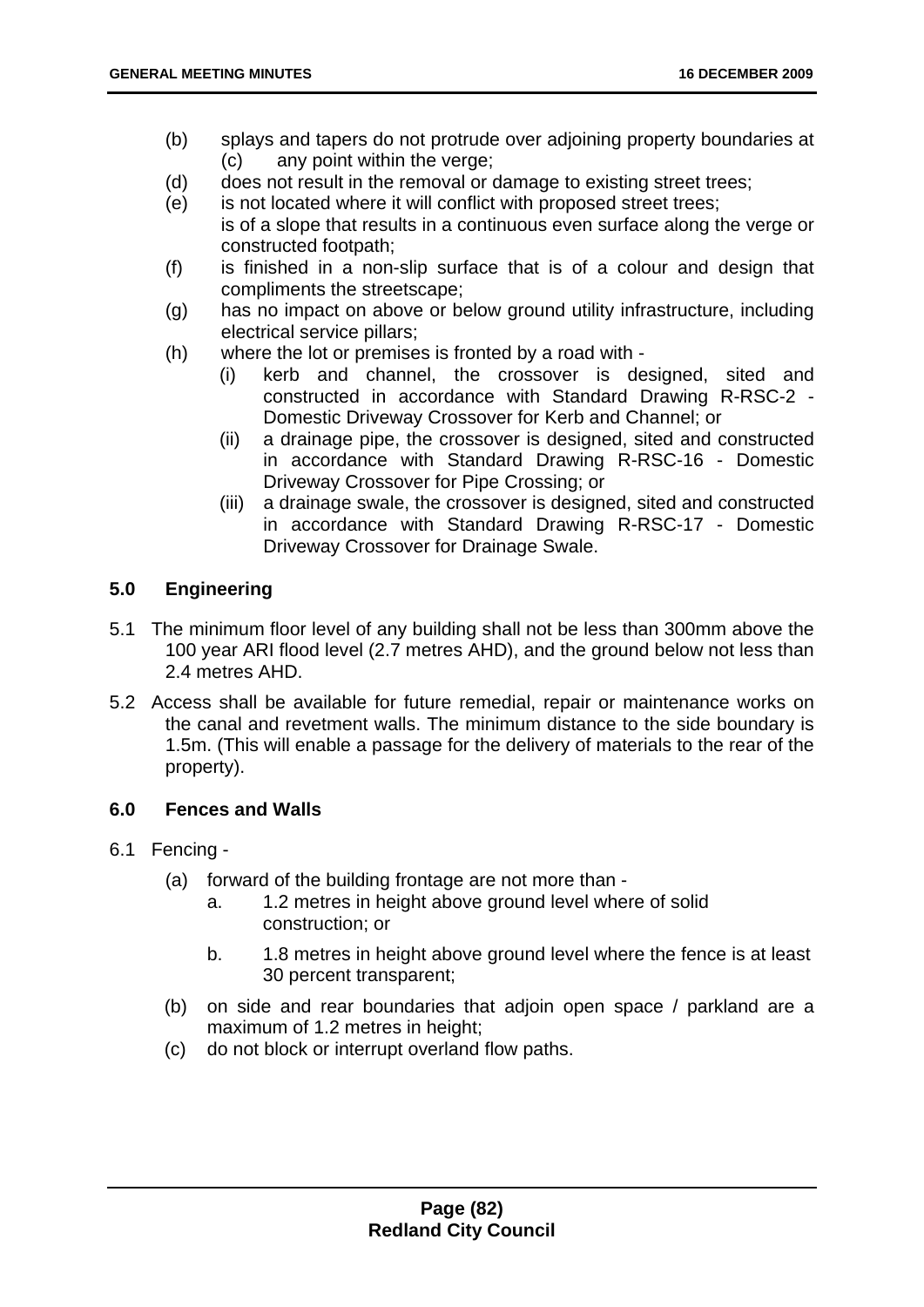- (b) splays and tapers do not protrude over adjoining property boundaries at (c) any point within the verge;
- (d) does not result in the removal or damage to existing street trees;
- (e) is not located where it will conflict with proposed street trees;
- is of a slope that results in a continuous even surface along the verge or constructed footpath;
- (f) is finished in a non-slip surface that is of a colour and design that compliments the streetscape;
- (g) has no impact on above or below ground utility infrastructure, including electrical service pillars;
- (h) where the lot or premises is fronted by a road with
	- (i) kerb and channel, the crossover is designed, sited and constructed in accordance with Standard Drawing R-RSC-2 - Domestic Driveway Crossover for Kerb and Channel; or
	- (ii) a drainage pipe, the crossover is designed, sited and constructed in accordance with Standard Drawing R-RSC-16 - Domestic Driveway Crossover for Pipe Crossing; or
	- (iii) a drainage swale, the crossover is designed, sited and constructed in accordance with Standard Drawing R-RSC-17 - Domestic Driveway Crossover for Drainage Swale.

# **5.0 Engineering**

- 5.1 The minimum floor level of any building shall not be less than 300mm above the 100 year ARI flood level (2.7 metres AHD), and the ground below not less than 2.4 metres AHD.
- 5.2 Access shall be available for future remedial, repair or maintenance works on the canal and revetment walls. The minimum distance to the side boundary is 1.5m. (This will enable a passage for the delivery of materials to the rear of the property).

# **6.0 Fences and Walls**

- 6.1 Fencing
	- (a) forward of the building frontage are not more than
		- a. 1.2 metres in height above ground level where of solid construction; or
		- b. 1.8 metres in height above ground level where the fence is at least 30 percent transparent;
	- (b) on side and rear boundaries that adjoin open space / parkland are a maximum of 1.2 metres in height;
	- (c) do not block or interrupt overland flow paths.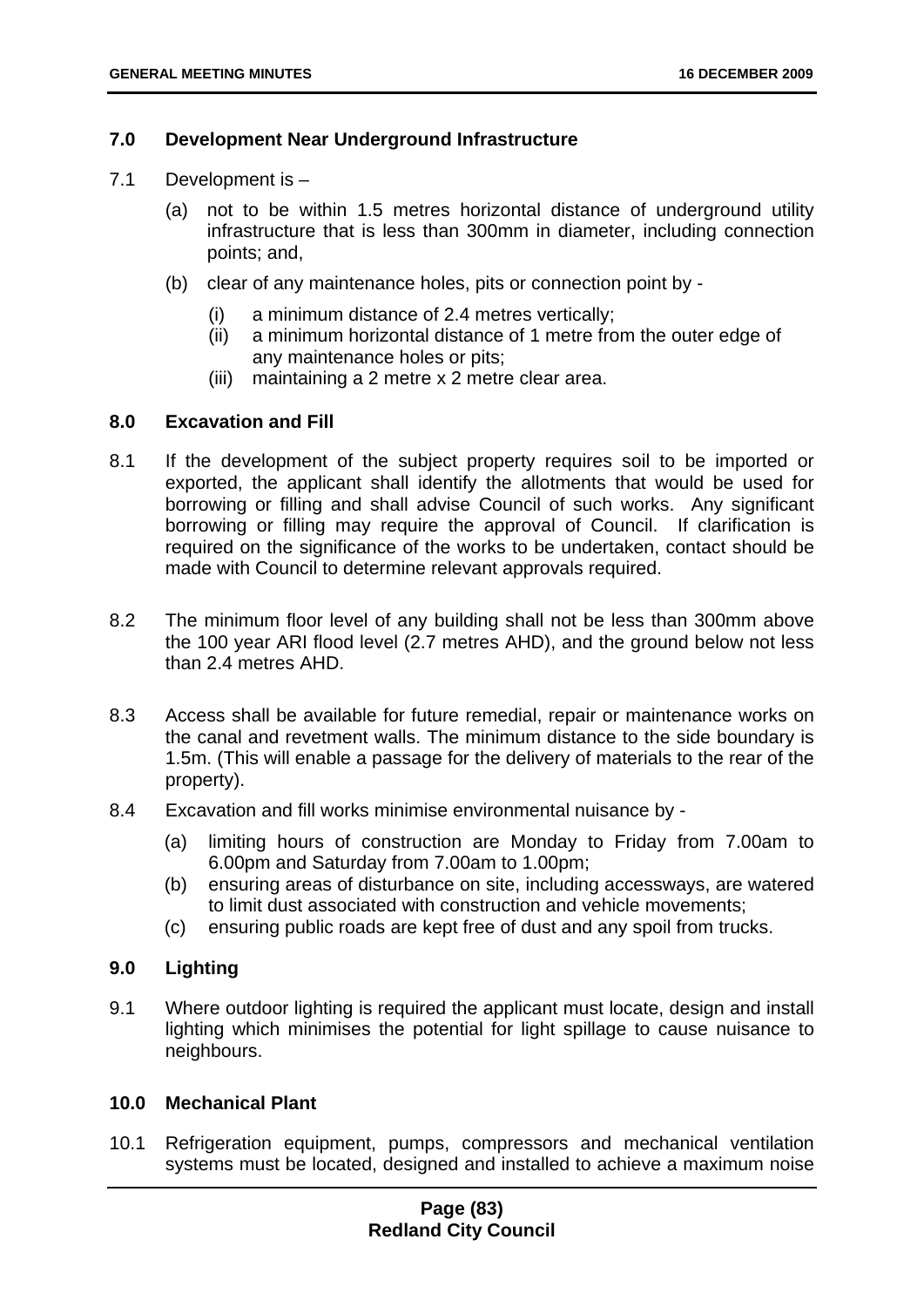#### **7.0 Development Near Underground Infrastructure**

- 7.1 Development is
	- (a) not to be within 1.5 metres horizontal distance of underground utility infrastructure that is less than 300mm in diameter, including connection points; and,
	- (b) clear of any maintenance holes, pits or connection point by
		- (i) a minimum distance of 2.4 metres vertically;
		- (ii) a minimum horizontal distance of 1 metre from the outer edge of any maintenance holes or pits;
		- (iii) maintaining a 2 metre x 2 metre clear area.

#### **8.0 Excavation and Fill**

- 8.1 If the development of the subject property requires soil to be imported or exported, the applicant shall identify the allotments that would be used for borrowing or filling and shall advise Council of such works. Any significant borrowing or filling may require the approval of Council. If clarification is required on the significance of the works to be undertaken, contact should be made with Council to determine relevant approvals required.
- 8.2 The minimum floor level of any building shall not be less than 300mm above the 100 year ARI flood level (2.7 metres AHD), and the ground below not less than 2.4 metres AHD.
- 8.3 Access shall be available for future remedial, repair or maintenance works on the canal and revetment walls. The minimum distance to the side boundary is 1.5m. (This will enable a passage for the delivery of materials to the rear of the property).
- 8.4 Excavation and fill works minimise environmental nuisance by
	- (a) limiting hours of construction are Monday to Friday from 7.00am to 6.00pm and Saturday from 7.00am to 1.00pm;
	- (b) ensuring areas of disturbance on site, including accessways, are watered to limit dust associated with construction and vehicle movements;
	- (c) ensuring public roads are kept free of dust and any spoil from trucks.

#### **9.0 Lighting**

9.1 Where outdoor lighting is required the applicant must locate, design and install lighting which minimises the potential for light spillage to cause nuisance to neighbours.

#### **10.0 Mechanical Plant**

10.1 Refrigeration equipment, pumps, compressors and mechanical ventilation systems must be located, designed and installed to achieve a maximum noise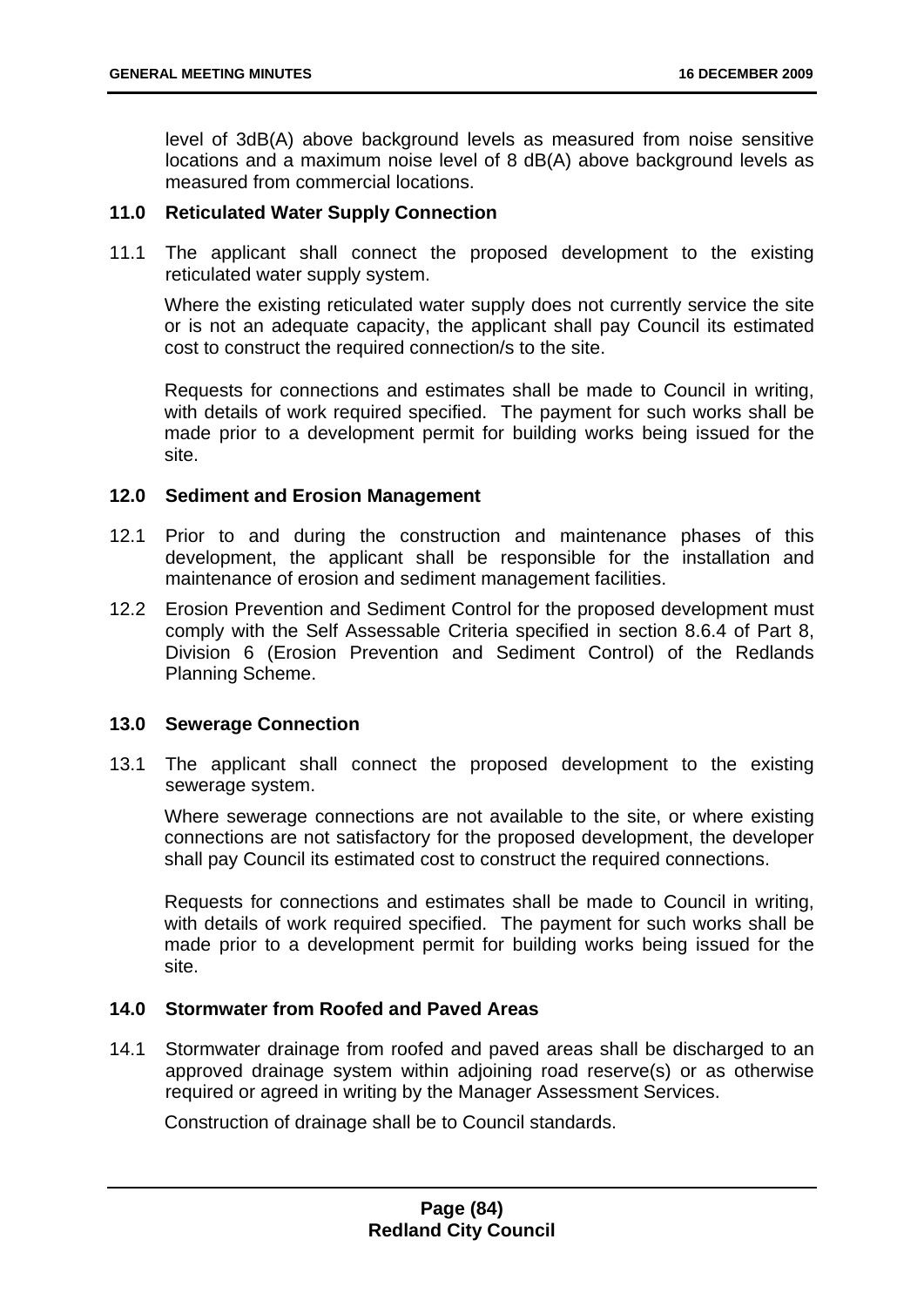level of 3dB(A) above background levels as measured from noise sensitive locations and a maximum noise level of 8 dB(A) above background levels as measured from commercial locations.

#### **11.0 Reticulated Water Supply Connection**

11.1 The applicant shall connect the proposed development to the existing reticulated water supply system.

Where the existing reticulated water supply does not currently service the site or is not an adequate capacity, the applicant shall pay Council its estimated cost to construct the required connection/s to the site.

Requests for connections and estimates shall be made to Council in writing, with details of work required specified. The payment for such works shall be made prior to a development permit for building works being issued for the site.

#### **12.0 Sediment and Erosion Management**

- 12.1 Prior to and during the construction and maintenance phases of this development, the applicant shall be responsible for the installation and maintenance of erosion and sediment management facilities.
- 12.2 Erosion Prevention and Sediment Control for the proposed development must comply with the Self Assessable Criteria specified in section 8.6.4 of Part 8, Division 6 (Erosion Prevention and Sediment Control) of the Redlands Planning Scheme.

#### **13.0 Sewerage Connection**

13.1 The applicant shall connect the proposed development to the existing sewerage system.

Where sewerage connections are not available to the site, or where existing connections are not satisfactory for the proposed development, the developer shall pay Council its estimated cost to construct the required connections.

Requests for connections and estimates shall be made to Council in writing, with details of work required specified. The payment for such works shall be made prior to a development permit for building works being issued for the site.

#### **14.0 Stormwater from Roofed and Paved Areas**

14.1 Stormwater drainage from roofed and paved areas shall be discharged to an approved drainage system within adjoining road reserve(s) or as otherwise required or agreed in writing by the Manager Assessment Services.

Construction of drainage shall be to Council standards.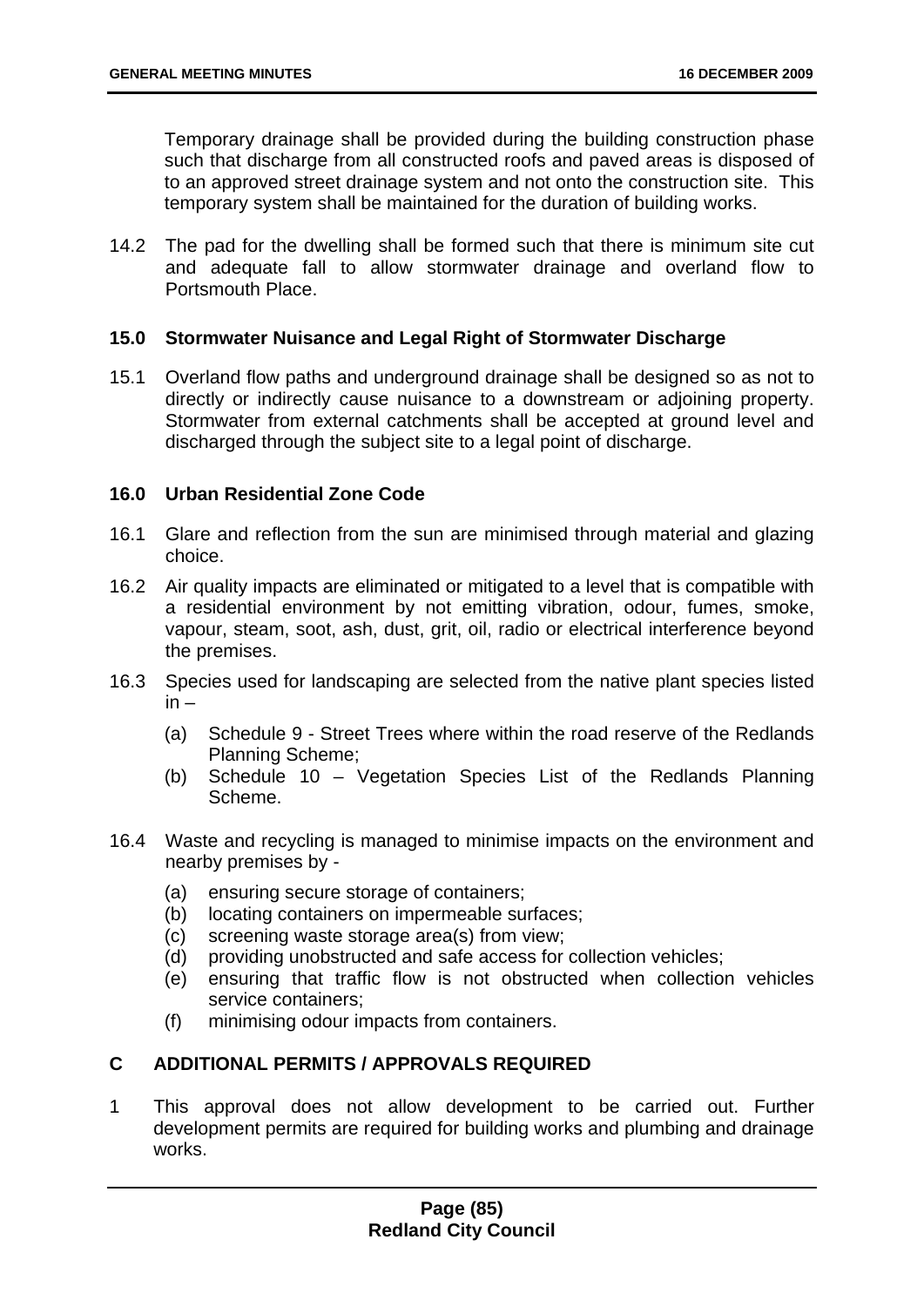Temporary drainage shall be provided during the building construction phase such that discharge from all constructed roofs and paved areas is disposed of to an approved street drainage system and not onto the construction site. This temporary system shall be maintained for the duration of building works.

14.2 The pad for the dwelling shall be formed such that there is minimum site cut and adequate fall to allow stormwater drainage and overland flow to Portsmouth Place.

#### **15.0 Stormwater Nuisance and Legal Right of Stormwater Discharge**

15.1 Overland flow paths and underground drainage shall be designed so as not to directly or indirectly cause nuisance to a downstream or adjoining property. Stormwater from external catchments shall be accepted at ground level and discharged through the subject site to a legal point of discharge.

### **16.0 Urban Residential Zone Code**

- 16.1 Glare and reflection from the sun are minimised through material and glazing choice.
- 16.2 Air quality impacts are eliminated or mitigated to a level that is compatible with a residential environment by not emitting vibration, odour, fumes, smoke, vapour, steam, soot, ash, dust, grit, oil, radio or electrical interference beyond the premises.
- 16.3 Species used for landscaping are selected from the native plant species listed in –
	- (a) Schedule 9 Street Trees where within the road reserve of the Redlands Planning Scheme;
	- (b) Schedule 10 Vegetation Species List of the Redlands Planning Scheme.
- 16.4 Waste and recycling is managed to minimise impacts on the environment and nearby premises by -
	- (a) ensuring secure storage of containers;
	- (b) locating containers on impermeable surfaces;
	- (c) screening waste storage area(s) from view;
	- (d) providing unobstructed and safe access for collection vehicles;
	- (e) ensuring that traffic flow is not obstructed when collection vehicles service containers;
	- (f) minimising odour impacts from containers.

# **C ADDITIONAL PERMITS / APPROVALS REQUIRED**

1 This approval does not allow development to be carried out. Further development permits are required for building works and plumbing and drainage works.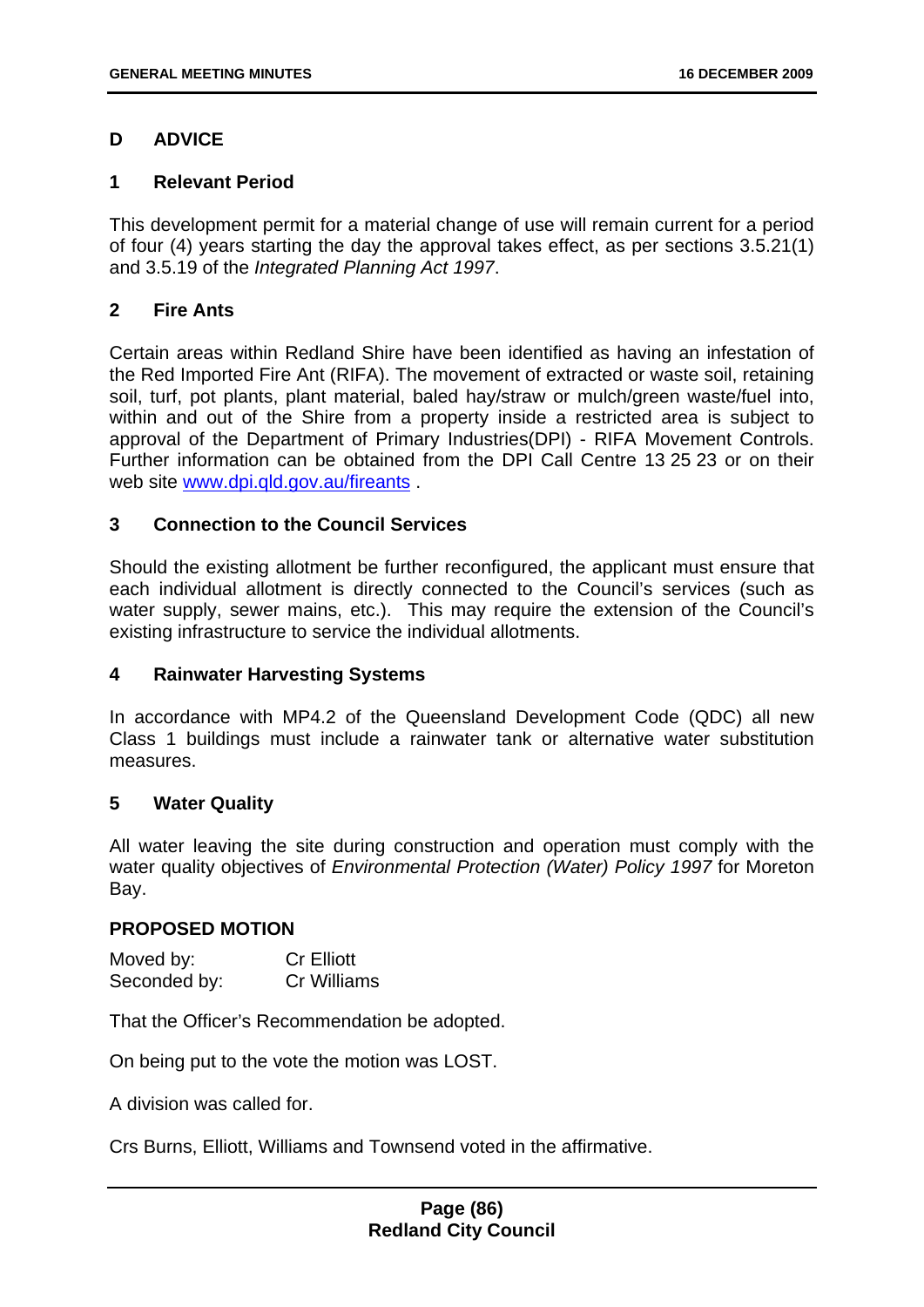# **D ADVICE**

### **1 Relevant Period**

This development permit for a material change of use will remain current for a period of four (4) years starting the day the approval takes effect, as per sections 3.5.21(1) and 3.5.19 of the *Integrated Planning Act 1997*.

### **2 Fire Ants**

Certain areas within Redland Shire have been identified as having an infestation of the Red Imported Fire Ant (RIFA). The movement of extracted or waste soil, retaining soil, turf, pot plants, plant material, baled hay/straw or mulch/green waste/fuel into, within and out of the Shire from a property inside a restricted area is subject to approval of the Department of Primary Industries(DPI) - RIFA Movement Controls. Further information can be obtained from the DPI Call Centre 13 25 23 or on their web site www.dpi.qld.gov.au/fireants.

### **3 Connection to the Council Services**

Should the existing allotment be further reconfigured, the applicant must ensure that each individual allotment is directly connected to the Council's services (such as water supply, sewer mains, etc.). This may require the extension of the Council's existing infrastructure to service the individual allotments.

#### **4 Rainwater Harvesting Systems**

In accordance with MP4.2 of the Queensland Development Code (QDC) all new Class 1 buildings must include a rainwater tank or alternative water substitution measures.

# **5 Water Quality**

All water leaving the site during construction and operation must comply with the water quality objectives of *Environmental Protection (Water) Policy 1997* for Moreton Bay.

#### **PROPOSED MOTION**

| Moved by:    | <b>Cr Elliott</b>  |
|--------------|--------------------|
| Seconded by: | <b>Cr Williams</b> |

That the Officer's Recommendation be adopted.

On being put to the vote the motion was LOST.

A division was called for.

Crs Burns, Elliott, Williams and Townsend voted in the affirmative.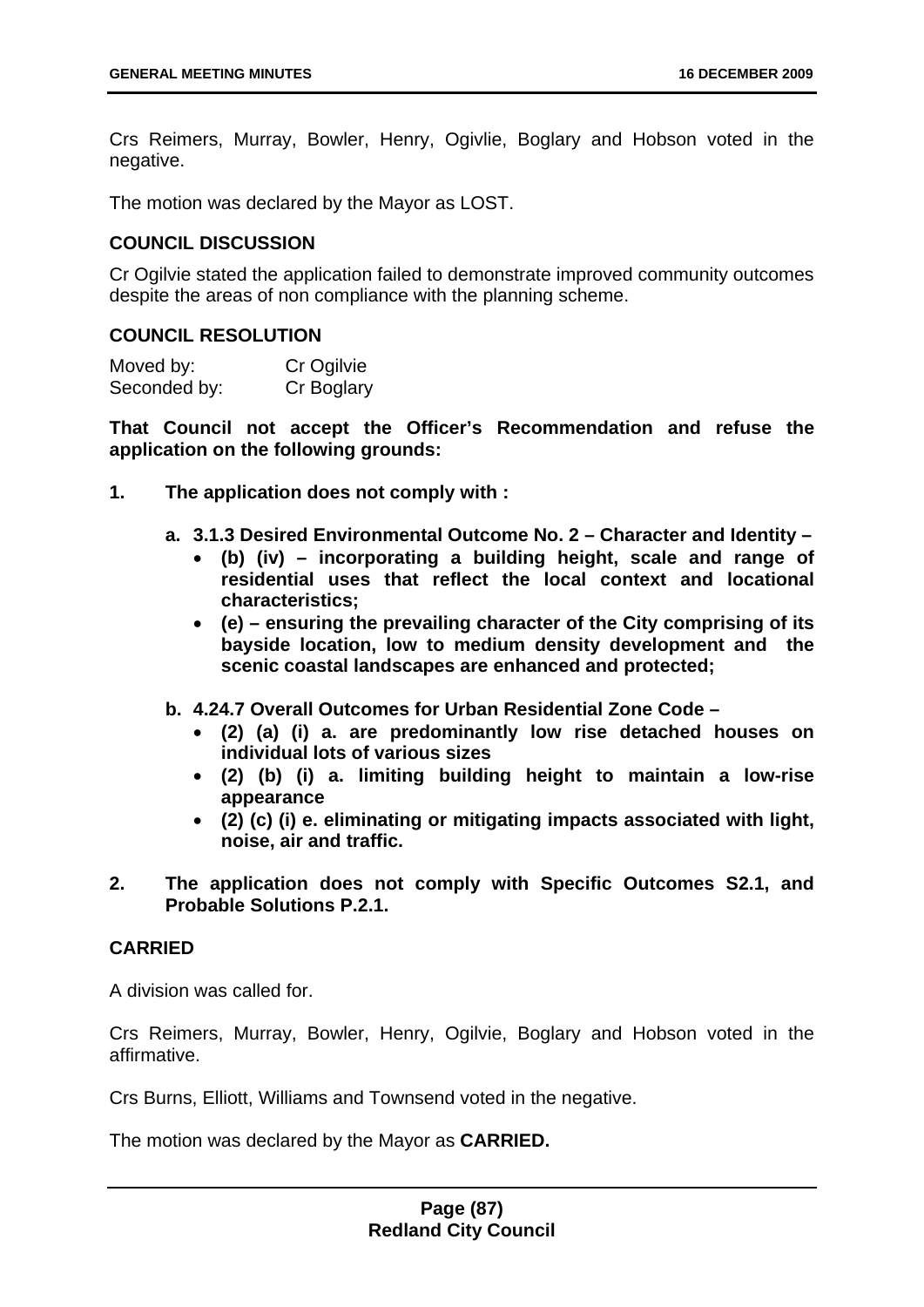Crs Reimers, Murray, Bowler, Henry, Ogivlie, Boglary and Hobson voted in the negative.

The motion was declared by the Mayor as LOST.

### **COUNCIL DISCUSSION**

Cr Ogilvie stated the application failed to demonstrate improved community outcomes despite the areas of non compliance with the planning scheme.

### **COUNCIL RESOLUTION**

| Moved by:    | Cr Ogilvie |
|--------------|------------|
| Seconded by: | Cr Boglary |

**That Council not accept the Officer's Recommendation and refuse the application on the following grounds:** 

- **1. The application does not comply with :** 
	- **a. 3.1.3 Desired Environmental Outcome No. 2 Character and Identity** 
		- **(b) (iv) incorporating a building height, scale and range of residential uses that reflect the local context and locational characteristics;**
		- **(e) ensuring the prevailing character of the City comprising of its bayside location, low to medium density development and the scenic coastal landscapes are enhanced and protected;**
	- **b. 4.24.7 Overall Outcomes for Urban Residential Zone Code** 
		- **(2) (a) (i) a. are predominantly low rise detached houses on individual lots of various sizes**
		- **(2) (b) (i) a. limiting building height to maintain a low-rise appearance**
		- **(2) (c) (i) e. eliminating or mitigating impacts associated with light, noise, air and traffic.**
- **2. The application does not comply with Specific Outcomes S2.1, and Probable Solutions P.2.1.**

# **CARRIED**

A division was called for.

Crs Reimers, Murray, Bowler, Henry, Ogilvie, Boglary and Hobson voted in the affirmative.

Crs Burns, Elliott, Williams and Townsend voted in the negative.

The motion was declared by the Mayor as **CARRIED.**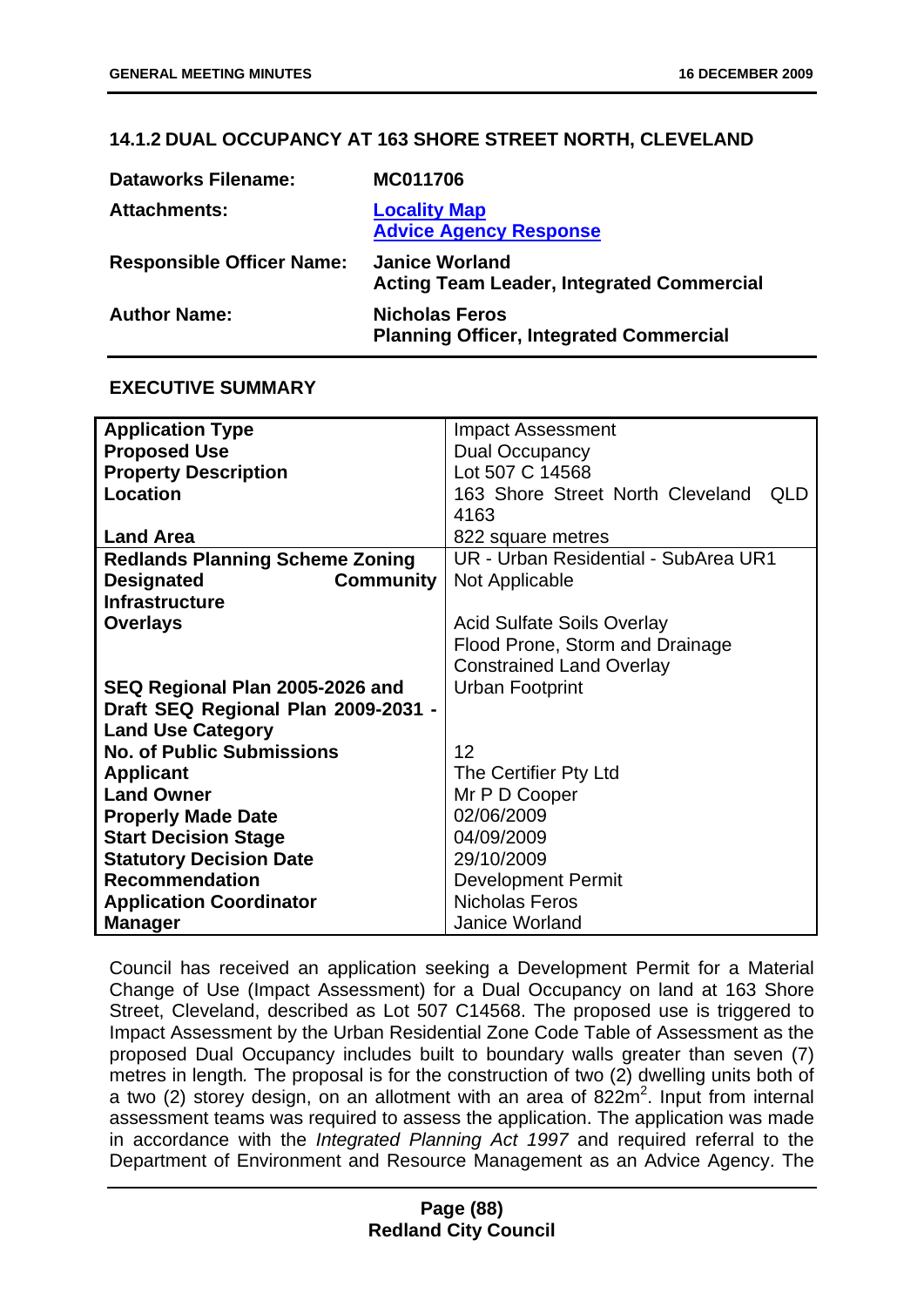# **14.1.2 DUAL OCCUPANCY AT 163 SHORE STREET NORTH, CLEVELAND**

| <b>Dataworks Filename:</b>       | MC011706                                                                  |
|----------------------------------|---------------------------------------------------------------------------|
| <b>Attachments:</b>              | <b>Locality Map</b><br><b>Advice Agency Response</b>                      |
| <b>Responsible Officer Name:</b> | <b>Janice Worland</b><br><b>Acting Team Leader, Integrated Commercial</b> |
| <b>Author Name:</b>              | <b>Nicholas Feros</b><br><b>Planning Officer, Integrated Commercial</b>   |

#### **EXECUTIVE SUMMARY**

| <b>Application Type</b>                | <b>Impact Assessment</b>                       |  |  |
|----------------------------------------|------------------------------------------------|--|--|
| <b>Proposed Use</b>                    | <b>Dual Occupancy</b>                          |  |  |
| <b>Property Description</b>            | Lot 507 C 14568                                |  |  |
| <b>Location</b>                        | 163 Shore Street North Cleveland<br><b>QLD</b> |  |  |
|                                        | 4163                                           |  |  |
| <b>Land Area</b>                       | 822 square metres                              |  |  |
| <b>Redlands Planning Scheme Zoning</b> | UR - Urban Residential - SubArea UR1           |  |  |
| <b>Designated</b><br><b>Community</b>  | Not Applicable                                 |  |  |
| <b>Infrastructure</b>                  |                                                |  |  |
| <b>Overlays</b>                        | <b>Acid Sulfate Soils Overlay</b>              |  |  |
|                                        | Flood Prone, Storm and Drainage                |  |  |
|                                        | <b>Constrained Land Overlay</b>                |  |  |
| SEQ Regional Plan 2005-2026 and        | <b>Urban Footprint</b>                         |  |  |
| Draft SEQ Regional Plan 2009-2031 -    |                                                |  |  |
| <b>Land Use Category</b>               |                                                |  |  |
| <b>No. of Public Submissions</b>       | $12 \overline{ }$                              |  |  |
| <b>Applicant</b>                       | The Certifier Pty Ltd                          |  |  |
| <b>Land Owner</b>                      | Mr P D Cooper                                  |  |  |
| <b>Properly Made Date</b>              | 02/06/2009                                     |  |  |
| <b>Start Decision Stage</b>            | 04/09/2009                                     |  |  |
| <b>Statutory Decision Date</b>         | 29/10/2009                                     |  |  |
| <b>Recommendation</b>                  | <b>Development Permit</b>                      |  |  |
| <b>Application Coordinator</b>         | <b>Nicholas Feros</b>                          |  |  |
| <b>Manager</b>                         | Janice Worland                                 |  |  |

Council has received an application seeking a Development Permit for a Material Change of Use (Impact Assessment) for a Dual Occupancy on land at 163 Shore Street, Cleveland, described as Lot 507 C14568. The proposed use is triggered to Impact Assessment by the Urban Residential Zone Code Table of Assessment as the proposed Dual Occupancy includes built to boundary walls greater than seven (7) metres in length*.* The proposal is for the construction of two (2) dwelling units both of a two (2) storey design, on an allotment with an area of  $822m^2$ . Input from internal assessment teams was required to assess the application. The application was made in accordance with the *Integrated Planning Act 1997* and required referral to the Department of Environment and Resource Management as an Advice Agency. The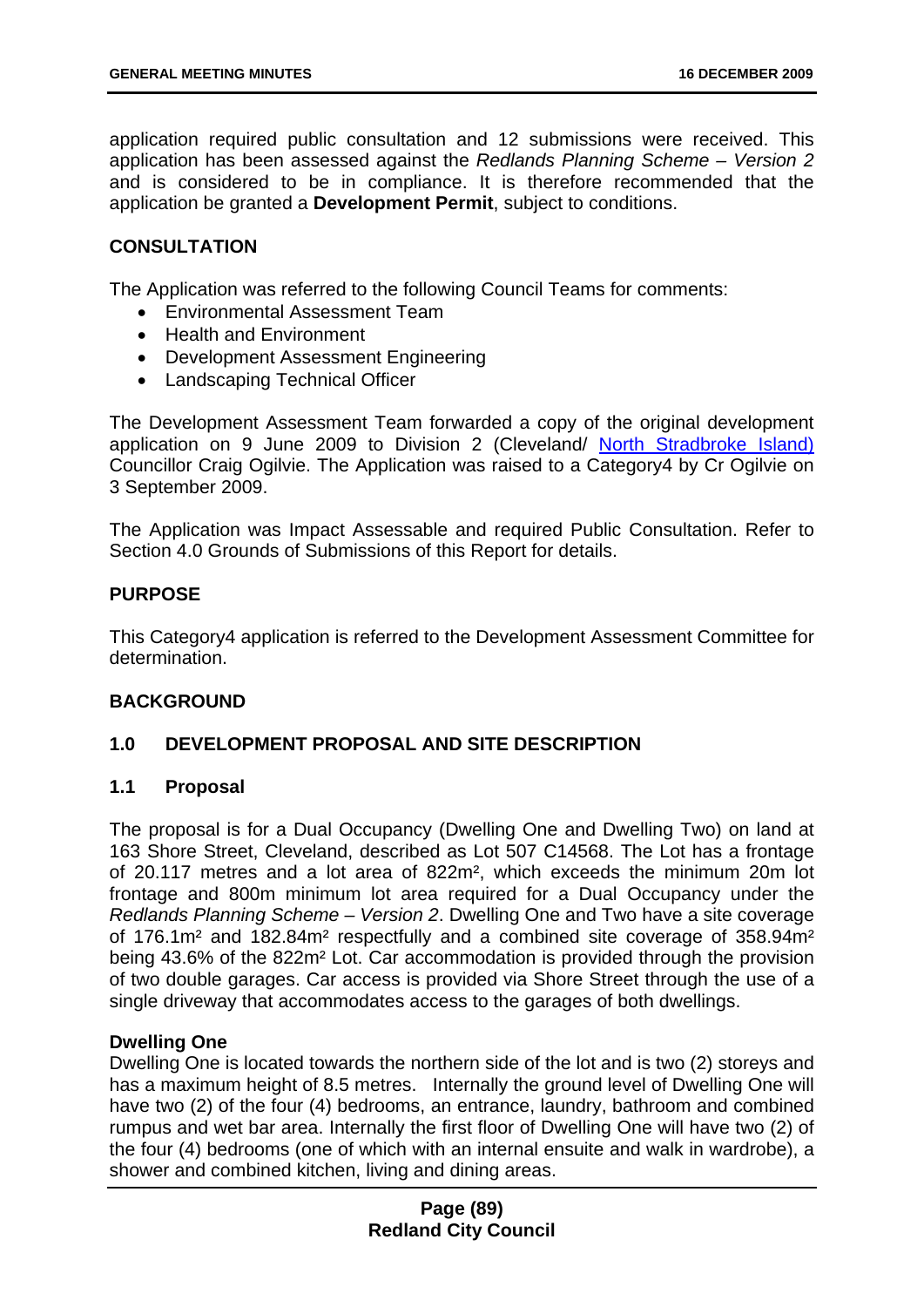application required public consultation and 12 submissions were received. This application has been assessed against the *Redlands Planning Scheme – Version 2* and is considered to be in compliance. It is therefore recommended that the application be granted a **Development Permit**, subject to conditions.

### **CONSULTATION**

The Application was referred to the following Council Teams for comments:

- Environmental Assessment Team
- Health and Environment
- Development Assessment Engineering
- Landscaping Technical Officer

The Development Assessment Team forwarded a copy of the original development application on 9 June 2009 to Division 2 (Cleveland/ [North Stradbroke Island\)](http://www.redland.qld.gov.au/Council/mayorAndCouncillors/Division2) Councillor Craig Ogilvie. The Application was raised to a Category4 by Cr Ogilvie on 3 September 2009.

The Application was Impact Assessable and required Public Consultation. Refer to Section 4.0 Grounds of Submissions of this Report for details.

### **PURPOSE**

This Category4 application is referred to the Development Assessment Committee for determination.

# **BACKGROUND**

# **1.0 DEVELOPMENT PROPOSAL AND SITE DESCRIPTION**

#### **1.1 Proposal**

The proposal is for a Dual Occupancy (Dwelling One and Dwelling Two) on land at 163 Shore Street, Cleveland, described as Lot 507 C14568. The Lot has a frontage of 20.117 metres and a lot area of 822m², which exceeds the minimum 20m lot frontage and 800m minimum lot area required for a Dual Occupancy under the *Redlands Planning Scheme – Version 2*. Dwelling One and Two have a site coverage of 176.1m² and 182.84m² respectfully and a combined site coverage of 358.94m² being 43.6% of the 822m² Lot. Car accommodation is provided through the provision of two double garages. Car access is provided via Shore Street through the use of a single driveway that accommodates access to the garages of both dwellings.

#### **Dwelling One**

Dwelling One is located towards the northern side of the lot and is two (2) storeys and has a maximum height of 8.5 metres. Internally the ground level of Dwelling One will have two (2) of the four (4) bedrooms, an entrance, laundry, bathroom and combined rumpus and wet bar area. Internally the first floor of Dwelling One will have two (2) of the four (4) bedrooms (one of which with an internal ensuite and walk in wardrobe), a shower and combined kitchen, living and dining areas.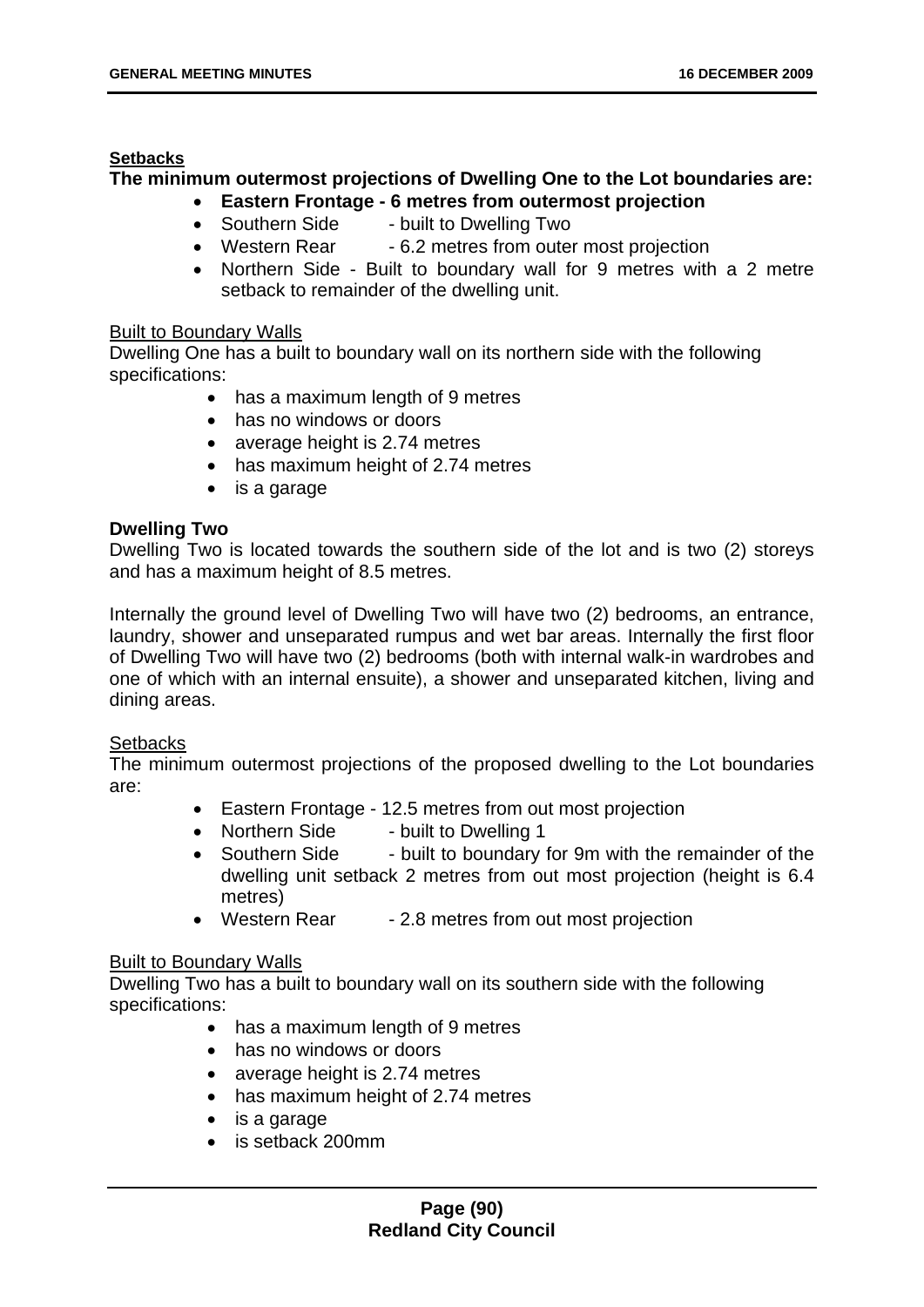#### **Setbacks**

# **The minimum outermost projections of Dwelling One to the Lot boundaries are:**

- **Eastern Frontage 6 metres from outermost projection** 
	- Southern Side built to Dwelling Two
	- Western Rear 6.2 metres from outer most projection
	- Northern Side Built to boundary wall for 9 metres with a 2 metre setback to remainder of the dwelling unit.

# Built to Boundary Walls

Dwelling One has a built to boundary wall on its northern side with the following specifications:

- has a maximum length of 9 metres
- has no windows or doors
- average height is 2.74 metres
- has maximum height of 2.74 metres
- is a garage

# **Dwelling Two**

Dwelling Two is located towards the southern side of the lot and is two (2) storeys and has a maximum height of 8.5 metres.

Internally the ground level of Dwelling Two will have two (2) bedrooms, an entrance, laundry, shower and unseparated rumpus and wet bar areas. Internally the first floor of Dwelling Two will have two (2) bedrooms (both with internal walk-in wardrobes and one of which with an internal ensuite), a shower and unseparated kitchen, living and dining areas.

# **Setbacks**

The minimum outermost projections of the proposed dwelling to the Lot boundaries are:

- Eastern Frontage 12.5 metres from out most projection
- Northern Side built to Dwelling 1
- Southern Side built to boundary for 9m with the remainder of the dwelling unit setback 2 metres from out most projection (height is 6.4 metres)
- Western Rear 2.8 metres from out most projection

# Built to Boundary Walls

Dwelling Two has a built to boundary wall on its southern side with the following specifications:

- has a maximum length of 9 metres
- has no windows or doors
- average height is 2.74 metres
- has maximum height of 2.74 metres
- is a garage
- is setback 200mm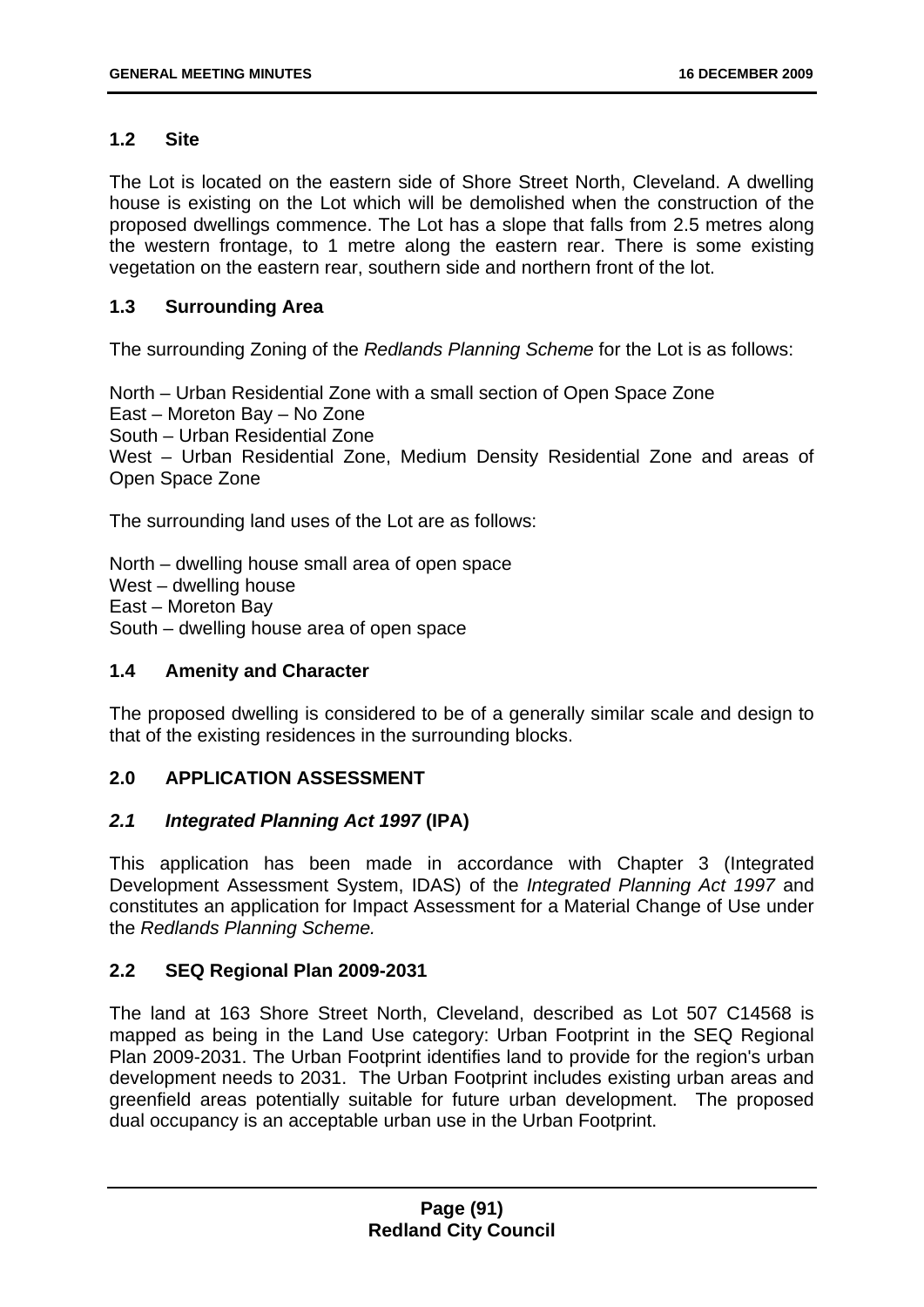# **1.2 Site**

The Lot is located on the eastern side of Shore Street North, Cleveland. A dwelling house is existing on the Lot which will be demolished when the construction of the proposed dwellings commence. The Lot has a slope that falls from 2.5 metres along the western frontage, to 1 metre along the eastern rear. There is some existing vegetation on the eastern rear, southern side and northern front of the lot.

# **1.3 Surrounding Area**

The surrounding Zoning of the *Redlands Planning Scheme* for the Lot is as follows:

North – Urban Residential Zone with a small section of Open Space Zone East – Moreton Bay – No Zone South – Urban Residential Zone West – Urban Residential Zone, Medium Density Residential Zone and areas of Open Space Zone

The surrounding land uses of the Lot are as follows:

North – dwelling house small area of open space West – dwelling house East – Moreton Bay South – dwelling house area of open space

# **1.4 Amenity and Character**

The proposed dwelling is considered to be of a generally similar scale and design to that of the existing residences in the surrounding blocks.

# **2.0 APPLICATION ASSESSMENT**

# *2.1 Integrated Planning Act 1997* **(IPA)**

This application has been made in accordance with Chapter 3 (Integrated Development Assessment System, IDAS) of the *Integrated Planning Act 1997* and constitutes an application for Impact Assessment for a Material Change of Use under the *Redlands Planning Scheme.* 

# **2.2 SEQ Regional Plan 2009-2031**

The land at 163 Shore Street North, Cleveland, described as Lot 507 C14568 is mapped as being in the Land Use category: Urban Footprint in the SEQ Regional Plan 2009-2031. The Urban Footprint identifies land to provide for the region's urban development needs to 2031. The Urban Footprint includes existing urban areas and greenfield areas potentially suitable for future urban development. The proposed dual occupancy is an acceptable urban use in the Urban Footprint.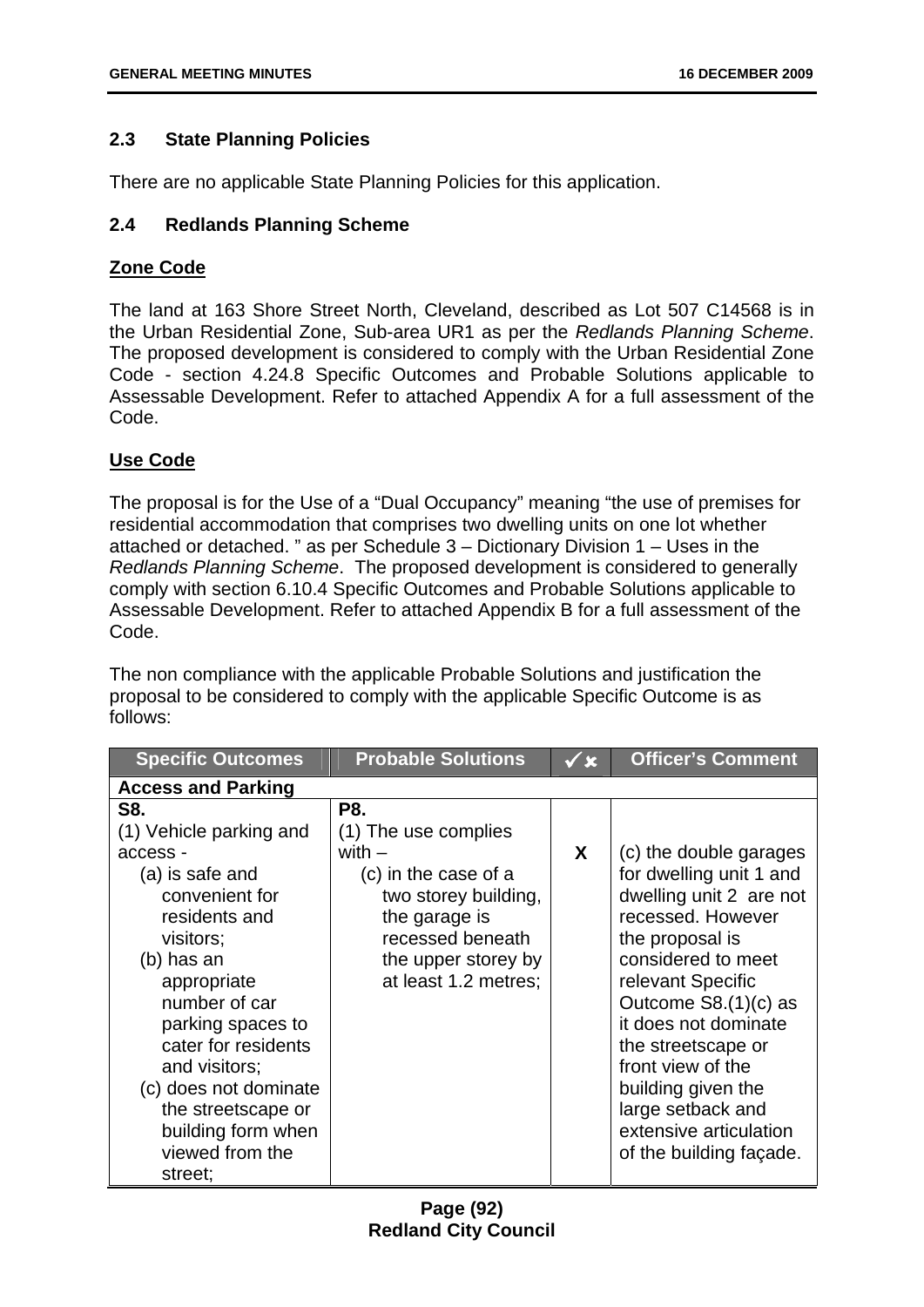# **2.3 State Planning Policies**

There are no applicable State Planning Policies for this application.

### **2.4 Redlands Planning Scheme**

### **Zone Code**

The land at 163 Shore Street North, Cleveland, described as Lot 507 C14568 is in the Urban Residential Zone, Sub-area UR1 as per the *Redlands Planning Scheme*. The proposed development is considered to comply with the Urban Residential Zone Code - section 4.24.8 Specific Outcomes and Probable Solutions applicable to Assessable Development. Refer to attached Appendix A for a full assessment of the Code.

### **Use Code**

The proposal is for the Use of a "Dual Occupancy" meaning "the use of premises for residential accommodation that comprises two dwelling units on one lot whether attached or detached. " as per Schedule 3 – Dictionary Division 1 – Uses in the *Redlands Planning Scheme*. The proposed development is considered to generally comply with section 6.10.4 Specific Outcomes and Probable Solutions applicable to Assessable Development. Refer to attached Appendix B for a full assessment of the Code.

The non compliance with the applicable Probable Solutions and justification the proposal to be considered to comply with the applicable Specific Outcome is as follows:

| <b>Specific Outcomes</b>                                                                                                                                                                                                                                                                                                    | <b>Probable Solutions</b>                                                                                                                                                          | ✓⋇ | <b>Officer's Comment</b>                                                                                                                                                                                                                                                                                                                                   |  |
|-----------------------------------------------------------------------------------------------------------------------------------------------------------------------------------------------------------------------------------------------------------------------------------------------------------------------------|------------------------------------------------------------------------------------------------------------------------------------------------------------------------------------|----|------------------------------------------------------------------------------------------------------------------------------------------------------------------------------------------------------------------------------------------------------------------------------------------------------------------------------------------------------------|--|
| <b>Access and Parking</b>                                                                                                                                                                                                                                                                                                   |                                                                                                                                                                                    |    |                                                                                                                                                                                                                                                                                                                                                            |  |
| S8.<br>(1) Vehicle parking and<br>access -<br>(a) is safe and<br>convenient for<br>residents and<br>visitors;<br>(b) has an<br>appropriate<br>number of car<br>parking spaces to<br>cater for residents<br>and visitors;<br>(c) does not dominate<br>the streetscape or<br>building form when<br>viewed from the<br>street; | <b>P8.</b><br>(1) The use complies<br>with $-$<br>(c) in the case of a<br>two storey building,<br>the garage is<br>recessed beneath<br>the upper storey by<br>at least 1.2 metres; | X  | (c) the double garages<br>for dwelling unit 1 and<br>dwelling unit 2 are not<br>recessed. However<br>the proposal is<br>considered to meet<br>relevant Specific<br>Outcome S8.(1)(c) as<br>it does not dominate<br>the streetscape or<br>front view of the<br>building given the<br>large setback and<br>extensive articulation<br>of the building facade. |  |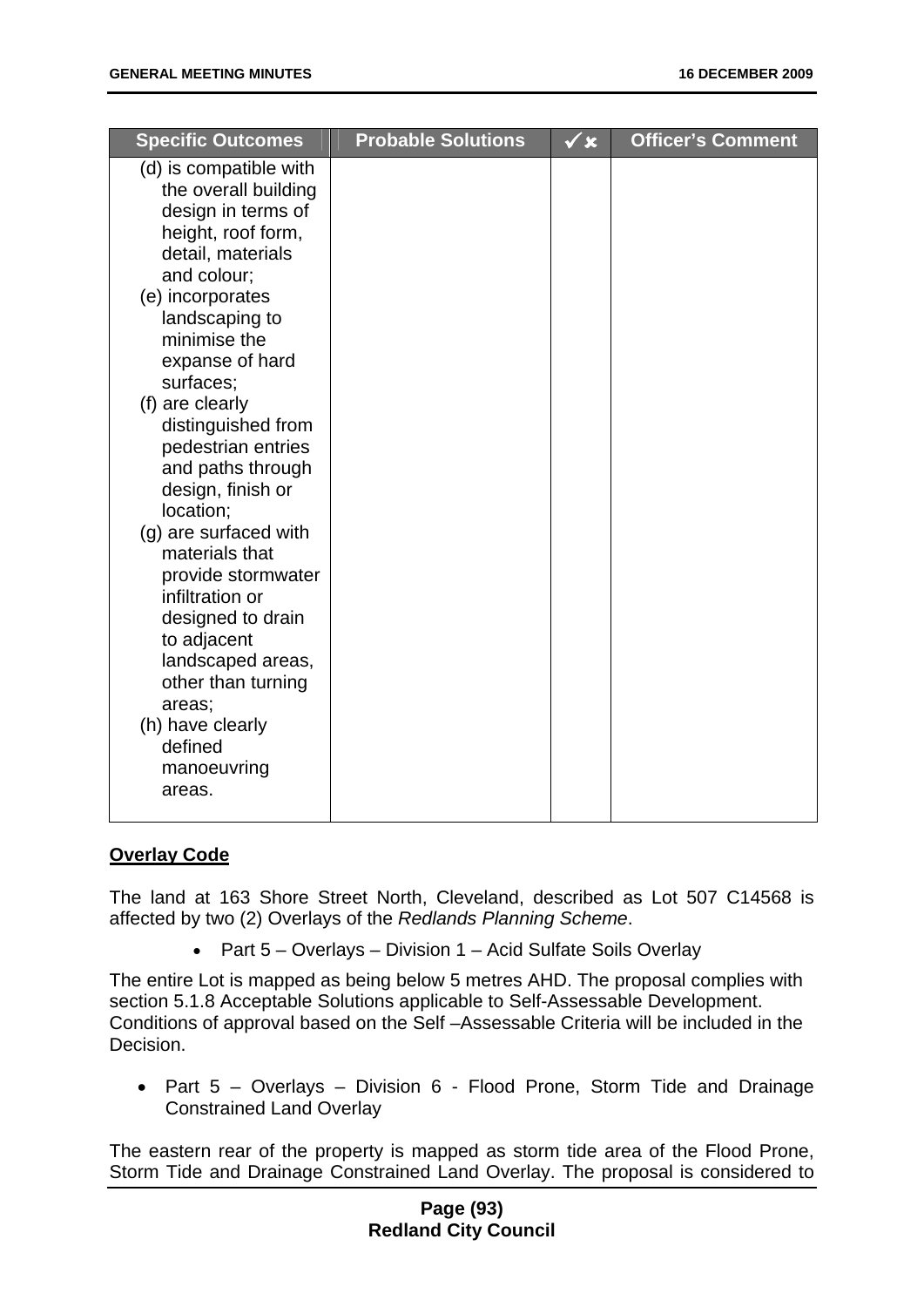| <b>Specific Outcomes</b>                                                                                                                                                                                                                                                                                                                                                                                                                                                                                                                                                        | <b>Probable Solutions</b> | $\checkmark$ x | <b>Officer's Comment</b> |
|---------------------------------------------------------------------------------------------------------------------------------------------------------------------------------------------------------------------------------------------------------------------------------------------------------------------------------------------------------------------------------------------------------------------------------------------------------------------------------------------------------------------------------------------------------------------------------|---------------------------|----------------|--------------------------|
| (d) is compatible with<br>the overall building<br>design in terms of<br>height, roof form,<br>detail, materials<br>and colour;<br>(e) incorporates<br>landscaping to<br>minimise the<br>expanse of hard<br>surfaces;<br>(f) are clearly<br>distinguished from<br>pedestrian entries<br>and paths through<br>design, finish or<br>location;<br>(g) are surfaced with<br>materials that<br>provide stormwater<br>infiltration or<br>designed to drain<br>to adjacent<br>landscaped areas,<br>other than turning<br>areas;<br>(h) have clearly<br>defined<br>manoeuvring<br>areas. |                           |                |                          |
|                                                                                                                                                                                                                                                                                                                                                                                                                                                                                                                                                                                 |                           |                |                          |

# **Overlay Code**

The land at 163 Shore Street North, Cleveland, described as Lot 507 C14568 is affected by two (2) Overlays of the *Redlands Planning Scheme*.

• Part 5 – Overlays – Division 1 – Acid Sulfate Soils Overlay

The entire Lot is mapped as being below 5 metres AHD. The proposal complies with section 5.1.8 Acceptable Solutions applicable to Self-Assessable Development. Conditions of approval based on the Self –Assessable Criteria will be included in the Decision.

• Part 5 – Overlays – Division 6 - Flood Prone, Storm Tide and Drainage Constrained Land Overlay

The eastern rear of the property is mapped as storm tide area of the Flood Prone, Storm Tide and Drainage Constrained Land Overlay. The proposal is considered to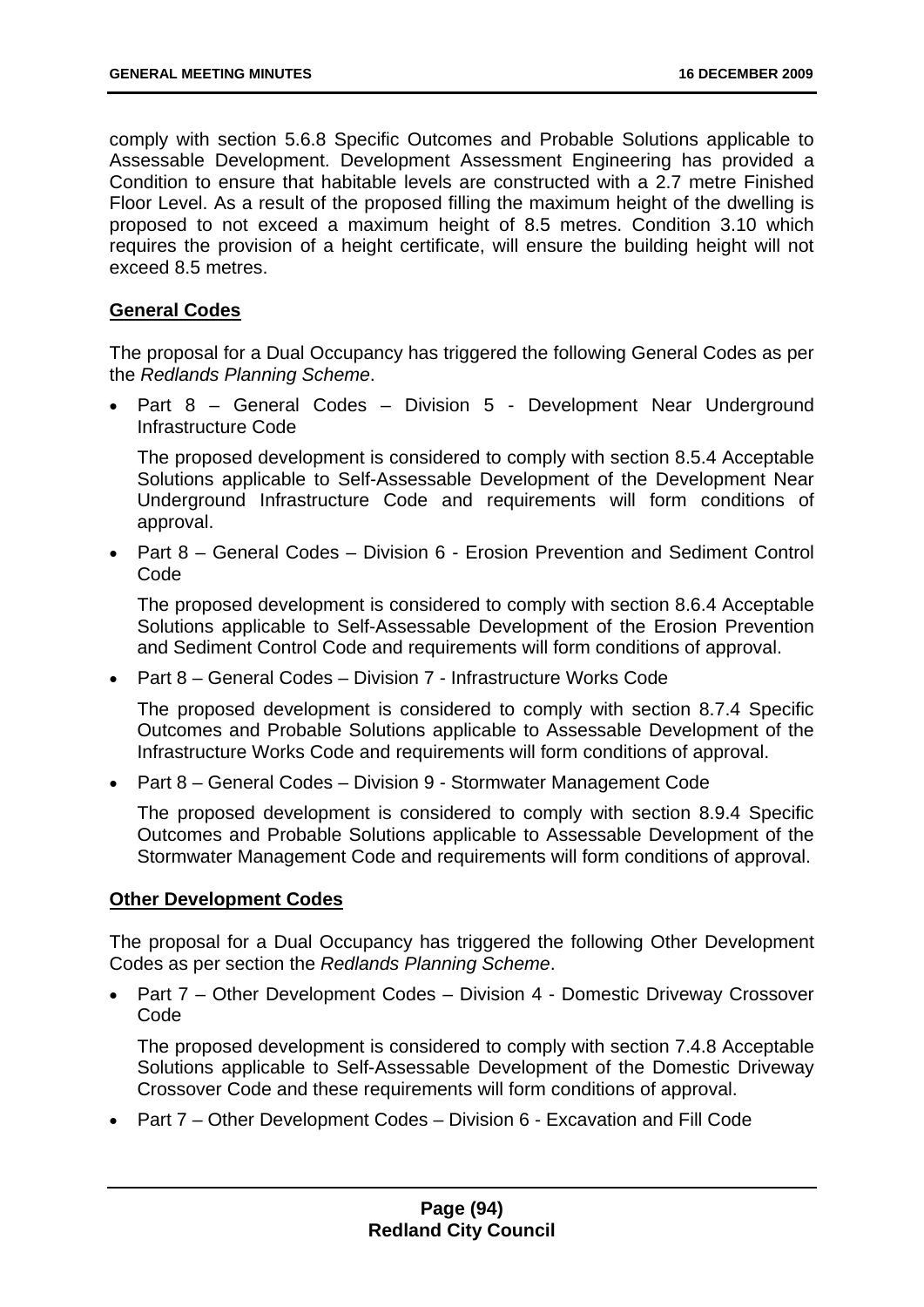comply with section 5.6.8 Specific Outcomes and Probable Solutions applicable to Assessable Development. Development Assessment Engineering has provided a Condition to ensure that habitable levels are constructed with a 2.7 metre Finished Floor Level. As a result of the proposed filling the maximum height of the dwelling is proposed to not exceed a maximum height of 8.5 metres. Condition 3.10 which requires the provision of a height certificate, will ensure the building height will not exceed 8.5 metres.

### **General Codes**

The proposal for a Dual Occupancy has triggered the following General Codes as per the *Redlands Planning Scheme*.

• Part 8 – General Codes – Division 5 - Development Near Underground Infrastructure Code

The proposed development is considered to comply with section 8.5.4 Acceptable Solutions applicable to Self-Assessable Development of the Development Near Underground Infrastructure Code and requirements will form conditions of approval.

• Part 8 – General Codes – Division 6 - Erosion Prevention and Sediment Control Code

The proposed development is considered to comply with section 8.6.4 Acceptable Solutions applicable to Self-Assessable Development of the Erosion Prevention and Sediment Control Code and requirements will form conditions of approval.

• Part 8 – General Codes – Division 7 - Infrastructure Works Code

The proposed development is considered to comply with section 8.7.4 Specific Outcomes and Probable Solutions applicable to Assessable Development of the Infrastructure Works Code and requirements will form conditions of approval.

• Part 8 – General Codes – Division 9 - Stormwater Management Code

The proposed development is considered to comply with section 8.9.4 Specific Outcomes and Probable Solutions applicable to Assessable Development of the Stormwater Management Code and requirements will form conditions of approval.

#### **Other Development Codes**

The proposal for a Dual Occupancy has triggered the following Other Development Codes as per section the *Redlands Planning Scheme*.

• Part 7 – Other Development Codes – Division 4 - Domestic Driveway Crossover Code

The proposed development is considered to comply with section 7.4.8 Acceptable Solutions applicable to Self-Assessable Development of the Domestic Driveway Crossover Code and these requirements will form conditions of approval.

• Part 7 – Other Development Codes – Division 6 - Excavation and Fill Code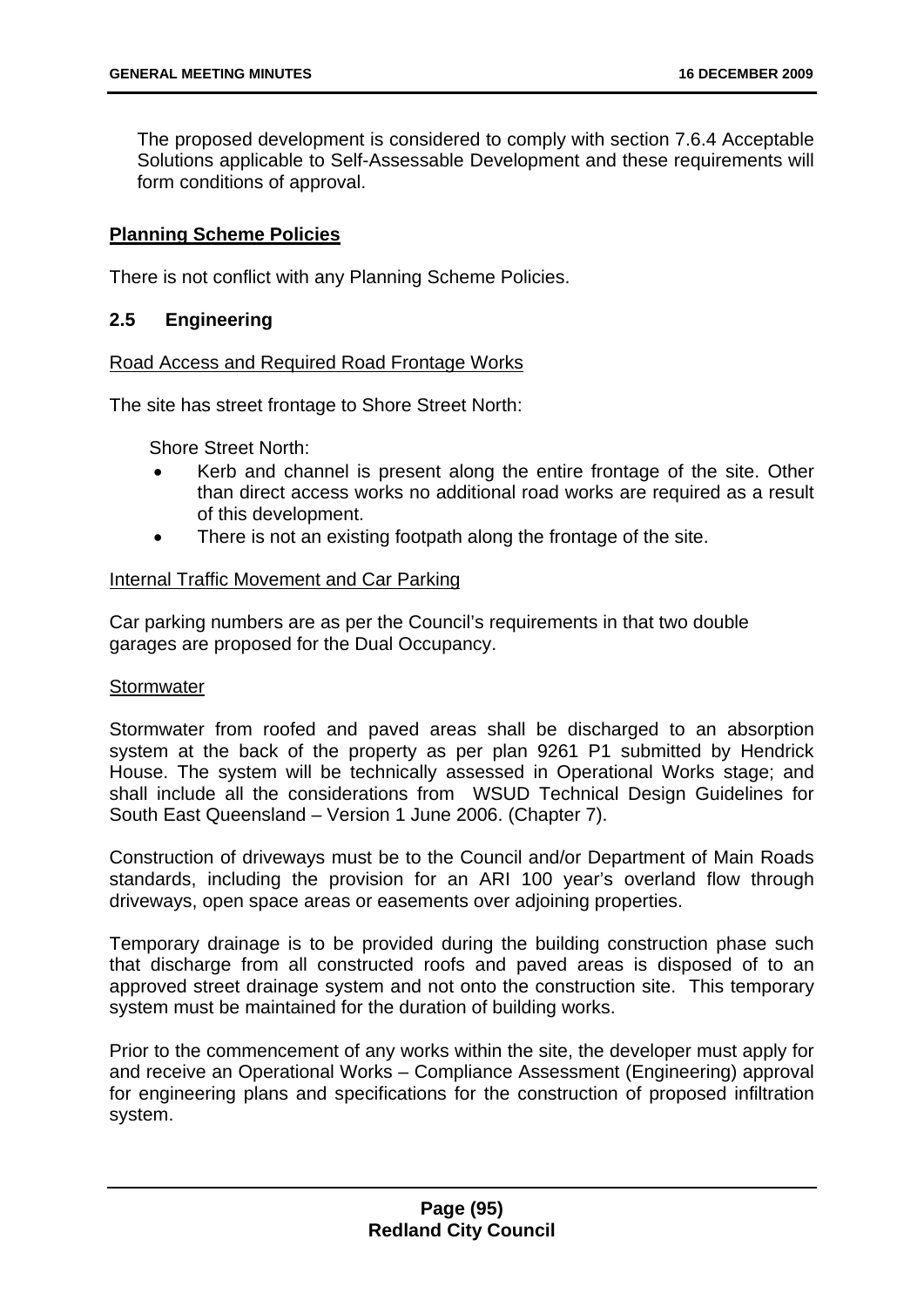The proposed development is considered to comply with section 7.6.4 Acceptable Solutions applicable to Self-Assessable Development and these requirements will form conditions of approval.

#### **Planning Scheme Policies**

There is not conflict with any Planning Scheme Policies.

#### **2.5 Engineering**

#### Road Access and Required Road Frontage Works

The site has street frontage to Shore Street North:

Shore Street North:

- Kerb and channel is present along the entire frontage of the site. Other than direct access works no additional road works are required as a result of this development.
- There is not an existing footpath along the frontage of the site.

#### Internal Traffic Movement and Car Parking

Car parking numbers are as per the Council's requirements in that two double garages are proposed for the Dual Occupancy.

#### **Stormwater**

Stormwater from roofed and paved areas shall be discharged to an absorption system at the back of the property as per plan 9261 P1 submitted by Hendrick House. The system will be technically assessed in Operational Works stage; and shall include all the considerations from WSUD Technical Design Guidelines for South East Queensland – Version 1 June 2006. (Chapter 7).

Construction of driveways must be to the Council and/or Department of Main Roads standards, including the provision for an ARI 100 year's overland flow through driveways, open space areas or easements over adjoining properties.

Temporary drainage is to be provided during the building construction phase such that discharge from all constructed roofs and paved areas is disposed of to an approved street drainage system and not onto the construction site. This temporary system must be maintained for the duration of building works.

Prior to the commencement of any works within the site, the developer must apply for and receive an Operational Works – Compliance Assessment (Engineering) approval for engineering plans and specifications for the construction of proposed infiltration system.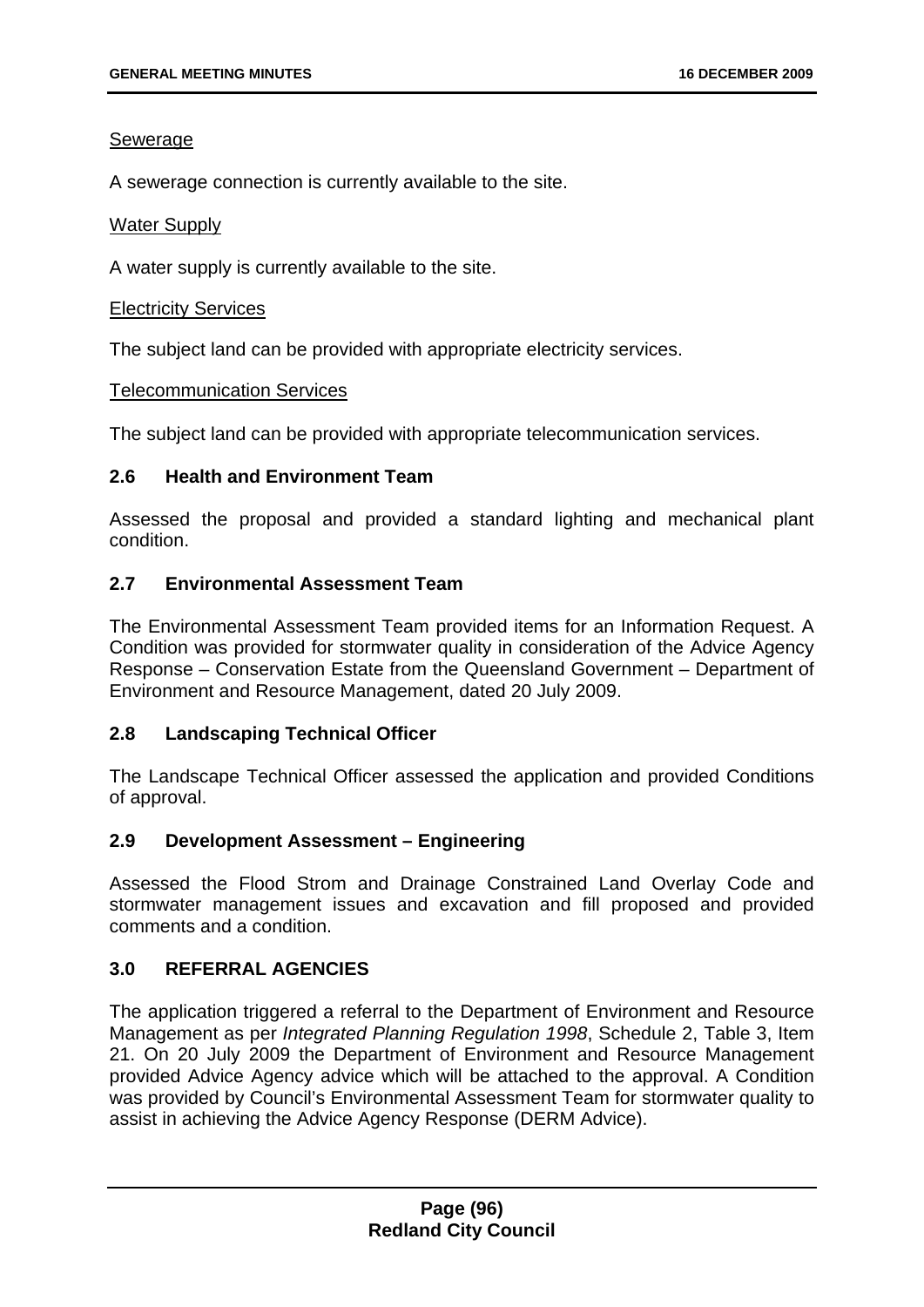#### Sewerage

A sewerage connection is currently available to the site.

#### **Water Supply**

A water supply is currently available to the site.

#### Electricity Services

The subject land can be provided with appropriate electricity services.

#### Telecommunication Services

The subject land can be provided with appropriate telecommunication services.

# **2.6 Health and Environment Team**

Assessed the proposal and provided a standard lighting and mechanical plant condition.

# **2.7 Environmental Assessment Team**

The Environmental Assessment Team provided items for an Information Request. A Condition was provided for stormwater quality in consideration of the Advice Agency Response – Conservation Estate from the Queensland Government – Department of Environment and Resource Management, dated 20 July 2009.

# **2.8 Landscaping Technical Officer**

The Landscape Technical Officer assessed the application and provided Conditions of approval.

# **2.9 Development Assessment – Engineering**

Assessed the Flood Strom and Drainage Constrained Land Overlay Code and stormwater management issues and excavation and fill proposed and provided comments and a condition.

# **3.0 REFERRAL AGENCIES**

The application triggered a referral to the Department of Environment and Resource Management as per *Integrated Planning Regulation 1998*, Schedule 2, Table 3, Item 21. On 20 July 2009 the Department of Environment and Resource Management provided Advice Agency advice which will be attached to the approval. A Condition was provided by Council's Environmental Assessment Team for stormwater quality to assist in achieving the Advice Agency Response (DERM Advice).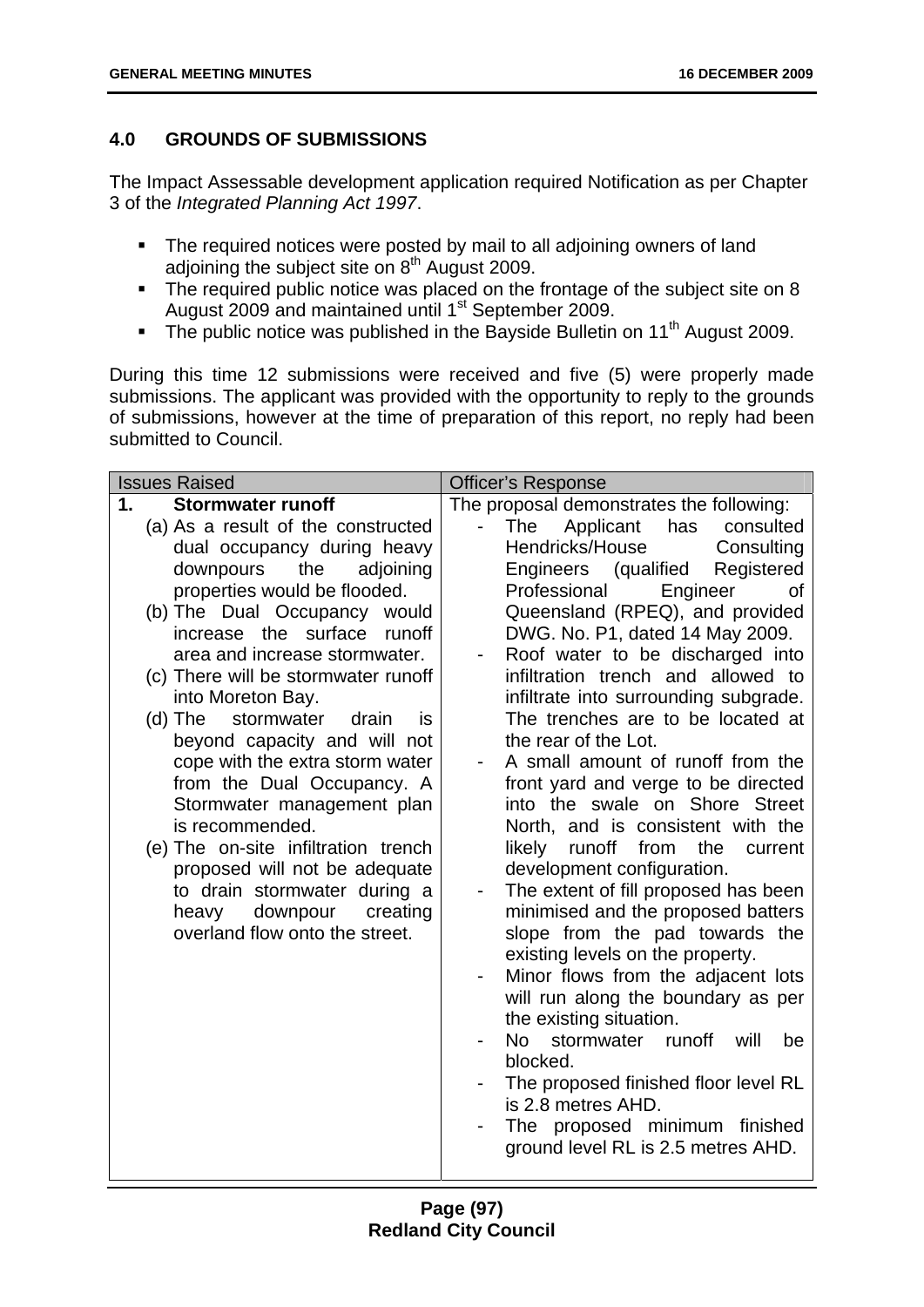# **4.0 GROUNDS OF SUBMISSIONS**

The Impact Assessable development application required Notification as per Chapter 3 of the *Integrated Planning Act 1997*.

- The required notices were posted by mail to all adjoining owners of land adjoining the subject site on  $8<sup>th</sup>$  August 2009.
- The required public notice was placed on the frontage of the subject site on 8 August 2009 and maintained until 1<sup>st</sup> September 2009.
- The public notice was published in the Bayside Bulletin on 11<sup>th</sup> August 2009.

During this time 12 submissions were received and five (5) were properly made submissions. The applicant was provided with the opportunity to reply to the grounds of submissions, however at the time of preparation of this report, no reply had been submitted to Council.

| <b>Issues Raised</b>                          | <b>Officer's Response</b>                                             |
|-----------------------------------------------|-----------------------------------------------------------------------|
| <b>Stormwater runoff</b><br>1.                | The proposal demonstrates the following:                              |
| (a) As a result of the constructed            | consulted<br>The<br>Applicant has                                     |
| dual occupancy during heavy                   | Hendricks/House<br>Consulting                                         |
| downpours<br>the<br>adjoining                 | Engineers (qualified<br>Registered                                    |
| properties would be flooded.                  | Professional<br>Engineer<br>οf                                        |
| (b) The Dual Occupancy would                  | Queensland (RPEQ), and provided                                       |
| increase the surface<br>runoff                | DWG. No. P1, dated 14 May 2009.                                       |
| area and increase stormwater.                 | Roof water to be discharged into                                      |
| (c) There will be stormwater runoff           | infiltration trench and allowed to                                    |
| into Moreton Bay.                             | infiltrate into surrounding subgrade.                                 |
| (d) The<br>stormwater<br>drain<br>is          | The trenches are to be located at                                     |
| beyond capacity and will not                  | the rear of the Lot.                                                  |
| cope with the extra storm water               | A small amount of runoff from the                                     |
| from the Dual Occupancy. A                    | front yard and verge to be directed<br>into the swale on Shore Street |
| Stormwater management plan<br>is recommended. | North, and is consistent with the                                     |
| (e) The on-site infiltration trench           | runoff from<br>likely<br>the<br>current                               |
| proposed will not be adequate                 | development configuration.                                            |
| to drain stormwater during a                  | The extent of fill proposed has been                                  |
| downpour<br>heavy<br>creating                 | minimised and the proposed batters                                    |
| overland flow onto the street.                | slope from the pad towards the                                        |
|                                               | existing levels on the property.                                      |
|                                               | Minor flows from the adjacent lots                                    |
|                                               | will run along the boundary as per                                    |
|                                               | the existing situation.                                               |
|                                               | No l<br>stormwater runoff<br>will<br>be                               |
|                                               | blocked.                                                              |
|                                               | The proposed finished floor level RL                                  |
|                                               | is 2.8 metres AHD.                                                    |
|                                               | The proposed minimum finished                                         |
|                                               | ground level RL is 2.5 metres AHD.                                    |
|                                               |                                                                       |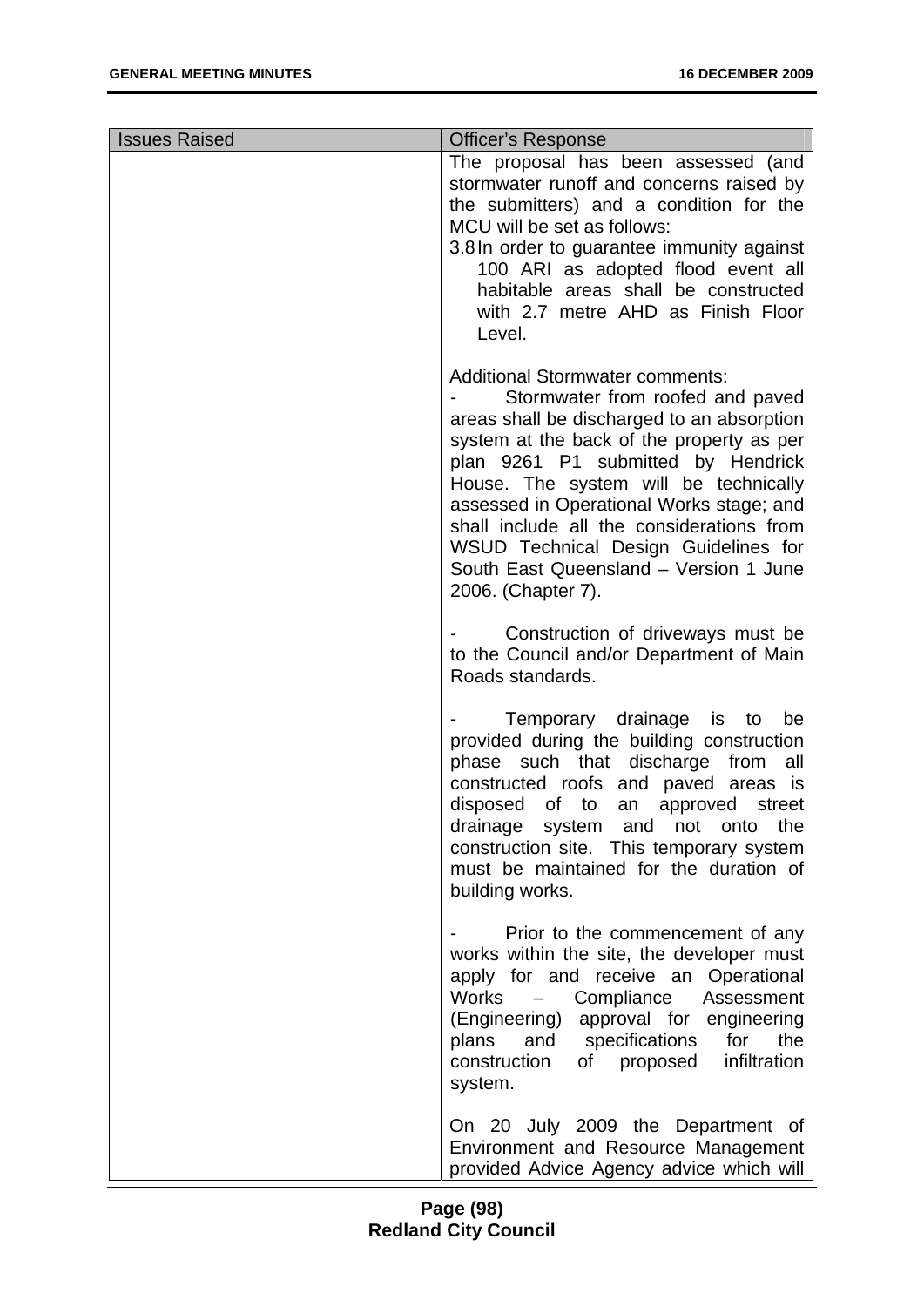| <b>Issues Raised</b> | <b>Officer's Response</b>                                                                                                                                                                                                                                                                                                                                                                                                                             |  |  |
|----------------------|-------------------------------------------------------------------------------------------------------------------------------------------------------------------------------------------------------------------------------------------------------------------------------------------------------------------------------------------------------------------------------------------------------------------------------------------------------|--|--|
|                      | The proposal has been assessed (and<br>stormwater runoff and concerns raised by<br>the submitters) and a condition for the<br>MCU will be set as follows:<br>3.8 In order to guarantee immunity against<br>100 ARI as adopted flood event all<br>habitable areas shall be constructed<br>with 2.7 metre AHD as Finish Floor<br>Level.                                                                                                                 |  |  |
|                      | <b>Additional Stormwater comments:</b><br>Stormwater from roofed and paved<br>areas shall be discharged to an absorption<br>system at the back of the property as per<br>plan 9261 P1 submitted by Hendrick<br>House. The system will be technically<br>assessed in Operational Works stage; and<br>shall include all the considerations from<br>WSUD Technical Design Guidelines for<br>South East Queensland - Version 1 June<br>2006. (Chapter 7). |  |  |
|                      | Construction of driveways must be<br>to the Council and/or Department of Main<br>Roads standards.                                                                                                                                                                                                                                                                                                                                                     |  |  |
|                      | Temporary drainage is<br>be<br>to<br>provided during the building construction<br>phase such that discharge<br>from<br>all<br>constructed roofs and paved areas is<br>disposed of to an approved street<br>drainage system and not onto<br>the<br>construction site. This temporary system<br>must be maintained for the duration of<br>building works.                                                                                               |  |  |
|                      | Prior to the commencement of any<br>works within the site, the developer must<br>apply for and receive an Operational<br><b>Works</b><br>Compliance<br>Assessment<br>$\qquad \qquad -$<br>(Engineering) approval for engineering<br>and specifications<br>for<br>the<br>plans<br>infiltration<br>construction<br>of proposed<br>system.                                                                                                               |  |  |
|                      | On 20 July 2009 the Department of<br>Environment and Resource Management<br>provided Advice Agency advice which will                                                                                                                                                                                                                                                                                                                                  |  |  |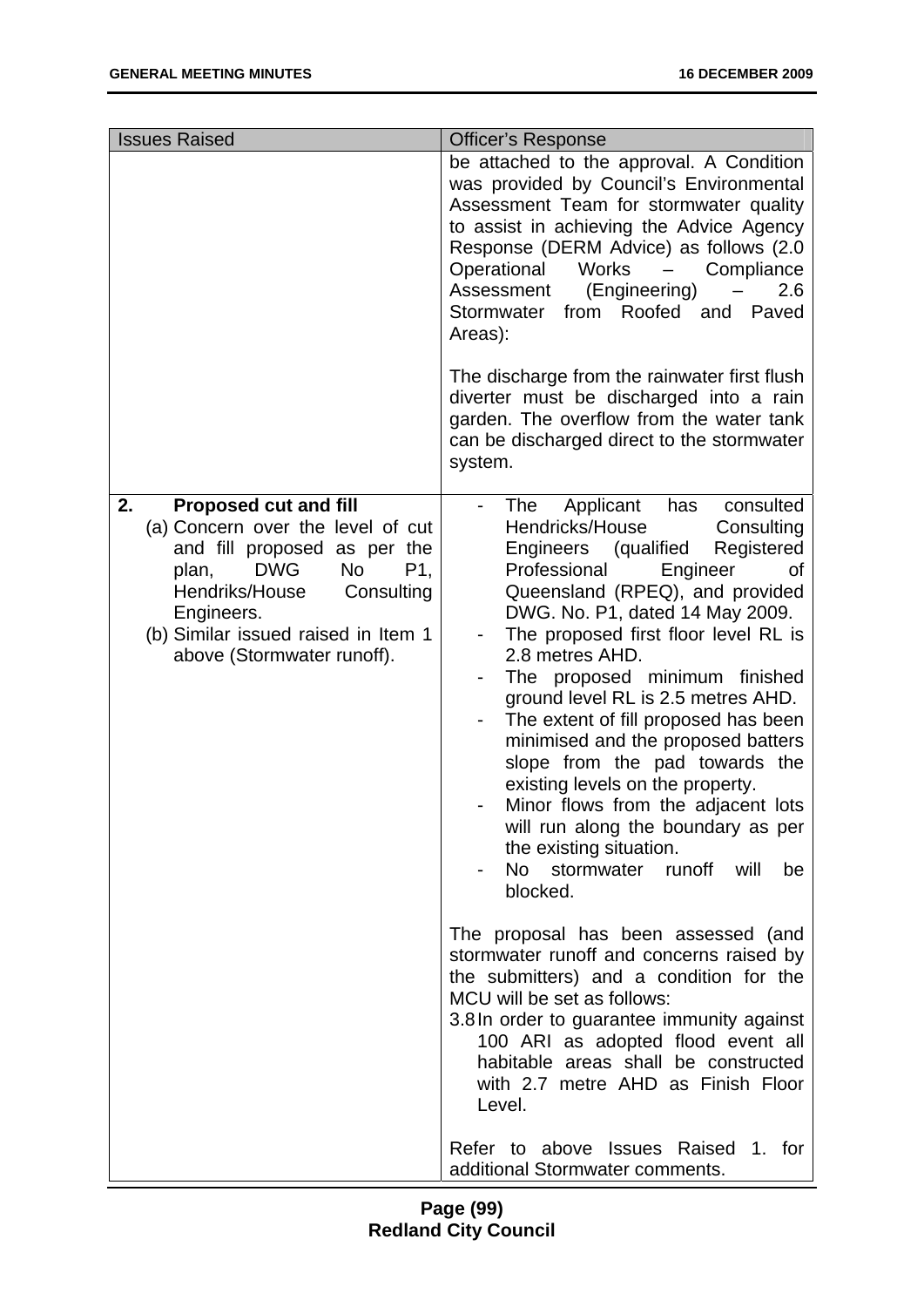| <b>Issues Raised</b>                                                                                                                                                                                                                                           | <b>Officer's Response</b>                                                                                                                                                                                                                                                                                                                                                                                                                                                                                                                                                                                                                                                                                                                                                                                                                                                                                                                                                                                                                          |
|----------------------------------------------------------------------------------------------------------------------------------------------------------------------------------------------------------------------------------------------------------------|----------------------------------------------------------------------------------------------------------------------------------------------------------------------------------------------------------------------------------------------------------------------------------------------------------------------------------------------------------------------------------------------------------------------------------------------------------------------------------------------------------------------------------------------------------------------------------------------------------------------------------------------------------------------------------------------------------------------------------------------------------------------------------------------------------------------------------------------------------------------------------------------------------------------------------------------------------------------------------------------------------------------------------------------------|
|                                                                                                                                                                                                                                                                | be attached to the approval. A Condition<br>was provided by Council's Environmental<br>Assessment Team for stormwater quality<br>to assist in achieving the Advice Agency<br>Response (DERM Advice) as follows (2.0<br>Operational<br><b>Works</b><br>Compliance<br>Assessment<br>(Engineering)<br>2.6<br>Stormwater<br>from Roofed and<br>Paved<br>Areas):<br>The discharge from the rainwater first flush                                                                                                                                                                                                                                                                                                                                                                                                                                                                                                                                                                                                                                        |
|                                                                                                                                                                                                                                                                | diverter must be discharged into a rain<br>garden. The overflow from the water tank<br>can be discharged direct to the stormwater<br>system.                                                                                                                                                                                                                                                                                                                                                                                                                                                                                                                                                                                                                                                                                                                                                                                                                                                                                                       |
| 2.<br><b>Proposed cut and fill</b><br>(a) Concern over the level of cut<br>and fill proposed as per the<br><b>DWG</b><br>No<br>plan,<br>P1,<br>Hendriks/House<br>Consulting<br>Engineers.<br>(b) Similar issued raised in Item 1<br>above (Stormwater runoff). | Applicant<br>has<br>consulted<br>The<br>Hendricks/House<br>Consulting<br>(qualified<br>Registered<br>Engineers<br>Professional<br>Engineer<br>Οf<br>Queensland (RPEQ), and provided<br>DWG. No. P1, dated 14 May 2009.<br>The proposed first floor level RL is<br>2.8 metres AHD.<br>The proposed minimum finished<br>ground level RL is 2.5 metres AHD.<br>The extent of fill proposed has been<br>minimised and the proposed batters<br>slope from the pad towards the<br>existing levels on the property.<br>Minor flows from the adjacent lots<br>will run along the boundary as per<br>the existing situation.<br>No stormwater runoff will<br>be<br>blocked.<br>The proposal has been assessed (and<br>stormwater runoff and concerns raised by<br>the submitters) and a condition for the<br>MCU will be set as follows:<br>3.8 In order to guarantee immunity against<br>100 ARI as adopted flood event all<br>habitable areas shall be constructed<br>with 2.7 metre AHD as Finish Floor<br>Level.<br>Refer to above Issues Raised 1. for |
|                                                                                                                                                                                                                                                                | additional Stormwater comments.                                                                                                                                                                                                                                                                                                                                                                                                                                                                                                                                                                                                                                                                                                                                                                                                                                                                                                                                                                                                                    |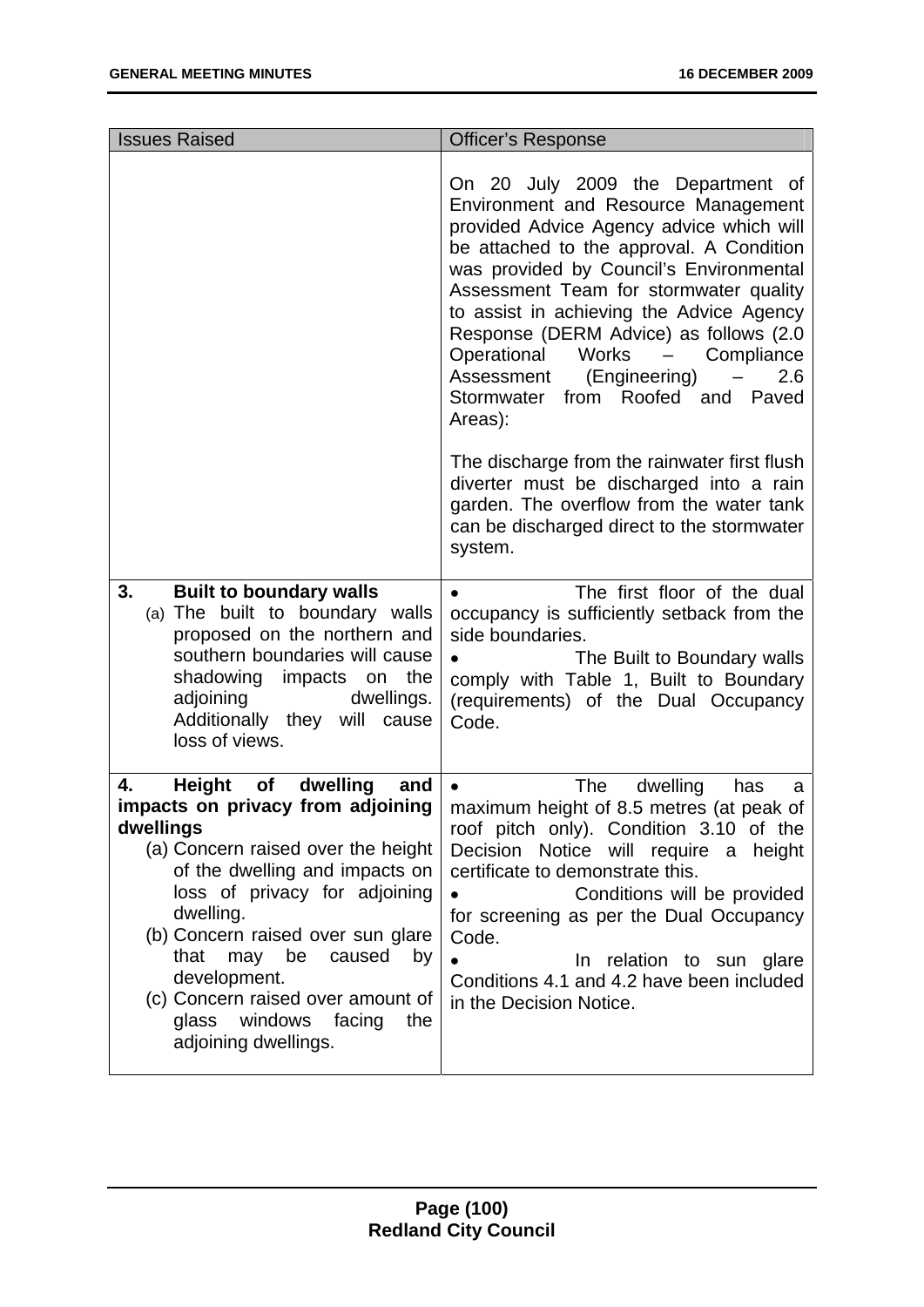| <b>Issues Raised</b>                                                                                                                                                                                                                                                                                                                                                                                       | <b>Officer's Response</b>                                                                                                                                                                                                                                                                                                                                                                                                                                                                                                                                                                                                                                                                                |  |
|------------------------------------------------------------------------------------------------------------------------------------------------------------------------------------------------------------------------------------------------------------------------------------------------------------------------------------------------------------------------------------------------------------|----------------------------------------------------------------------------------------------------------------------------------------------------------------------------------------------------------------------------------------------------------------------------------------------------------------------------------------------------------------------------------------------------------------------------------------------------------------------------------------------------------------------------------------------------------------------------------------------------------------------------------------------------------------------------------------------------------|--|
|                                                                                                                                                                                                                                                                                                                                                                                                            | On 20 July 2009 the Department of<br>Environment and Resource Management<br>provided Advice Agency advice which will<br>be attached to the approval. A Condition<br>was provided by Council's Environmental<br>Assessment Team for stormwater quality<br>to assist in achieving the Advice Agency<br>Response (DERM Advice) as follows (2.0<br>Works<br>Operational<br>Compliance<br>$\overline{\phantom{0}}$<br>Assessment<br>(Engineering)<br>2.6<br>from Roofed and<br>Stormwater<br>Paved<br>Areas):<br>The discharge from the rainwater first flush<br>diverter must be discharged into a rain<br>garden. The overflow from the water tank<br>can be discharged direct to the stormwater<br>system. |  |
| 3.<br><b>Built to boundary walls</b><br>(a) The built to boundary walls<br>proposed on the northern and<br>southern boundaries will cause<br>shadowing impacts<br>the<br>on<br>adjoining<br>dwellings.<br>Additionally they will cause<br>loss of views.                                                                                                                                                   | The first floor of the dual<br>occupancy is sufficiently setback from the<br>side boundaries.<br>The Built to Boundary walls<br>comply with Table 1, Built to Boundary<br>(requirements) of the Dual Occupancy<br>Code.                                                                                                                                                                                                                                                                                                                                                                                                                                                                                  |  |
| dwelling<br>4.<br><b>Height</b><br>of<br>and<br>impacts on privacy from adjoining<br>dwellings<br>(a) Concern raised over the height<br>of the dwelling and impacts on<br>loss of privacy for adjoining<br>dwelling.<br>(b) Concern raised over sun glare<br>that<br>be<br>caused<br>may<br>by<br>development.<br>(c) Concern raised over amount of<br>glass windows facing<br>the<br>adjoining dwellings. | The<br>dwelling<br>has<br>a<br>maximum height of 8.5 metres (at peak of<br>roof pitch only). Condition 3.10 of the<br>Decision Notice will require a height<br>certificate to demonstrate this.<br>Conditions will be provided<br>for screening as per the Dual Occupancy<br>Code.<br>In relation to sun glare<br>Conditions 4.1 and 4.2 have been included<br>in the Decision Notice.                                                                                                                                                                                                                                                                                                                   |  |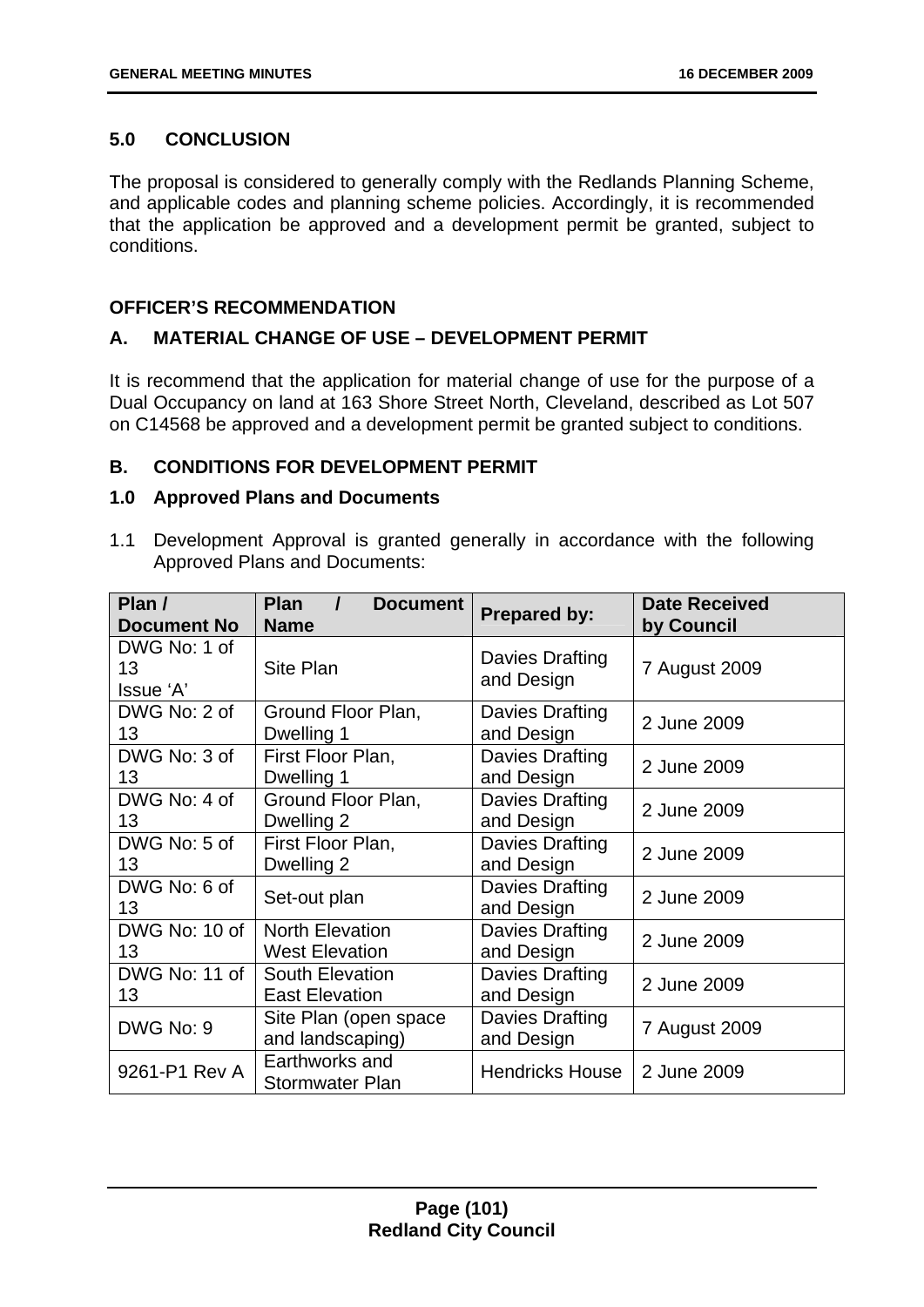# **5.0 CONCLUSION**

The proposal is considered to generally comply with the Redlands Planning Scheme, and applicable codes and planning scheme policies. Accordingly, it is recommended that the application be approved and a development permit be granted, subject to conditions.

# **OFFICER'S RECOMMENDATION**

# **A. MATERIAL CHANGE OF USE – DEVELOPMENT PERMIT**

It is recommend that the application for material change of use for the purpose of a Dual Occupancy on land at 163 Shore Street North, Cleveland, described as Lot 507 on C14568 be approved and a development permit be granted subject to conditions.

# **B. CONDITIONS FOR DEVELOPMENT PERMIT**

### **1.0 Approved Plans and Documents**

1.1 Development Approval is granted generally in accordance with the following Approved Plans and Documents:

| Plan /<br><b>Document No</b>    | Plan<br><b>Document</b><br><b>Name</b>    | <b>Prepared by:</b>                  | <b>Date Received</b><br>by Council |
|---------------------------------|-------------------------------------------|--------------------------------------|------------------------------------|
| DWG No: 1 of<br>13<br>Issue 'A' | Site Plan                                 | Davies Drafting<br>and Design        | 7 August 2009                      |
| DWG No: 2 of                    | Ground Floor Plan,                        | <b>Davies Drafting</b>               | 2 June 2009                        |
| 13                              | Dwelling 1                                | and Design                           |                                    |
| DWG No: 3 of                    | First Floor Plan,                         | Davies Drafting                      | 2 June 2009                        |
| 13                              | Dwelling 1                                | and Design                           |                                    |
| DWG No: 4 of                    | Ground Floor Plan,                        | <b>Davies Drafting</b>               | 2 June 2009                        |
| 13                              | Dwelling 2                                | and Design                           |                                    |
| DWG No: 5 of                    | First Floor Plan,                         | <b>Davies Drafting</b>               | 2 June 2009                        |
| 13                              | Dwelling 2                                | and Design                           |                                    |
| DWG No: 6 of<br>13              | Set-out plan                              | <b>Davies Drafting</b><br>and Design | 2 June 2009                        |
| DWG No: 10 of                   | <b>North Elevation</b>                    | <b>Davies Drafting</b>               | 2 June 2009                        |
| 13                              | <b>West Elevation</b>                     | and Design                           |                                    |
| DWG No: 11 of                   | <b>South Elevation</b>                    | <b>Davies Drafting</b>               | 2 June 2009                        |
| 13                              | <b>East Elevation</b>                     | and Design                           |                                    |
| DWG No: 9                       | Site Plan (open space<br>and landscaping) | <b>Davies Drafting</b><br>and Design | 7 August 2009                      |
| 9261-P1 Rev A                   | Earthworks and<br>Stormwater Plan         | <b>Hendricks House</b>               | 2 June 2009                        |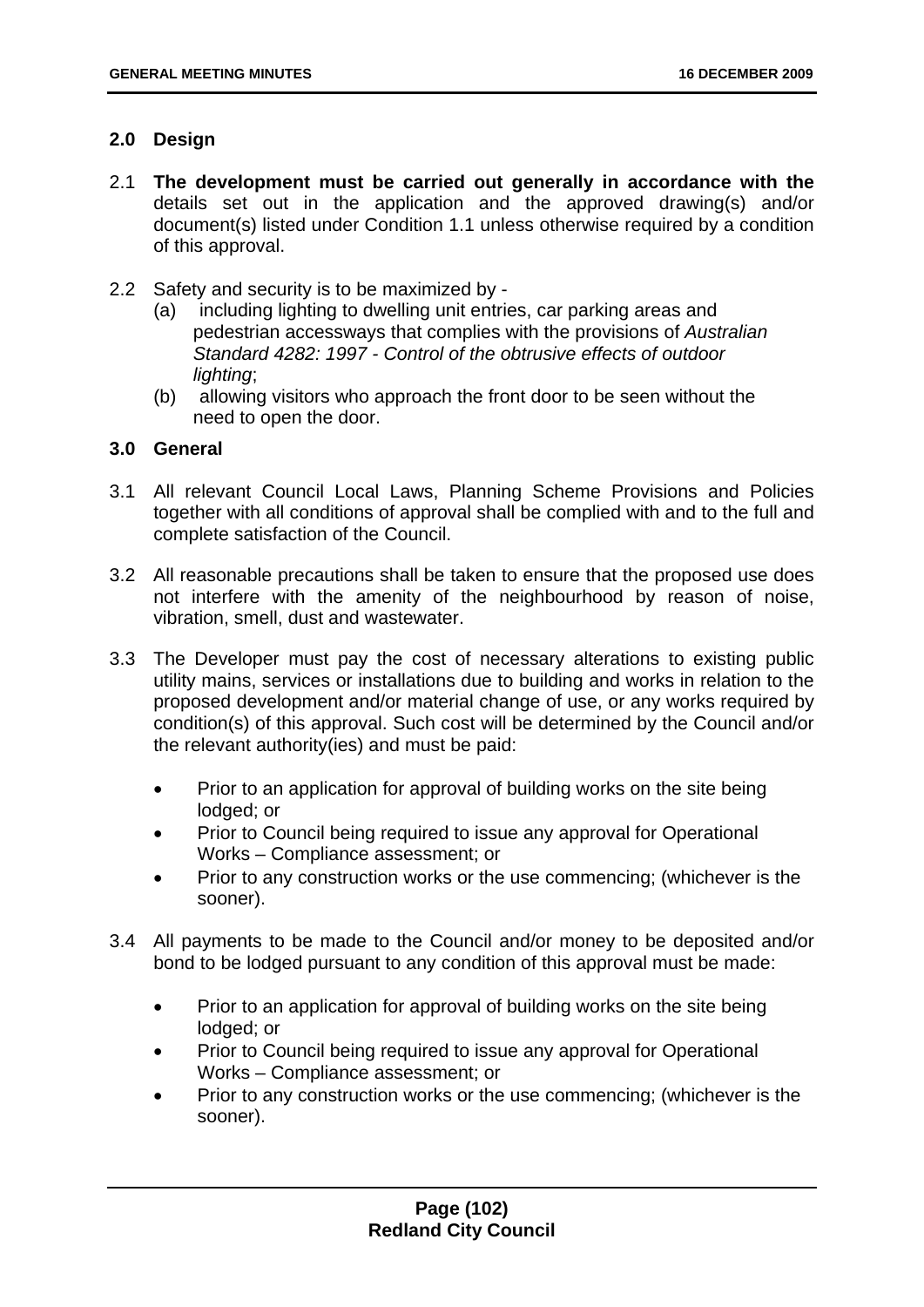### **2.0 Design**

- 2.1 **The development must be carried out generally in accordance with the**  details set out in the application and the approved drawing(s) and/or document(s) listed under Condition 1.1 unless otherwise required by a condition of this approval.
- 2.2 Safety and security is to be maximized by
	- (a) including lighting to dwelling unit entries, car parking areas and pedestrian accessways that complies with the provisions of *Australian Standard 4282: 1997 - Control of the obtrusive effects of outdoor lighting*;
	- (b) allowing visitors who approach the front door to be seen without the need to open the door.

#### **3.0 General**

- 3.1 All relevant Council Local Laws, Planning Scheme Provisions and Policies together with all conditions of approval shall be complied with and to the full and complete satisfaction of the Council.
- 3.2 All reasonable precautions shall be taken to ensure that the proposed use does not interfere with the amenity of the neighbourhood by reason of noise, vibration, smell, dust and wastewater.
- 3.3 The Developer must pay the cost of necessary alterations to existing public utility mains, services or installations due to building and works in relation to the proposed development and/or material change of use, or any works required by condition(s) of this approval. Such cost will be determined by the Council and/or the relevant authority(ies) and must be paid:
	- Prior to an application for approval of building works on the site being lodged; or
	- Prior to Council being required to issue any approval for Operational Works – Compliance assessment; or
	- Prior to any construction works or the use commencing; (whichever is the sooner).
- 3.4 All payments to be made to the Council and/or money to be deposited and/or bond to be lodged pursuant to any condition of this approval must be made:
	- Prior to an application for approval of building works on the site being lodged; or
	- Prior to Council being required to issue any approval for Operational Works – Compliance assessment; or
	- Prior to any construction works or the use commencing; (whichever is the sooner).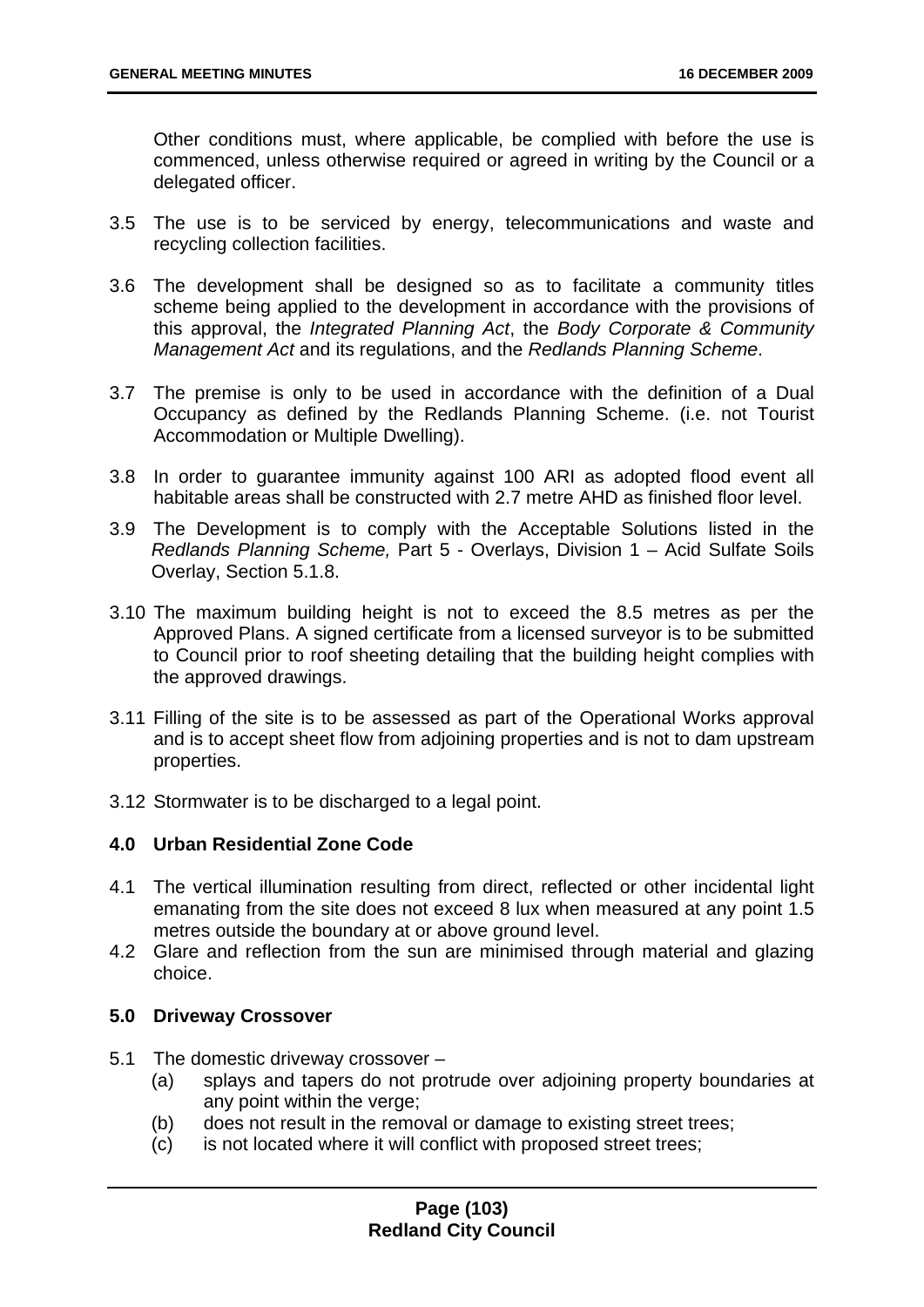Other conditions must, where applicable, be complied with before the use is commenced, unless otherwise required or agreed in writing by the Council or a delegated officer.

- 3.5 The use is to be serviced by energy, telecommunications and waste and recycling collection facilities.
- 3.6 The development shall be designed so as to facilitate a community titles scheme being applied to the development in accordance with the provisions of this approval, the *Integrated Planning Act*, the *Body Corporate & Community Management Act* and its regulations, and the *Redlands Planning Scheme*.
- 3.7 The premise is only to be used in accordance with the definition of a Dual Occupancy as defined by the Redlands Planning Scheme. (i.e. not Tourist Accommodation or Multiple Dwelling).
- 3.8 In order to guarantee immunity against 100 ARI as adopted flood event all habitable areas shall be constructed with 2.7 metre AHD as finished floor level.
- 3.9 The Development is to comply with the Acceptable Solutions listed in the *Redlands Planning Scheme,* Part 5 - Overlays, Division 1 – Acid Sulfate Soils Overlay, Section 5.1.8.
- 3.10 The maximum building height is not to exceed the 8.5 metres as per the Approved Plans. A signed certificate from a licensed surveyor is to be submitted to Council prior to roof sheeting detailing that the building height complies with the approved drawings.
- 3.11 Filling of the site is to be assessed as part of the Operational Works approval and is to accept sheet flow from adjoining properties and is not to dam upstream properties.
- 3.12 Stormwater is to be discharged to a legal point.

# **4.0 Urban Residential Zone Code**

- 4.1 The vertical illumination resulting from direct, reflected or other incidental light emanating from the site does not exceed 8 lux when measured at any point 1.5 metres outside the boundary at or above ground level.
- 4.2 Glare and reflection from the sun are minimised through material and glazing choice.

#### **5.0 Driveway Crossover**

- 5.1 The domestic driveway crossover
	- (a) splays and tapers do not protrude over adjoining property boundaries at any point within the verge;
	- (b) does not result in the removal or damage to existing street trees;
	- (c) is not located where it will conflict with proposed street trees;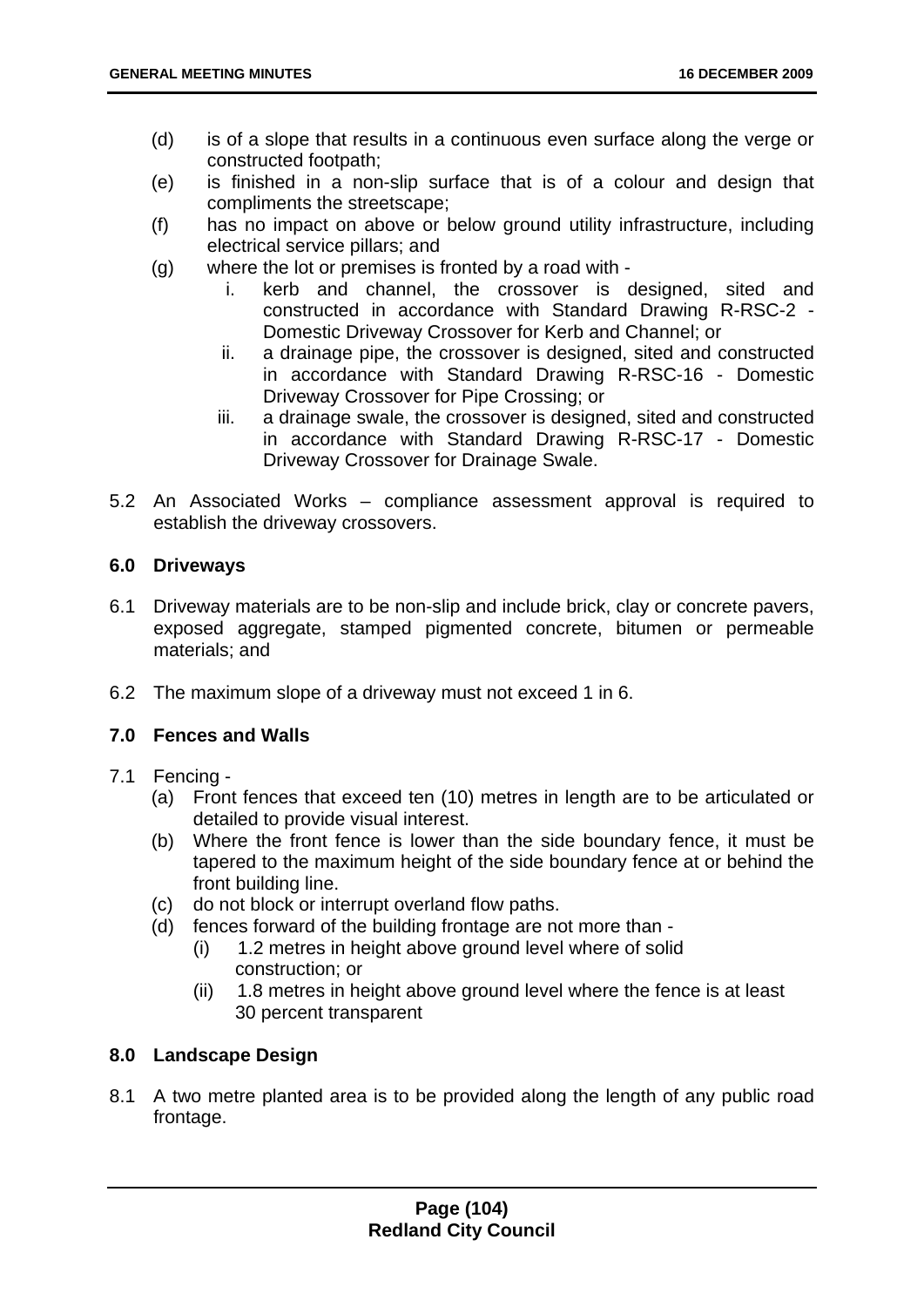- (d) is of a slope that results in a continuous even surface along the verge or constructed footpath;
- (e) is finished in a non-slip surface that is of a colour and design that compliments the streetscape;
- (f) has no impact on above or below ground utility infrastructure, including electrical service pillars; and
- (g) where the lot or premises is fronted by a road with
	- i. kerb and channel, the crossover is designed, sited and constructed in accordance with Standard Drawing R-RSC-2 - Domestic Driveway Crossover for Kerb and Channel; or
	- ii. a drainage pipe, the crossover is designed, sited and constructed in accordance with Standard Drawing R-RSC-16 - Domestic Driveway Crossover for Pipe Crossing; or
	- iii. a drainage swale, the crossover is designed, sited and constructed in accordance with Standard Drawing R-RSC-17 - Domestic Driveway Crossover for Drainage Swale.
- 5.2 An Associated Works compliance assessment approval is required to establish the driveway crossovers.

### **6.0 Driveways**

- 6.1 Driveway materials are to be non-slip and include brick, clay or concrete pavers, exposed aggregate, stamped pigmented concrete, bitumen or permeable materials; and
- 6.2 The maximum slope of a driveway must not exceed 1 in 6.

# **7.0 Fences and Walls**

- 7.1 Fencing
	- (a) Front fences that exceed ten (10) metres in length are to be articulated or detailed to provide visual interest.
	- (b) Where the front fence is lower than the side boundary fence, it must be tapered to the maximum height of the side boundary fence at or behind the front building line.
	- (c) do not block or interrupt overland flow paths.
	- (d) fences forward of the building frontage are not more than
		- (i) 1.2 metres in height above ground level where of solid construction; or
		- (ii) 1.8 metres in height above ground level where the fence is at least 30 percent transparent

# **8.0 Landscape Design**

8.1 A two metre planted area is to be provided along the length of any public road frontage.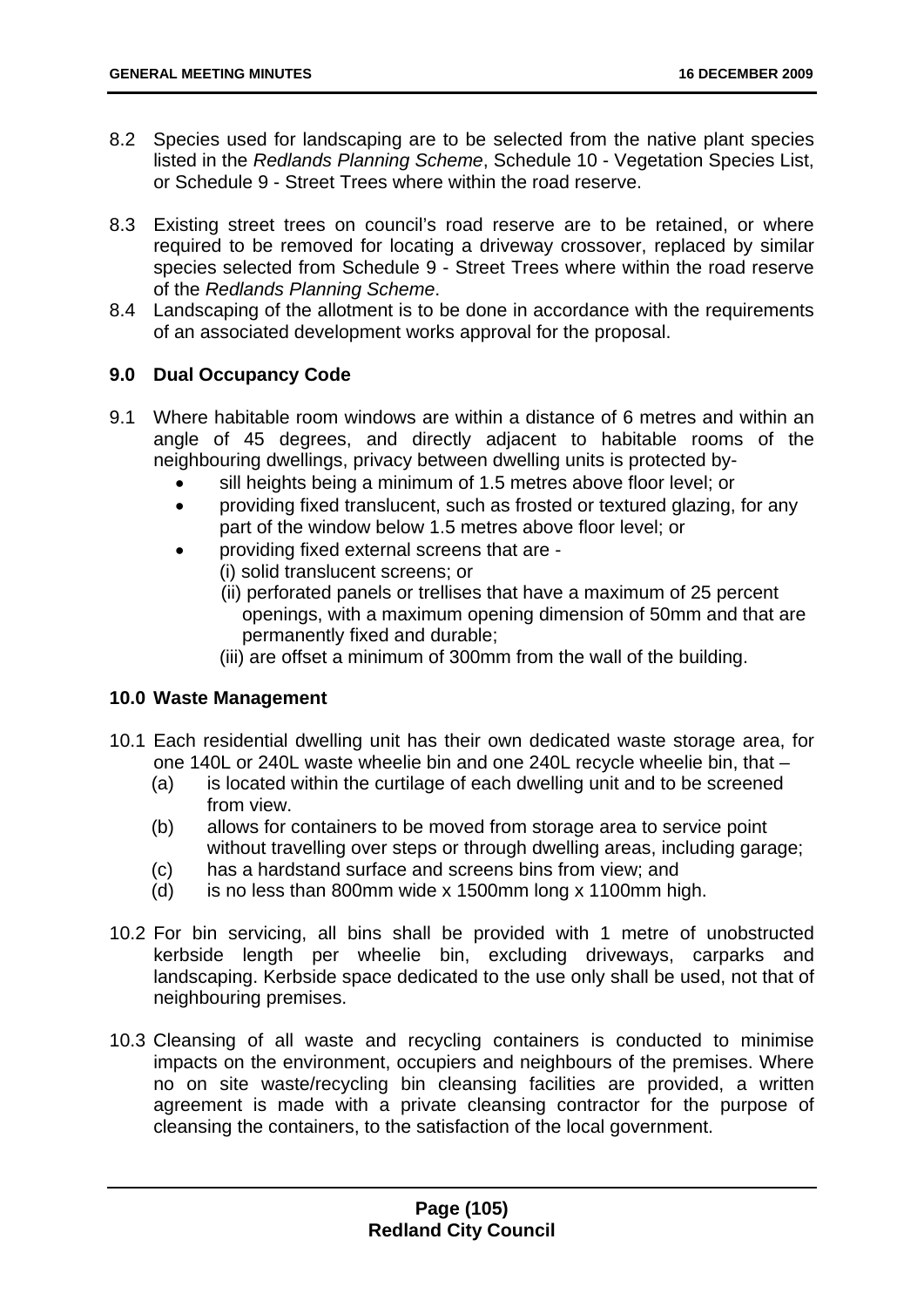- 8.2 Species used for landscaping are to be selected from the native plant species listed in the *Redlands Planning Scheme*, Schedule 10 - Vegetation Species List, or Schedule 9 - Street Trees where within the road reserve.
- 8.3 Existing street trees on council's road reserve are to be retained, or where required to be removed for locating a driveway crossover, replaced by similar species selected from Schedule 9 - Street Trees where within the road reserve of the *Redlands Planning Scheme*.
- 8.4 Landscaping of the allotment is to be done in accordance with the requirements of an associated development works approval for the proposal.

# **9.0 Dual Occupancy Code**

- 9.1 Where habitable room windows are within a distance of 6 metres and within an angle of 45 degrees, and directly adjacent to habitable rooms of the neighbouring dwellings, privacy between dwelling units is protected by
	- sill heights being a minimum of 1.5 metres above floor level; or
	- providing fixed translucent, such as frosted or textured glazing, for any part of the window below 1.5 metres above floor level; or
	- providing fixed external screens that are
		- (i) solid translucent screens; or
			- (ii) perforated panels or trellises that have a maximum of 25 percent openings, with a maximum opening dimension of 50mm and that are permanently fixed and durable;
			- (iii) are offset a minimum of 300mm from the wall of the building.

# **10.0 Waste Management**

- 10.1 Each residential dwelling unit has their own dedicated waste storage area, for one 140L or 240L waste wheelie bin and one 240L recycle wheelie bin, that –
	- (a) is located within the curtilage of each dwelling unit and to be screened from view.
	- (b) allows for containers to be moved from storage area to service point without travelling over steps or through dwelling areas, including garage;
	- (c) has a hardstand surface and screens bins from view; and
	- (d) is no less than 800mm wide x 1500mm long x 1100mm high.
- 10.2 For bin servicing, all bins shall be provided with 1 metre of unobstructed kerbside length per wheelie bin, excluding driveways, carparks and landscaping. Kerbside space dedicated to the use only shall be used, not that of neighbouring premises.
- 10.3 Cleansing of all waste and recycling containers is conducted to minimise impacts on the environment, occupiers and neighbours of the premises. Where no on site waste/recycling bin cleansing facilities are provided, a written agreement is made with a private cleansing contractor for the purpose of cleansing the containers, to the satisfaction of the local government.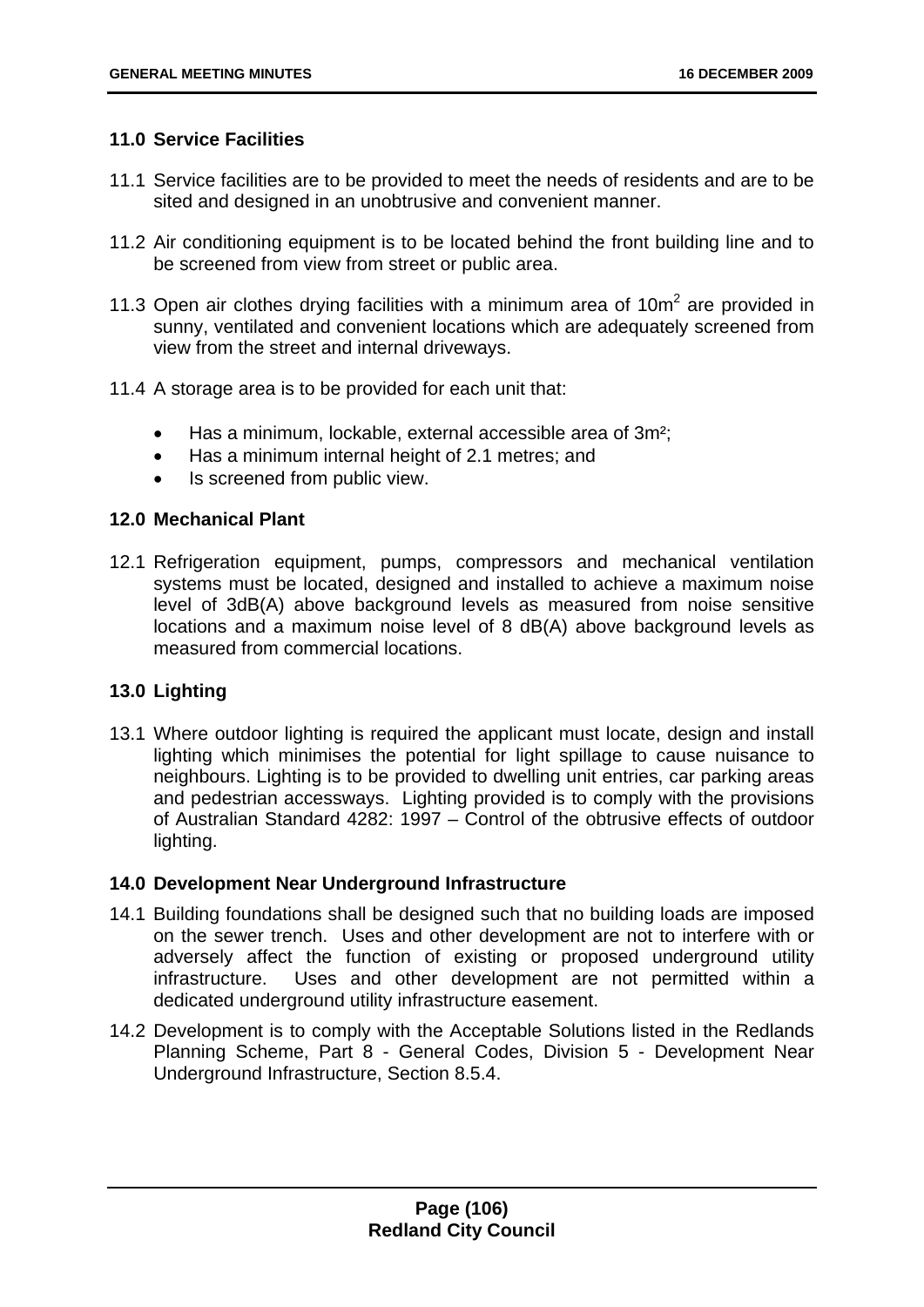### **11.0 Service Facilities**

- 11.1 Service facilities are to be provided to meet the needs of residents and are to be sited and designed in an unobtrusive and convenient manner.
- 11.2 Air conditioning equipment is to be located behind the front building line and to be screened from view from street or public area.
- 11.3 Open air clothes drying facilities with a minimum area of 10 $m<sup>2</sup>$  are provided in sunny, ventilated and convenient locations which are adequately screened from view from the street and internal driveways.
- 11.4 A storage area is to be provided for each unit that:
	- Has a minimum, lockable, external accessible area of 3m²;
	- Has a minimum internal height of 2.1 metres; and
	- Is screened from public view.

# **12.0 Mechanical Plant**

12.1 Refrigeration equipment, pumps, compressors and mechanical ventilation systems must be located, designed and installed to achieve a maximum noise level of 3dB(A) above background levels as measured from noise sensitive locations and a maximum noise level of 8 dB(A) above background levels as measured from commercial locations.

# **13.0 Lighting**

13.1 Where outdoor lighting is required the applicant must locate, design and install lighting which minimises the potential for light spillage to cause nuisance to neighbours. Lighting is to be provided to dwelling unit entries, car parking areas and pedestrian accessways. Lighting provided is to comply with the provisions of Australian Standard 4282: 1997 – Control of the obtrusive effects of outdoor lighting.

# **14.0 Development Near Underground Infrastructure**

- 14.1 Building foundations shall be designed such that no building loads are imposed on the sewer trench. Uses and other development are not to interfere with or adversely affect the function of existing or proposed underground utility infrastructure. Uses and other development are not permitted within a dedicated underground utility infrastructure easement.
- 14.2 Development is to comply with the Acceptable Solutions listed in the Redlands Planning Scheme, Part 8 - General Codes, Division 5 - Development Near Underground Infrastructure, Section 8.5.4.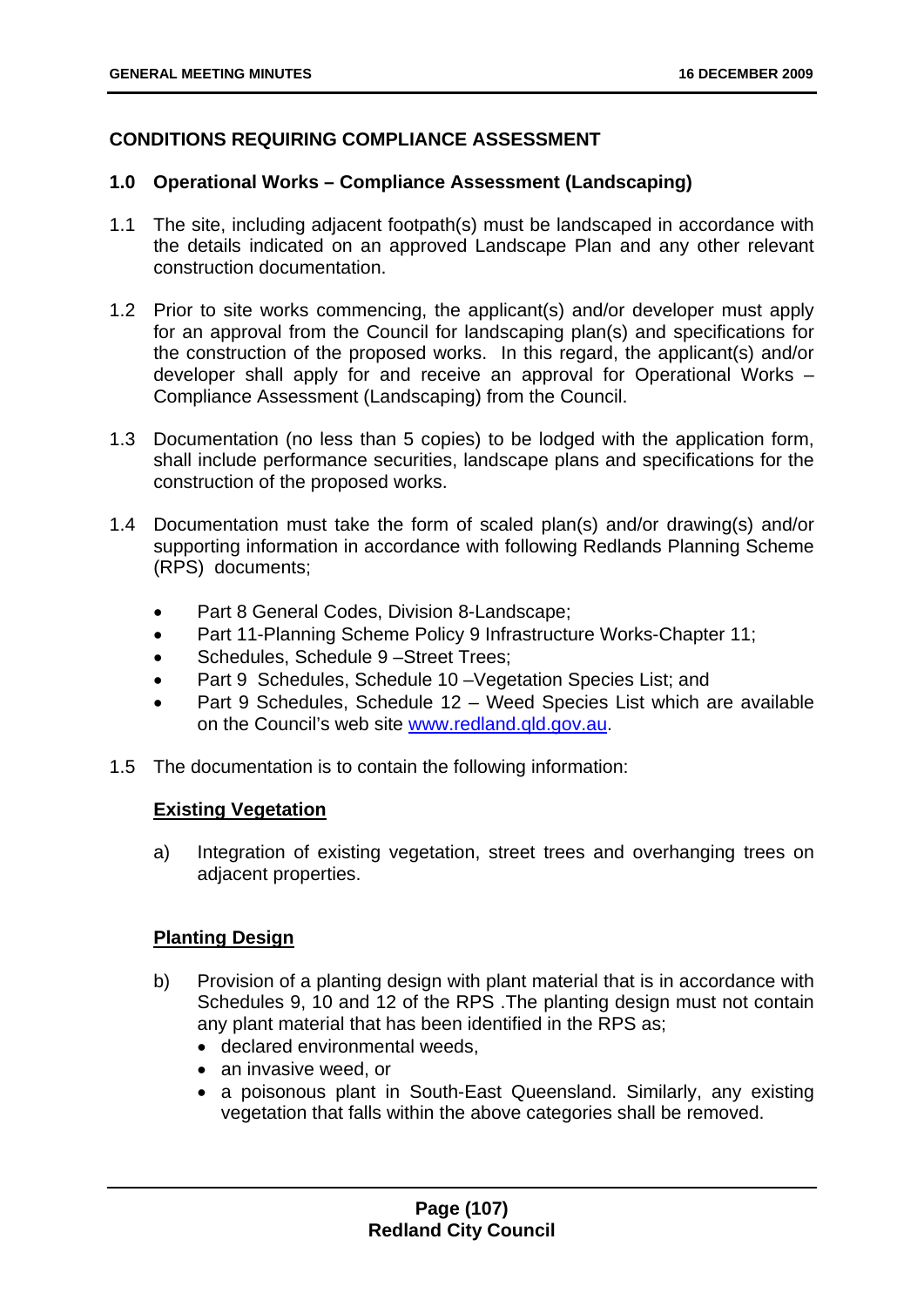# **CONDITIONS REQUIRING COMPLIANCE ASSESSMENT**

### **1.0 Operational Works – Compliance Assessment (Landscaping)**

- 1.1 The site, including adjacent footpath(s) must be landscaped in accordance with the details indicated on an approved Landscape Plan and any other relevant construction documentation.
- 1.2 Prior to site works commencing, the applicant(s) and/or developer must apply for an approval from the Council for landscaping plan(s) and specifications for the construction of the proposed works. In this regard, the applicant(s) and/or developer shall apply for and receive an approval for Operational Works – Compliance Assessment (Landscaping) from the Council.
- 1.3 Documentation (no less than 5 copies) to be lodged with the application form, shall include performance securities, landscape plans and specifications for the construction of the proposed works.
- 1.4 Documentation must take the form of scaled plan(s) and/or drawing(s) and/or supporting information in accordance with following Redlands Planning Scheme (RPS) documents;
	- Part 8 General Codes, Division 8-Landscape;
	- Part 11-Planning Scheme Policy 9 Infrastructure Works-Chapter 11;
	- Schedules, Schedule 9 Street Trees:
	- Part 9 Schedules, Schedule 10 Vegetation Species List; and
	- Part 9 Schedules, Schedule 12 Weed Species List which are available on the Council's web site [www.redland.qld.gov.au](http://www.redland.qld.gov.au/).
- 1.5 The documentation is to contain the following information:

# **Existing Vegetation**

a) Integration of existing vegetation, street trees and overhanging trees on adjacent properties.

#### **Planting Design**

- b) Provision of a planting design with plant material that is in accordance with Schedules 9, 10 and 12 of the RPS .The planting design must not contain any plant material that has been identified in the RPS as;
	- declared environmental weeds,
	- an invasive weed, or
	- a poisonous plant in South-East Queensland. Similarly, any existing vegetation that falls within the above categories shall be removed.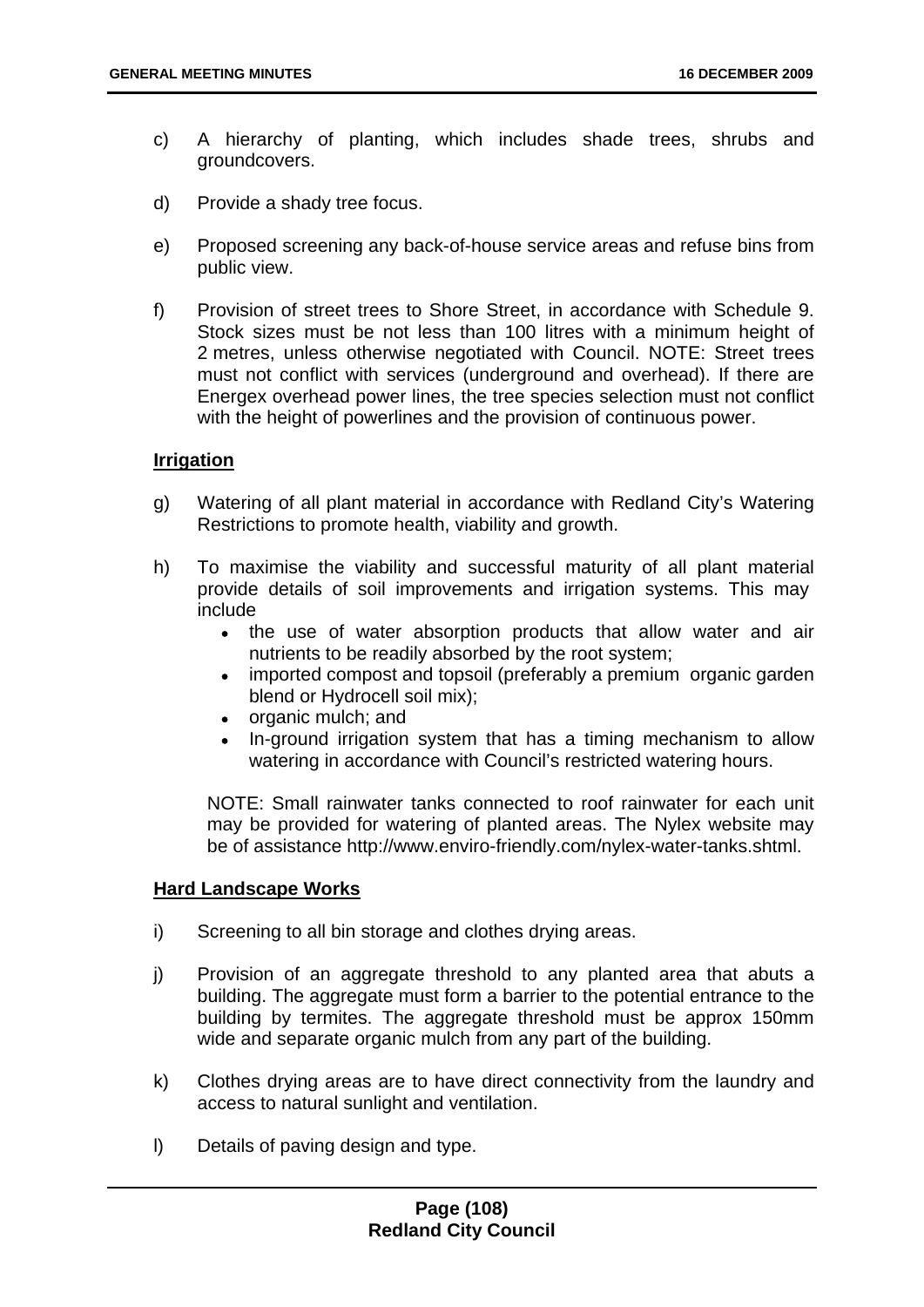- c) A hierarchy of planting, which includes shade trees, shrubs and groundcovers.
- d) Provide a shady tree focus.
- e) Proposed screening any back-of-house service areas and refuse bins from public view.
- f) Provision of street trees to Shore Street, in accordance with Schedule 9. Stock sizes must be not less than 100 litres with a minimum height of 2 metres, unless otherwise negotiated with Council. NOTE: Street trees must not conflict with services (underground and overhead). If there are Energex overhead power lines, the tree species selection must not conflict with the height of powerlines and the provision of continuous power.

## **Irrigation**

- g) Watering of all plant material in accordance with Redland City's Watering Restrictions to promote health, viability and growth.
- h) To maximise the viability and successful maturity of all plant material provide details of soil improvements and irrigation systems. This may include
	- the use of water absorption products that allow water and air nutrients to be readily absorbed by the root system;
	- imported compost and topsoil (preferably a premium organic garden blend or Hydrocell soil mix);
	- organic mulch; and
	- In-ground irrigation system that has a timing mechanism to allow watering in accordance with Council's restricted watering hours.

NOTE: Small rainwater tanks connected to roof rainwater for each unit may be provided for watering of planted areas. The Nylex website may be of assistance http://www.enviro-friendly.com/nylex-water-tanks.shtml.

#### **Hard Landscape Works**

- i) Screening to all bin storage and clothes drying areas.
- j) Provision of an aggregate threshold to any planted area that abuts a building. The aggregate must form a barrier to the potential entrance to the building by termites. The aggregate threshold must be approx 150mm wide and separate organic mulch from any part of the building.
- k) Clothes drying areas are to have direct connectivity from the laundry and access to natural sunlight and ventilation.
- l) Details of paving design and type.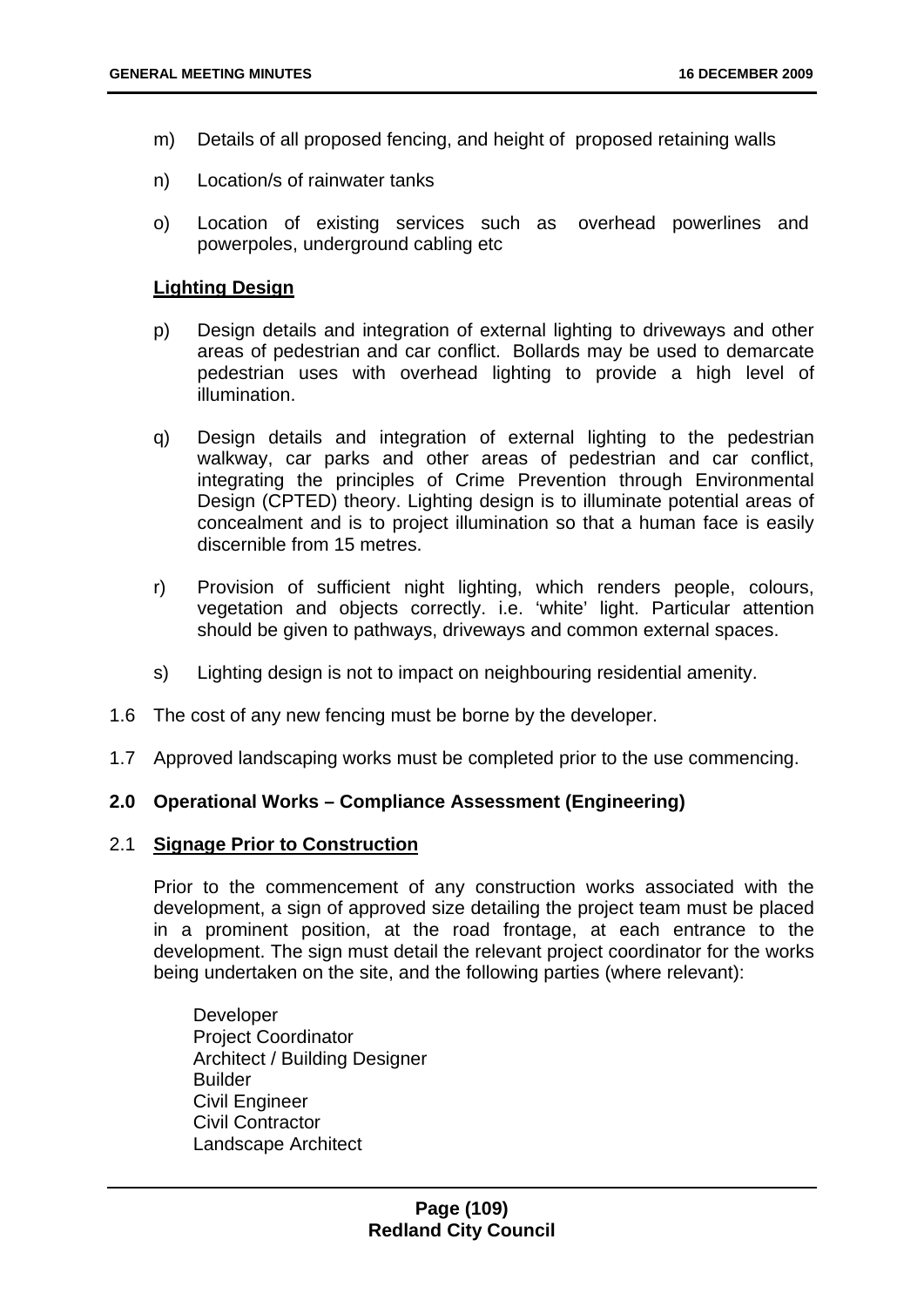- m) Details of all proposed fencing, and height of proposed retaining walls
- n) Location/s of rainwater tanks
- o) Location of existing services such as overhead powerlines and powerpoles, underground cabling etc

#### **Lighting Design**

- p) Design details and integration of external lighting to driveways and other areas of pedestrian and car conflict. Bollards may be used to demarcate pedestrian uses with overhead lighting to provide a high level of illumination.
- q) Design details and integration of external lighting to the pedestrian walkway, car parks and other areas of pedestrian and car conflict, integrating the principles of Crime Prevention through Environmental Design (CPTED) theory. Lighting design is to illuminate potential areas of concealment and is to project illumination so that a human face is easily discernible from 15 metres.
- r) Provision of sufficient night lighting, which renders people, colours, vegetation and objects correctly. i.e. 'white' light. Particular attention should be given to pathways, driveways and common external spaces.
- s) Lighting design is not to impact on neighbouring residential amenity.
- 1.6 The cost of any new fencing must be borne by the developer.
- 1.7 Approved landscaping works must be completed prior to the use commencing.

#### **2.0 Operational Works – Compliance Assessment (Engineering)**

### 2.1 **Signage Prior to Construction**

Prior to the commencement of any construction works associated with the development, a sign of approved size detailing the project team must be placed in a prominent position, at the road frontage, at each entrance to the development. The sign must detail the relevant project coordinator for the works being undertaken on the site, and the following parties (where relevant):

 Developer Project Coordinator Architect / Building Designer Builder Civil Engineer Civil Contractor Landscape Architect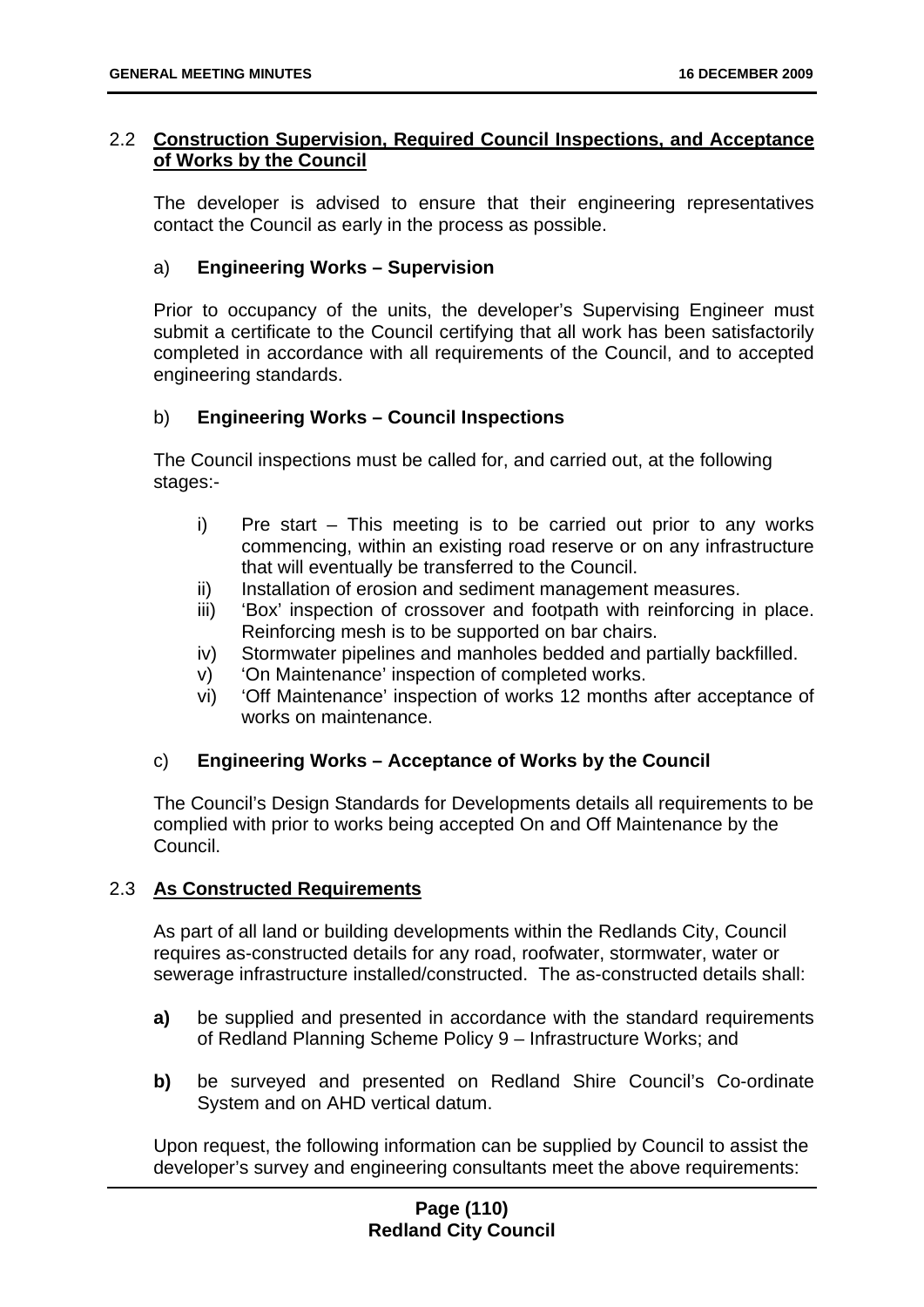## 2.2 **Construction Supervision, Required Council Inspections, and Acceptance of Works by the Council**

The developer is advised to ensure that their engineering representatives contact the Council as early in the process as possible.

## a) **Engineering Works – Supervision**

Prior to occupancy of the units, the developer's Supervising Engineer must submit a certificate to the Council certifying that all work has been satisfactorily completed in accordance with all requirements of the Council, and to accepted engineering standards.

## b) **Engineering Works – Council Inspections**

The Council inspections must be called for, and carried out, at the following stages:-

- i) Pre start This meeting is to be carried out prior to any works commencing, within an existing road reserve or on any infrastructure that will eventually be transferred to the Council.
- ii) Installation of erosion and sediment management measures.
- iii) 'Box' inspection of crossover and footpath with reinforcing in place. Reinforcing mesh is to be supported on bar chairs.
- iv) Stormwater pipelines and manholes bedded and partially backfilled.
- v) 'On Maintenance' inspection of completed works.
- vi) 'Off Maintenance' inspection of works 12 months after acceptance of works on maintenance.

## c) **Engineering Works – Acceptance of Works by the Council**

The Council's Design Standards for Developments details all requirements to be complied with prior to works being accepted On and Off Maintenance by the Council.

## 2.3 **As Constructed Requirements**

As part of all land or building developments within the Redlands City, Council requires as-constructed details for any road, roofwater, stormwater, water or sewerage infrastructure installed/constructed. The as-constructed details shall:

- **a)** be supplied and presented in accordance with the standard requirements of Redland Planning Scheme Policy 9 – Infrastructure Works; and
- **b)** be surveyed and presented on Redland Shire Council's Co-ordinate System and on AHD vertical datum.

Upon request, the following information can be supplied by Council to assist the developer's survey and engineering consultants meet the above requirements: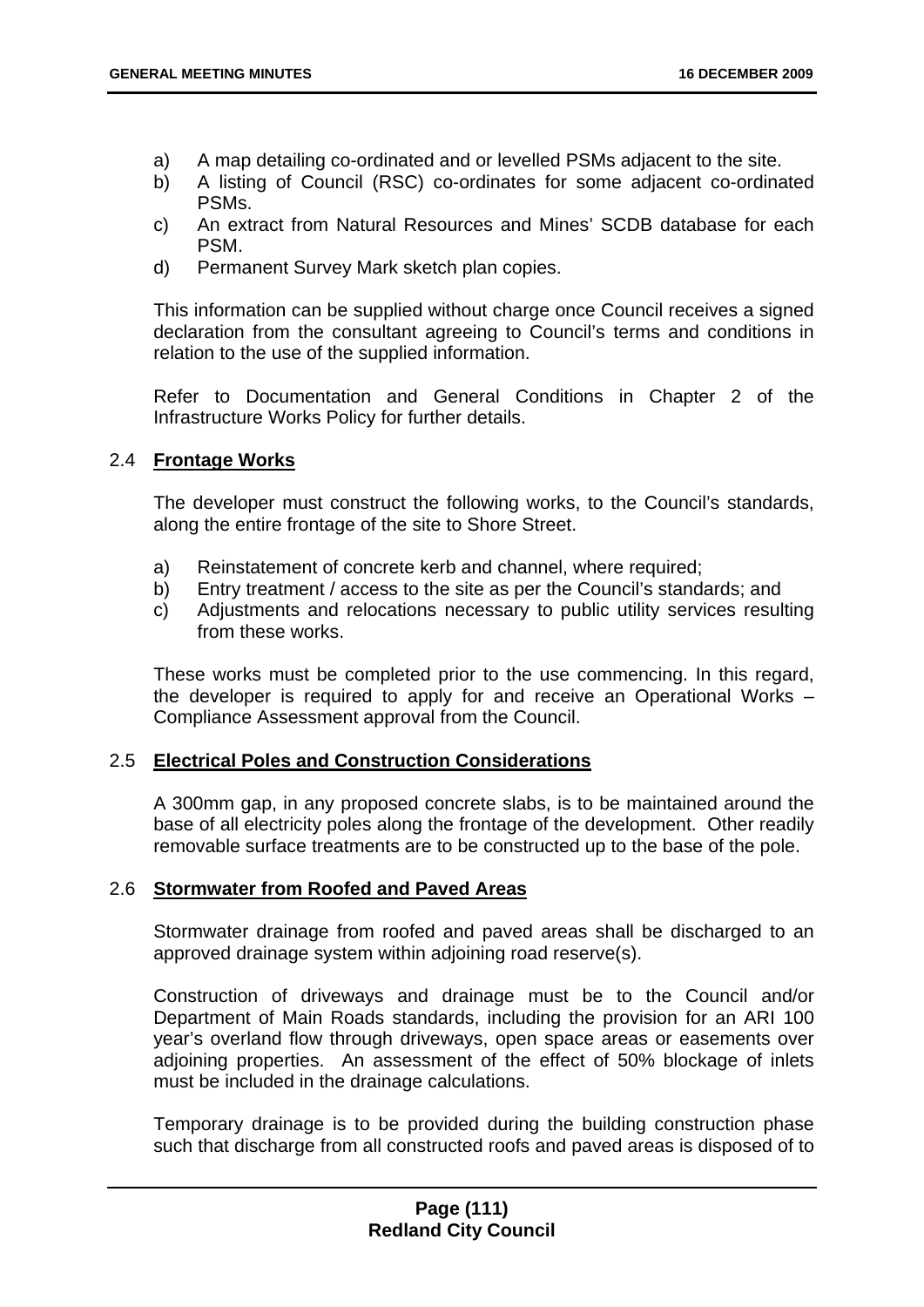- a) A map detailing co-ordinated and or levelled PSMs adjacent to the site.
- b) A listing of Council (RSC) co-ordinates for some adjacent co-ordinated PSMs.
- c) An extract from Natural Resources and Mines' SCDB database for each PSM.
- d) Permanent Survey Mark sketch plan copies.

This information can be supplied without charge once Council receives a signed declaration from the consultant agreeing to Council's terms and conditions in relation to the use of the supplied information.

Refer to Documentation and General Conditions in Chapter 2 of the Infrastructure Works Policy for further details.

#### 2.4 **Frontage Works**

The developer must construct the following works, to the Council's standards, along the entire frontage of the site to Shore Street.

- a) Reinstatement of concrete kerb and channel, where required;
- b) Entry treatment / access to the site as per the Council's standards; and
- c) Adjustments and relocations necessary to public utility services resulting from these works.

These works must be completed prior to the use commencing. In this regard, the developer is required to apply for and receive an Operational Works – Compliance Assessment approval from the Council.

## 2.5 **Electrical Poles and Construction Considerations**

A 300mm gap, in any proposed concrete slabs, is to be maintained around the base of all electricity poles along the frontage of the development. Other readily removable surface treatments are to be constructed up to the base of the pole.

#### 2.6 **Stormwater from Roofed and Paved Areas**

Stormwater drainage from roofed and paved areas shall be discharged to an approved drainage system within adjoining road reserve(s).

Construction of driveways and drainage must be to the Council and/or Department of Main Roads standards, including the provision for an ARI 100 year's overland flow through driveways, open space areas or easements over adjoining properties. An assessment of the effect of 50% blockage of inlets must be included in the drainage calculations.

Temporary drainage is to be provided during the building construction phase such that discharge from all constructed roofs and paved areas is disposed of to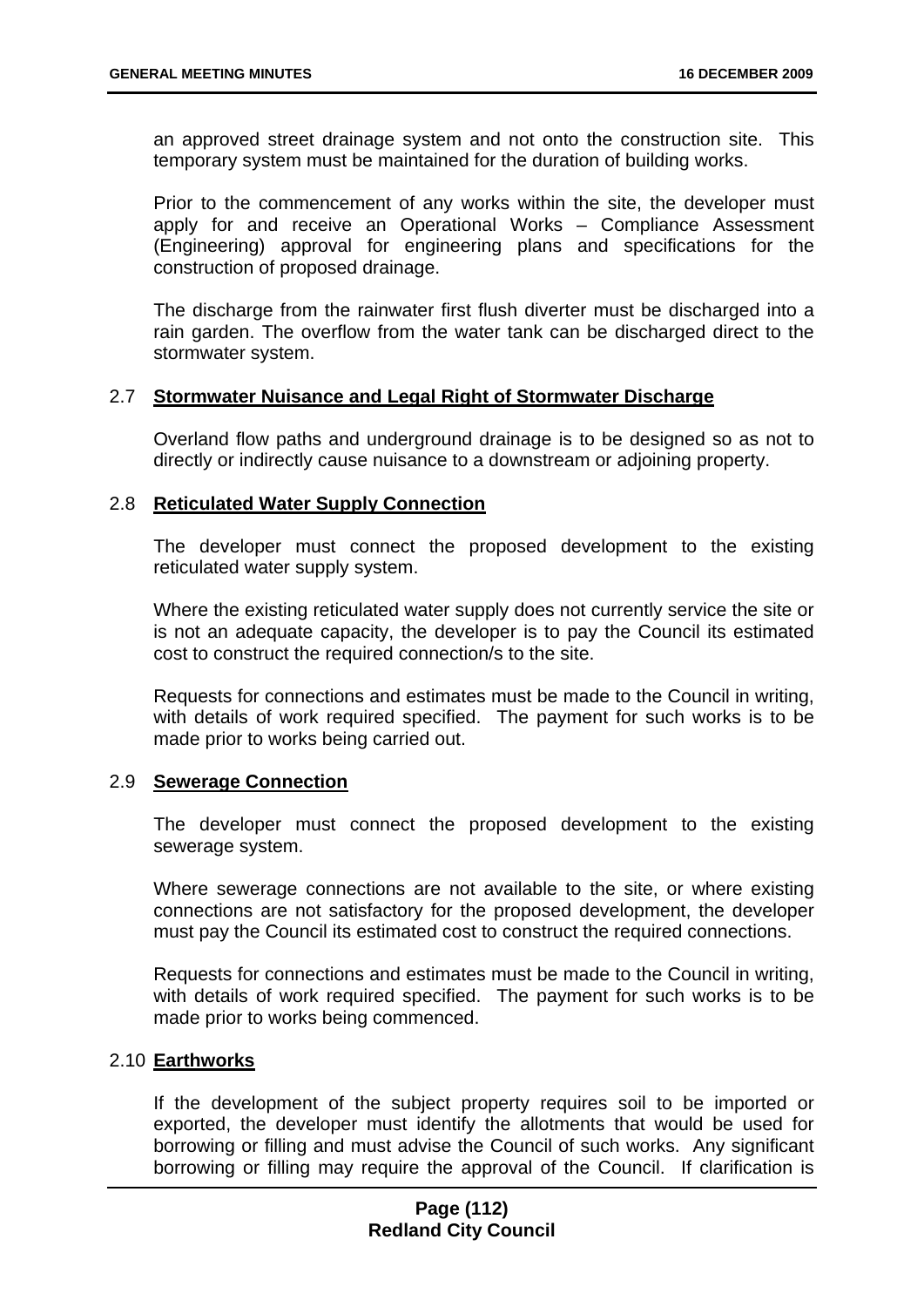an approved street drainage system and not onto the construction site. This temporary system must be maintained for the duration of building works.

Prior to the commencement of any works within the site, the developer must apply for and receive an Operational Works – Compliance Assessment (Engineering) approval for engineering plans and specifications for the construction of proposed drainage.

The discharge from the rainwater first flush diverter must be discharged into a rain garden. The overflow from the water tank can be discharged direct to the stormwater system.

#### 2.7 **Stormwater Nuisance and Legal Right of Stormwater Discharge**

Overland flow paths and underground drainage is to be designed so as not to directly or indirectly cause nuisance to a downstream or adjoining property.

#### 2.8 **Reticulated Water Supply Connection**

The developer must connect the proposed development to the existing reticulated water supply system.

Where the existing reticulated water supply does not currently service the site or is not an adequate capacity, the developer is to pay the Council its estimated cost to construct the required connection/s to the site.

Requests for connections and estimates must be made to the Council in writing, with details of work required specified. The payment for such works is to be made prior to works being carried out.

#### 2.9 **Sewerage Connection**

The developer must connect the proposed development to the existing sewerage system.

Where sewerage connections are not available to the site, or where existing connections are not satisfactory for the proposed development, the developer must pay the Council its estimated cost to construct the required connections.

Requests for connections and estimates must be made to the Council in writing, with details of work required specified. The payment for such works is to be made prior to works being commenced.

### 2.10 **Earthworks**

If the development of the subject property requires soil to be imported or exported, the developer must identify the allotments that would be used for borrowing or filling and must advise the Council of such works. Any significant borrowing or filling may require the approval of the Council. If clarification is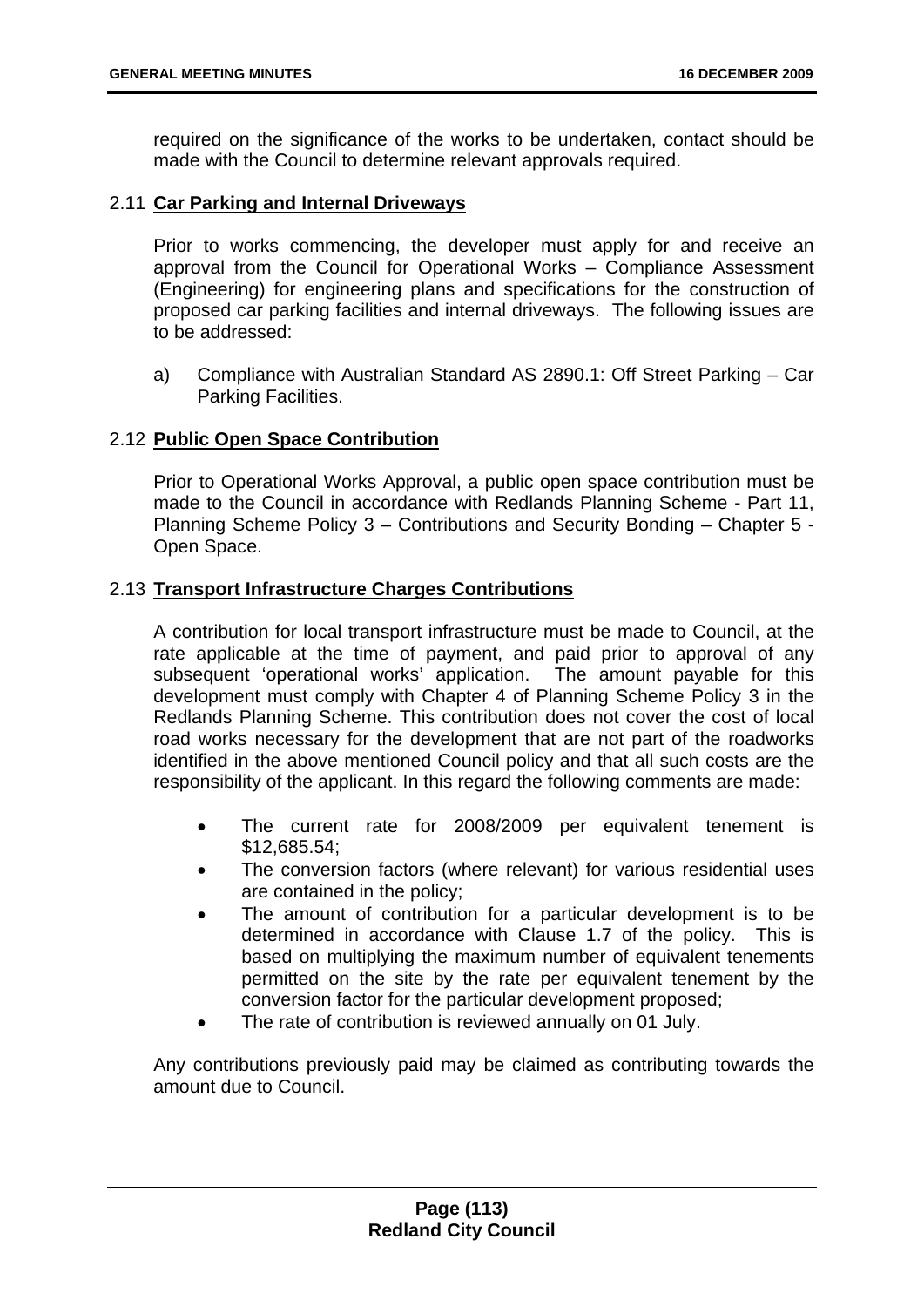required on the significance of the works to be undertaken, contact should be made with the Council to determine relevant approvals required.

## 2.11 **Car Parking and Internal Driveways**

Prior to works commencing, the developer must apply for and receive an approval from the Council for Operational Works – Compliance Assessment (Engineering) for engineering plans and specifications for the construction of proposed car parking facilities and internal driveways. The following issues are to be addressed:

a) Compliance with Australian Standard AS 2890.1: Off Street Parking – Car Parking Facilities.

## 2.12 **Public Open Space Contribution**

Prior to Operational Works Approval, a public open space contribution must be made to the Council in accordance with Redlands Planning Scheme - Part 11, Planning Scheme Policy 3 – Contributions and Security Bonding – Chapter 5 - Open Space.

## 2.13 **Transport Infrastructure Charges Contributions**

A contribution for local transport infrastructure must be made to Council, at the rate applicable at the time of payment, and paid prior to approval of any subsequent 'operational works' application. The amount payable for this development must comply with Chapter 4 of Planning Scheme Policy 3 in the Redlands Planning Scheme. This contribution does not cover the cost of local road works necessary for the development that are not part of the roadworks identified in the above mentioned Council policy and that all such costs are the responsibility of the applicant. In this regard the following comments are made:

- The current rate for 2008/2009 per equivalent tenement is \$12,685.54;
- The conversion factors (where relevant) for various residential uses are contained in the policy;
- The amount of contribution for a particular development is to be determined in accordance with Clause 1.7 of the policy. This is based on multiplying the maximum number of equivalent tenements permitted on the site by the rate per equivalent tenement by the conversion factor for the particular development proposed;
- The rate of contribution is reviewed annually on 01 July.

Any contributions previously paid may be claimed as contributing towards the amount due to Council.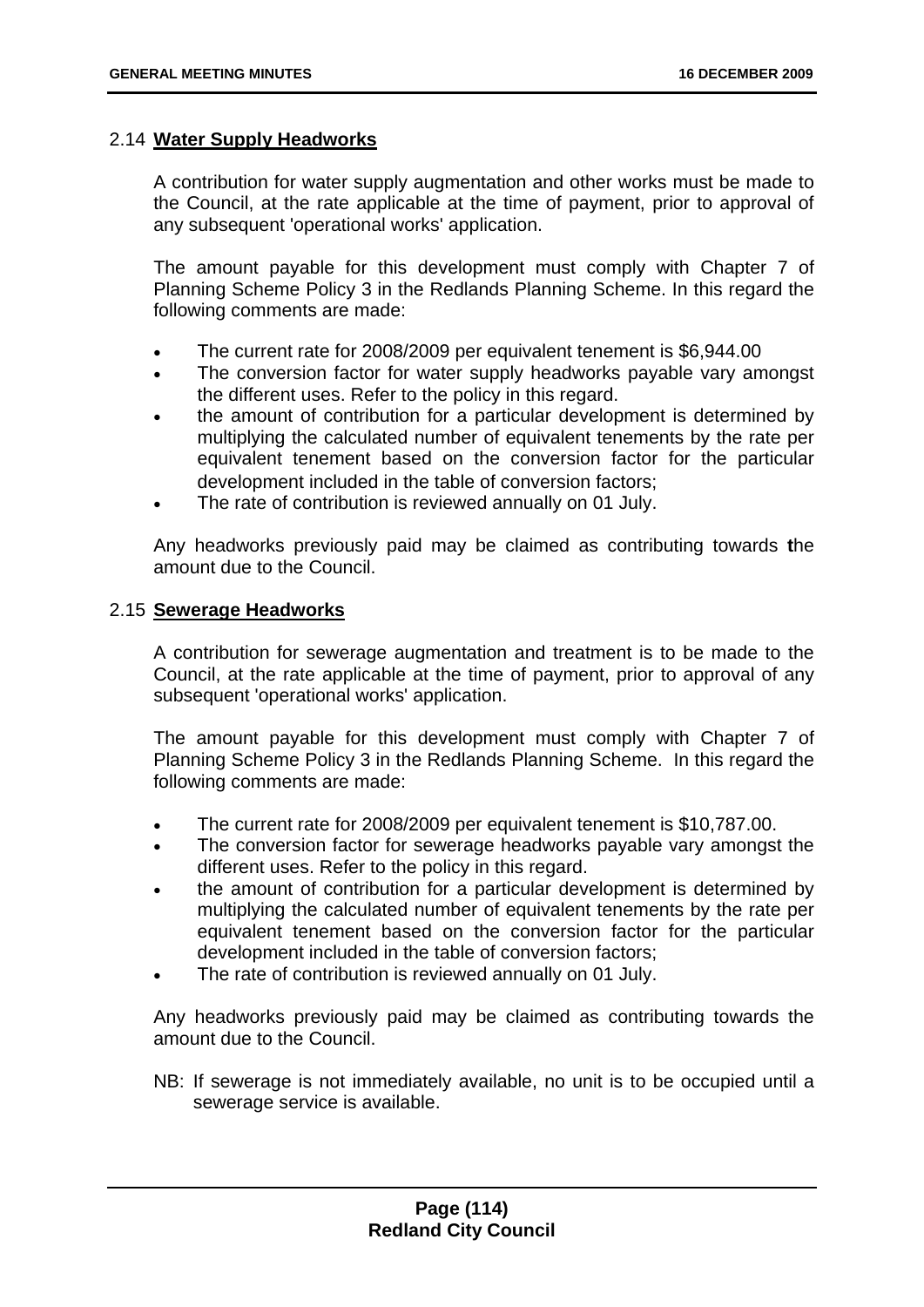#### 2.14 **Water Supply Headworks**

A contribution for water supply augmentation and other works must be made to the Council, at the rate applicable at the time of payment, prior to approval of any subsequent 'operational works' application.

The amount payable for this development must comply with Chapter 7 of Planning Scheme Policy 3 in the Redlands Planning Scheme. In this regard the following comments are made:

- The current rate for 2008/2009 per equivalent tenement is \$6,944.00
- The conversion factor for water supply headworks payable vary amongst the different uses. Refer to the policy in this regard.
- the amount of contribution for a particular development is determined by multiplying the calculated number of equivalent tenements by the rate per equivalent tenement based on the conversion factor for the particular development included in the table of conversion factors;
- The rate of contribution is reviewed annually on 01 July.

Any headworks previously paid may be claimed as contributing towards **t**he amount due to the Council.

#### 2.15 **Sewerage Headworks**

A contribution for sewerage augmentation and treatment is to be made to the Council, at the rate applicable at the time of payment, prior to approval of any subsequent 'operational works' application.

The amount payable for this development must comply with Chapter 7 of Planning Scheme Policy 3 in the Redlands Planning Scheme. In this regard the following comments are made:

- The current rate for 2008/2009 per equivalent tenement is \$10,787.00.
- The conversion factor for sewerage headworks payable vary amongst the different uses. Refer to the policy in this regard.
- the amount of contribution for a particular development is determined by multiplying the calculated number of equivalent tenements by the rate per equivalent tenement based on the conversion factor for the particular development included in the table of conversion factors;
- The rate of contribution is reviewed annually on 01 July.

Any headworks previously paid may be claimed as contributing towards the amount due to the Council.

NB: If sewerage is not immediately available, no unit is to be occupied until a sewerage service is available.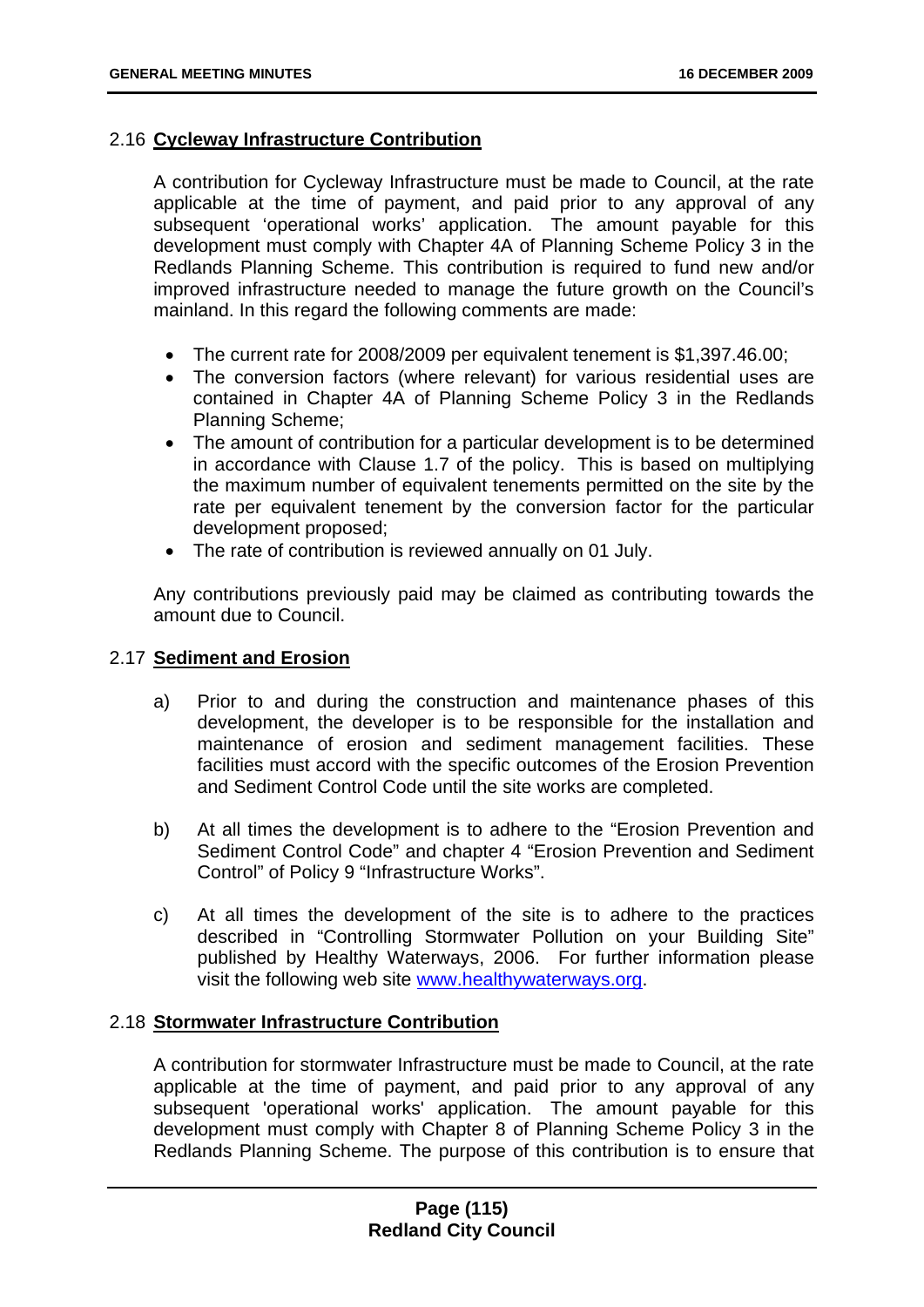### 2.16 **Cycleway Infrastructure Contribution**

A contribution for Cycleway Infrastructure must be made to Council, at the rate applicable at the time of payment, and paid prior to any approval of any subsequent 'operational works' application. The amount payable for this development must comply with Chapter 4A of Planning Scheme Policy 3 in the Redlands Planning Scheme. This contribution is required to fund new and/or improved infrastructure needed to manage the future growth on the Council's mainland. In this regard the following comments are made:

- The current rate for 2008/2009 per equivalent tenement is \$1,397.46.00;
- The conversion factors (where relevant) for various residential uses are contained in Chapter 4A of Planning Scheme Policy 3 in the Redlands Planning Scheme;
- The amount of contribution for a particular development is to be determined in accordance with Clause 1.7 of the policy. This is based on multiplying the maximum number of equivalent tenements permitted on the site by the rate per equivalent tenement by the conversion factor for the particular development proposed;
- The rate of contribution is reviewed annually on 01 July.

Any contributions previously paid may be claimed as contributing towards the amount due to Council.

### 2.17 **Sediment and Erosion**

- a) Prior to and during the construction and maintenance phases of this development, the developer is to be responsible for the installation and maintenance of erosion and sediment management facilities. These facilities must accord with the specific outcomes of the Erosion Prevention and Sediment Control Code until the site works are completed.
- b) At all times the development is to adhere to the "Erosion Prevention and Sediment Control Code" and chapter 4 "Erosion Prevention and Sediment Control" of Policy 9 "Infrastructure Works".
- c) At all times the development of the site is to adhere to the practices described in "Controlling Stormwater Pollution on your Building Site" published by Healthy Waterways, 2006. For further information please visit the following web site www.healthywaterways.org.

### 2.18 **Stormwater Infrastructure Contribution**

A contribution for stormwater Infrastructure must be made to Council, at the rate applicable at the time of payment, and paid prior to any approval of any subsequent 'operational works' application. The amount payable for this development must comply with Chapter 8 of Planning Scheme Policy 3 in the Redlands Planning Scheme. The purpose of this contribution is to ensure that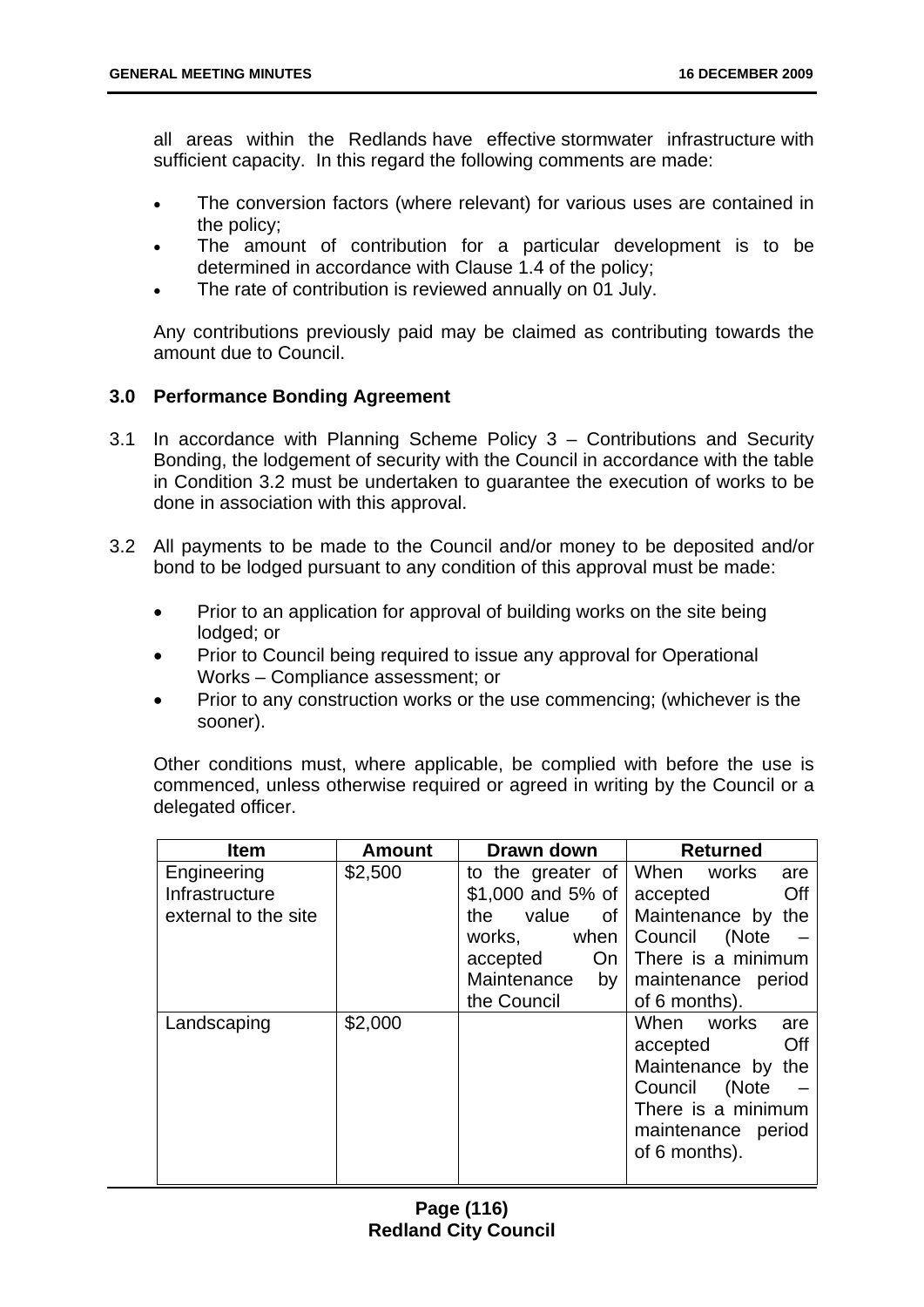all areas within the Redlands have effective stormwater infrastructure with sufficient capacity. In this regard the following comments are made:

- The conversion factors (where relevant) for various uses are contained in the policy;
- The amount of contribution for a particular development is to be determined in accordance with Clause 1.4 of the policy;
- The rate of contribution is reviewed annually on 01 July.

Any contributions previously paid may be claimed as contributing towards the amount due to Council.

#### **3.0 Performance Bonding Agreement**

- 3.1 In accordance with Planning Scheme Policy 3 Contributions and Security Bonding, the lodgement of security with the Council in accordance with the table in Condition 3.2 must be undertaken to guarantee the execution of works to be done in association with this approval.
- 3.2 All payments to be made to the Council and/or money to be deposited and/or bond to be lodged pursuant to any condition of this approval must be made:
	- Prior to an application for approval of building works on the site being lodged; or
	- Prior to Council being required to issue any approval for Operational Works – Compliance assessment; or
	- Prior to any construction works or the use commencing; (whichever is the sooner).

Other conditions must, where applicable, be complied with before the use is commenced, unless otherwise required or agreed in writing by the Council or a delegated officer.

| <b>Item</b>                                           | <b>Amount</b> | Drawn down                                                                                                                                                                 | <b>Returned</b>                                                                                                                          |
|-------------------------------------------------------|---------------|----------------------------------------------------------------------------------------------------------------------------------------------------------------------------|------------------------------------------------------------------------------------------------------------------------------------------|
| Engineering<br>Infrastructure<br>external to the site | \$2,500       | to the greater of When works<br>\$1,000 and 5% of $\vert$ accepted<br>value of<br>the<br>when<br>works,<br>On <sub>1</sub><br>accepted<br>Maintenance<br>by<br>the Council | are<br>Off<br>Maintenance by<br>the<br>(Note<br>Council<br>There is a minimum<br>maintenance period<br>of 6 months).                     |
| Landscaping                                           | \$2,000       |                                                                                                                                                                            | When works<br>are<br>Off<br>accepted<br>Maintenance by the<br>Council (Note<br>There is a minimum<br>maintenance period<br>of 6 months). |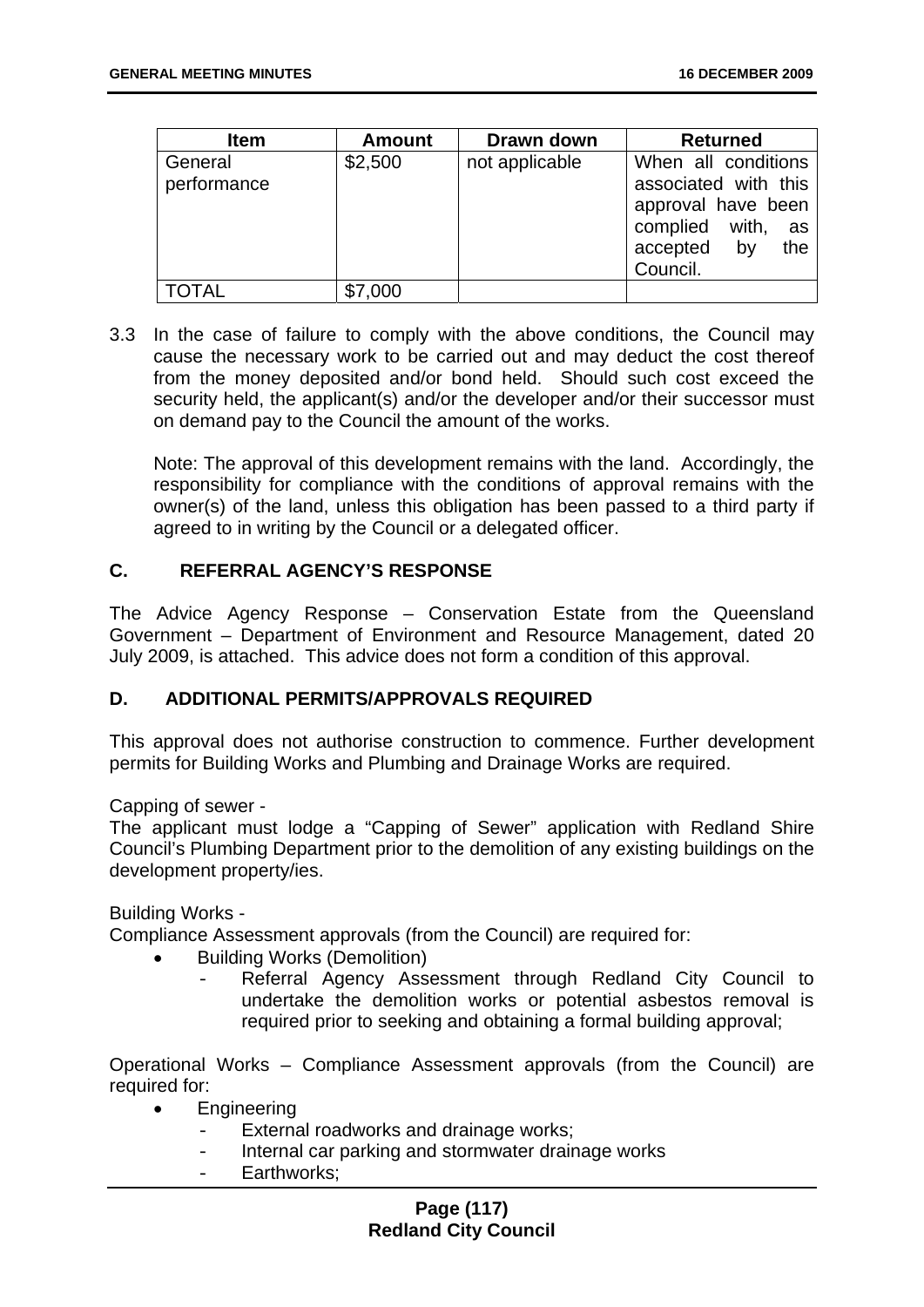| <b>Item</b>            | <b>Amount</b> | Drawn down     | <b>Returned</b>                                                                                                             |
|------------------------|---------------|----------------|-----------------------------------------------------------------------------------------------------------------------------|
| General<br>performance | \$2,500       | not applicable | When all conditions<br>associated with this<br>approval have been<br>complied with,<br>as<br>accepted by<br>the<br>Council. |
| TOTAL                  | \$7,000       |                |                                                                                                                             |

3.3 In the case of failure to comply with the above conditions, the Council may cause the necessary work to be carried out and may deduct the cost thereof from the money deposited and/or bond held. Should such cost exceed the security held, the applicant(s) and/or the developer and/or their successor must on demand pay to the Council the amount of the works.

Note: The approval of this development remains with the land. Accordingly, the responsibility for compliance with the conditions of approval remains with the owner(s) of the land, unless this obligation has been passed to a third party if agreed to in writing by the Council or a delegated officer.

## **C. REFERRAL AGENCY'S RESPONSE**

The Advice Agency Response – Conservation Estate from the Queensland Government – Department of Environment and Resource Management, dated 20 July 2009, is attached. This advice does not form a condition of this approval.

#### **D. ADDITIONAL PERMITS/APPROVALS REQUIRED**

This approval does not authorise construction to commence. Further development permits for Building Works and Plumbing and Drainage Works are required.

Capping of sewer -

The applicant must lodge a "Capping of Sewer" application with Redland Shire Council's Plumbing Department prior to the demolition of any existing buildings on the development property/ies.

Building Works -

Compliance Assessment approvals (from the Council) are required for:

- Building Works (Demolition)
	- Referral Agency Assessment through Redland City Council to undertake the demolition works or potential asbestos removal is required prior to seeking and obtaining a formal building approval;

Operational Works – Compliance Assessment approvals (from the Council) are required for:

- Engineering
	- External roadworks and drainage works;
	- Internal car parking and stormwater drainage works
	- Farthworks: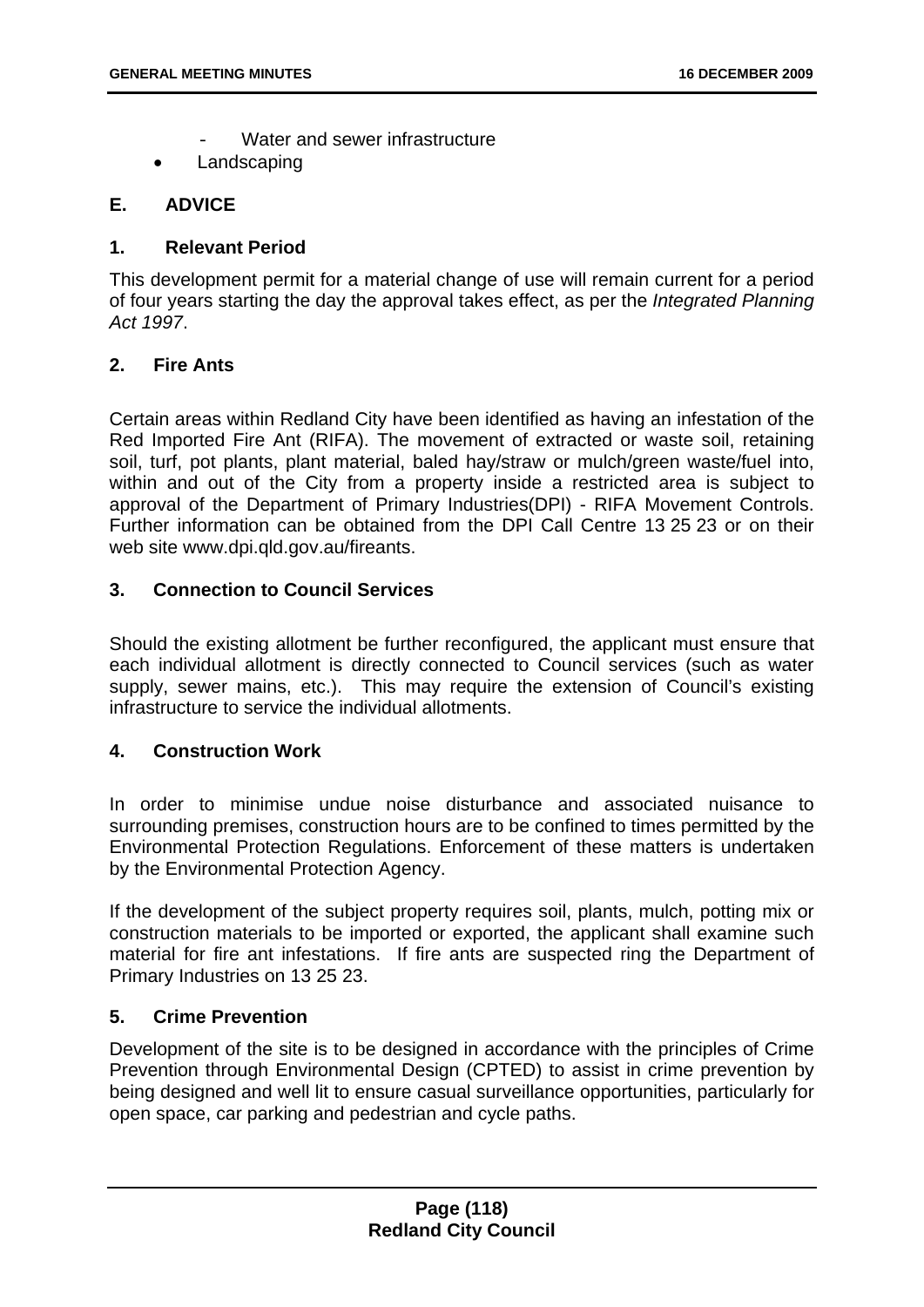- Water and sewer infrastructure
- **Landscaping**

## **E. ADVICE**

## **1. Relevant Period**

This development permit for a material change of use will remain current for a period of four years starting the day the approval takes effect, as per the *Integrated Planning Act 1997*.

## **2. Fire Ants**

Certain areas within Redland City have been identified as having an infestation of the Red Imported Fire Ant (RIFA). The movement of extracted or waste soil, retaining soil, turf, pot plants, plant material, baled hay/straw or mulch/green waste/fuel into, within and out of the City from a property inside a restricted area is subject to approval of the Department of Primary Industries(DPI) - RIFA Movement Controls. Further information can be obtained from the DPI Call Centre 13 25 23 or on their web site www.dpi.qld.gov.au/fireants.

# **3. Connection to Council Services**

Should the existing allotment be further reconfigured, the applicant must ensure that each individual allotment is directly connected to Council services (such as water supply, sewer mains, etc.). This may require the extension of Council's existing infrastructure to service the individual allotments.

## **4. Construction Work**

In order to minimise undue noise disturbance and associated nuisance to surrounding premises, construction hours are to be confined to times permitted by the Environmental Protection Regulations. Enforcement of these matters is undertaken by the Environmental Protection Agency.

If the development of the subject property requires soil, plants, mulch, potting mix or construction materials to be imported or exported, the applicant shall examine such material for fire ant infestations. If fire ants are suspected ring the Department of Primary Industries on 13 25 23.

## **5. Crime Prevention**

Development of the site is to be designed in accordance with the principles of Crime Prevention through Environmental Design (CPTED) to assist in crime prevention by being designed and well lit to ensure casual surveillance opportunities, particularly for open space, car parking and pedestrian and cycle paths.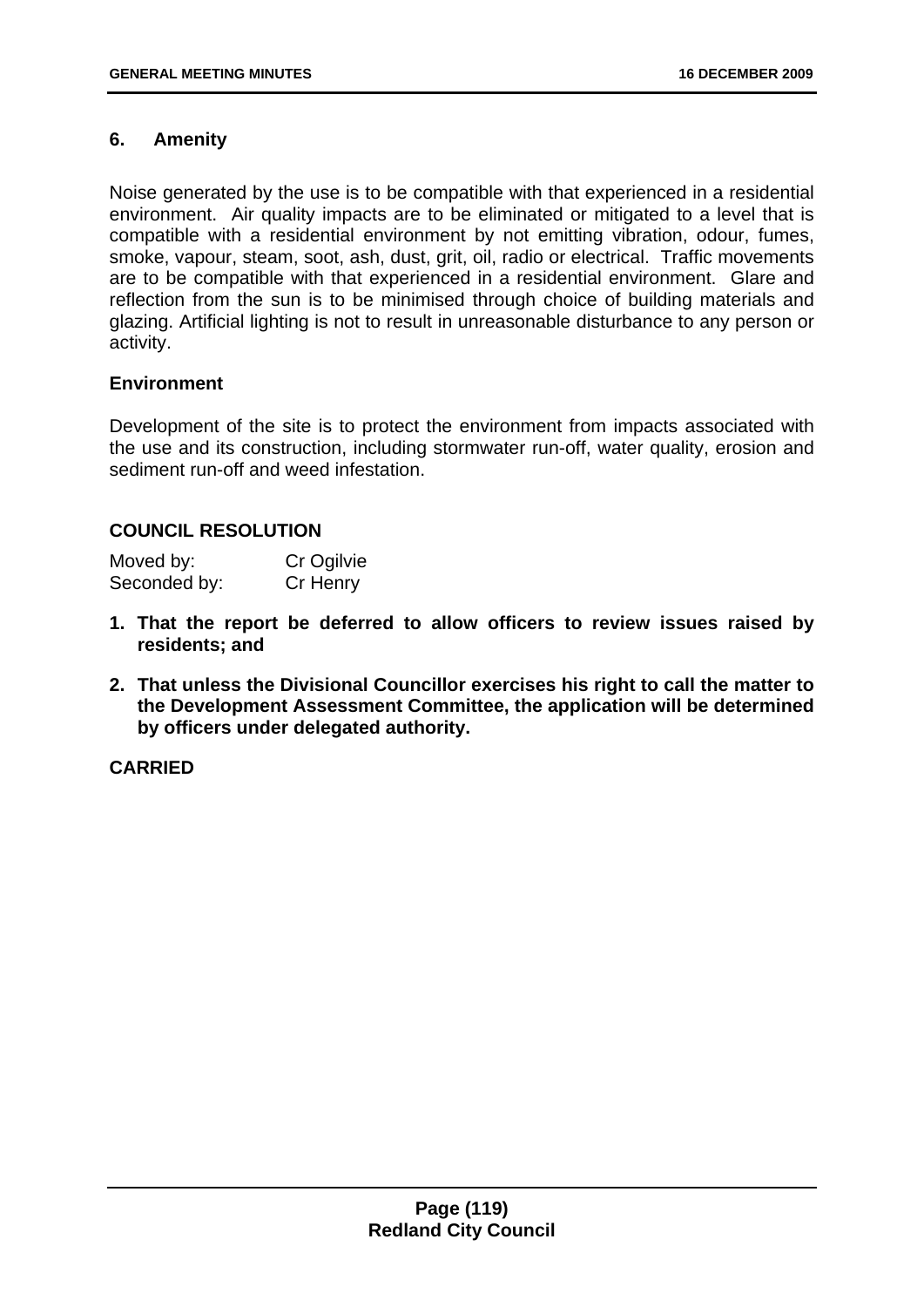## **6. Amenity**

Noise generated by the use is to be compatible with that experienced in a residential environment. Air quality impacts are to be eliminated or mitigated to a level that is compatible with a residential environment by not emitting vibration, odour, fumes, smoke, vapour, steam, soot, ash, dust, grit, oil, radio or electrical. Traffic movements are to be compatible with that experienced in a residential environment. Glare and reflection from the sun is to be minimised through choice of building materials and glazing. Artificial lighting is not to result in unreasonable disturbance to any person or activity.

## **Environment**

Development of the site is to protect the environment from impacts associated with the use and its construction, including stormwater run-off, water quality, erosion and sediment run-off and weed infestation.

## **COUNCIL RESOLUTION**

Moved by: Cr Ogilvie Seconded by: Cr Henry

- **1. That the report be deferred to allow officers to review issues raised by residents; and**
- **2. That unless the Divisional Councillor exercises his right to call the matter to the Development Assessment Committee, the application will be determined by officers under delegated authority.**

## **CARRIED**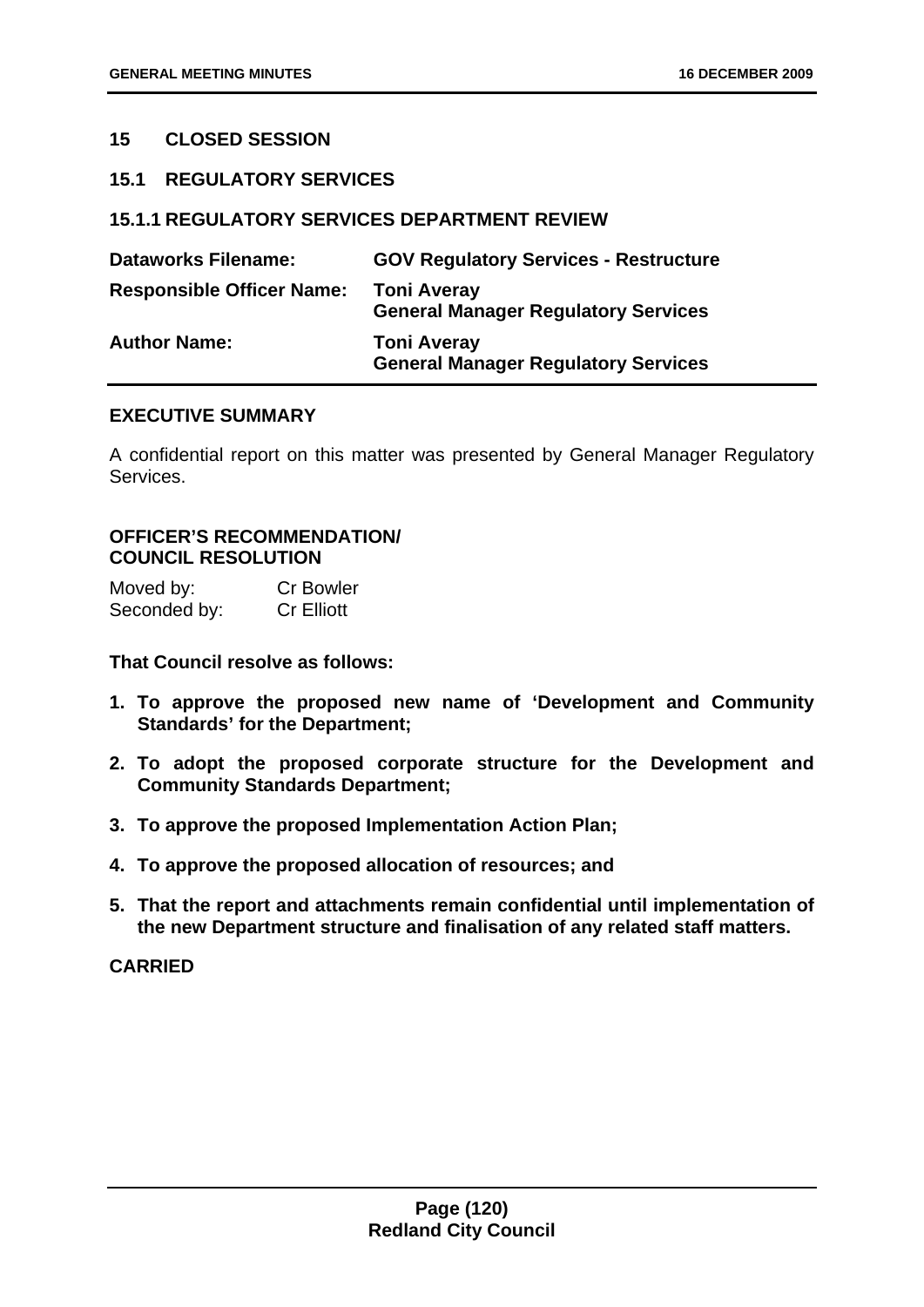## **15 CLOSED SESSION**

## **15.1 REGULATORY SERVICES**

### **15.1.1 REGULATORY SERVICES DEPARTMENT REVIEW**

| <b>Dataworks Filename:</b>       | <b>GOV Regulatory Services - Restructure</b>                     |
|----------------------------------|------------------------------------------------------------------|
| <b>Responsible Officer Name:</b> | <b>Toni Averay</b><br><b>General Manager Regulatory Services</b> |
| <b>Author Name:</b>              | <b>Toni Averay</b><br><b>General Manager Regulatory Services</b> |

# **EXECUTIVE SUMMARY**

A confidential report on this matter was presented by General Manager Regulatory Services.

## **OFFICER'S RECOMMENDATION/ COUNCIL RESOLUTION**

| Moved by:    | <b>Cr Bowler</b>  |
|--------------|-------------------|
| Seconded by: | <b>Cr Elliott</b> |

**That Council resolve as follows:** 

- **1. To approve the proposed new name of 'Development and Community Standards' for the Department;**
- **2. To adopt the proposed corporate structure for the Development and Community Standards Department;**
- **3. To approve the proposed Implementation Action Plan;**
- **4. To approve the proposed allocation of resources; and**
- **5. That the report and attachments remain confidential until implementation of the new Department structure and finalisation of any related staff matters.**

**CARRIED**